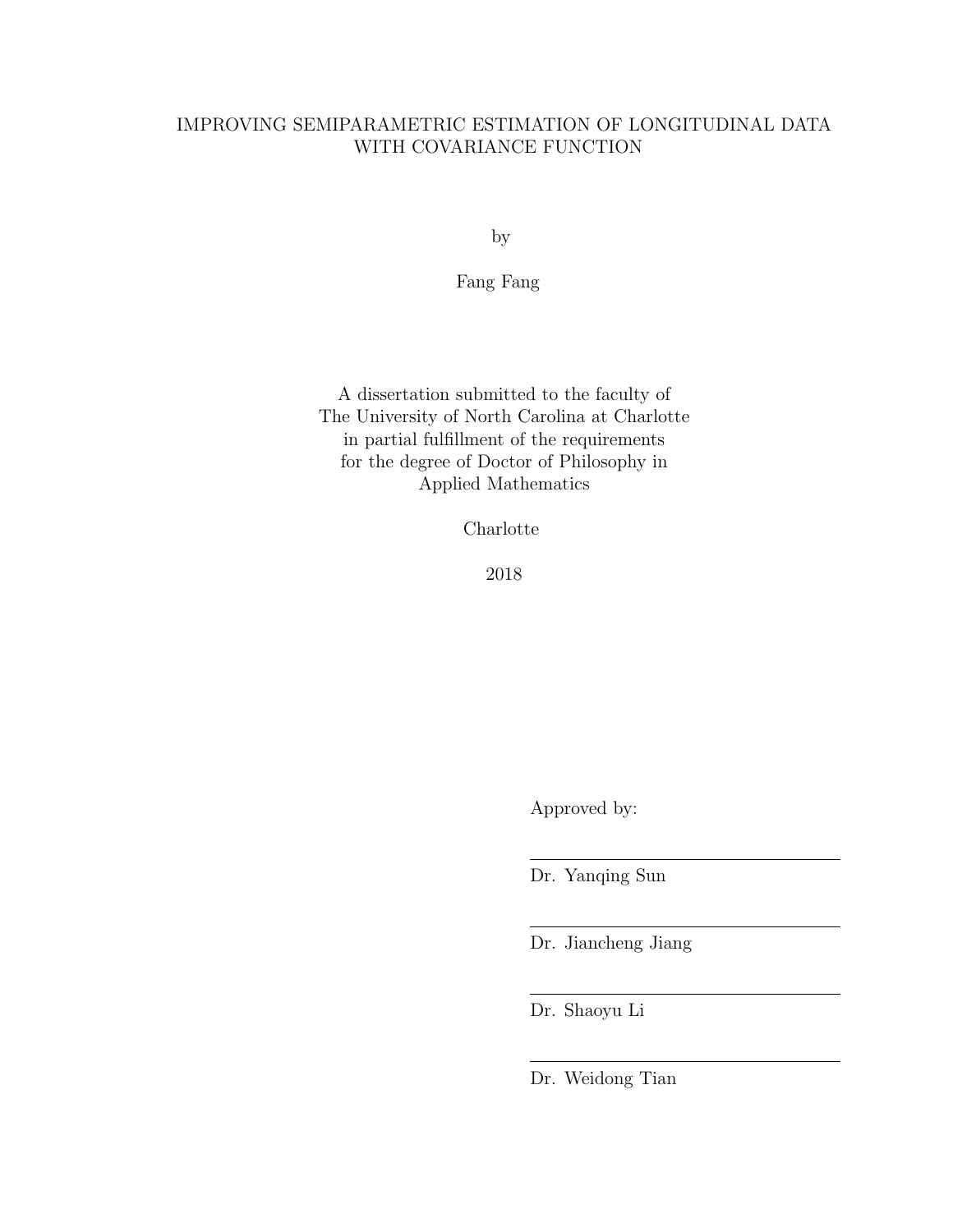# IMPROVING SEMIPARAMETRIC ESTIMATION OF LONGITUDINAL DATA WITH COVARIANCE FUNCTION

by

Fang Fang

A dissertation submitted to the faculty of The University of North Carolina at Charlotte in partial fulfillment of the requirements for the degree of Doctor of Philosophy in Applied Mathematics

Charlotte

2018

Approved by:

Dr. Yanqing Sun

Dr. Jiancheng Jiang

Dr. Shaoyu Li

Dr. Weidong Tian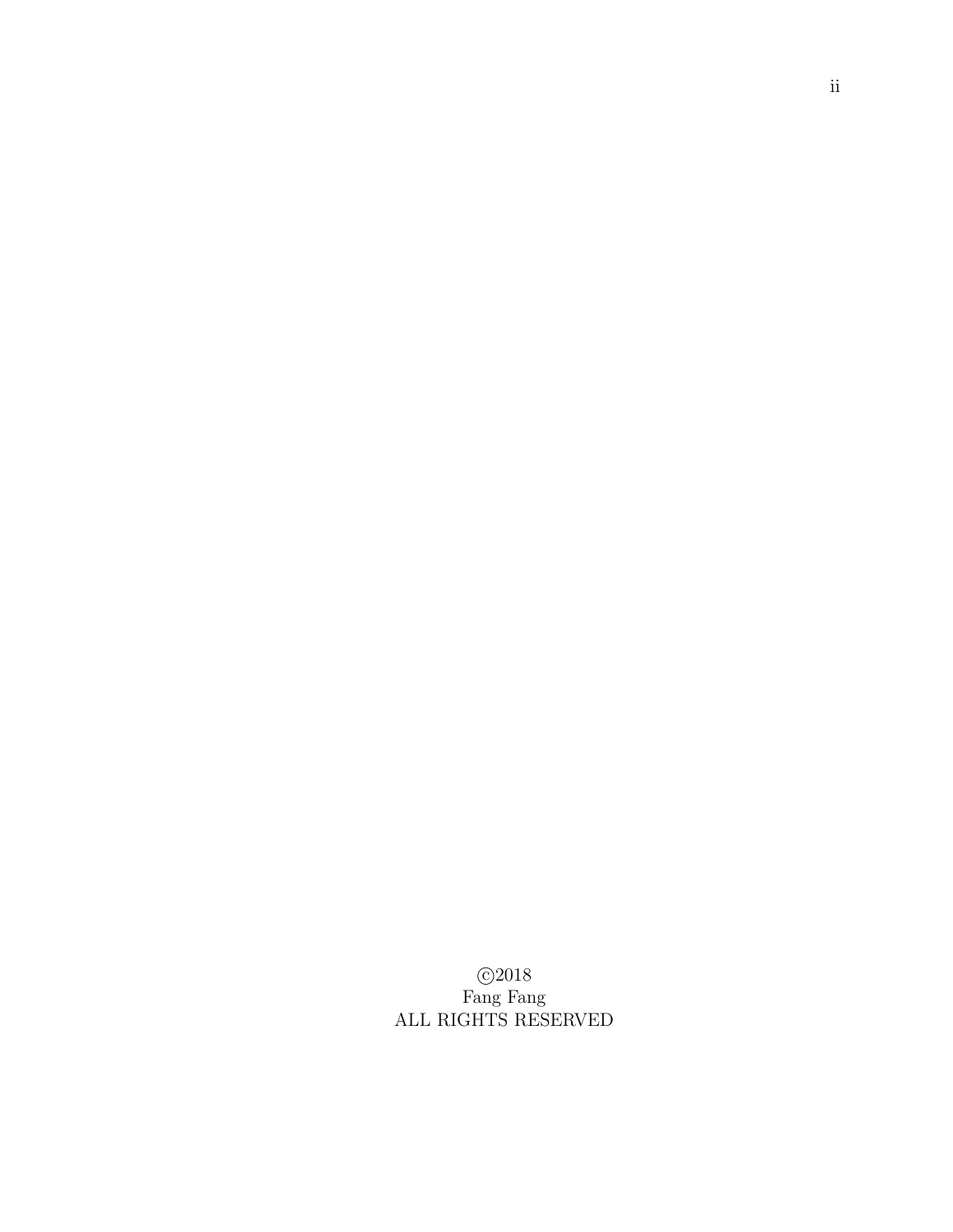c 2018 Fang Fang ALL RIGHTS RESERVED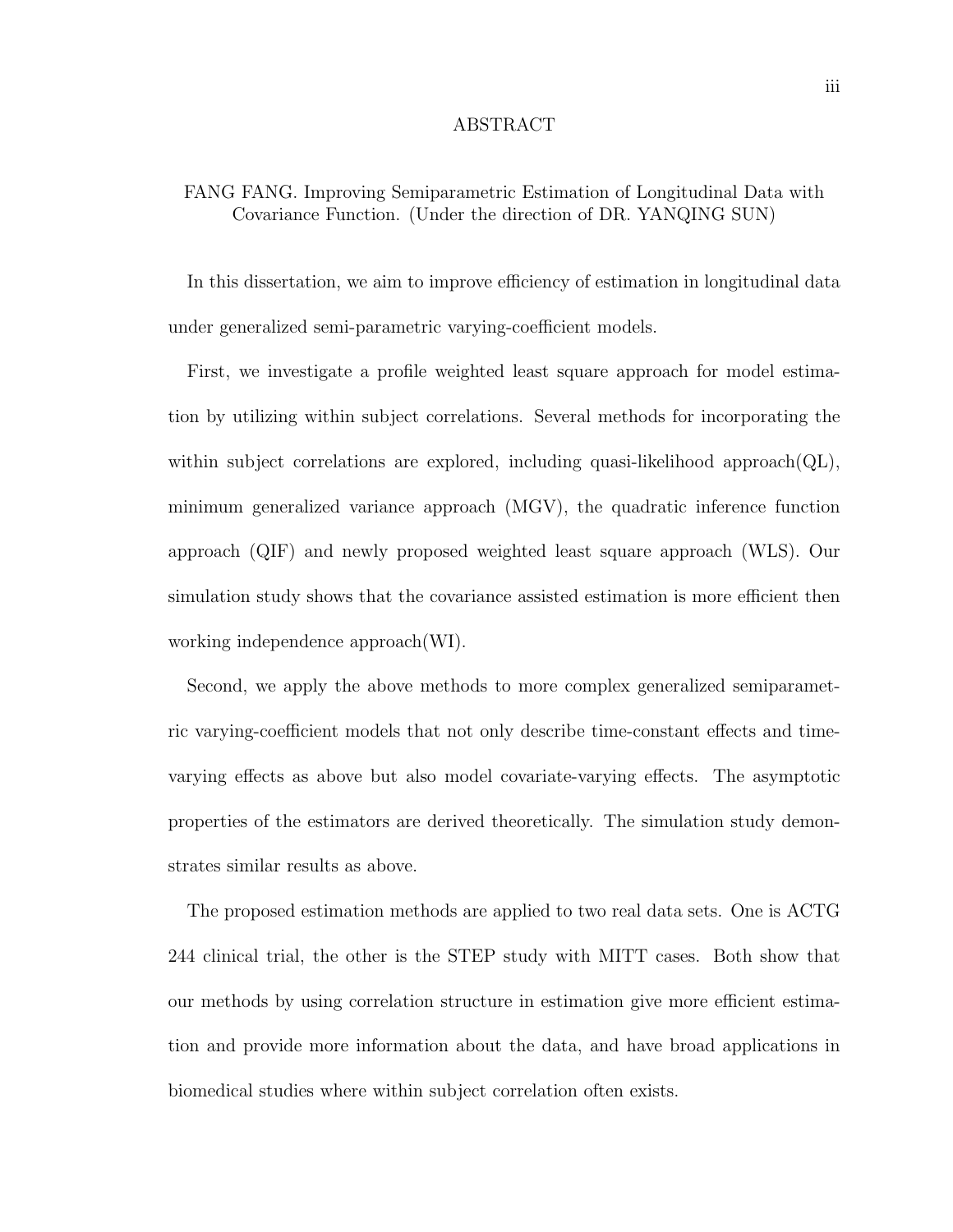### ABSTRACT

# FANG FANG. Improving Semiparametric Estimation of Longitudinal Data with Covariance Function. (Under the direction of DR. YANQING SUN)

In this dissertation, we aim to improve efficiency of estimation in longitudinal data under generalized semi-parametric varying-coefficient models.

First, we investigate a profile weighted least square approach for model estimation by utilizing within subject correlations. Several methods for incorporating the within subject correlations are explored, including quasi-likelihood approach( $QL$ ), minimum generalized variance approach (MGV), the quadratic inference function approach (QIF) and newly proposed weighted least square approach (WLS). Our simulation study shows that the covariance assisted estimation is more efficient then working independence approach(WI).

Second, we apply the above methods to more complex generalized semiparametric varying-coefficient models that not only describe time-constant effects and timevarying effects as above but also model covariate-varying effects. The asymptotic properties of the estimators are derived theoretically. The simulation study demonstrates similar results as above.

The proposed estimation methods are applied to two real data sets. One is ACTG 244 clinical trial, the other is the STEP study with MITT cases. Both show that our methods by using correlation structure in estimation give more efficient estimation and provide more information about the data, and have broad applications in biomedical studies where within subject correlation often exists.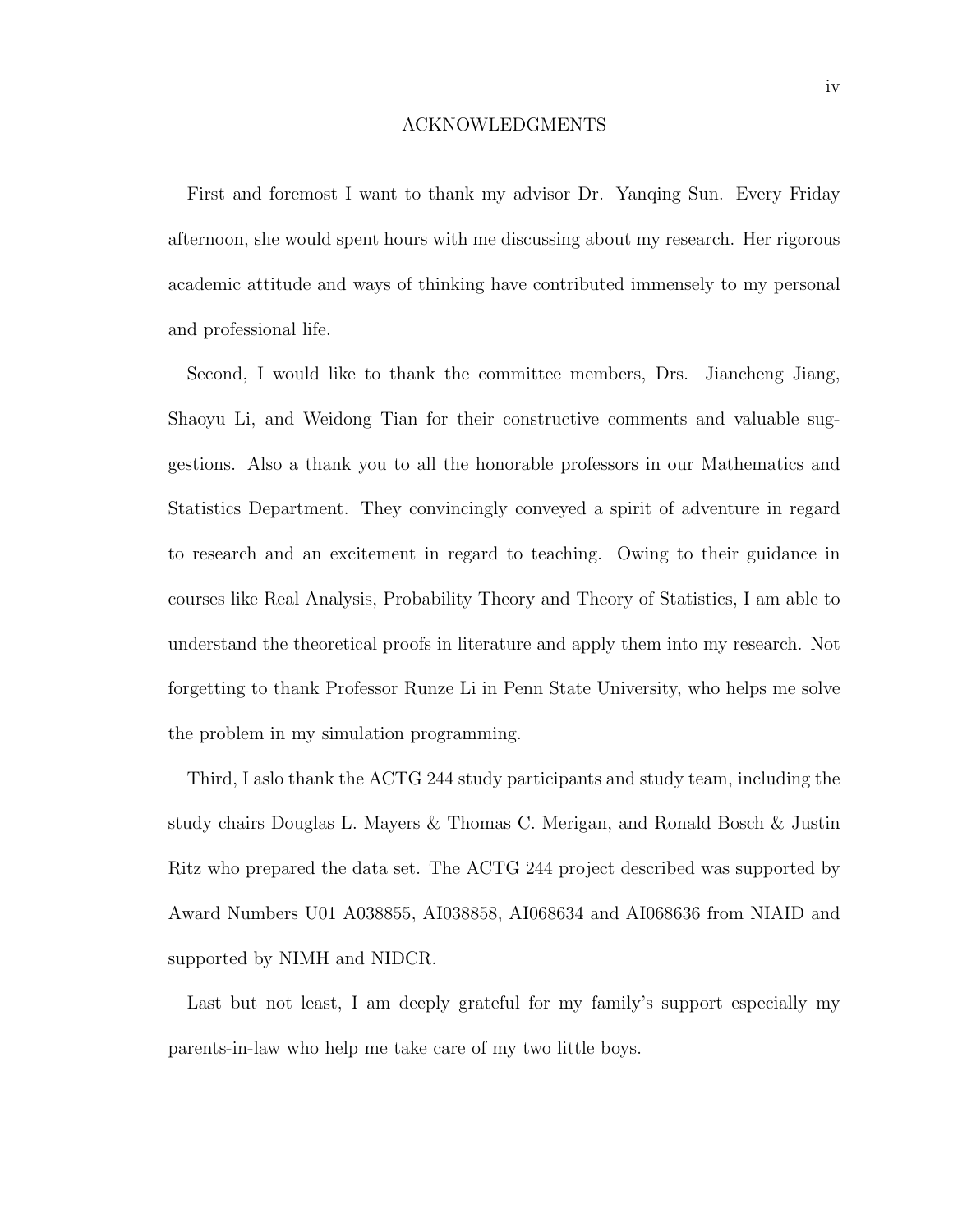#### ACKNOWLEDGMENTS

First and foremost I want to thank my advisor Dr. Yanqing Sun. Every Friday afternoon, she would spent hours with me discussing about my research. Her rigorous academic attitude and ways of thinking have contributed immensely to my personal and professional life.

Second, I would like to thank the committee members, Drs. Jiancheng Jiang, Shaoyu Li, and Weidong Tian for their constructive comments and valuable suggestions. Also a thank you to all the honorable professors in our Mathematics and Statistics Department. They convincingly conveyed a spirit of adventure in regard to research and an excitement in regard to teaching. Owing to their guidance in courses like Real Analysis, Probability Theory and Theory of Statistics, I am able to understand the theoretical proofs in literature and apply them into my research. Not forgetting to thank Professor Runze Li in Penn State University, who helps me solve the problem in my simulation programming.

Third, I aslo thank the ACTG 244 study participants and study team, including the study chairs Douglas L. Mayers & Thomas C. Merigan, and Ronald Bosch & Justin Ritz who prepared the data set. The ACTG 244 project described was supported by Award Numbers U01 A038855, AI038858, AI068634 and AI068636 from NIAID and supported by NIMH and NIDCR.

Last but not least, I am deeply grateful for my family's support especially my parents-in-law who help me take care of my two little boys.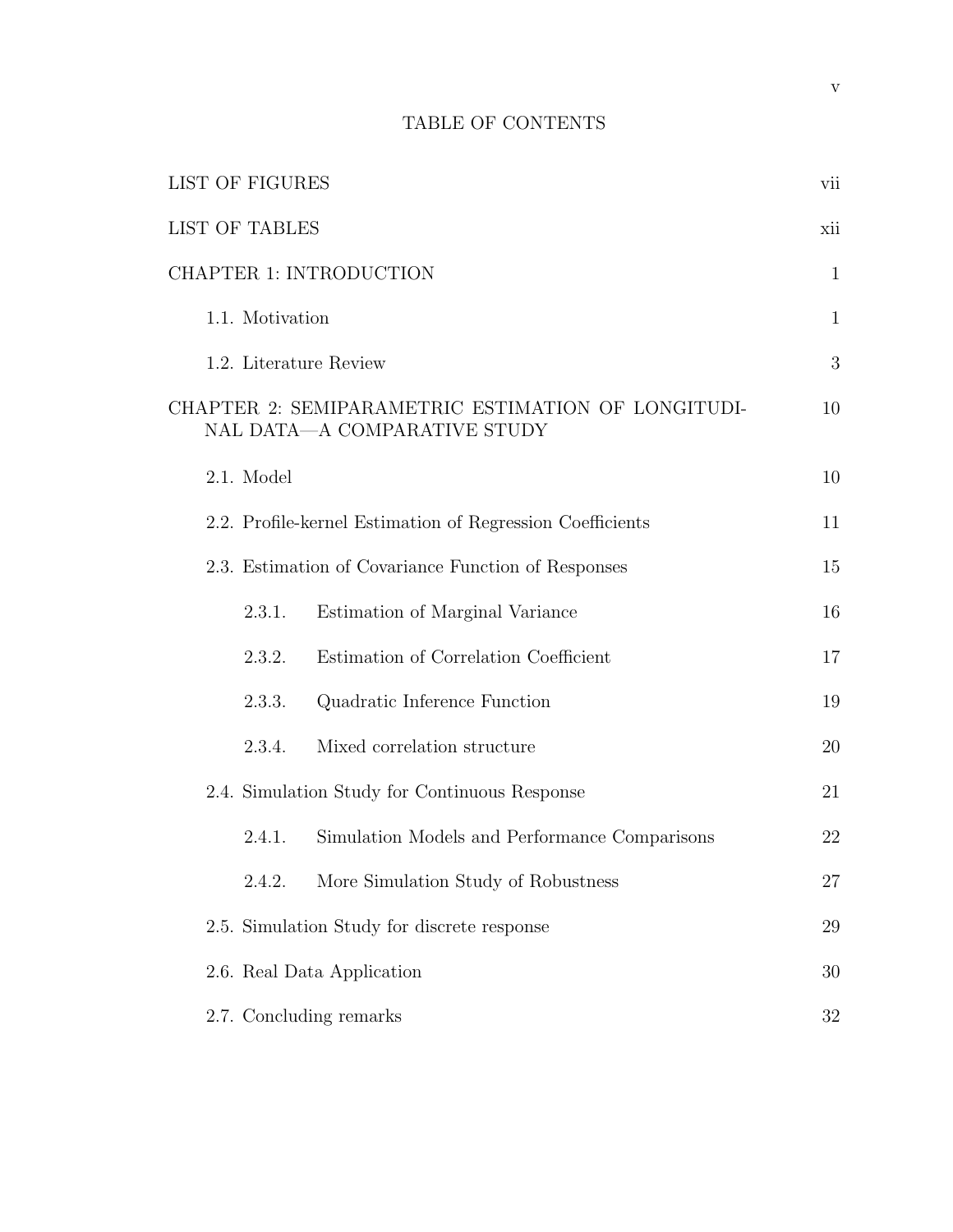# TABLE OF CONTENTS

|                                | <b>LIST OF FIGURES</b>                              |                                                                                    | vii          |
|--------------------------------|-----------------------------------------------------|------------------------------------------------------------------------------------|--------------|
|                                | <b>LIST OF TABLES</b>                               |                                                                                    | xii          |
| <b>CHAPTER 1: INTRODUCTION</b> |                                                     |                                                                                    | $\mathbf{1}$ |
|                                | 1.1. Motivation                                     |                                                                                    | $\mathbf{1}$ |
|                                |                                                     | 1.2. Literature Review                                                             | 3            |
|                                |                                                     | CHAPTER 2: SEMIPARAMETRIC ESTIMATION OF LONGITUDI-<br>NAL DATA-A COMPARATIVE STUDY | 10           |
|                                | 2.1. Model                                          |                                                                                    | 10           |
|                                |                                                     | 2.2. Profile-kernel Estimation of Regression Coefficients                          | 11           |
|                                | 2.3. Estimation of Covariance Function of Responses |                                                                                    |              |
|                                | 2.3.1.                                              | Estimation of Marginal Variance                                                    | 16           |
|                                | 2.3.2.                                              | Estimation of Correlation Coefficient                                              | 17           |
|                                | 2.3.3.                                              | Quadratic Inference Function                                                       | 19           |
|                                | 2.3.4.                                              | Mixed correlation structure                                                        | 20           |
|                                | 2.4. Simulation Study for Continuous Response       |                                                                                    | 21           |
|                                | 2.4.1.                                              | Simulation Models and Performance Comparisons                                      | 22           |
|                                | 2.4.2.                                              | More Simulation Study of Robustness                                                | 27           |
|                                |                                                     | 2.5. Simulation Study for discrete response                                        | 29           |
|                                |                                                     | 2.6. Real Data Application                                                         | 30           |
|                                |                                                     | 2.7. Concluding remarks                                                            | 32           |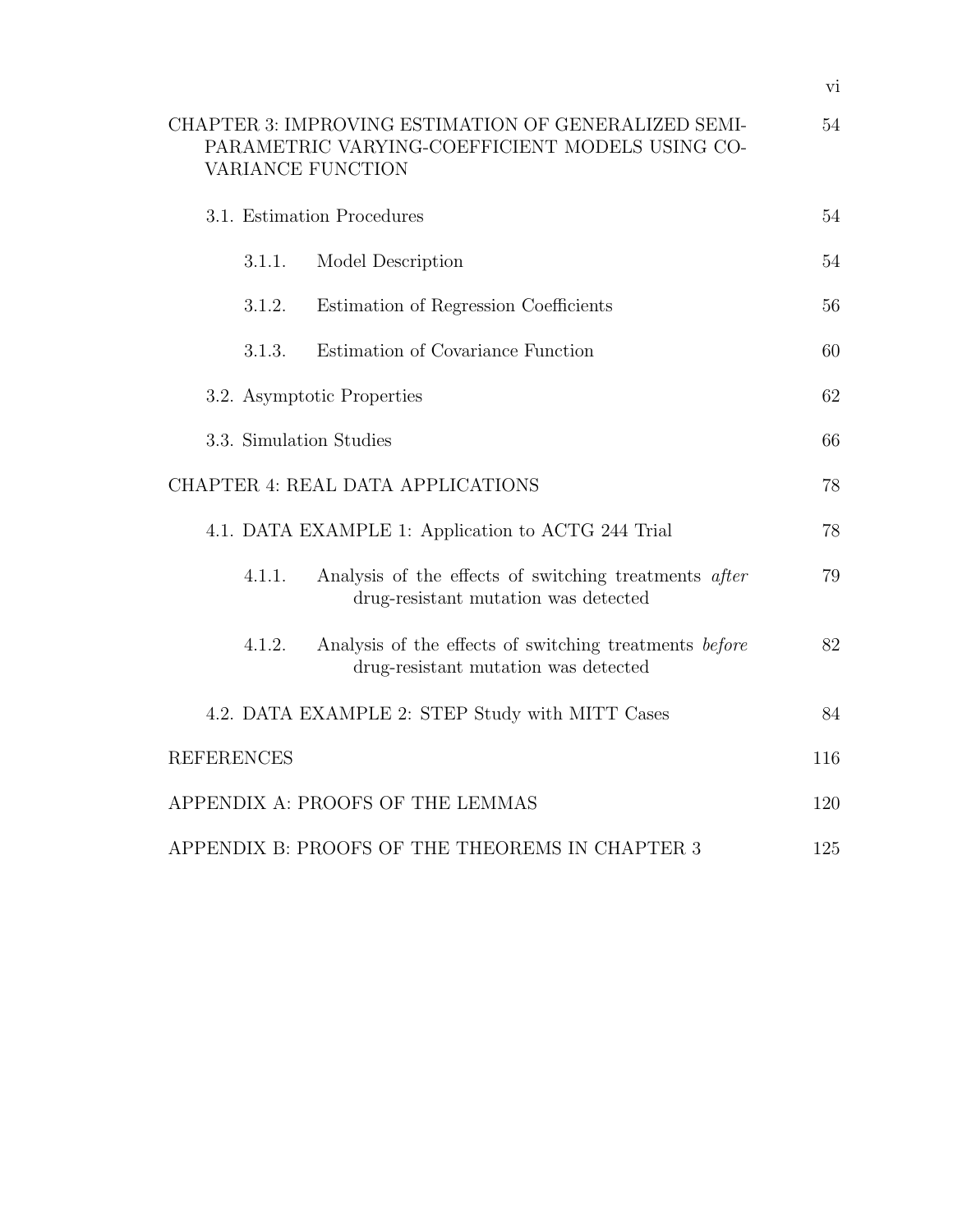| CHAPTER 3: IMPROVING ESTIMATION OF GENERALIZED SEMI-<br>PARAMETRIC VARYING-COEFFICIENT MODELS USING CO-<br>VARIANCE FUNCTION |    |  |  |
|------------------------------------------------------------------------------------------------------------------------------|----|--|--|
| 3.1. Estimation Procedures                                                                                                   |    |  |  |
| Model Description<br>3.1.1.                                                                                                  | 54 |  |  |
| Estimation of Regression Coefficients<br>3.1.2.                                                                              | 56 |  |  |
| Estimation of Covariance Function<br>3.1.3.                                                                                  | 60 |  |  |
| 3.2. Asymptotic Properties                                                                                                   |    |  |  |
| 3.3. Simulation Studies                                                                                                      |    |  |  |
| CHAPTER 4: REAL DATA APPLICATIONS                                                                                            |    |  |  |
| 4.1. DATA EXAMPLE 1: Application to ACTG 244 Trial                                                                           | 78 |  |  |
| 4.1.1.<br>Analysis of the effects of switching treatments after<br>drug-resistant mutation was detected                      | 79 |  |  |
| Analysis of the effects of switching treatments before<br>4.1.2.<br>drug-resistant mutation was detected                     | 82 |  |  |
| 4.2. DATA EXAMPLE 2: STEP Study with MITT Cases                                                                              | 84 |  |  |
| <b>REFERENCES</b>                                                                                                            |    |  |  |
| APPENDIX A: PROOFS OF THE LEMMAS                                                                                             |    |  |  |
| APPENDIX B: PROOFS OF THE THEOREMS IN CHAPTER 3                                                                              |    |  |  |

vi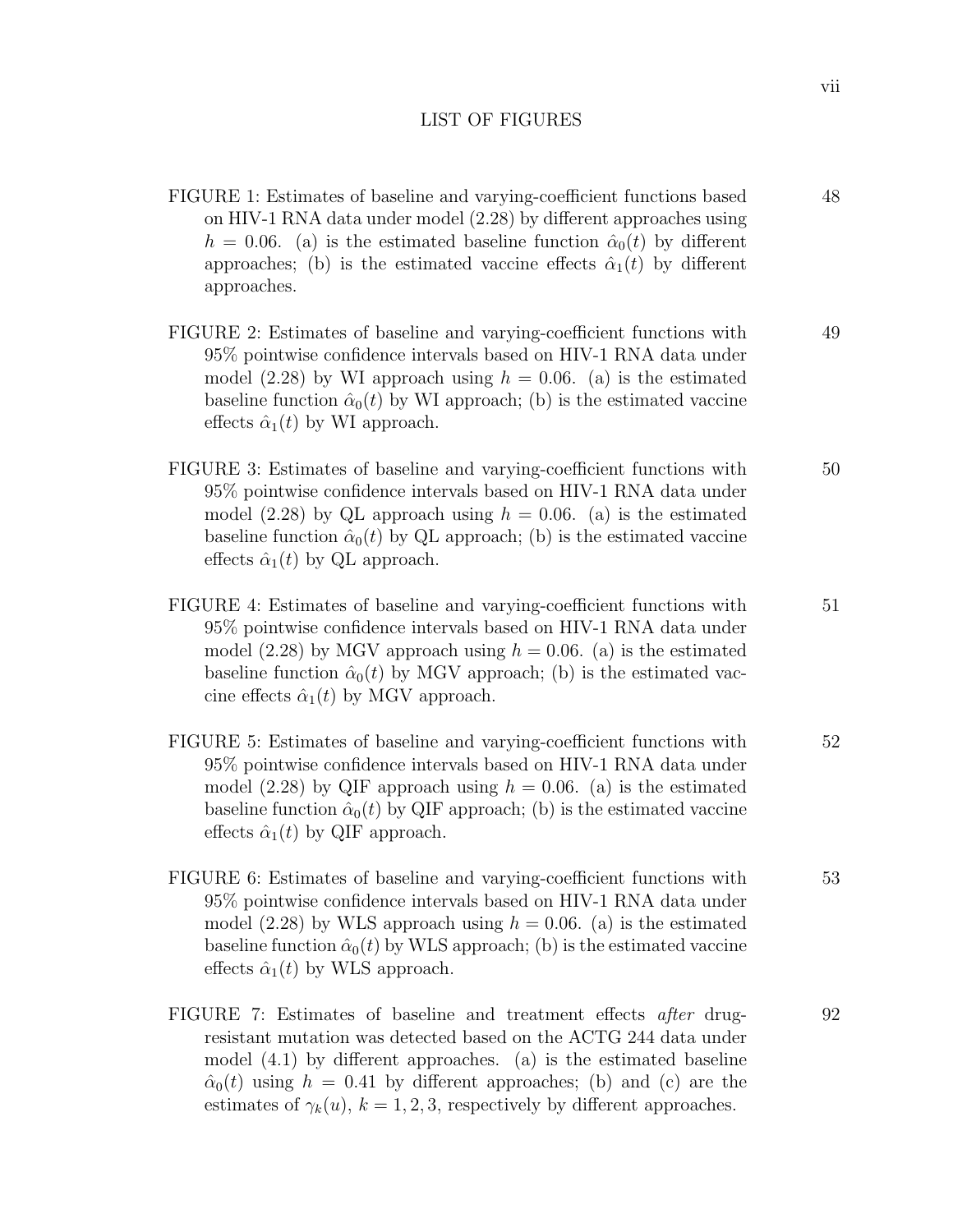# LIST OF FIGURES

- FIGURE 1: Estimates of baseline and varying-coefficient functions based on HIV-1 RNA data under model (2.28) by different approaches using  $h = 0.06$ . (a) is the estimated baseline function  $\hat{\alpha}_0(t)$  by different approaches; (b) is the estimated vaccine effects  $\hat{\alpha}_1(t)$  by different approaches.
- FIGURE 2: Estimates of baseline and varying-coefficient functions with 95% pointwise confidence intervals based on HIV-1 RNA data under model (2.28) by WI approach using  $h = 0.06$ . (a) is the estimated baseline function  $\hat{\alpha}_0(t)$  by WI approach; (b) is the estimated vaccine effects  $\hat{\alpha}_1(t)$  by WI approach. 49
- FIGURE 3: Estimates of baseline and varying-coefficient functions with 95% pointwise confidence intervals based on HIV-1 RNA data under model (2.28) by QL approach using  $h = 0.06$ . (a) is the estimated baseline function  $\hat{\alpha}_0(t)$  by QL approach; (b) is the estimated vaccine effects  $\hat{\alpha}_1(t)$  by QL approach. 50
- FIGURE 4: Estimates of baseline and varying-coefficient functions with 95% pointwise confidence intervals based on HIV-1 RNA data under model (2.28) by MGV approach using  $h = 0.06$ . (a) is the estimated baseline function  $\hat{\alpha}_0(t)$  by MGV approach; (b) is the estimated vaccine effects  $\hat{\alpha}_1(t)$  by MGV approach. 51
- FIGURE 5: Estimates of baseline and varying-coefficient functions with 95% pointwise confidence intervals based on HIV-1 RNA data under model (2.28) by QIF approach using  $h = 0.06$ . (a) is the estimated baseline function  $\hat{\alpha}_0(t)$  by QIF approach; (b) is the estimated vaccine effects  $\hat{\alpha}_1(t)$  by QIF approach. 52
- FIGURE 6: Estimates of baseline and varying-coefficient functions with 95% pointwise confidence intervals based on HIV-1 RNA data under model (2.28) by WLS approach using  $h = 0.06$ . (a) is the estimated baseline function  $\hat{\alpha}_0(t)$  by WLS approach; (b) is the estimated vaccine effects  $\hat{\alpha}_1(t)$  by WLS approach. 53
- FIGURE 7: Estimates of baseline and treatment effects after drugresistant mutation was detected based on the ACTG 244 data under model (4.1) by different approaches. (a) is the estimated baseline  $\hat{\alpha}_0(t)$  using  $h = 0.41$  by different approaches; (b) and (c) are the estimates of  $\gamma_k(u)$ ,  $k = 1, 2, 3$ , respectively by different approaches. 92

48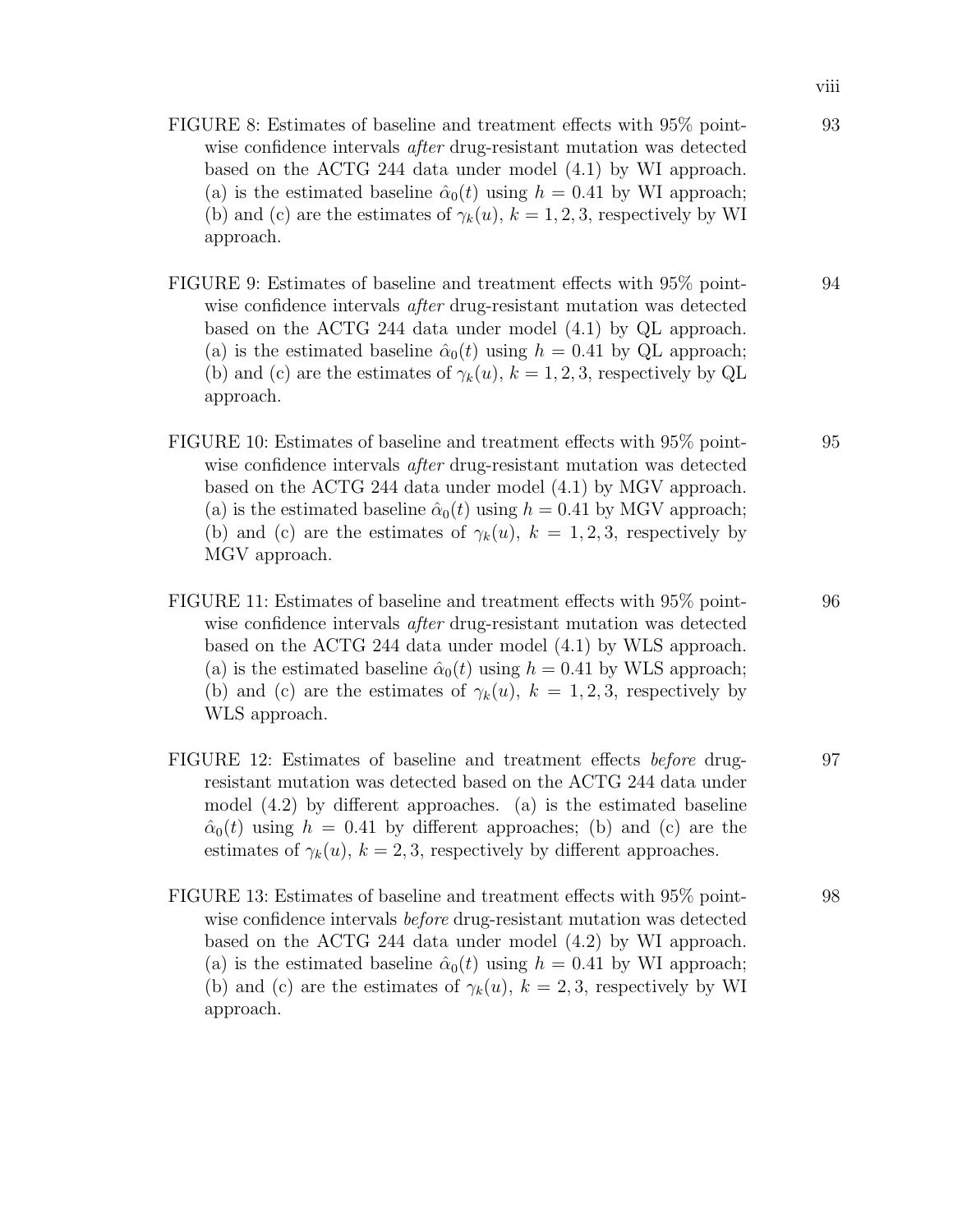- FIGURE 8: Estimates of baseline and treatment effects with 95% pointwise confidence intervals *after* drug-resistant mutation was detected based on the ACTG 244 data under model (4.1) by WI approach. (a) is the estimated baseline  $\hat{\alpha}_0(t)$  using  $h = 0.41$  by WI approach; (b) and (c) are the estimates of  $\gamma_k(u)$ ,  $k = 1, 2, 3$ , respectively by WI approach.
- FIGURE 9: Estimates of baseline and treatment effects with 95% pointwise confidence intervals *after* drug-resistant mutation was detected based on the ACTG 244 data under model (4.1) by QL approach. (a) is the estimated baseline  $\hat{\alpha}_0(t)$  using  $h = 0.41$  by QL approach; (b) and (c) are the estimates of  $\gamma_k(u)$ ,  $k = 1, 2, 3$ , respectively by QL approach.
- FIGURE 10: Estimates of baseline and treatment effects with 95% pointwise confidence intervals *after* drug-resistant mutation was detected based on the ACTG 244 data under model (4.1) by MGV approach. (a) is the estimated baseline  $\hat{\alpha}_0(t)$  using  $h = 0.41$  by MGV approach; (b) and (c) are the estimates of  $\gamma_k(u)$ ,  $k = 1, 2, 3$ , respectively by MGV approach.
- FIGURE 11: Estimates of baseline and treatment effects with 95% pointwise confidence intervals *after* drug-resistant mutation was detected based on the ACTG 244 data under model (4.1) by WLS approach. (a) is the estimated baseline  $\hat{\alpha}_0(t)$  using  $h = 0.41$  by WLS approach; (b) and (c) are the estimates of  $\gamma_k(u)$ ,  $k = 1, 2, 3$ , respectively by WLS approach.
- FIGURE 12: Estimates of baseline and treatment effects before drugresistant mutation was detected based on the ACTG 244 data under model (4.2) by different approaches. (a) is the estimated baseline  $\hat{\alpha}_0(t)$  using  $h = 0.41$  by different approaches; (b) and (c) are the estimates of  $\gamma_k(u)$ ,  $k = 2, 3$ , respectively by different approaches.
- FIGURE 13: Estimates of baseline and treatment effects with 95% pointwise confidence intervals *before* drug-resistant mutation was detected based on the ACTG 244 data under model (4.2) by WI approach. (a) is the estimated baseline  $\hat{\alpha}_0(t)$  using  $h = 0.41$  by WI approach; (b) and (c) are the estimates of  $\gamma_k(u)$ ,  $k = 2, 3$ , respectively by WI approach.

93

94

95

96

97

98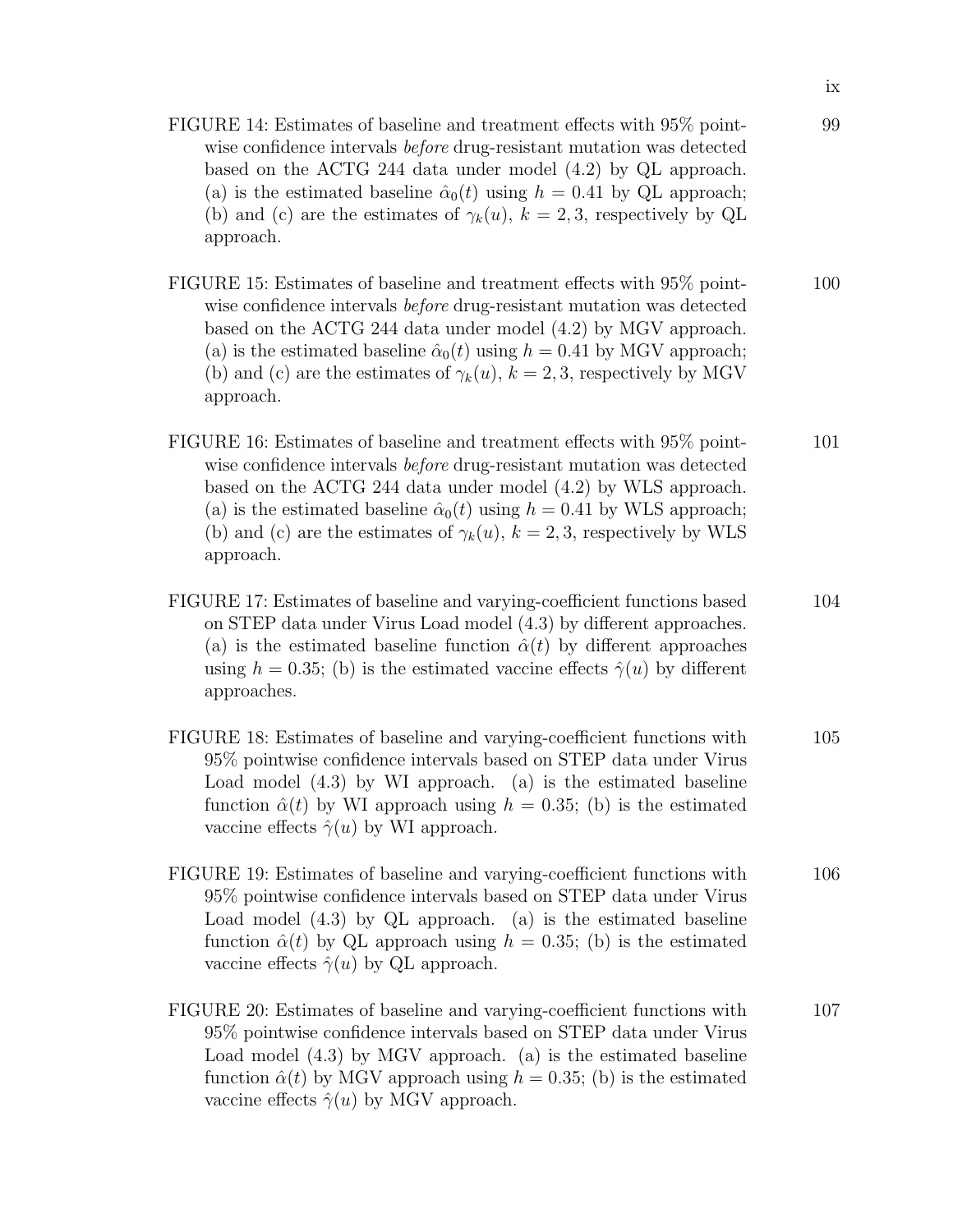- FIGURE 14: Estimates of baseline and treatment effects with 95% pointwise confidence intervals *before* drug-resistant mutation was detected based on the ACTG 244 data under model (4.2) by QL approach. (a) is the estimated baseline  $\hat{\alpha}_0(t)$  using  $h = 0.41$  by QL approach; (b) and (c) are the estimates of  $\gamma_k(u)$ ,  $k = 2, 3$ , respectively by QL approach.
- FIGURE 15: Estimates of baseline and treatment effects with 95% pointwise confidence intervals *before* drug-resistant mutation was detected based on the ACTG 244 data under model (4.2) by MGV approach. (a) is the estimated baseline  $\hat{\alpha}_0(t)$  using  $h = 0.41$  by MGV approach; (b) and (c) are the estimates of  $\gamma_k(u)$ ,  $k = 2, 3$ , respectively by MGV approach. 100
- FIGURE 16: Estimates of baseline and treatment effects with 95% pointwise confidence intervals *before* drug-resistant mutation was detected based on the ACTG 244 data under model (4.2) by WLS approach. (a) is the estimated baseline  $\hat{\alpha}_0(t)$  using  $h = 0.41$  by WLS approach; (b) and (c) are the estimates of  $\gamma_k(u)$ ,  $k = 2, 3$ , respectively by WLS approach. 101
- FIGURE 17: Estimates of baseline and varying-coefficient functions based on STEP data under Virus Load model (4.3) by different approaches. (a) is the estimated baseline function  $\hat{\alpha}(t)$  by different approaches using  $h = 0.35$ ; (b) is the estimated vaccine effects  $\hat{\gamma}(u)$  by different approaches. 104
- FIGURE 18: Estimates of baseline and varying-coefficient functions with 95% pointwise confidence intervals based on STEP data under Virus Load model (4.3) by WI approach. (a) is the estimated baseline function  $\hat{\alpha}(t)$  by WI approach using  $h = 0.35$ ; (b) is the estimated vaccine effects  $\hat{\gamma}(u)$  by WI approach. 105
- FIGURE 19: Estimates of baseline and varying-coefficient functions with 95% pointwise confidence intervals based on STEP data under Virus Load model (4.3) by QL approach. (a) is the estimated baseline function  $\hat{\alpha}(t)$  by QL approach using  $h = 0.35$ ; (b) is the estimated vaccine effects  $\hat{\gamma}(u)$  by QL approach. 106
- FIGURE 20: Estimates of baseline and varying-coefficient functions with 95% pointwise confidence intervals based on STEP data under Virus Load model (4.3) by MGV approach. (a) is the estimated baseline function  $\hat{\alpha}(t)$  by MGV approach using  $h = 0.35$ ; (b) is the estimated vaccine effects  $\hat{\gamma}(u)$  by MGV approach. 107

99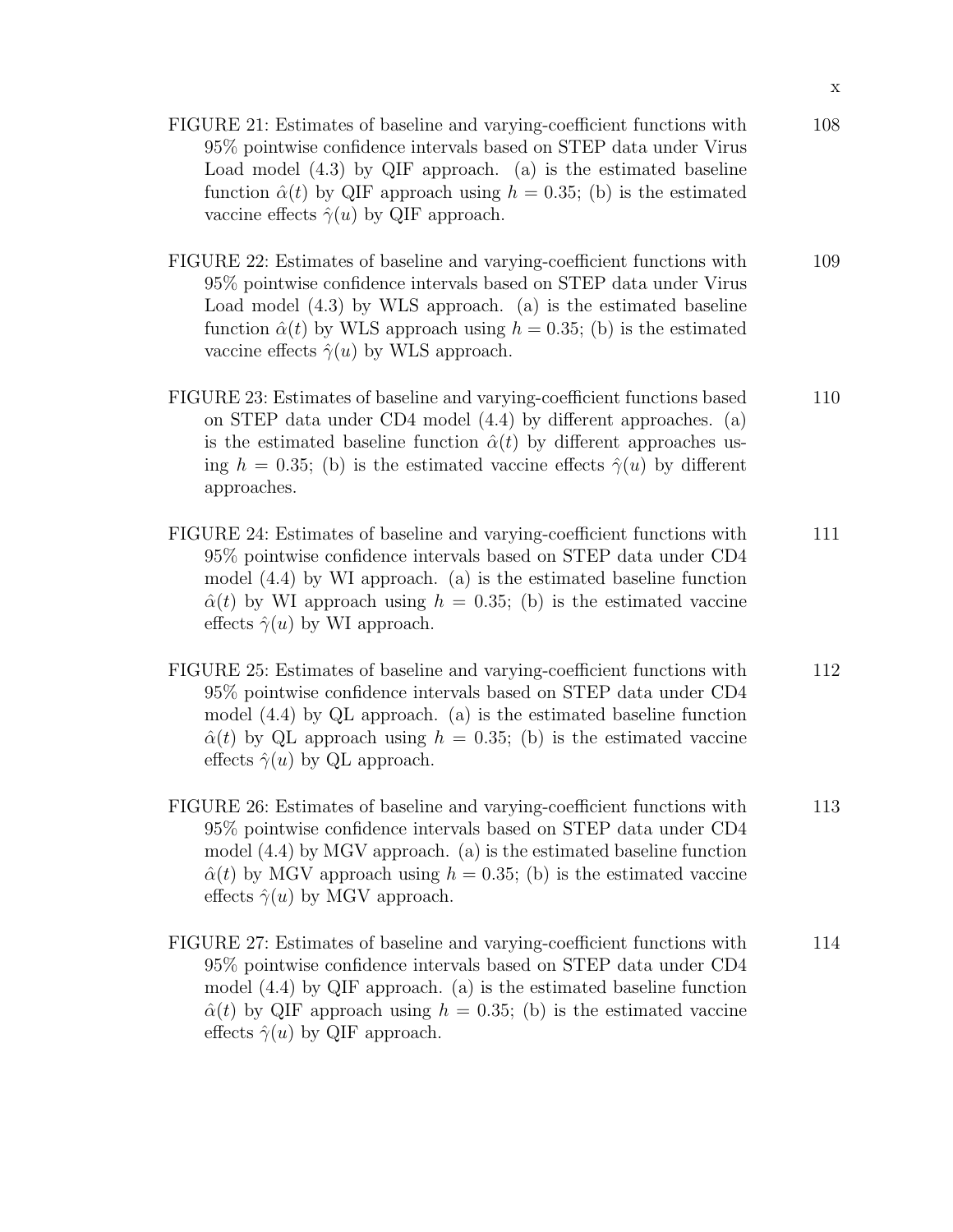- FIGURE 21: Estimates of baseline and varying-coefficient functions with 95% pointwise confidence intervals based on STEP data under Virus Load model (4.3) by QIF approach. (a) is the estimated baseline function  $\hat{\alpha}(t)$  by QIF approach using  $h = 0.35$ ; (b) is the estimated vaccine effects  $\hat{\gamma}(u)$  by QIF approach. 108
- FIGURE 22: Estimates of baseline and varying-coefficient functions with 95% pointwise confidence intervals based on STEP data under Virus Load model (4.3) by WLS approach. (a) is the estimated baseline function  $\hat{\alpha}(t)$  by WLS approach using  $h = 0.35$ ; (b) is the estimated vaccine effects  $\hat{\gamma}(u)$  by WLS approach. 109
- FIGURE 23: Estimates of baseline and varying-coefficient functions based on STEP data under CD4 model (4.4) by different approaches. (a) is the estimated baseline function  $\hat{\alpha}(t)$  by different approaches using  $h = 0.35$ ; (b) is the estimated vaccine effects  $\hat{\gamma}(u)$  by different approaches. 110
- FIGURE 24: Estimates of baseline and varying-coefficient functions with 95% pointwise confidence intervals based on STEP data under CD4 model (4.4) by WI approach. (a) is the estimated baseline function  $\hat{\alpha}(t)$  by WI approach using  $h = 0.35$ ; (b) is the estimated vaccine effects  $\hat{\gamma}(u)$  by WI approach. 111
- FIGURE 25: Estimates of baseline and varying-coefficient functions with 95% pointwise confidence intervals based on STEP data under CD4 model (4.4) by QL approach. (a) is the estimated baseline function  $\hat{\alpha}(t)$  by QL approach using  $h = 0.35$ ; (b) is the estimated vaccine effects  $\hat{\gamma}(u)$  by QL approach. 112
- FIGURE 26: Estimates of baseline and varying-coefficient functions with 95% pointwise confidence intervals based on STEP data under CD4 model (4.4) by MGV approach. (a) is the estimated baseline function  $\hat{\alpha}(t)$  by MGV approach using  $h = 0.35$ ; (b) is the estimated vaccine effects  $\hat{\gamma}(u)$  by MGV approach. 113
- FIGURE 27: Estimates of baseline and varying-coefficient functions with 95% pointwise confidence intervals based on STEP data under CD4 model (4.4) by QIF approach. (a) is the estimated baseline function  $\hat{\alpha}(t)$  by QIF approach using  $h = 0.35$ ; (b) is the estimated vaccine effects  $\hat{\gamma}(u)$  by QIF approach. 114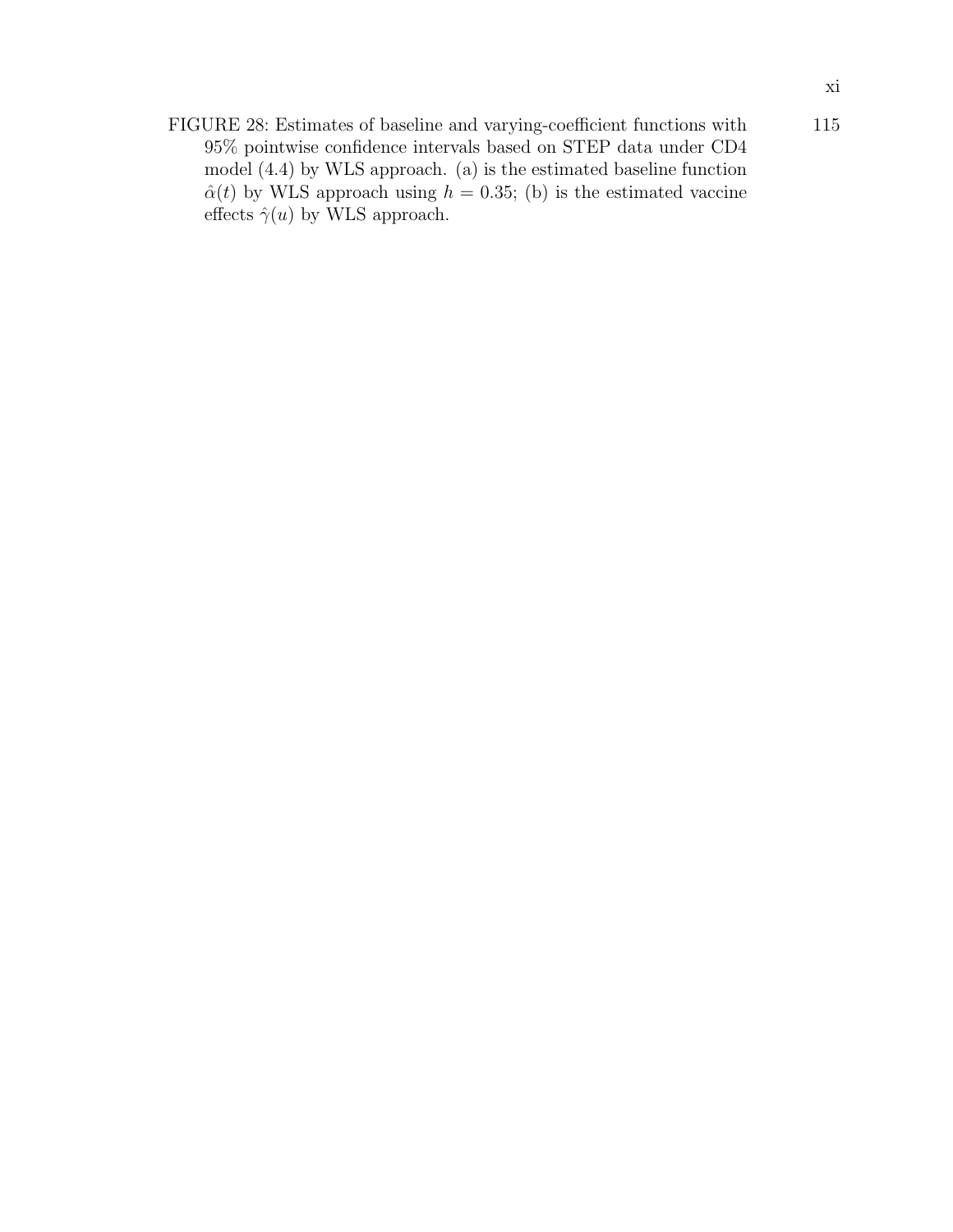FIGURE 28: Estimates of baseline and varying-coefficient functions with 95% pointwise confidence intervals based on STEP data under CD4 model (4.4) by WLS approach. (a) is the estimated baseline function  $\hat{\alpha}(t)$  by WLS approach using  $h = 0.35$ ; (b) is the estimated vaccine effects  $\hat{\gamma}(u)$  by WLS approach. 115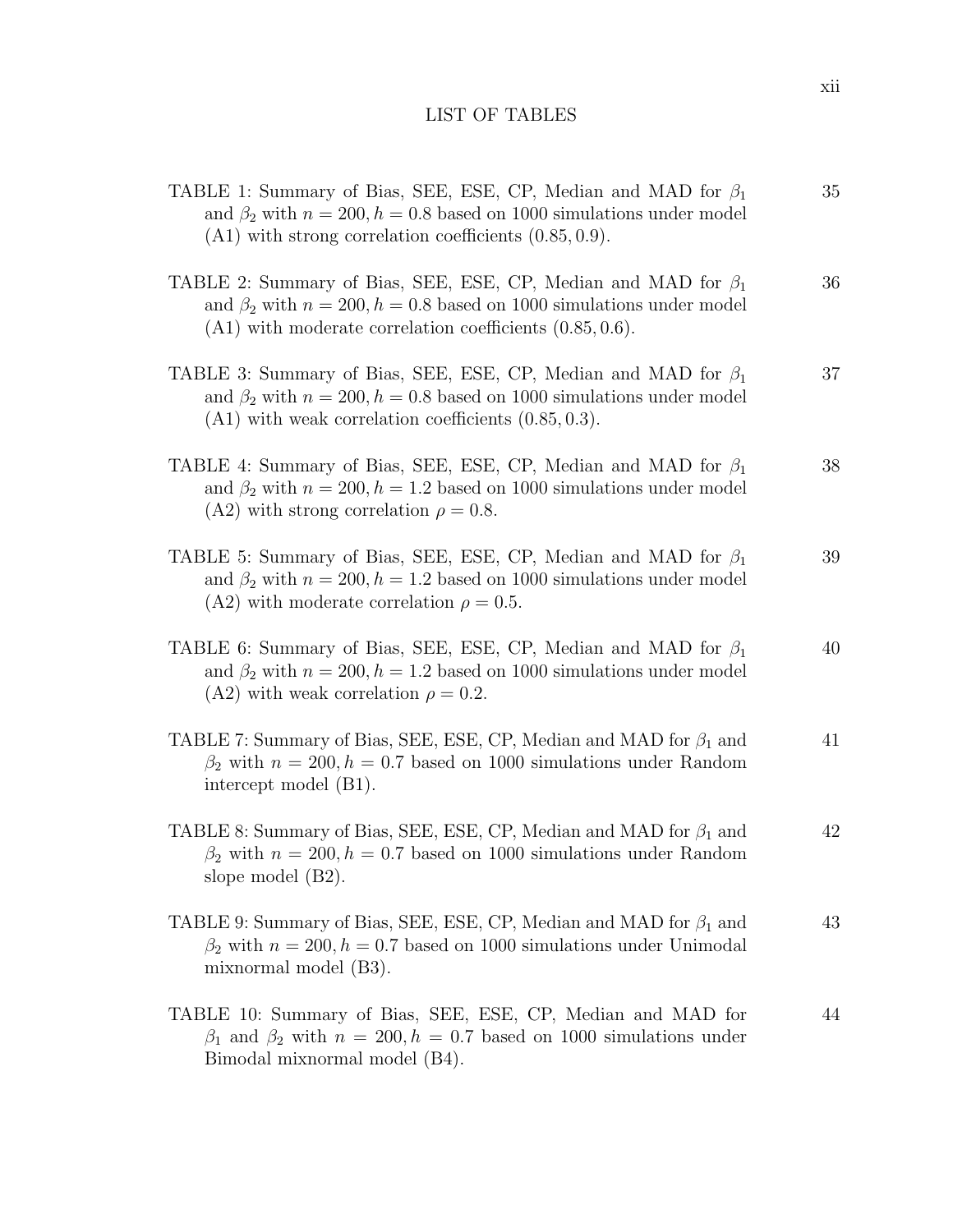# LIST OF TABLES

| TABLE 1: Summary of Bias, SEE, ESE, CP, Median and MAD for $\beta_1$<br>and $\beta_2$ with $n = 200, h = 0.8$ based on 1000 simulations under model<br>$(A1)$ with strong correlation coefficients $(0.85, 0.9)$ .   | 35 |
|----------------------------------------------------------------------------------------------------------------------------------------------------------------------------------------------------------------------|----|
| TABLE 2: Summary of Bias, SEE, ESE, CP, Median and MAD for $\beta_1$<br>and $\beta_2$ with $n = 200, h = 0.8$ based on 1000 simulations under model<br>$(A1)$ with moderate correlation coefficients $(0.85, 0.6)$ . | 36 |
| TABLE 3: Summary of Bias, SEE, ESE, CP, Median and MAD for $\beta_1$<br>and $\beta_2$ with $n = 200$ , $h = 0.8$ based on 1000 simulations under model<br>$(A1)$ with weak correlation coefficients $(0.85, 0.3)$ .  | 37 |
| TABLE 4: Summary of Bias, SEE, ESE, CP, Median and MAD for $\beta_1$<br>and $\beta_2$ with $n = 200$ , $h = 1.2$ based on 1000 simulations under model<br>(A2) with strong correlation $\rho = 0.8$ .                | 38 |
| TABLE 5: Summary of Bias, SEE, ESE, CP, Median and MAD for $\beta_1$<br>and $\beta_2$ with $n = 200$ , $h = 1.2$ based on 1000 simulations under model<br>(A2) with moderate correlation $\rho = 0.5$ .              | 39 |
| TABLE 6: Summary of Bias, SEE, ESE, CP, Median and MAD for $\beta_1$<br>and $\beta_2$ with $n = 200, h = 1.2$ based on 1000 simulations under model<br>(A2) with weak correlation $\rho = 0.2$ .                     | 40 |
| TABLE 7: Summary of Bias, SEE, ESE, CP, Median and MAD for $\beta_1$ and<br>$\beta_2$ with $n = 200, h = 0.7$ based on 1000 simulations under Random<br>intercept model (B1).                                        | 41 |
| TABLE 8: Summary of Bias, SEE, ESE, CP, Median and MAD for $\beta_1$ and<br>$\beta_2$ with $n = 200, h = 0.7$ based on 1000 simulations under Random<br>slope model $(B2)$ .                                         | 42 |
| TABLE 9: Summary of Bias, SEE, ESE, CP, Median and MAD for $\beta_1$ and<br>$\beta_2$ with $n = 200, h = 0.7$ based on 1000 simulations under Unimodal<br>mixnormal model (B3).                                      | 43 |
| TABLE 10: Summary of Bias, SEE, ESE, CP, Median and MAD for<br>$\beta_1$ and $\beta_2$ with $n = 200, h = 0.7$ based on 1000 simulations under<br>Bimodal mixnormal model (B4).                                      | 44 |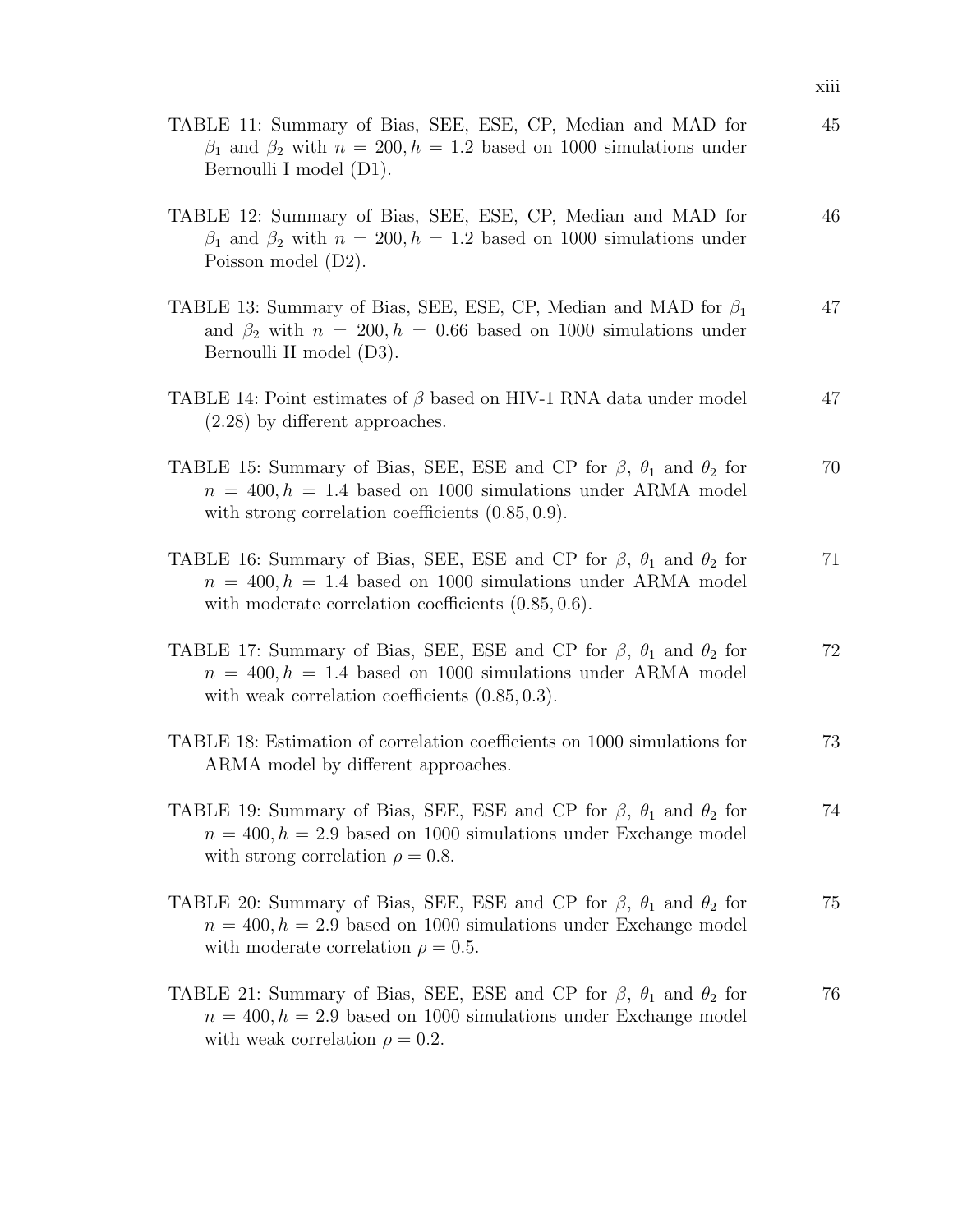| TABLE 11: Summary of Bias, SEE, ESE, CP, Median and MAD for<br>$\beta_1$ and $\beta_2$ with $n = 200, h = 1.2$ based on 1000 simulations under<br>Bernoulli I model (D1).                                         | 45 |
|-------------------------------------------------------------------------------------------------------------------------------------------------------------------------------------------------------------------|----|
| TABLE 12: Summary of Bias, SEE, ESE, CP, Median and MAD for<br>$\beta_1$ and $\beta_2$ with $n = 200, h = 1.2$ based on 1000 simulations under<br>Poisson model (D2).                                             | 46 |
| TABLE 13: Summary of Bias, SEE, ESE, CP, Median and MAD for $\beta_1$<br>and $\beta_2$ with $n = 200, h = 0.66$ based on 1000 simulations under<br>Bernoulli II model (D3).                                       | 47 |
| TABLE 14: Point estimates of $\beta$ based on HIV-1 RNA data under model<br>$(2.28)$ by different approaches.                                                                                                     | 47 |
| TABLE 15: Summary of Bias, SEE, ESE and CP for $\beta$ , $\theta_1$ and $\theta_2$ for<br>$n = 400, h = 1.4$ based on 1000 simulations under ARMA model<br>with strong correlation coefficients $(0.85, 0.9)$ .   | 70 |
| TABLE 16: Summary of Bias, SEE, ESE and CP for $\beta$ , $\theta_1$ and $\theta_2$ for<br>$n = 400, h = 1.4$ based on 1000 simulations under ARMA model<br>with moderate correlation coefficients $(0.85, 0.6)$ . | 71 |
| TABLE 17: Summary of Bias, SEE, ESE and CP for $\beta$ , $\theta_1$ and $\theta_2$ for<br>$n = 400, h = 1.4$ based on 1000 simulations under ARMA model<br>with weak correlation coefficients $(0.85, 0.3)$ .     | 72 |
| TABLE 18: Estimation of correlation coefficients on 1000 simulations for<br>ARMA model by different approaches.                                                                                                   | 73 |
| TABLE 19: Summary of Bias, SEE, ESE and CP for $\beta$ , $\theta_1$ and $\theta_2$ for<br>$n = 400, h = 2.9$ based on 1000 simulations under Exchange model<br>with strong correlation $\rho = 0.8$ .             | 74 |
| TABLE 20: Summary of Bias, SEE, ESE and CP for $\beta$ , $\theta_1$ and $\theta_2$ for<br>$n = 400, h = 2.9$ based on 1000 simulations under Exchange model<br>with moderate correlation $\rho = 0.5$ .           | 75 |
| TABLE 21: Summary of Bias, SEE, ESE and CP for $\beta$ , $\theta_1$ and $\theta_2$ for<br>$n = 400, h = 2.9$ based on 1000 simulations under Exchange model<br>with weak correlation $\rho = 0.2$ .               | 76 |

xiii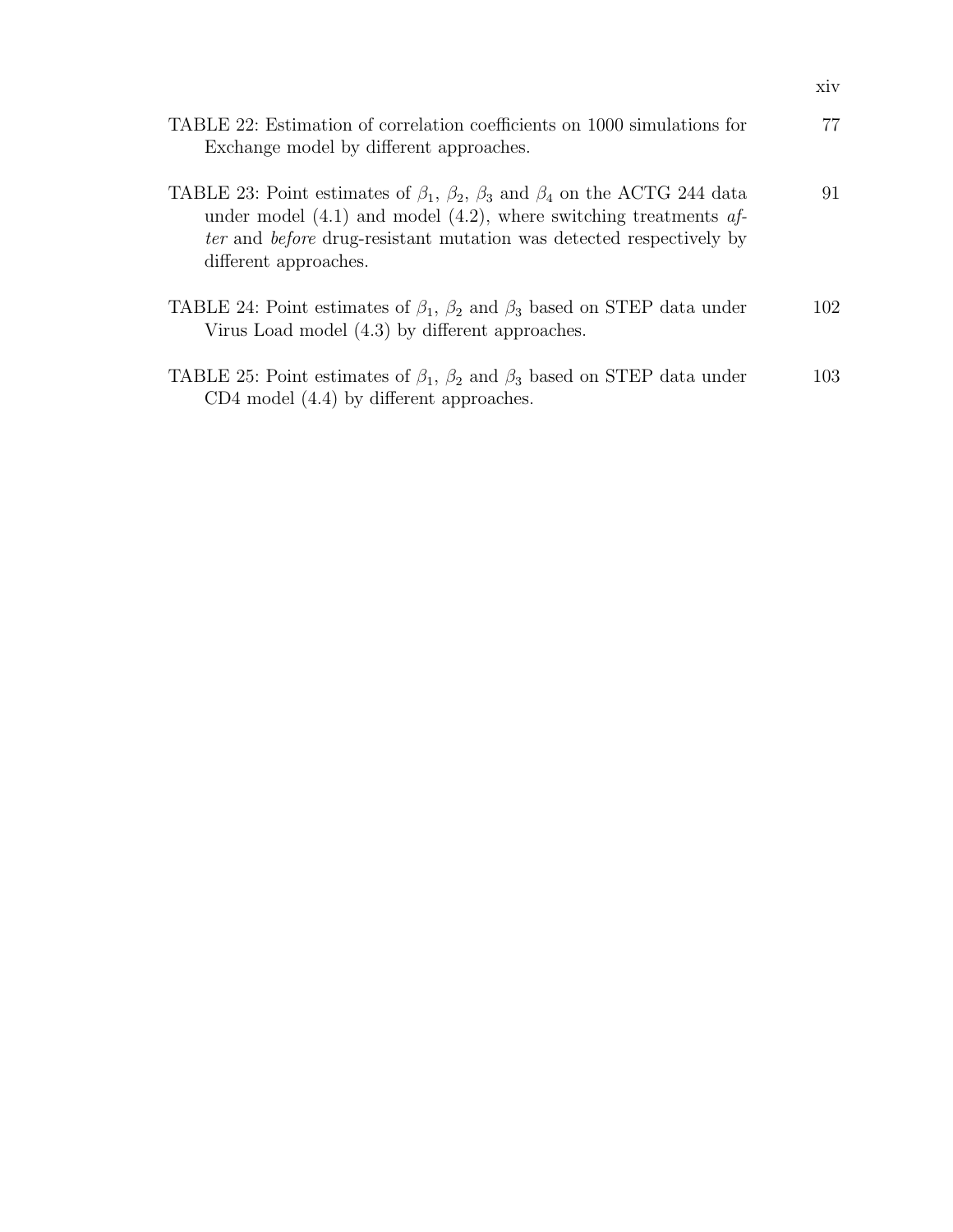| TABLE 22: Estimation of correlation coefficients on 1000 simulations for<br>Exchange model by different approaches.                                                                                                                                                         | 77  |
|-----------------------------------------------------------------------------------------------------------------------------------------------------------------------------------------------------------------------------------------------------------------------------|-----|
| TABLE 23: Point estimates of $\beta_1$ , $\beta_2$ , $\beta_3$ and $\beta_4$ on the ACTG 244 data<br>under model $(4.1)$ and model $(4.2)$ , where switching treatments af-<br>ter and before drug-resistant mutation was detected respectively by<br>different approaches. | 91  |
| TABLE 24: Point estimates of $\beta_1$ , $\beta_2$ and $\beta_3$ based on STEP data under<br>Virus Load model (4.3) by different approaches.                                                                                                                                | 102 |
| TABLE 25: Point estimates of $\beta_1$ , $\beta_2$ and $\beta_3$ based on STEP data under<br>$CD4$ model $(4.4)$ by different approaches.                                                                                                                                   | 103 |

xiv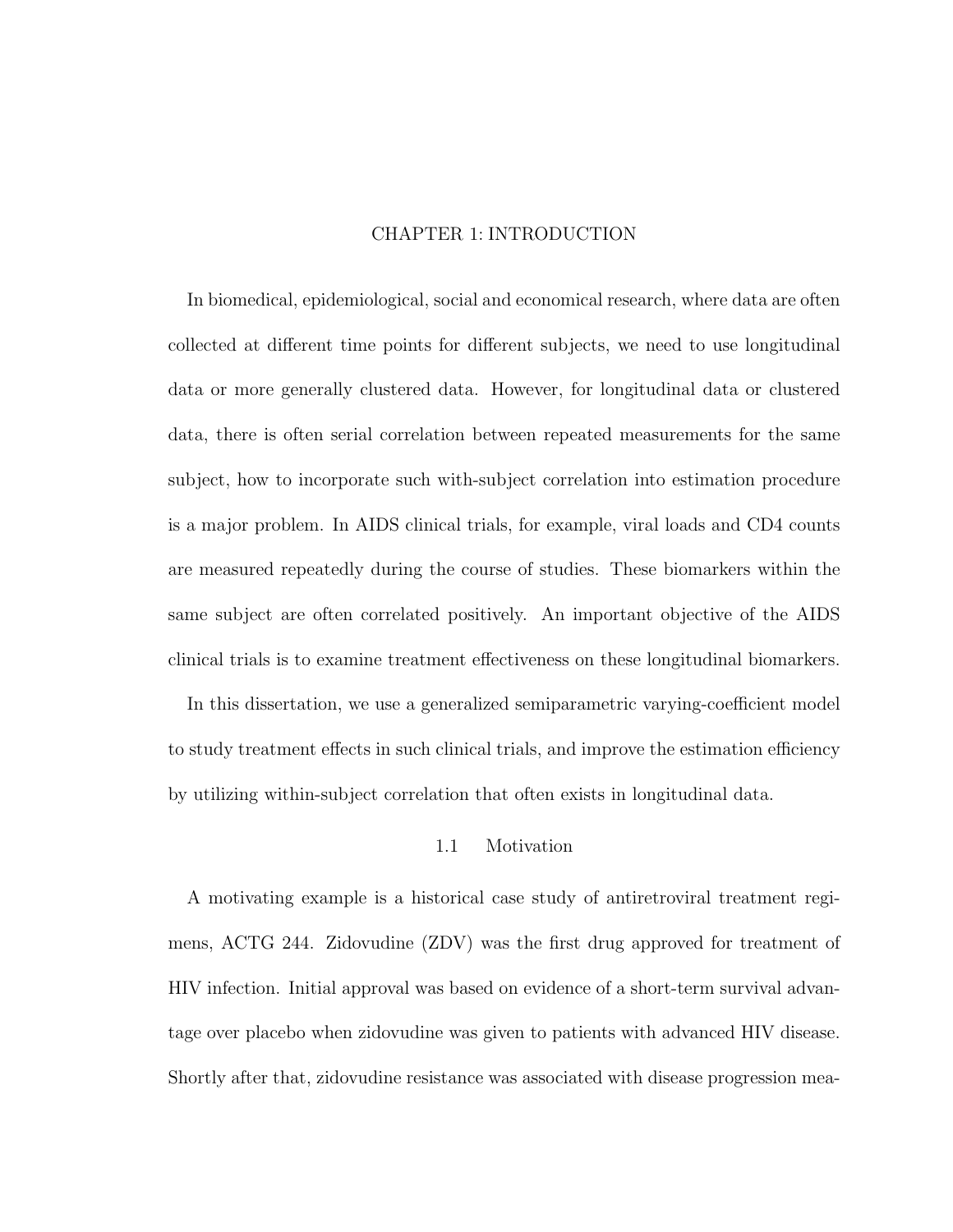# CHAPTER 1: INTRODUCTION

In biomedical, epidemiological, social and economical research, where data are often collected at different time points for different subjects, we need to use longitudinal data or more generally clustered data. However, for longitudinal data or clustered data, there is often serial correlation between repeated measurements for the same subject, how to incorporate such with-subject correlation into estimation procedure is a major problem. In AIDS clinical trials, for example, viral loads and CD4 counts are measured repeatedly during the course of studies. These biomarkers within the same subject are often correlated positively. An important objective of the AIDS clinical trials is to examine treatment effectiveness on these longitudinal biomarkers.

In this dissertation, we use a generalized semiparametric varying-coefficient model to study treatment effects in such clinical trials, and improve the estimation efficiency by utilizing within-subject correlation that often exists in longitudinal data.

### 1.1 Motivation

A motivating example is a historical case study of antiretroviral treatment regimens, ACTG 244. Zidovudine (ZDV) was the first drug approved for treatment of HIV infection. Initial approval was based on evidence of a short-term survival advantage over placebo when zidovudine was given to patients with advanced HIV disease. Shortly after that, zidovudine resistance was associated with disease progression mea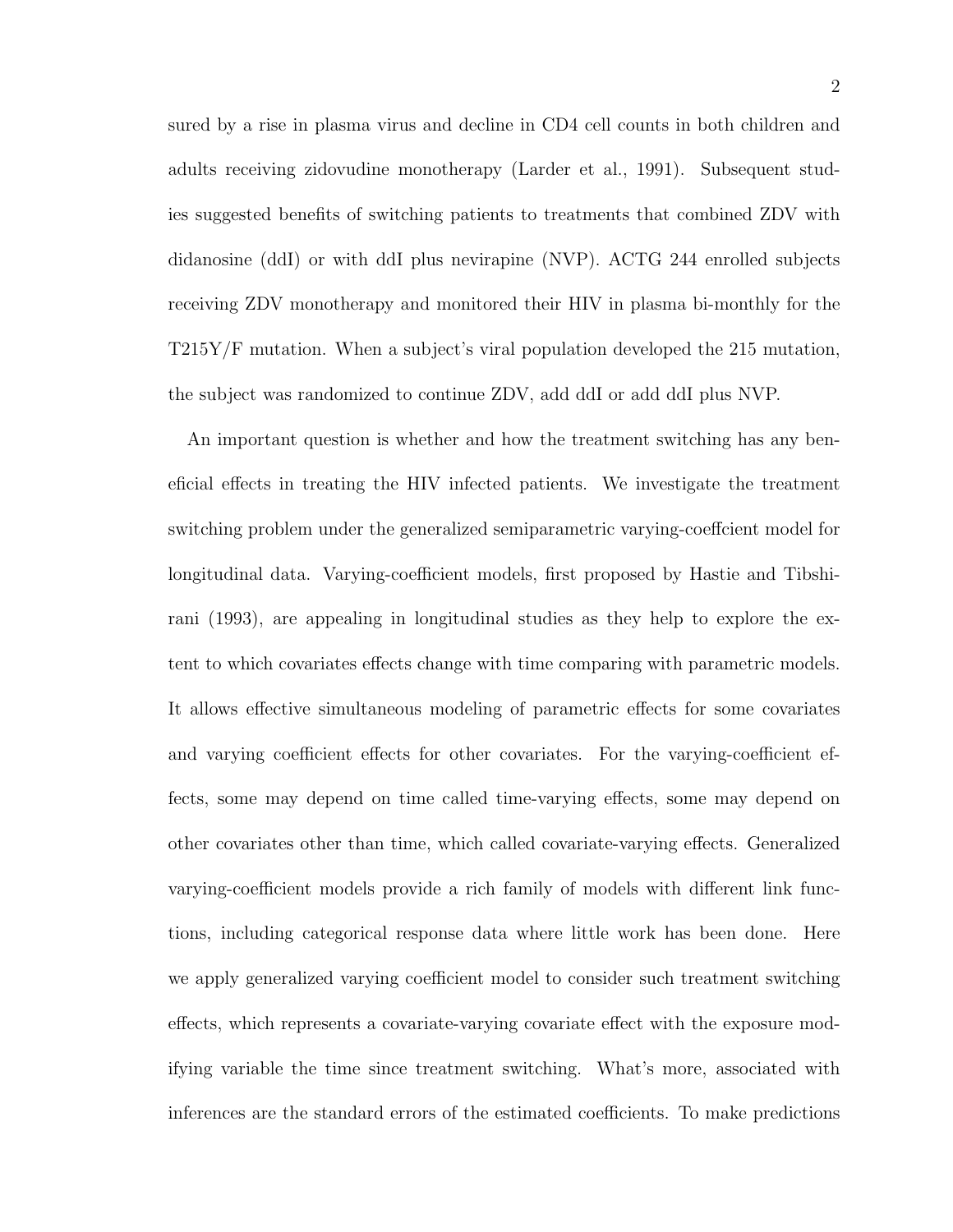sured by a rise in plasma virus and decline in CD4 cell counts in both children and adults receiving zidovudine monotherapy (Larder et al., 1991). Subsequent studies suggested benefits of switching patients to treatments that combined ZDV with didanosine (ddI) or with ddI plus nevirapine (NVP). ACTG 244 enrolled subjects receiving ZDV monotherapy and monitored their HIV in plasma bi-monthly for the T215Y/F mutation. When a subject's viral population developed the 215 mutation, the subject was randomized to continue ZDV, add ddI or add ddI plus NVP.

An important question is whether and how the treatment switching has any beneficial effects in treating the HIV infected patients. We investigate the treatment switching problem under the generalized semiparametric varying-coeffcient model for longitudinal data. Varying-coefficient models, first proposed by Hastie and Tibshirani (1993), are appealing in longitudinal studies as they help to explore the extent to which covariates effects change with time comparing with parametric models. It allows effective simultaneous modeling of parametric effects for some covariates and varying coefficient effects for other covariates. For the varying-coefficient effects, some may depend on time called time-varying effects, some may depend on other covariates other than time, which called covariate-varying effects. Generalized varying-coefficient models provide a rich family of models with different link functions, including categorical response data where little work has been done. Here we apply generalized varying coefficient model to consider such treatment switching effects, which represents a covariate-varying covariate effect with the exposure modifying variable the time since treatment switching. What's more, associated with inferences are the standard errors of the estimated coefficients. To make predictions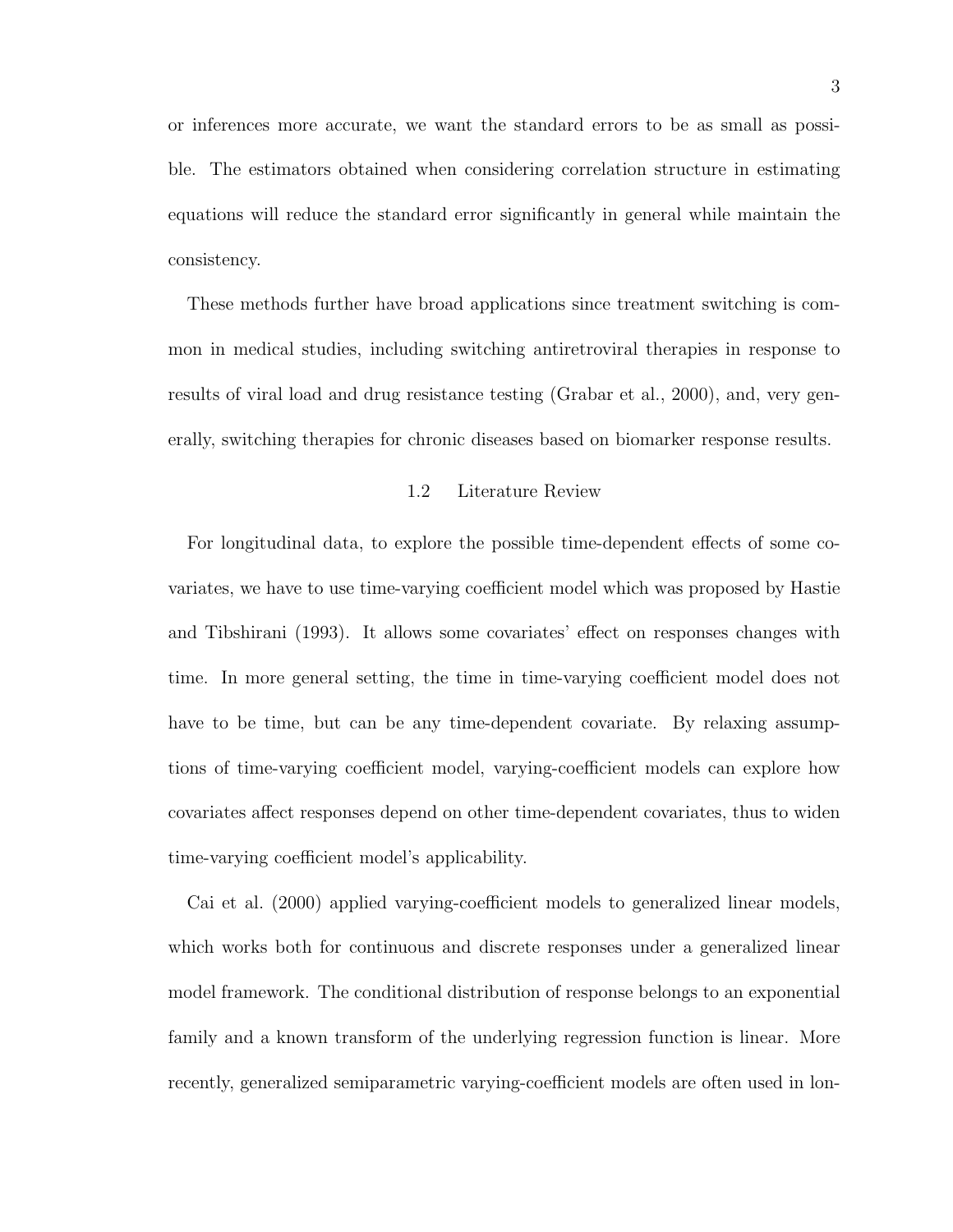or inferences more accurate, we want the standard errors to be as small as possible. The estimators obtained when considering correlation structure in estimating equations will reduce the standard error significantly in general while maintain the consistency.

These methods further have broad applications since treatment switching is common in medical studies, including switching antiretroviral therapies in response to results of viral load and drug resistance testing (Grabar et al., 2000), and, very generally, switching therapies for chronic diseases based on biomarker response results.

### 1.2 Literature Review

For longitudinal data, to explore the possible time-dependent effects of some covariates, we have to use time-varying coefficient model which was proposed by Hastie and Tibshirani (1993). It allows some covariates' effect on responses changes with time. In more general setting, the time in time-varying coefficient model does not have to be time, but can be any time-dependent covariate. By relaxing assumptions of time-varying coefficient model, varying-coefficient models can explore how covariates affect responses depend on other time-dependent covariates, thus to widen time-varying coefficient model's applicability.

Cai et al. (2000) applied varying-coefficient models to generalized linear models, which works both for continuous and discrete responses under a generalized linear model framework. The conditional distribution of response belongs to an exponential family and a known transform of the underlying regression function is linear. More recently, generalized semiparametric varying-coefficient models are often used in lon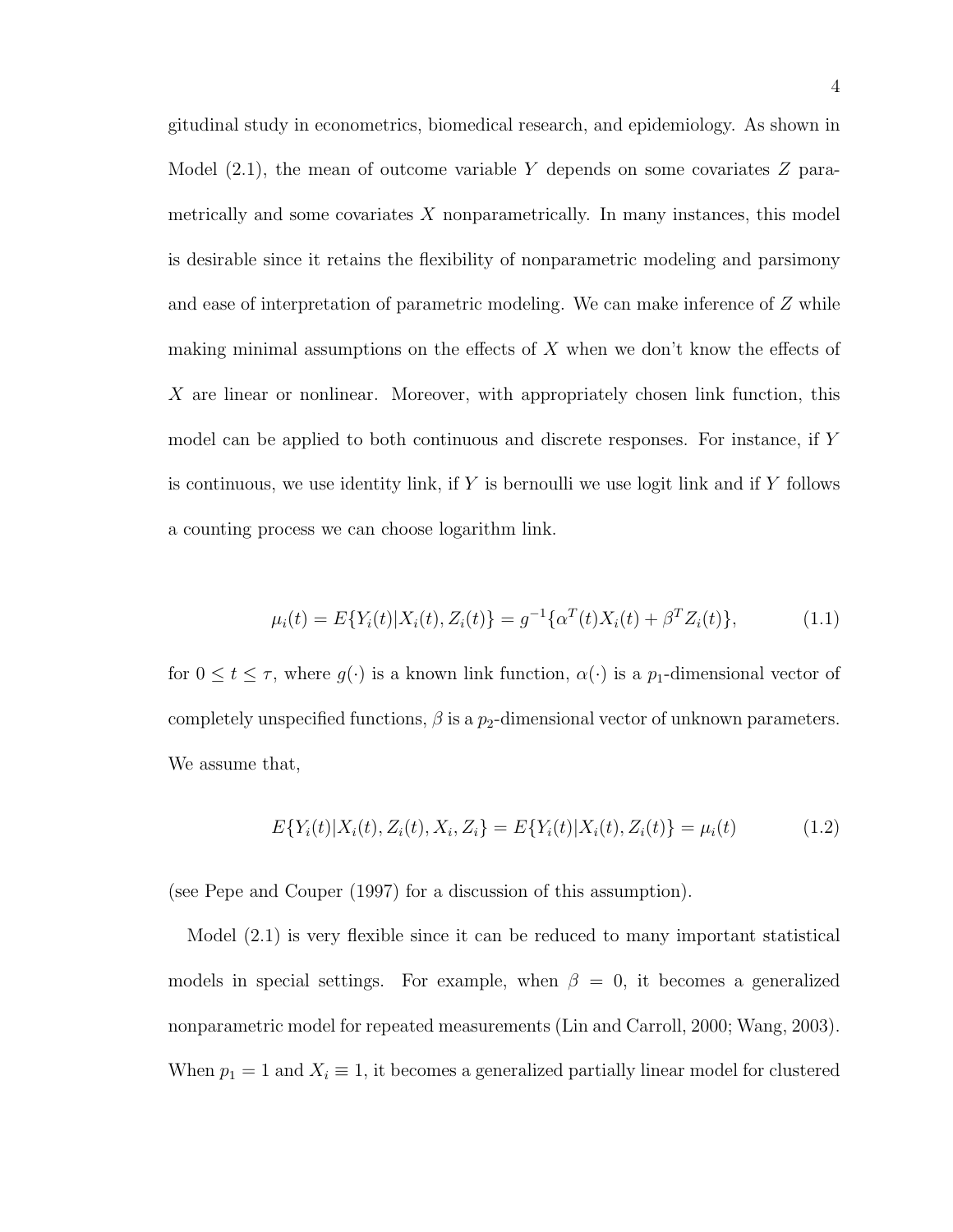gitudinal study in econometrics, biomedical research, and epidemiology. As shown in Model  $(2.1)$ , the mean of outcome variable Y depends on some covariates Z parametrically and some covariates  $X$  nonparametrically. In many instances, this model is desirable since it retains the flexibility of nonparametric modeling and parsimony and ease of interpretation of parametric modeling. We can make inference of Z while making minimal assumptions on the effects of  $X$  when we don't know the effects of X are linear or nonlinear. Moreover, with appropriately chosen link function, this model can be applied to both continuous and discrete responses. For instance, if Y is continuous, we use identity link, if Y is bernoulli we use logit link and if Y follows a counting process we can choose logarithm link.

$$
\mu_i(t) = E\{Y_i(t)|X_i(t), Z_i(t)\} = g^{-1}\{\alpha^T(t)X_i(t) + \beta^T Z_i(t)\},\tag{1.1}
$$

for  $0 \le t \le \tau$ , where  $g(\cdot)$  is a known link function,  $\alpha(\cdot)$  is a  $p_1$ -dimensional vector of completely unspecified functions,  $\beta$  is a  $p_2$ -dimensional vector of unknown parameters. We assume that,

$$
E\{Y_i(t)|X_i(t), Z_i(t), X_i, Z_i\} = E\{Y_i(t)|X_i(t), Z_i(t)\} = \mu_i(t)
$$
\n(1.2)

(see Pepe and Couper (1997) for a discussion of this assumption).

Model (2.1) is very flexible since it can be reduced to many important statistical models in special settings. For example, when  $\beta = 0$ , it becomes a generalized nonparametric model for repeated measurements (Lin and Carroll, 2000; Wang, 2003). When  $p_1 = 1$  and  $X_i \equiv 1$ , it becomes a generalized partially linear model for clustered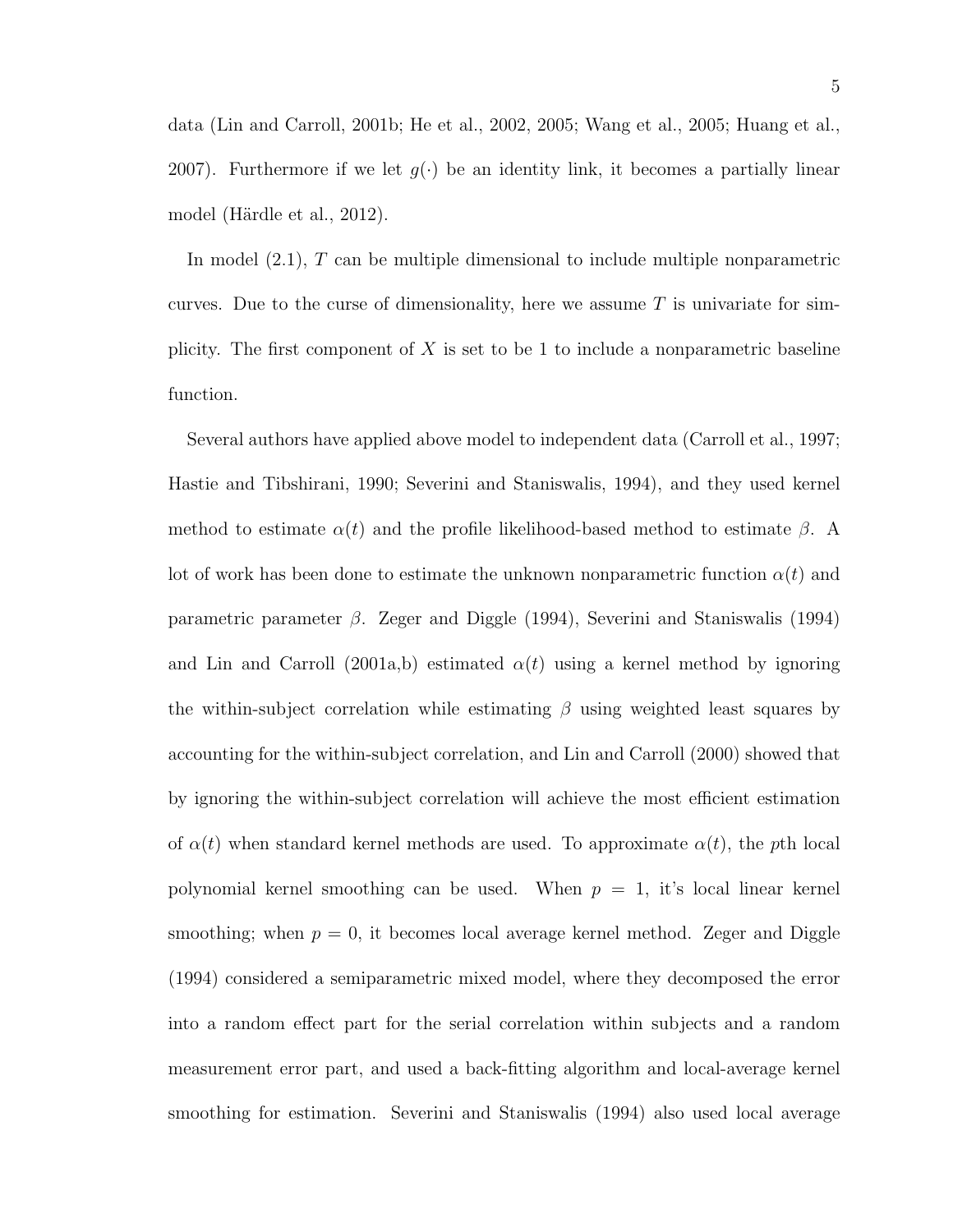data (Lin and Carroll, 2001b; He et al., 2002, 2005; Wang et al., 2005; Huang et al., 2007). Furthermore if we let  $g(\cdot)$  be an identity link, it becomes a partially linear model (Härdle et al., 2012).

In model (2.1), T can be multiple dimensional to include multiple nonparametric curves. Due to the curse of dimensionality, here we assume  $T$  is univariate for simplicity. The first component of  $X$  is set to be 1 to include a nonparametric baseline function.

Several authors have applied above model to independent data (Carroll et al., 1997; Hastie and Tibshirani, 1990; Severini and Staniswalis, 1994), and they used kernel method to estimate  $\alpha(t)$  and the profile likelihood-based method to estimate  $\beta$ . A lot of work has been done to estimate the unknown nonparametric function  $\alpha(t)$  and parametric parameter  $\beta$ . Zeger and Diggle (1994), Severini and Staniswalis (1994) and Lin and Carroll (2001a,b) estimated  $\alpha(t)$  using a kernel method by ignoring the within-subject correlation while estimating  $\beta$  using weighted least squares by accounting for the within-subject correlation, and Lin and Carroll (2000) showed that by ignoring the within-subject correlation will achieve the most efficient estimation of  $\alpha(t)$  when standard kernel methods are used. To approximate  $\alpha(t)$ , the pth local polynomial kernel smoothing can be used. When  $p = 1$ , it's local linear kernel smoothing; when  $p = 0$ , it becomes local average kernel method. Zeger and Diggle (1994) considered a semiparametric mixed model, where they decomposed the error into a random effect part for the serial correlation within subjects and a random measurement error part, and used a back-fitting algorithm and local-average kernel smoothing for estimation. Severini and Staniswalis (1994) also used local average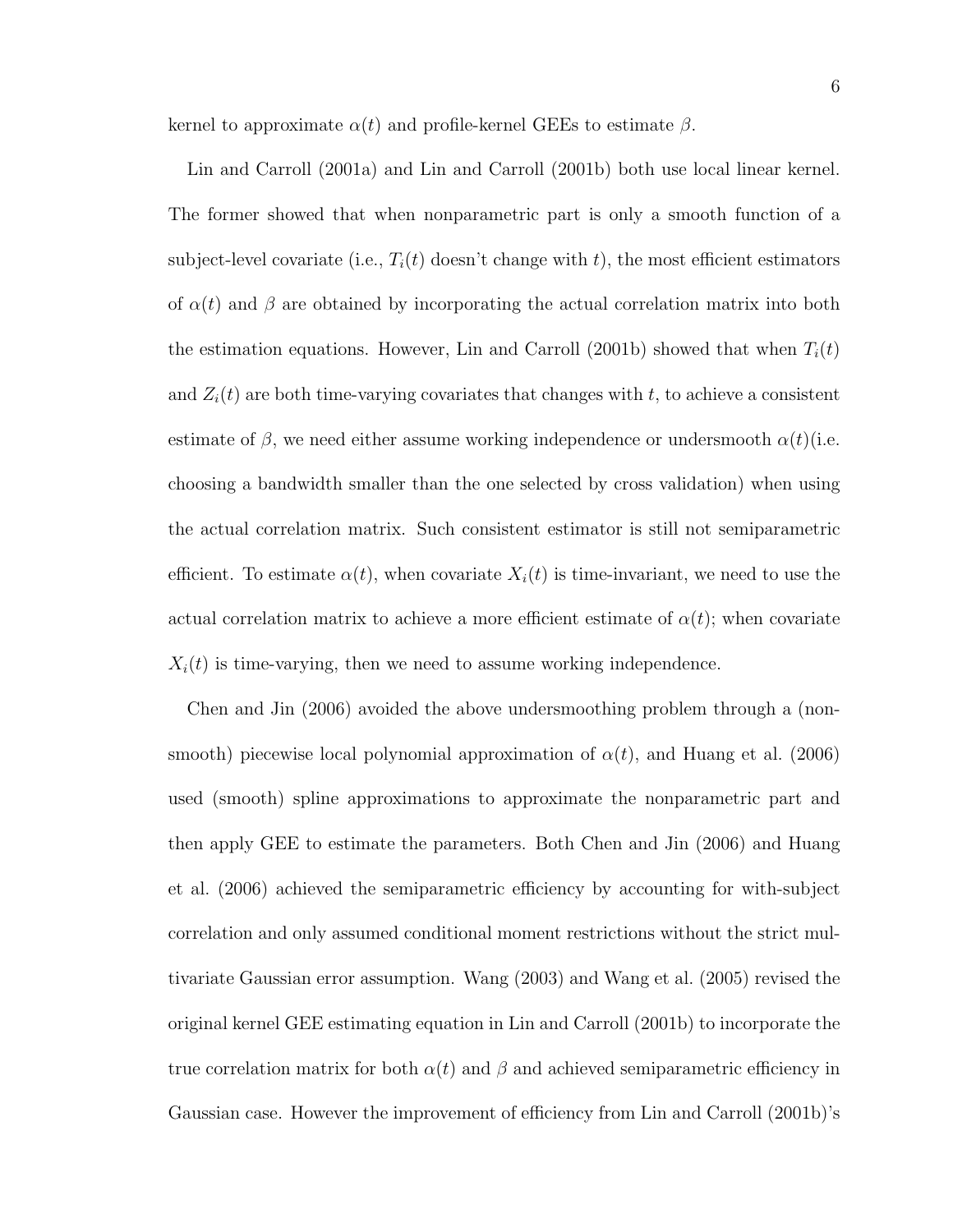kernel to approximate  $\alpha(t)$  and profile-kernel GEEs to estimate  $\beta$ .

Lin and Carroll (2001a) and Lin and Carroll (2001b) both use local linear kernel. The former showed that when nonparametric part is only a smooth function of a subject-level covariate (i.e.,  $T_i(t)$  doesn't change with t), the most efficient estimators of  $\alpha(t)$  and  $\beta$  are obtained by incorporating the actual correlation matrix into both the estimation equations. However, Lin and Carroll (2001b) showed that when  $T_i(t)$ and  $Z_i(t)$  are both time-varying covariates that changes with t, to achieve a consistent estimate of  $\beta$ , we need either assume working independence or undersmooth  $\alpha(t)$  (i.e. choosing a bandwidth smaller than the one selected by cross validation) when using the actual correlation matrix. Such consistent estimator is still not semiparametric efficient. To estimate  $\alpha(t)$ , when covariate  $X_i(t)$  is time-invariant, we need to use the actual correlation matrix to achieve a more efficient estimate of  $\alpha(t)$ ; when covariate  $X_i(t)$  is time-varying, then we need to assume working independence.

Chen and Jin (2006) avoided the above undersmoothing problem through a (nonsmooth) piecewise local polynomial approximation of  $\alpha(t)$ , and Huang et al. (2006) used (smooth) spline approximations to approximate the nonparametric part and then apply GEE to estimate the parameters. Both Chen and Jin (2006) and Huang et al. (2006) achieved the semiparametric efficiency by accounting for with-subject correlation and only assumed conditional moment restrictions without the strict multivariate Gaussian error assumption. Wang (2003) and Wang et al. (2005) revised the original kernel GEE estimating equation in Lin and Carroll (2001b) to incorporate the true correlation matrix for both  $\alpha(t)$  and  $\beta$  and achieved semiparametric efficiency in Gaussian case. However the improvement of efficiency from Lin and Carroll (2001b)'s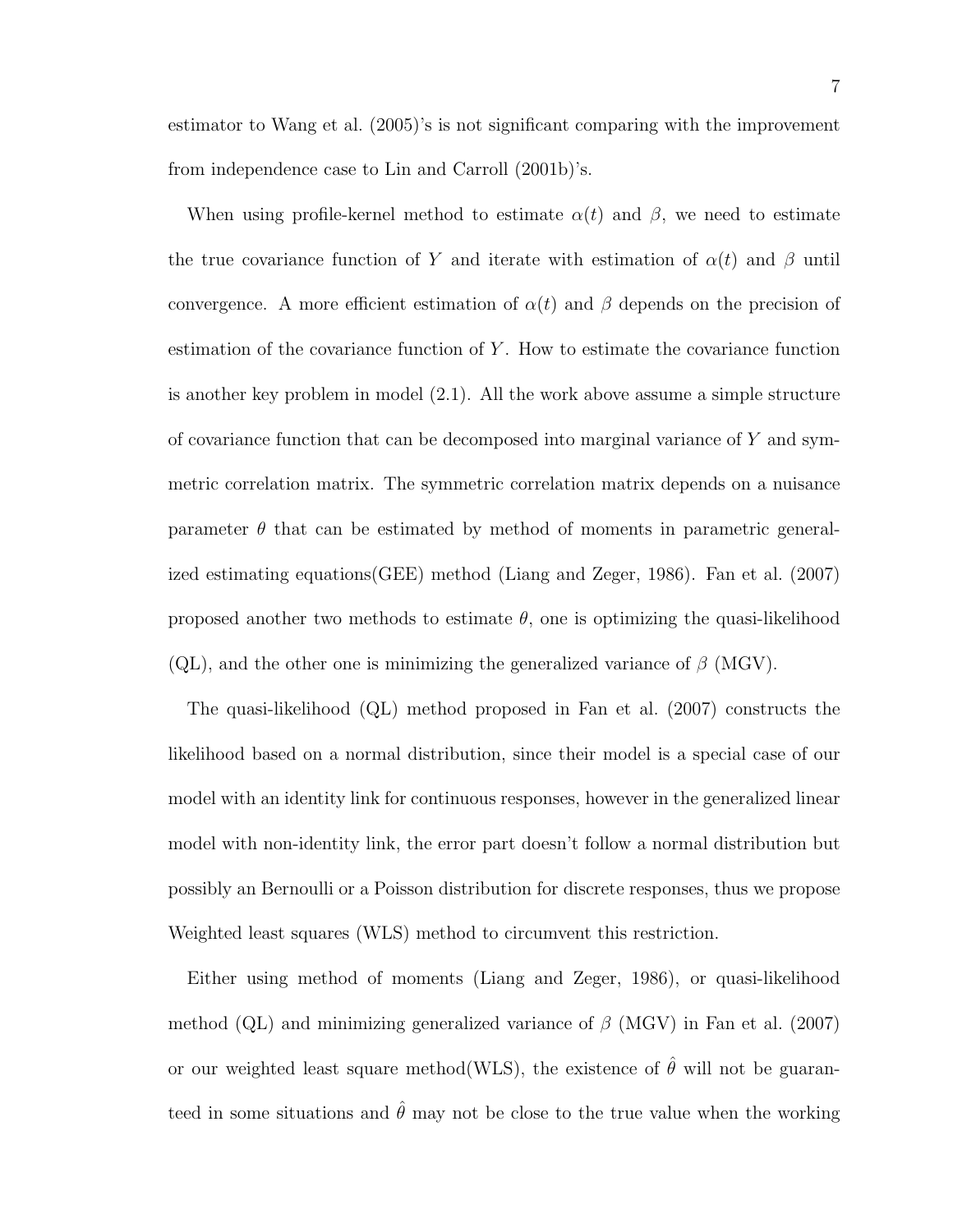estimator to Wang et al. (2005)'s is not significant comparing with the improvement from independence case to Lin and Carroll (2001b)'s.

When using profile-kernel method to estimate  $\alpha(t)$  and  $\beta$ , we need to estimate the true covariance function of Y and iterate with estimation of  $\alpha(t)$  and  $\beta$  until convergence. A more efficient estimation of  $\alpha(t)$  and  $\beta$  depends on the precision of estimation of the covariance function of  $Y$ . How to estimate the covariance function is another key problem in model (2.1). All the work above assume a simple structure of covariance function that can be decomposed into marginal variance of  $Y$  and symmetric correlation matrix. The symmetric correlation matrix depends on a nuisance parameter  $\theta$  that can be estimated by method of moments in parametric generalized estimating equations(GEE) method (Liang and Zeger, 1986). Fan et al. (2007) proposed another two methods to estimate  $\theta$ , one is optimizing the quasi-likelihood (QL), and the other one is minimizing the generalized variance of  $\beta$  (MGV).

The quasi-likelihood (QL) method proposed in Fan et al. (2007) constructs the likelihood based on a normal distribution, since their model is a special case of our model with an identity link for continuous responses, however in the generalized linear model with non-identity link, the error part doesn't follow a normal distribution but possibly an Bernoulli or a Poisson distribution for discrete responses, thus we propose Weighted least squares (WLS) method to circumvent this restriction.

Either using method of moments (Liang and Zeger, 1986), or quasi-likelihood method (QL) and minimizing generalized variance of  $\beta$  (MGV) in Fan et al. (2007) or our weighted least square method(WLS), the existence of  $\hat{\theta}$  will not be guaranteed in some situations and  $\hat{\theta}$  may not be close to the true value when the working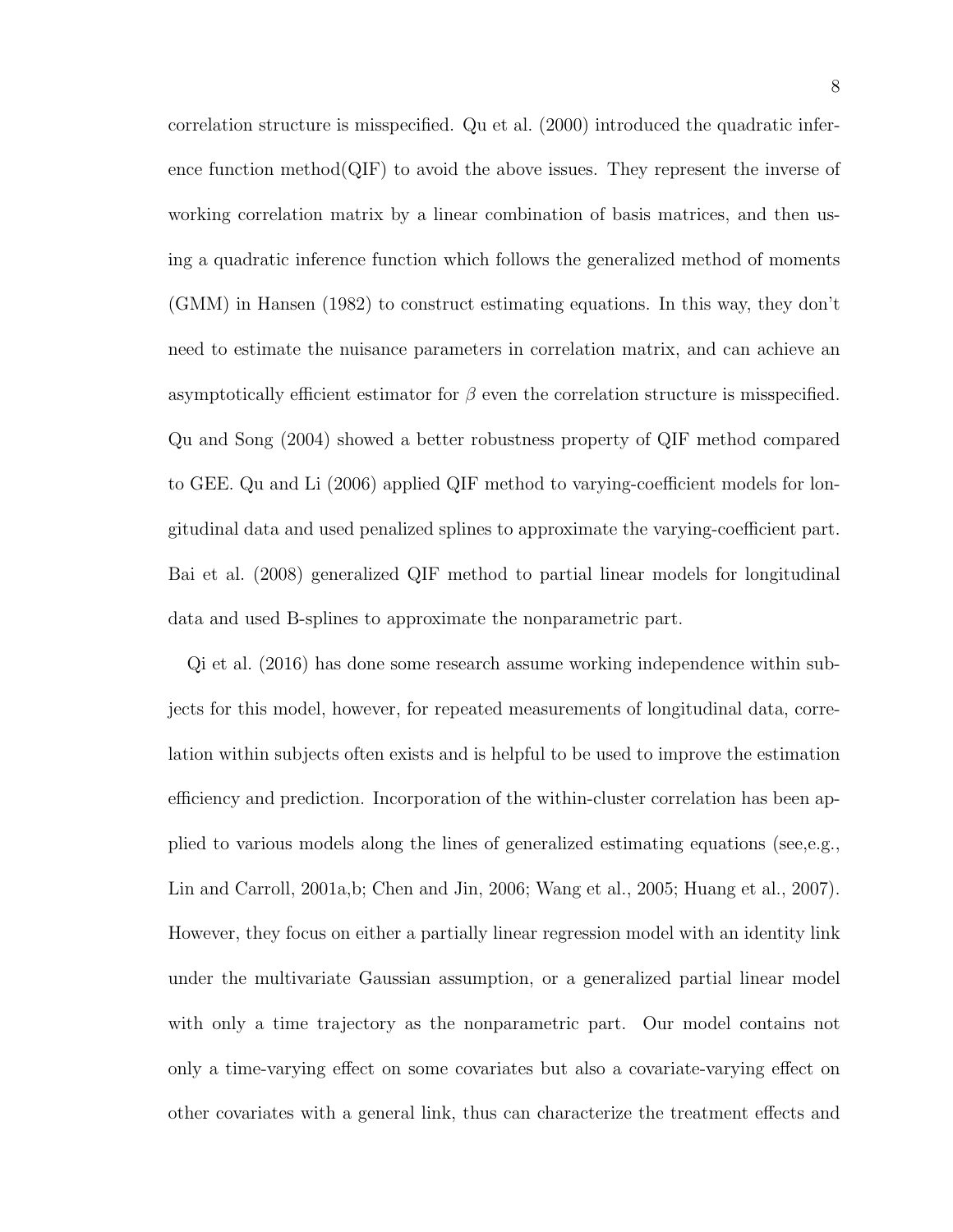correlation structure is misspecified. Qu et al. (2000) introduced the quadratic inference function method(QIF) to avoid the above issues. They represent the inverse of working correlation matrix by a linear combination of basis matrices, and then using a quadratic inference function which follows the generalized method of moments (GMM) in Hansen (1982) to construct estimating equations. In this way, they don't need to estimate the nuisance parameters in correlation matrix, and can achieve an asymptotically efficient estimator for  $\beta$  even the correlation structure is misspecified. Qu and Song (2004) showed a better robustness property of QIF method compared to GEE. Qu and Li (2006) applied QIF method to varying-coefficient models for longitudinal data and used penalized splines to approximate the varying-coefficient part. Bai et al. (2008) generalized QIF method to partial linear models for longitudinal data and used B-splines to approximate the nonparametric part.

Qi et al. (2016) has done some research assume working independence within subjects for this model, however, for repeated measurements of longitudinal data, correlation within subjects often exists and is helpful to be used to improve the estimation efficiency and prediction. Incorporation of the within-cluster correlation has been applied to various models along the lines of generalized estimating equations (see,e.g., Lin and Carroll, 2001a,b; Chen and Jin, 2006; Wang et al., 2005; Huang et al., 2007). However, they focus on either a partially linear regression model with an identity link under the multivariate Gaussian assumption, or a generalized partial linear model with only a time trajectory as the nonparametric part. Our model contains not only a time-varying effect on some covariates but also a covariate-varying effect on other covariates with a general link, thus can characterize the treatment effects and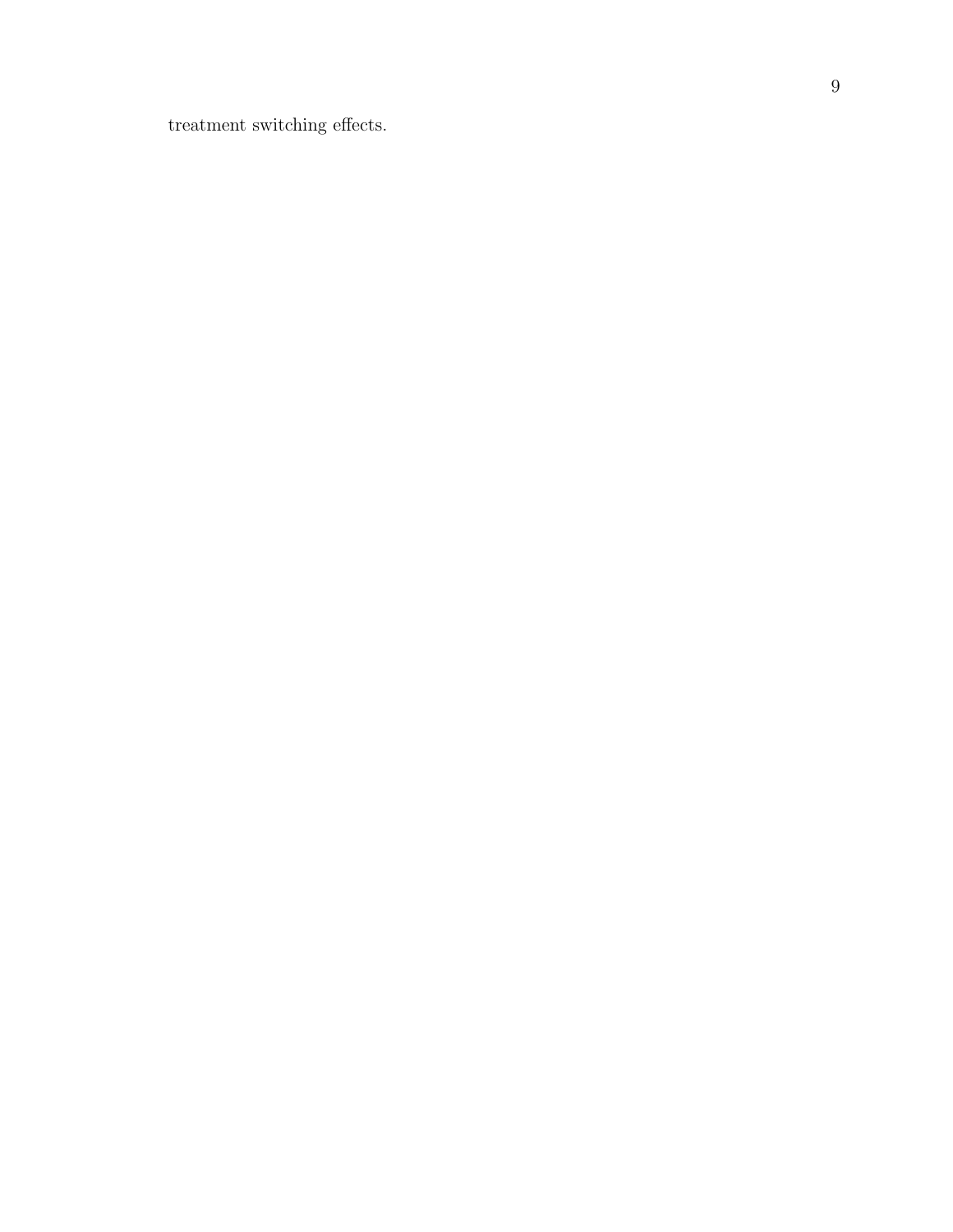treatment switching effects.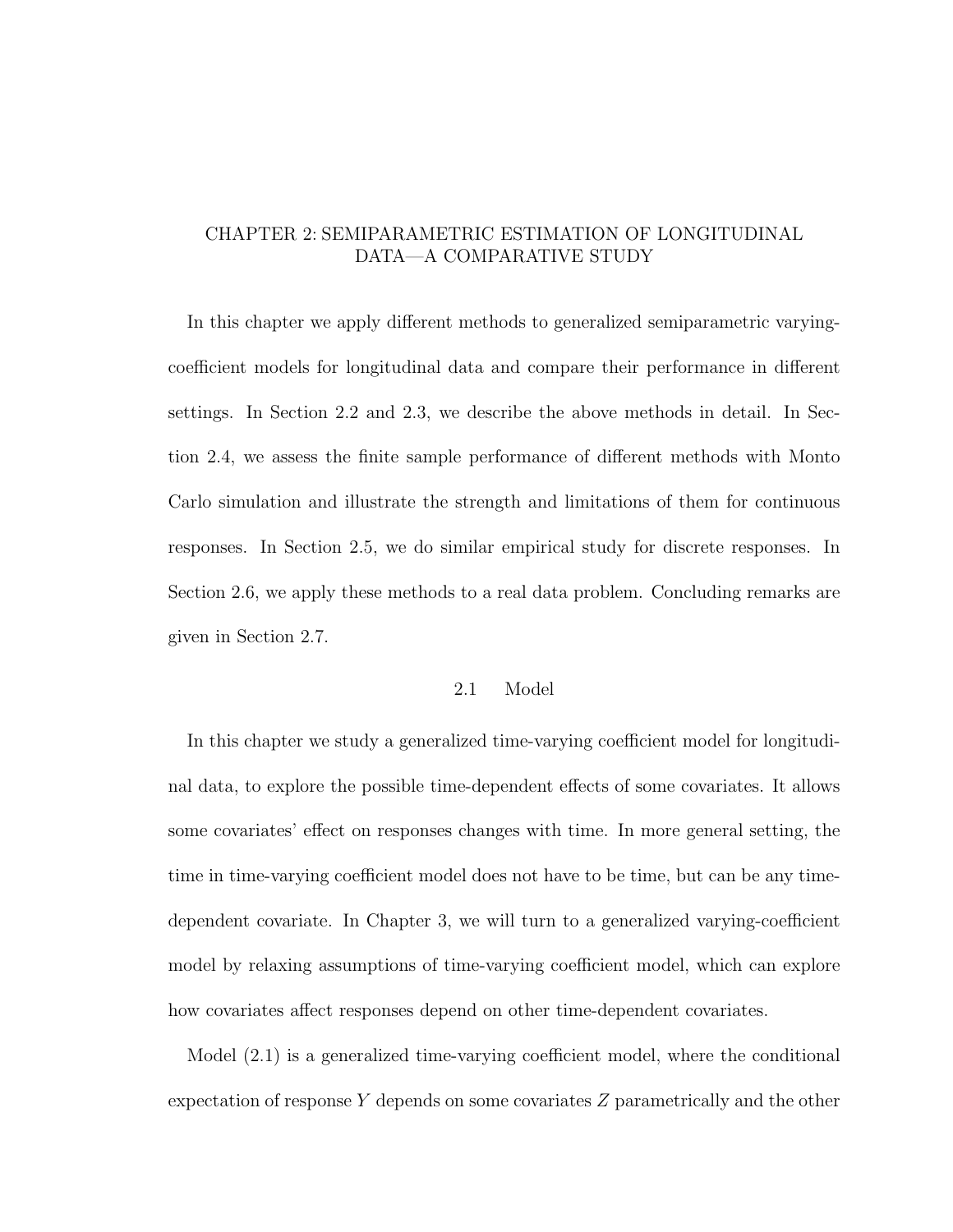# CHAPTER 2: SEMIPARAMETRIC ESTIMATION OF LONGITUDINAL DATA—A COMPARATIVE STUDY

In this chapter we apply different methods to generalized semiparametric varyingcoefficient models for longitudinal data and compare their performance in different settings. In Section 2.2 and 2.3, we describe the above methods in detail. In Section 2.4, we assess the finite sample performance of different methods with Monto Carlo simulation and illustrate the strength and limitations of them for continuous responses. In Section 2.5, we do similar empirical study for discrete responses. In Section 2.6, we apply these methods to a real data problem. Concluding remarks are given in Section 2.7.

# 2.1 Model

In this chapter we study a generalized time-varying coefficient model for longitudinal data, to explore the possible time-dependent effects of some covariates. It allows some covariates' effect on responses changes with time. In more general setting, the time in time-varying coefficient model does not have to be time, but can be any timedependent covariate. In Chapter 3, we will turn to a generalized varying-coefficient model by relaxing assumptions of time-varying coefficient model, which can explore how covariates affect responses depend on other time-dependent covariates.

Model (2.1) is a generalized time-varying coefficient model, where the conditional expectation of response  $Y$  depends on some covariates  $Z$  parametrically and the other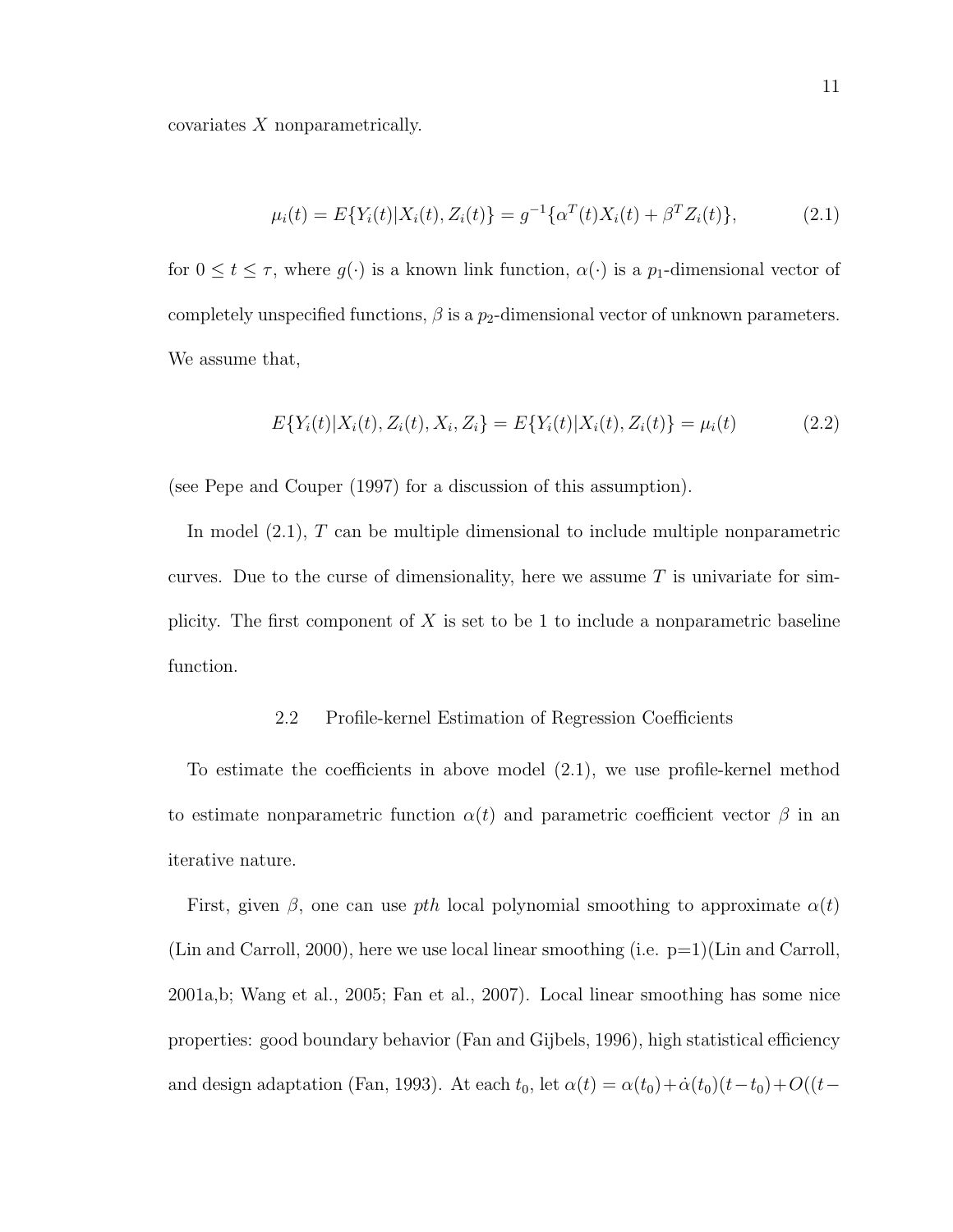covariates X nonparametrically.

$$
\mu_i(t) = E\{Y_i(t)|X_i(t), Z_i(t)\} = g^{-1}\{\alpha^T(t)X_i(t) + \beta^T Z_i(t)\},\tag{2.1}
$$

for  $0 \le t \le \tau$ , where  $g(\cdot)$  is a known link function,  $\alpha(\cdot)$  is a  $p_1$ -dimensional vector of completely unspecified functions,  $\beta$  is a  $p_2$ -dimensional vector of unknown parameters. We assume that,

$$
E\{Y_i(t)|X_i(t), Z_i(t), X_i, Z_i\} = E\{Y_i(t)|X_i(t), Z_i(t)\} = \mu_i(t)
$$
\n(2.2)

(see Pepe and Couper (1997) for a discussion of this assumption).

In model (2.1), T can be multiple dimensional to include multiple nonparametric curves. Due to the curse of dimensionality, here we assume  $T$  is univariate for simplicity. The first component of  $X$  is set to be 1 to include a nonparametric baseline function.

# 2.2 Profile-kernel Estimation of Regression Coefficients

To estimate the coefficients in above model (2.1), we use profile-kernel method to estimate nonparametric function  $\alpha(t)$  and parametric coefficient vector  $\beta$  in an iterative nature.

First, given  $\beta$ , one can use pth local polynomial smoothing to approximate  $\alpha(t)$ (Lin and Carroll, 2000), here we use local linear smoothing (i.e.  $p=1$ )(Lin and Carroll, 2001a,b; Wang et al., 2005; Fan et al., 2007). Local linear smoothing has some nice properties: good boundary behavior (Fan and Gijbels, 1996), high statistical efficiency and design adaptation (Fan, 1993). At each  $t_0$ , let  $\alpha(t) = \alpha(t_0) + \dot{\alpha}(t_0)(t-t_0) + O((t-t_0))$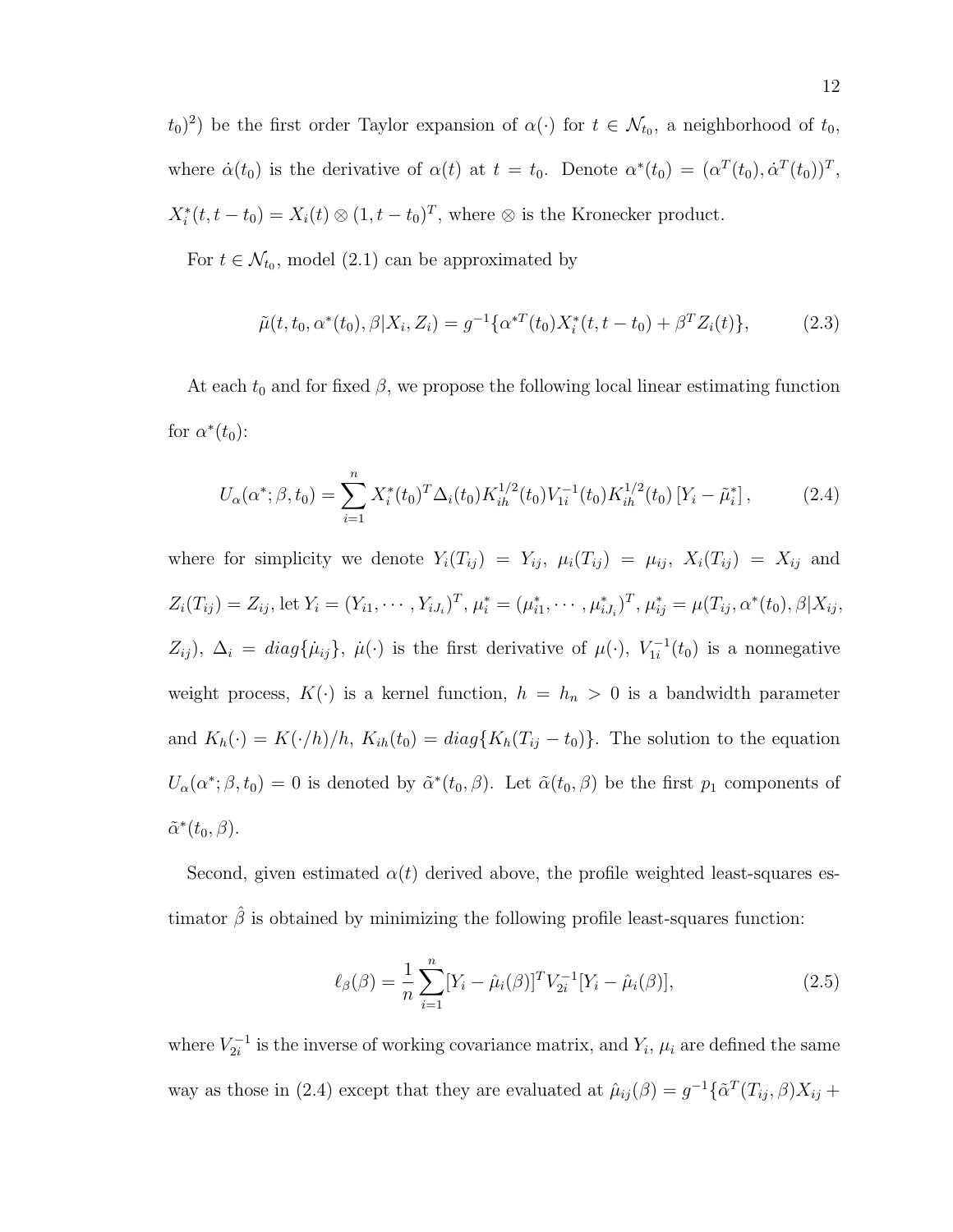$(t_0)^2$ ) be the first order Taylor expansion of  $\alpha(\cdot)$  for  $t \in \mathcal{N}_{t_0}$ , a neighborhood of  $t_0$ , where  $\dot{\alpha}(t_0)$  is the derivative of  $\alpha(t)$  at  $t = t_0$ . Denote  $\alpha^*(t_0) = (\alpha^T(t_0), \dot{\alpha}^T(t_0))^T$ ,  $X_i^*(t, t - t_0) = X_i(t) \otimes (1, t - t_0)^T$ , where  $\otimes$  is the Kronecker product.

For  $t \in \mathcal{N}_{t_0}$ , model (2.1) can be approximated by

$$
\tilde{\mu}(t, t_0, \alpha^*(t_0), \beta | X_i, Z_i) = g^{-1} \{ \alpha^{*T}(t_0) X_i^*(t, t - t_0) + \beta^T Z_i(t) \},\tag{2.3}
$$

At each  $t_0$  and for fixed  $\beta$ , we propose the following local linear estimating function for  $\alpha^*(t_0)$ :

$$
U_{\alpha}(\alpha^*; \beta, t_0) = \sum_{i=1}^n X_i^*(t_0)^T \Delta_i(t_0) K_{ih}^{1/2}(t_0) V_{1i}^{-1}(t_0) K_{ih}^{1/2}(t_0) [Y_i - \tilde{\mu}_i^*], \tag{2.4}
$$

where for simplicity we denote  $Y_i(T_{ij}) = Y_{ij}$ ,  $\mu_i(T_{ij}) = \mu_{ij}$ ,  $X_i(T_{ij}) = X_{ij}$  and  $Z_i(T_{ij}) = Z_{ij}$ , let  $Y_i = (Y_{i1}, \dots, Y_{iJ_i})^T$ ,  $\mu_i^* = (\mu_{i1}^*, \dots, \mu_{iJ_i}^*)^T$ ,  $\mu_{ij}^* = \mu(T_{ij}, \alpha^*(t_0), \beta | X_{ij},$  $Z_{ij}$ ,  $\Delta_i = diag\{\mu_{ij}\}, \ \mu(\cdot)$  is the first derivative of  $\mu(\cdot), V_{1i}^{-1}$  $\chi_{1i}^{-1}(t_0)$  is a nonnegative weight process,  $K(\cdot)$  is a kernel function,  $h = h_n > 0$  is a bandwidth parameter and  $K_h(\cdot) = K(\cdot/h)/h$ ,  $K_{ih}(t_0) = diag\{K_h(T_{ij} - t_0)\}\$ . The solution to the equation  $U_{\alpha}(\alpha^*; \beta, t_0) = 0$  is denoted by  $\tilde{\alpha}^*(t_0, \beta)$ . Let  $\tilde{\alpha}(t_0, \beta)$  be the first  $p_1$  components of  $\tilde{\alpha}^*(t_0,\beta).$ 

Second, given estimated  $\alpha(t)$  derived above, the profile weighted least-squares estimator  $\hat{\beta}$  is obtained by minimizing the following profile least-squares function:

$$
\ell_{\beta}(\beta) = \frac{1}{n} \sum_{i=1}^{n} [Y_i - \hat{\mu}_i(\beta)]^T V_{2i}^{-1} [Y_i - \hat{\mu}_i(\beta)], \qquad (2.5)
$$

where  $V_{2i}^{-1}$  $Z_{2i}^{-1}$  is the inverse of working covariance matrix, and  $Y_i$ ,  $\mu_i$  are defined the same way as those in (2.4) except that they are evaluated at  $\hat{\mu}_{ij}(\beta) = g^{-1}\{\tilde{\alpha}^T(T_{ij}, \beta)X_{ij} +$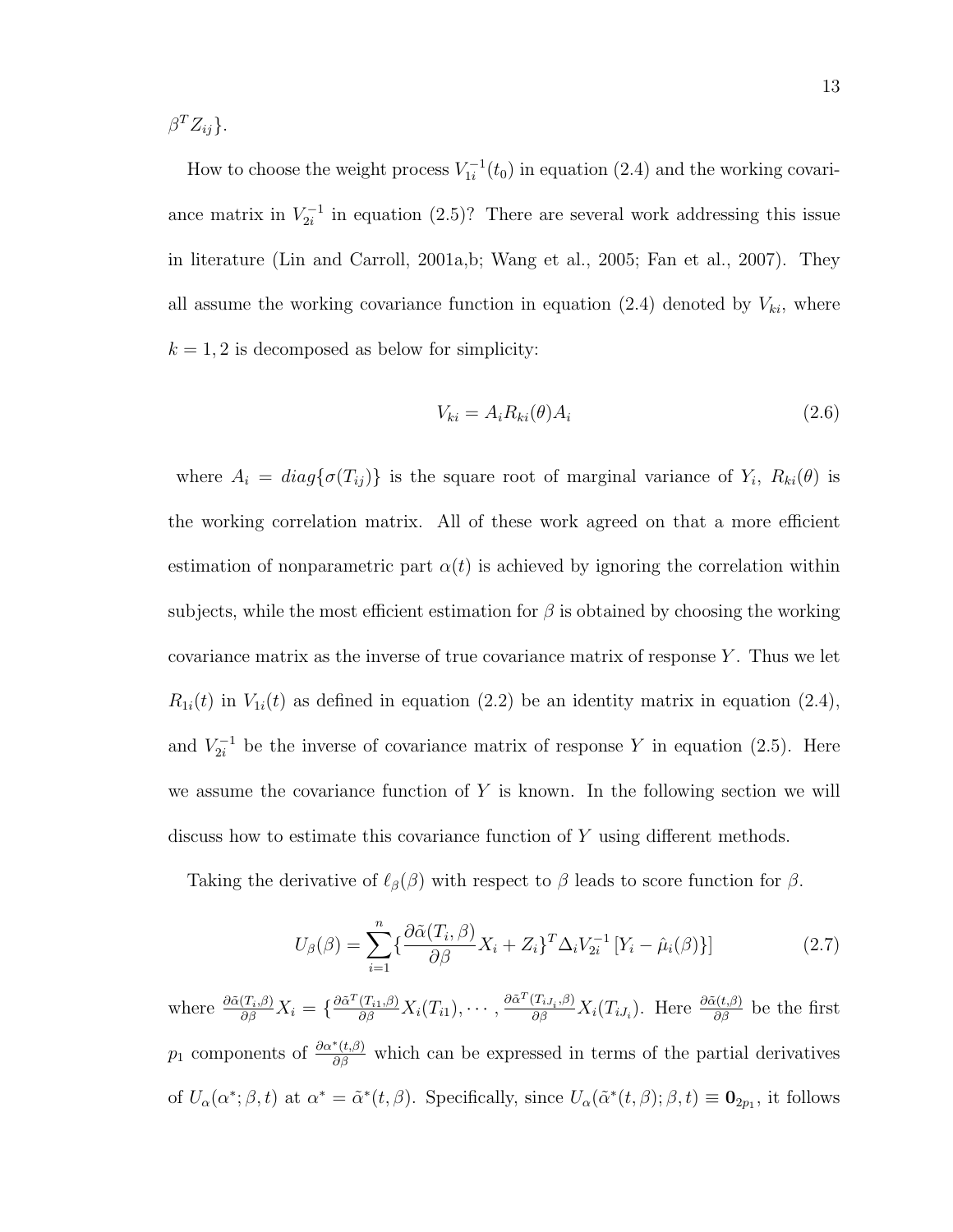$\beta^T Z_{ij}$ .

How to choose the weight process  $V_{1i}^{-1}$  $\chi_{1i}^{-1}(t_0)$  in equation (2.4) and the working covariance matrix in  $V_{2i}^{-1}$  $Z_{2i}^{-1}$  in equation (2.5)? There are several work addressing this issue in literature (Lin and Carroll, 2001a,b; Wang et al., 2005; Fan et al., 2007). They all assume the working covariance function in equation (2.4) denoted by  $V_{ki}$ , where  $k = 1, 2$  is decomposed as below for simplicity:

$$
V_{ki} = A_i R_{ki}(\theta) A_i \tag{2.6}
$$

where  $A_i = diag\{\sigma(T_{ij})\}$  is the square root of marginal variance of  $Y_i$ ,  $R_{ki}(\theta)$  is the working correlation matrix. All of these work agreed on that a more efficient estimation of nonparametric part  $\alpha(t)$  is achieved by ignoring the correlation within subjects, while the most efficient estimation for  $\beta$  is obtained by choosing the working covariance matrix as the inverse of true covariance matrix of response Y . Thus we let  $R_{1i}(t)$  in  $V_{1i}(t)$  as defined in equation (2.2) be an identity matrix in equation (2.4), and  $V_{2i}^{-1}$  be the inverse of covariance matrix of response Y in equation (2.5). Here we assume the covariance function of  $Y$  is known. In the following section we will discuss how to estimate this covariance function of Y using different methods.

Taking the derivative of  $\ell_{\beta}(\beta)$  with respect to  $\beta$  leads to score function for  $\beta$ .

$$
U_{\beta}(\beta) = \sum_{i=1}^{n} \left\{ \frac{\partial \tilde{\alpha}(T_i, \beta)}{\partial \beta} X_i + Z_i \right\}^T \Delta_i V_{2i}^{-1} \left[ Y_i - \hat{\mu}_i(\beta) \right] \tag{2.7}
$$

where  $\frac{\partial \tilde{\alpha}(T_i,\beta)}{\partial \beta}X_i = \left\{\frac{\partial \tilde{\alpha}^T(T_{i1},\beta)}{\partial \beta}X_i(T_{i1}),\cdots,\frac{\partial \tilde{\alpha}^T(T_{iJ_i},\beta)}{\partial \beta}X_i(T_{iJ_i})\right\}$ . Here  $\frac{\partial \tilde{\alpha}(t,\beta)}{\partial \beta}$  be the first  $p_1$  components of  $\frac{\partial a^*(t,\beta)}{\partial \beta}$  which can be expressed in terms of the partial derivatives of  $U_{\alpha}(\alpha^*; \beta, t)$  at  $\alpha^* = \tilde{\alpha}^*(t, \beta)$ . Specifically, since  $U_{\alpha}(\tilde{\alpha}^*(t, \beta); \beta, t) \equiv \mathbf{0}_{2p_1}$ , it follows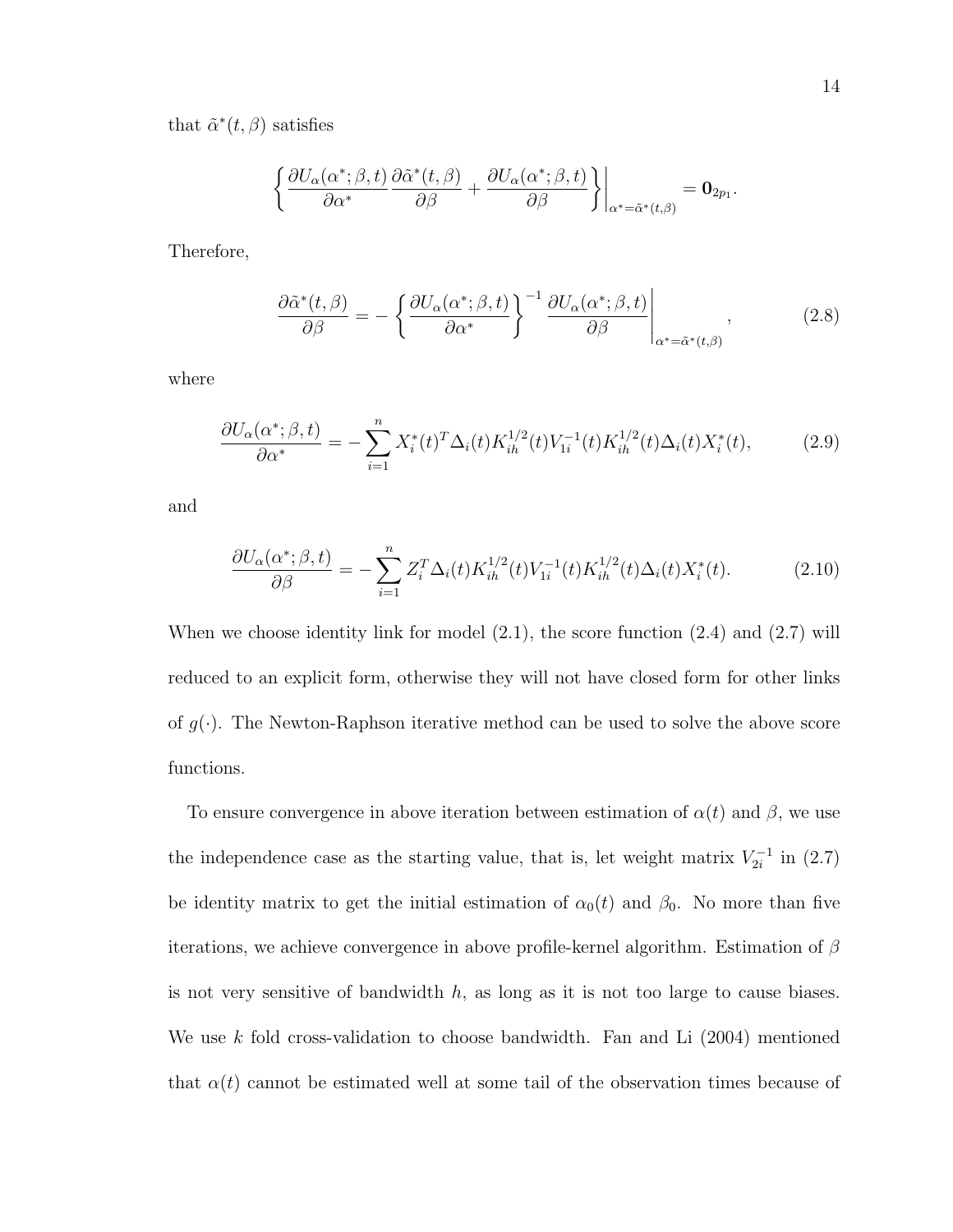that  $\tilde{\alpha}^*(t,\beta)$  satisfies

$$
\left\{\frac{\partial U_{\alpha}(\alpha^*;\beta,t)}{\partial \alpha^*}\frac{\partial \tilde{\alpha}^*(t,\beta)}{\partial \beta} + \frac{\partial U_{\alpha}(\alpha^*;\beta,t)}{\partial \beta}\right\}\bigg|_{\alpha^*=\tilde{\alpha}^*(t,\beta)} = \mathbf{0}_{2p_1}.
$$

Therefore,

$$
\frac{\partial \tilde{\alpha}^*(t,\beta)}{\partial \beta} = -\left\{ \frac{\partial U_{\alpha}(\alpha^*;\beta,t)}{\partial \alpha^*} \right\}^{-1} \frac{\partial U_{\alpha}(\alpha^*;\beta,t)}{\partial \beta} \Big|_{\alpha^* = \tilde{\alpha}^*(t,\beta)},\tag{2.8}
$$

where

$$
\frac{\partial U_{\alpha}(\alpha^{\ast};\beta,t)}{\partial \alpha^{\ast}} = -\sum_{i=1}^{n} X_{i}^{\ast}(t)^{T} \Delta_{i}(t) K_{ih}^{1/2}(t) V_{1i}^{-1}(t) K_{ih}^{1/2}(t) \Delta_{i}(t) X_{i}^{\ast}(t), \tag{2.9}
$$

and

$$
\frac{\partial U_{\alpha}(\alpha^{\ast};\beta,t)}{\partial \beta} = -\sum_{i=1}^{n} Z_i^T \Delta_i(t) K_{ih}^{1/2}(t) V_{1i}^{-1}(t) K_{ih}^{1/2}(t) \Delta_i(t) X_i^*(t). \tag{2.10}
$$

When we choose identity link for model (2.1), the score function (2.4) and (2.7) will reduced to an explicit form, otherwise they will not have closed form for other links of  $g(\cdot)$ . The Newton-Raphson iterative method can be used to solve the above score functions.

To ensure convergence in above iteration between estimation of  $\alpha(t)$  and  $\beta$ , we use the independence case as the starting value, that is, let weight matrix  $V_{2i}^{-1}$  $\sum_{2i}^{-1}$  in  $(2.7)$ be identity matrix to get the initial estimation of  $\alpha_0(t)$  and  $\beta_0$ . No more than five iterations, we achieve convergence in above profile-kernel algorithm. Estimation of  $\beta$ is not very sensitive of bandwidth  $h$ , as long as it is not too large to cause biases. We use k fold cross-validation to choose bandwidth. Fan and Li  $(2004)$  mentioned that  $\alpha(t)$  cannot be estimated well at some tail of the observation times because of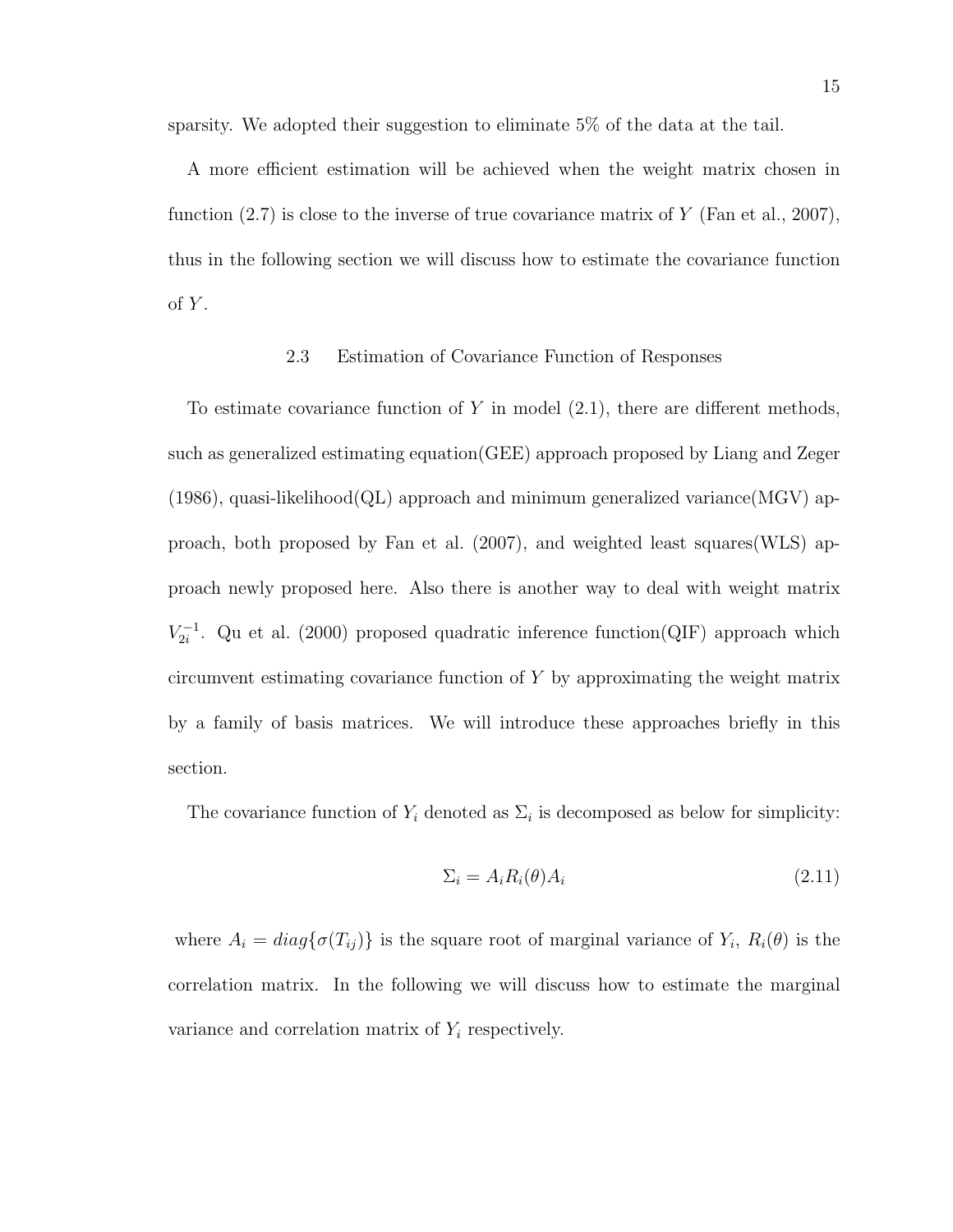sparsity. We adopted their suggestion to eliminate 5% of the data at the tail.

A more efficient estimation will be achieved when the weight matrix chosen in function  $(2.7)$  is close to the inverse of true covariance matrix of Y (Fan et al., 2007), thus in the following section we will discuss how to estimate the covariance function  $of Y.$ 

### 2.3 Estimation of Covariance Function of Responses

To estimate covariance function of Y in model  $(2.1)$ , there are different methods, such as generalized estimating equation(GEE) approach proposed by Liang and Zeger  $(1986)$ , quasi-likelihood $(QL)$  approach and minimum generalized variance $(MGV)$  approach, both proposed by Fan et al. (2007), and weighted least squares(WLS) approach newly proposed here. Also there is another way to deal with weight matrix  $V^{-1}_{2i}$  $Z_{2i}^{-1}$ . Qu et al. (2000) proposed quadratic inference function(QIF) approach which circumvent estimating covariance function of Y by approximating the weight matrix by a family of basis matrices. We will introduce these approaches briefly in this section.

The covariance function of  $Y_i$  denoted as  $\Sigma_i$  is decomposed as below for simplicity:

$$
\Sigma_i = A_i R_i(\theta) A_i \tag{2.11}
$$

where  $A_i = diag\{\sigma(T_{ij})\}$  is the square root of marginal variance of  $Y_i$ ,  $R_i(\theta)$  is the correlation matrix. In the following we will discuss how to estimate the marginal variance and correlation matrix of  $Y_i$  respectively.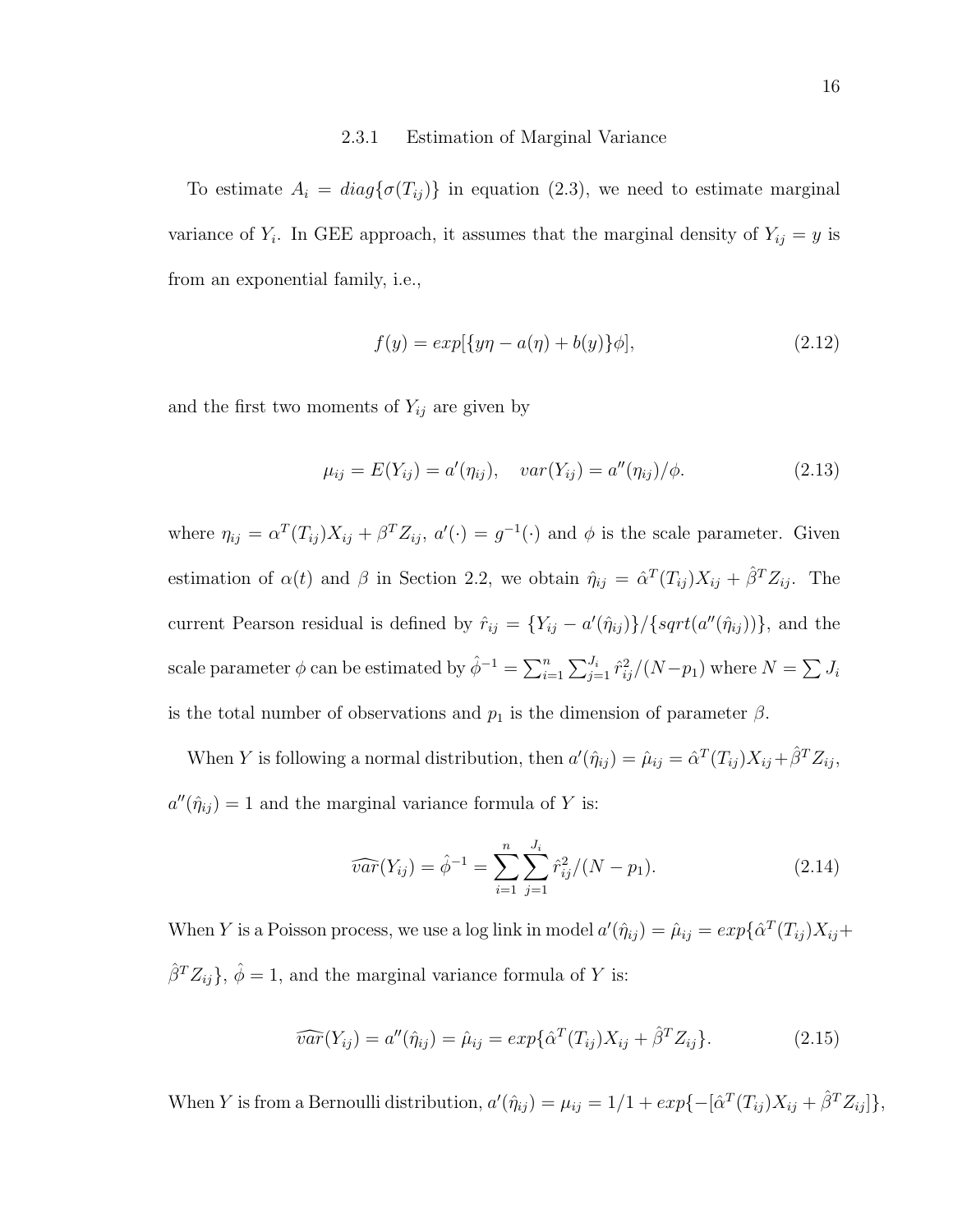#### 2.3.1 Estimation of Marginal Variance

To estimate  $A_i = diag\{\sigma(T_{ij})\}$  in equation (2.3), we need to estimate marginal variance of  $Y_i$ . In GEE approach, it assumes that the marginal density of  $Y_{ij} = y$  is from an exponential family, i.e.,

$$
f(y) = exp[{yn - a(\eta) + b(y)}\phi],
$$
\n(2.12)

and the first two moments of  $Y_{ij}$  are given by

$$
\mu_{ij} = E(Y_{ij}) = a'(\eta_{ij}), \quad var(Y_{ij}) = a''(\eta_{ij})/\phi.
$$
 (2.13)

where  $\eta_{ij} = \alpha^T(T_{ij})X_{ij} + \beta^T Z_{ij}$ ,  $a'(\cdot) = g^{-1}(\cdot)$  and  $\phi$  is the scale parameter. Given estimation of  $\alpha(t)$  and  $\beta$  in Section 2.2, we obtain  $\hat{\eta}_{ij} = \hat{\alpha}^{T}(T_{ij})X_{ij} + \hat{\beta}^{T}Z_{ij}$ . The current Pearson residual is defined by  $\hat{r}_{ij} = \{Y_{ij} - a'(\hat{\eta}_{ij})\}/\{\sqrt{sqrt(a''(\hat{\eta}_{ij}))}\}\$ , and the scale parameter  $\phi$  can be estimated by  $\hat{\phi}^{-1} = \sum_{i=1}^n \sum_{j=1}^{J_i} \hat{r}_{ij}^2/(N-p_1)$  where  $N = \sum J_i$ is the total number of observations and  $p_1$  is the dimension of parameter  $\beta$ .

When Y is following a normal distribution, then  $a'(\hat{\eta}_{ij}) = \hat{\mu}_{ij} = \hat{\alpha}^T(T_{ij})X_{ij} + \hat{\beta}^T Z_{ij}$ ,  $a''(\hat{\eta}_{ij}) = 1$  and the marginal variance formula of Y is:

$$
\widehat{var}(Y_{ij}) = \widehat{\phi}^{-1} = \sum_{i=1}^{n} \sum_{j=1}^{J_i} \widehat{r}_{ij}^2 / (N - p_1). \tag{2.14}
$$

When Y is a Poisson process, we use a log link in model  $a'(\hat{\eta}_{ij}) = \hat{\mu}_{ij} = exp\{\hat{\alpha}^T(T_{ij})X_{ij} +$  $\hat{\beta}^T Z_{ij}$ ,  $\hat{\phi} = 1$ , and the marginal variance formula of Y is:

$$
\widehat{var}(Y_{ij}) = a''(\hat{\eta}_{ij}) = \hat{\mu}_{ij} = exp\{\hat{\alpha}^T(T_{ij})X_{ij} + \hat{\beta}^T Z_{ij}\}.
$$
 (2.15)

When Y is from a Bernoulli distribution,  $a'(\hat{\eta}_{ij}) = \mu_{ij} = 1/1 + exp{-[\hat{\alpha}^T(T_{ij})X_{ij} + \hat{\beta}^T Z_{ij}]}$ ,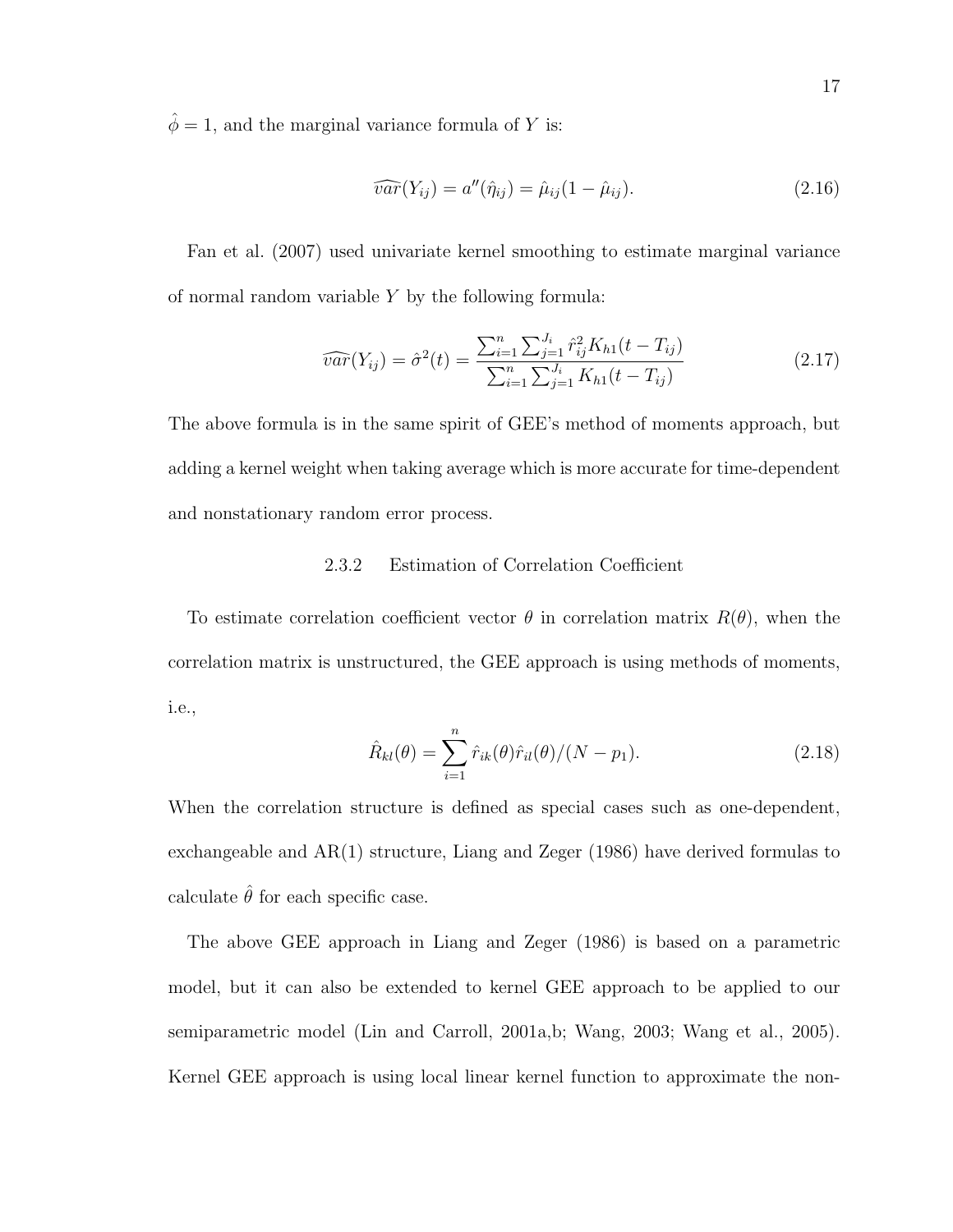$\hat{\phi}=1,$  and the marginal variance formula of  $Y$  is:

$$
\widehat{var}(Y_{ij}) = a''(\hat{\eta}_{ij}) = \hat{\mu}_{ij}(1 - \hat{\mu}_{ij}). \tag{2.16}
$$

Fan et al. (2007) used univariate kernel smoothing to estimate marginal variance of normal random variable  $Y$  by the following formula:

$$
\widehat{var}(Y_{ij}) = \widehat{\sigma}^2(t) = \frac{\sum_{i=1}^n \sum_{j=1}^{J_i} \widehat{r}_{ij}^2 K_{h1}(t - T_{ij})}{\sum_{i=1}^n \sum_{j=1}^{J_i} K_{h1}(t - T_{ij})}
$$
(2.17)

The above formula is in the same spirit of GEE's method of moments approach, but adding a kernel weight when taking average which is more accurate for time-dependent and nonstationary random error process.

# 2.3.2 Estimation of Correlation Coefficient

To estimate correlation coefficient vector  $\theta$  in correlation matrix  $R(\theta)$ , when the correlation matrix is unstructured, the GEE approach is using methods of moments, i.e.,

$$
\hat{R}_{kl}(\theta) = \sum_{i=1}^{n} \hat{r}_{ik}(\theta)\hat{r}_{il}(\theta)/(N - p_1).
$$
\n(2.18)

When the correlation structure is defined as special cases such as one-dependent, exchangeable and AR(1) structure, Liang and Zeger (1986) have derived formulas to calculate  $\hat{\theta}$  for each specific case.

The above GEE approach in Liang and Zeger (1986) is based on a parametric model, but it can also be extended to kernel GEE approach to be applied to our semiparametric model (Lin and Carroll, 2001a,b; Wang, 2003; Wang et al., 2005). Kernel GEE approach is using local linear kernel function to approximate the non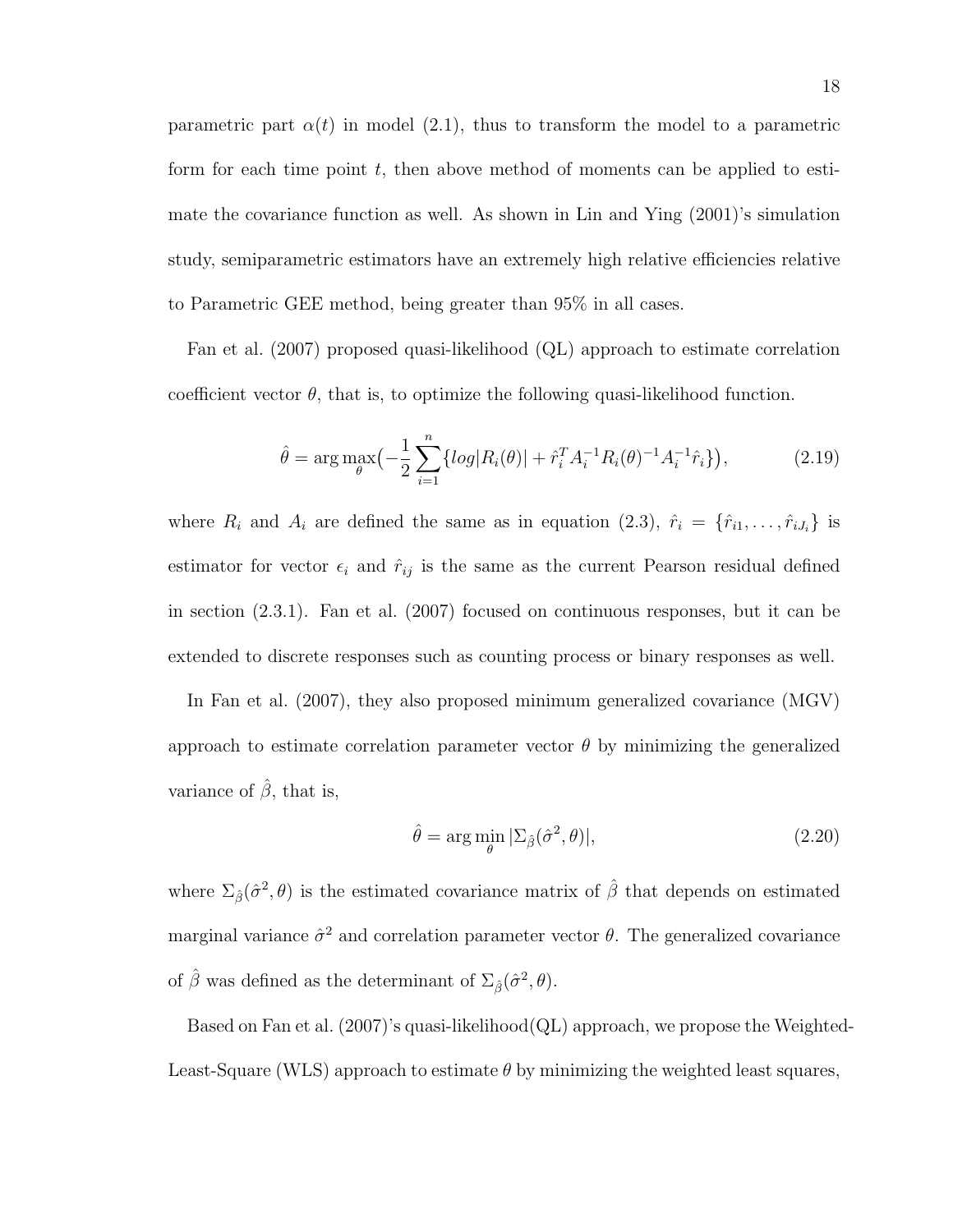parametric part  $\alpha(t)$  in model (2.1), thus to transform the model to a parametric form for each time point  $t$ , then above method of moments can be applied to estimate the covariance function as well. As shown in Lin and Ying (2001)'s simulation study, semiparametric estimators have an extremely high relative efficiencies relative to Parametric GEE method, being greater than 95% in all cases.

Fan et al. (2007) proposed quasi-likelihood (QL) approach to estimate correlation coefficient vector  $\theta$ , that is, to optimize the following quasi-likelihood function.

$$
\hat{\theta} = \arg \max_{\theta} \left( -\frac{1}{2} \sum_{i=1}^{n} \{ \log |R_i(\theta)| + \hat{r}_i^T A_i^{-1} R_i(\theta)^{-1} A_i^{-1} \hat{r}_i \} \right), \tag{2.19}
$$

where  $R_i$  and  $A_i$  are defined the same as in equation (2.3),  $\hat{r}_i = \{\hat{r}_{i1}, \dots, \hat{r}_{iJ_i}\}\$ is estimator for vector  $\epsilon_i$  and  $\hat{r}_{ij}$  is the same as the current Pearson residual defined in section (2.3.1). Fan et al. (2007) focused on continuous responses, but it can be extended to discrete responses such as counting process or binary responses as well.

In Fan et al. (2007), they also proposed minimum generalized covariance (MGV) approach to estimate correlation parameter vector  $\theta$  by minimizing the generalized variance of  $\hat{\beta}$ , that is,

$$
\hat{\theta} = \arg\min_{\theta} |\Sigma_{\hat{\beta}}(\hat{\sigma}^2, \theta)|,\tag{2.20}
$$

where  $\Sigma_{\hat{\beta}}(\hat{\sigma}^2, \theta)$  is the estimated covariance matrix of  $\hat{\beta}$  that depends on estimated marginal variance  $\hat{\sigma}^2$  and correlation parameter vector  $\theta$ . The generalized covariance of  $\hat{\beta}$  was defined as the determinant of  $\Sigma_{\hat{\beta}}(\hat{\sigma}^2, \theta)$ .

Based on Fan et al. (2007)'s quasi-likelihood(QL) approach, we propose the Weighted-Least-Square (WLS) approach to estimate  $\theta$  by minimizing the weighted least squares,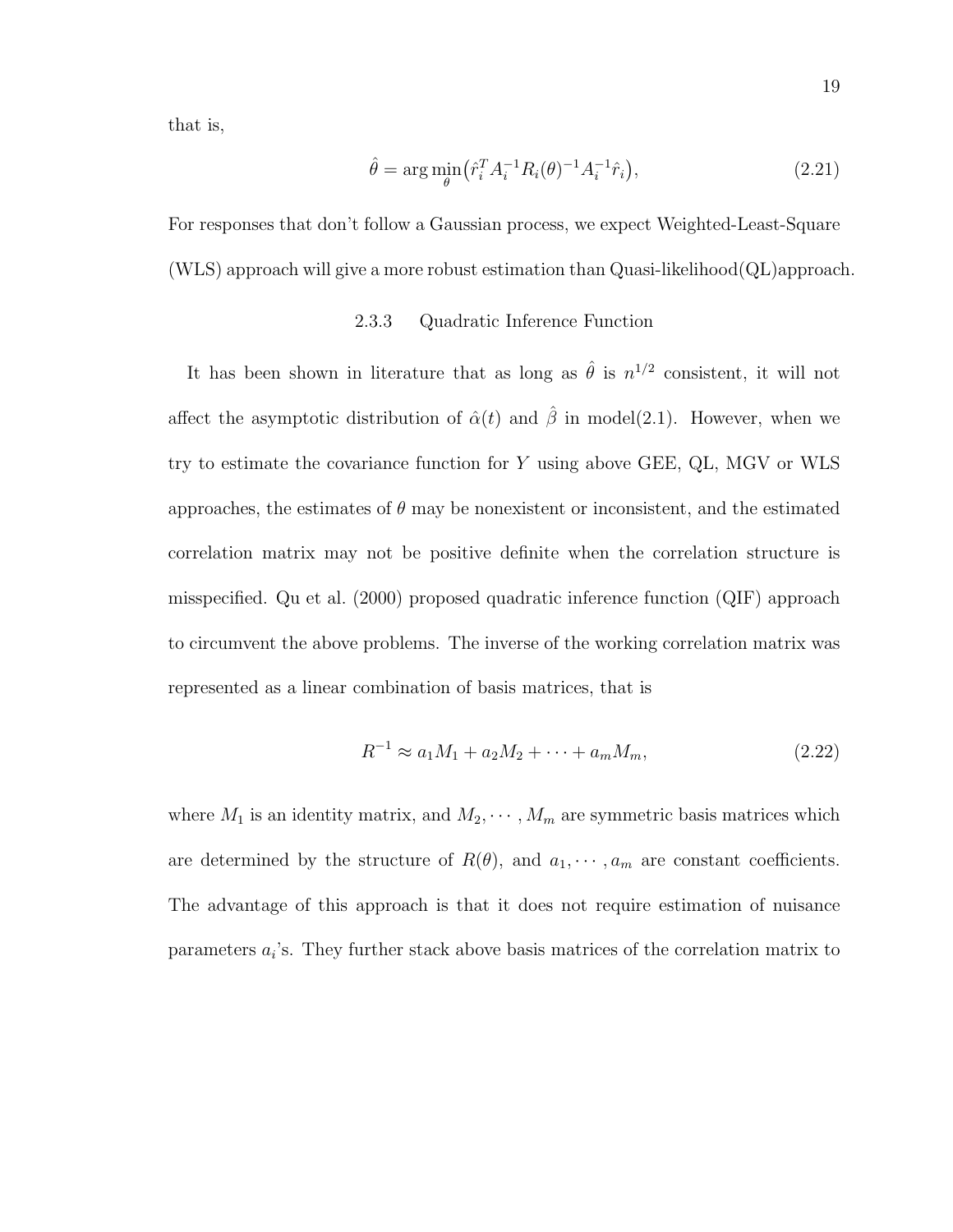that is,

$$
\hat{\theta} = \arg\min_{\theta} \left( \hat{r}_i^T A_i^{-1} R_i(\theta)^{-1} A_i^{-1} \hat{r}_i \right), \tag{2.21}
$$

For responses that don't follow a Gaussian process, we expect Weighted-Least-Square (WLS) approach will give a more robust estimation than Quasi-likelihood(QL)approach.

### 2.3.3 Quadratic Inference Function

It has been shown in literature that as long as  $\hat{\theta}$  is  $n^{1/2}$  consistent, it will not affect the asymptotic distribution of  $\hat{\alpha}(t)$  and  $\hat{\beta}$  in model(2.1). However, when we try to estimate the covariance function for Y using above GEE, QL, MGV or WLS approaches, the estimates of  $\theta$  may be nonexistent or inconsistent, and the estimated correlation matrix may not be positive definite when the correlation structure is misspecified. Qu et al. (2000) proposed quadratic inference function (QIF) approach to circumvent the above problems. The inverse of the working correlation matrix was represented as a linear combination of basis matrices, that is

$$
R^{-1} \approx a_1 M_1 + a_2 M_2 + \dots + a_m M_m,\tag{2.22}
$$

where  $M_1$  is an identity matrix, and  $M_2, \cdots, M_m$  are symmetric basis matrices which are determined by the structure of  $R(\theta)$ , and  $a_1, \dots, a_m$  are constant coefficients. The advantage of this approach is that it does not require estimation of nuisance parameters  $a_i$ 's. They further stack above basis matrices of the correlation matrix to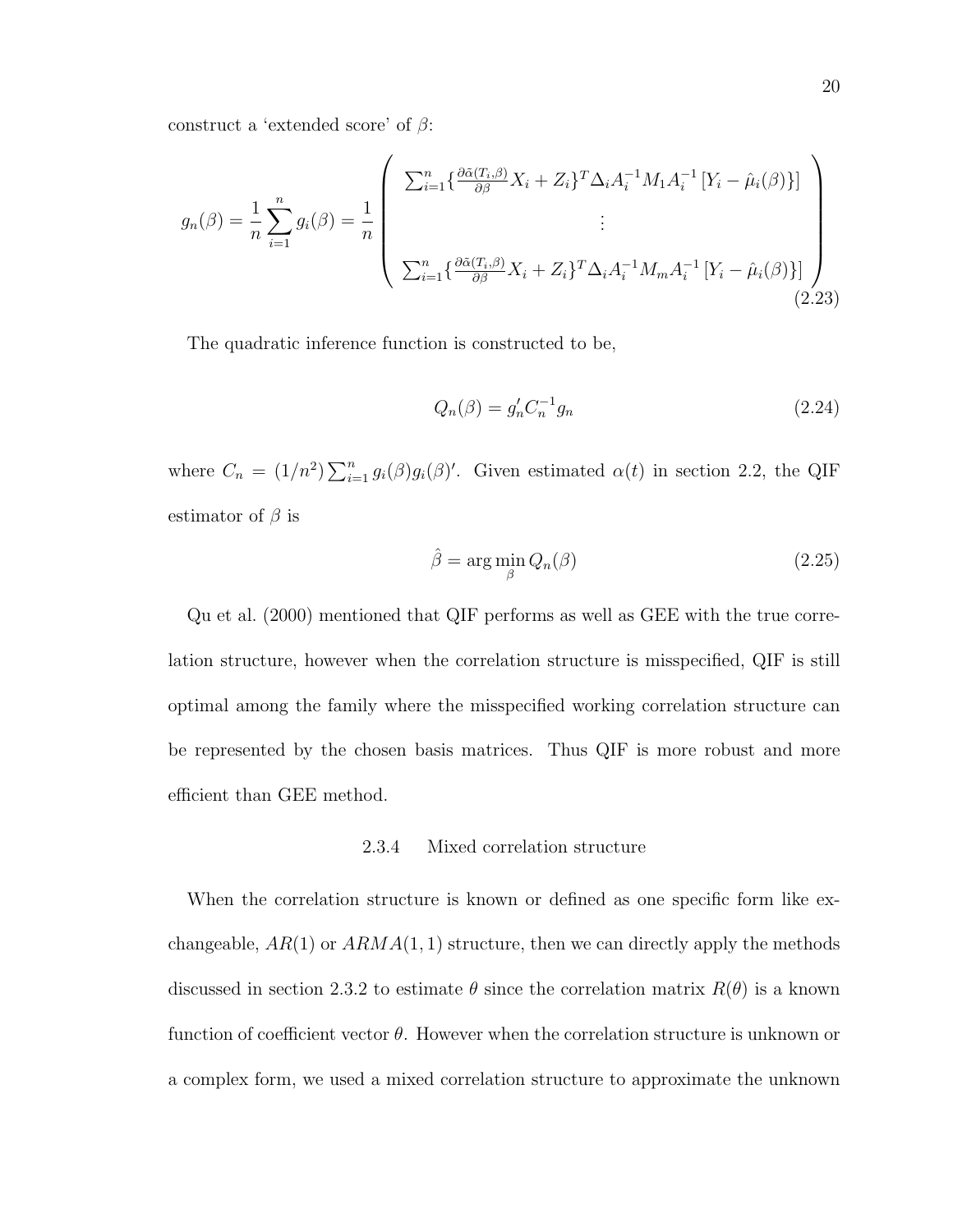construct a 'extended score' of  $\beta$ :

$$
g_n(\beta) = \frac{1}{n} \sum_{i=1}^n g_i(\beta) = \frac{1}{n} \left( \frac{\sum_{i=1}^n \{\frac{\partial \tilde{\alpha}(T_i, \beta)}{\partial \beta} X_i + Z_i\}^T \Delta_i A_i^{-1} M_1 A_i^{-1} \left[Y_i - \hat{\mu}_i(\beta)\right]\}}{\sum_{i=1}^n \{\frac{\partial \tilde{\alpha}(T_i, \beta)}{\partial \beta} X_i + Z_i\}^T \Delta_i A_i^{-1} M_m A_i^{-1} \left[Y_i - \hat{\mu}_i(\beta)\right]\}} \right) \tag{2.23}
$$

The quadratic inference function is constructed to be,

$$
Q_n(\beta) = g'_n C_n^{-1} g_n \tag{2.24}
$$

where  $C_n = (1/n^2) \sum_{i=1}^n g_i(\beta) g_i(\beta)'$ . Given estimated  $\alpha(t)$  in section 2.2, the QIF estimator of  $\beta$  is

$$
\hat{\beta} = \arg\min_{\beta} Q_n(\beta) \tag{2.25}
$$

Qu et al. (2000) mentioned that QIF performs as well as GEE with the true correlation structure, however when the correlation structure is misspecified, QIF is still optimal among the family where the misspecified working correlation structure can be represented by the chosen basis matrices. Thus QIF is more robust and more efficient than GEE method.

# 2.3.4 Mixed correlation structure

When the correlation structure is known or defined as one specific form like exchangeable,  $AR(1)$  or  $ARMA(1, 1)$  structure, then we can directly apply the methods discussed in section 2.3.2 to estimate  $\theta$  since the correlation matrix  $R(\theta)$  is a known function of coefficient vector  $\theta$ . However when the correlation structure is unknown or a complex form, we used a mixed correlation structure to approximate the unknown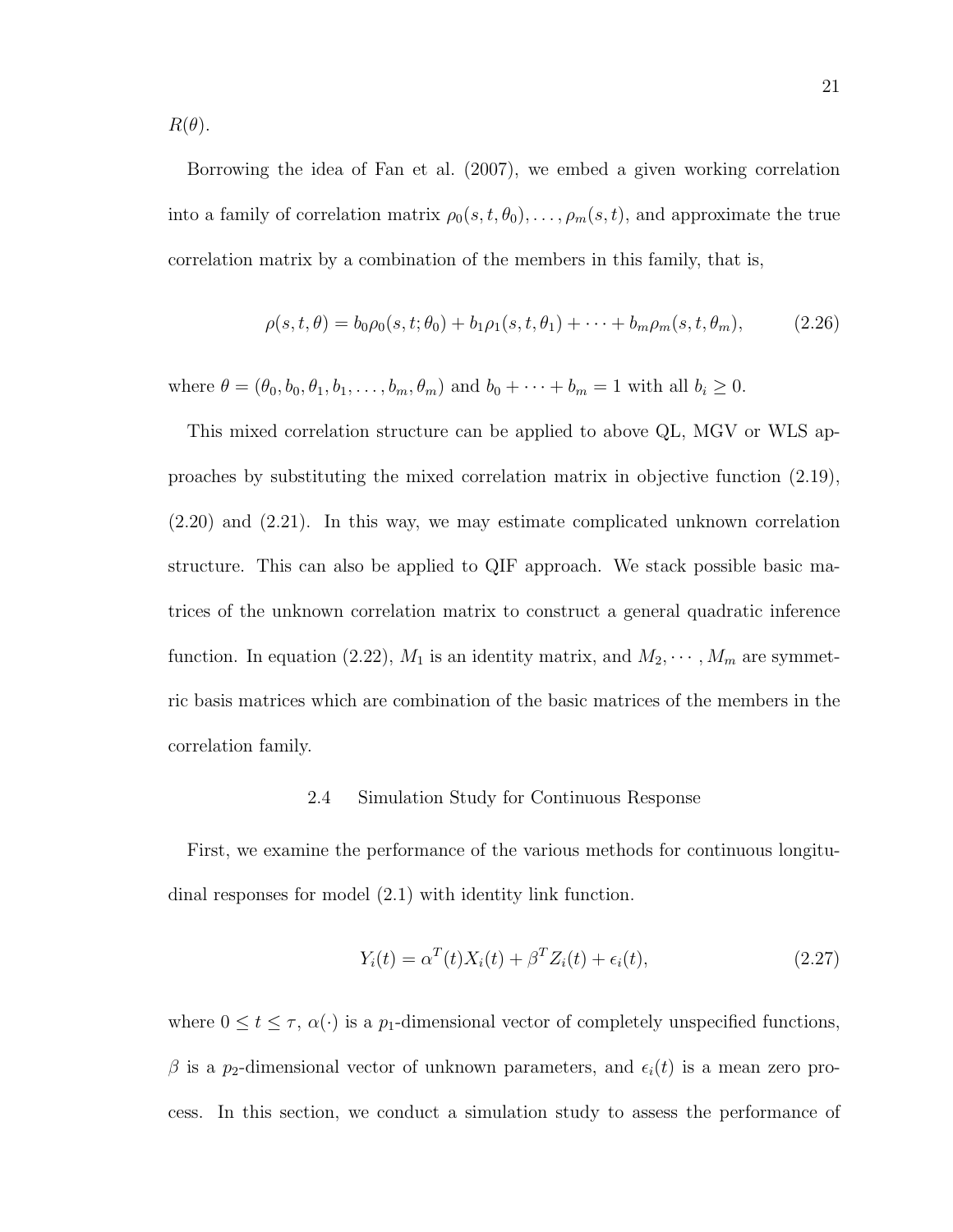$R(\theta)$ .

Borrowing the idea of Fan et al. (2007), we embed a given working correlation into a family of correlation matrix  $\rho_0(s, t, \theta_0), \ldots, \rho_m(s, t)$ , and approximate the true correlation matrix by a combination of the members in this family, that is,

$$
\rho(s, t, \theta) = b_0 \rho_0(s, t; \theta_0) + b_1 \rho_1(s, t, \theta_1) + \dots + b_m \rho_m(s, t, \theta_m), \tag{2.26}
$$

where  $\theta = (\theta_0, b_0, \theta_1, b_1, \dots, b_m, \theta_m)$  and  $b_0 + \dots + b_m = 1$  with all  $b_i \geq 0$ .

This mixed correlation structure can be applied to above QL, MGV or WLS approaches by substituting the mixed correlation matrix in objective function (2.19), (2.20) and (2.21). In this way, we may estimate complicated unknown correlation structure. This can also be applied to QIF approach. We stack possible basic matrices of the unknown correlation matrix to construct a general quadratic inference function. In equation (2.22),  $M_1$  is an identity matrix, and  $M_2, \dots, M_m$  are symmetric basis matrices which are combination of the basic matrices of the members in the correlation family.

# 2.4 Simulation Study for Continuous Response

First, we examine the performance of the various methods for continuous longitudinal responses for model (2.1) with identity link function.

$$
Y_i(t) = \alpha^T(t)X_i(t) + \beta^T Z_i(t) + \epsilon_i(t),
$$
\n(2.27)

where  $0 \le t \le \tau$ ,  $\alpha(\cdot)$  is a  $p_1$ -dimensional vector of completely unspecified functions, β is a p<sub>2</sub>-dimensional vector of unknown parameters, and  $\epsilon_i(t)$  is a mean zero process. In this section, we conduct a simulation study to assess the performance of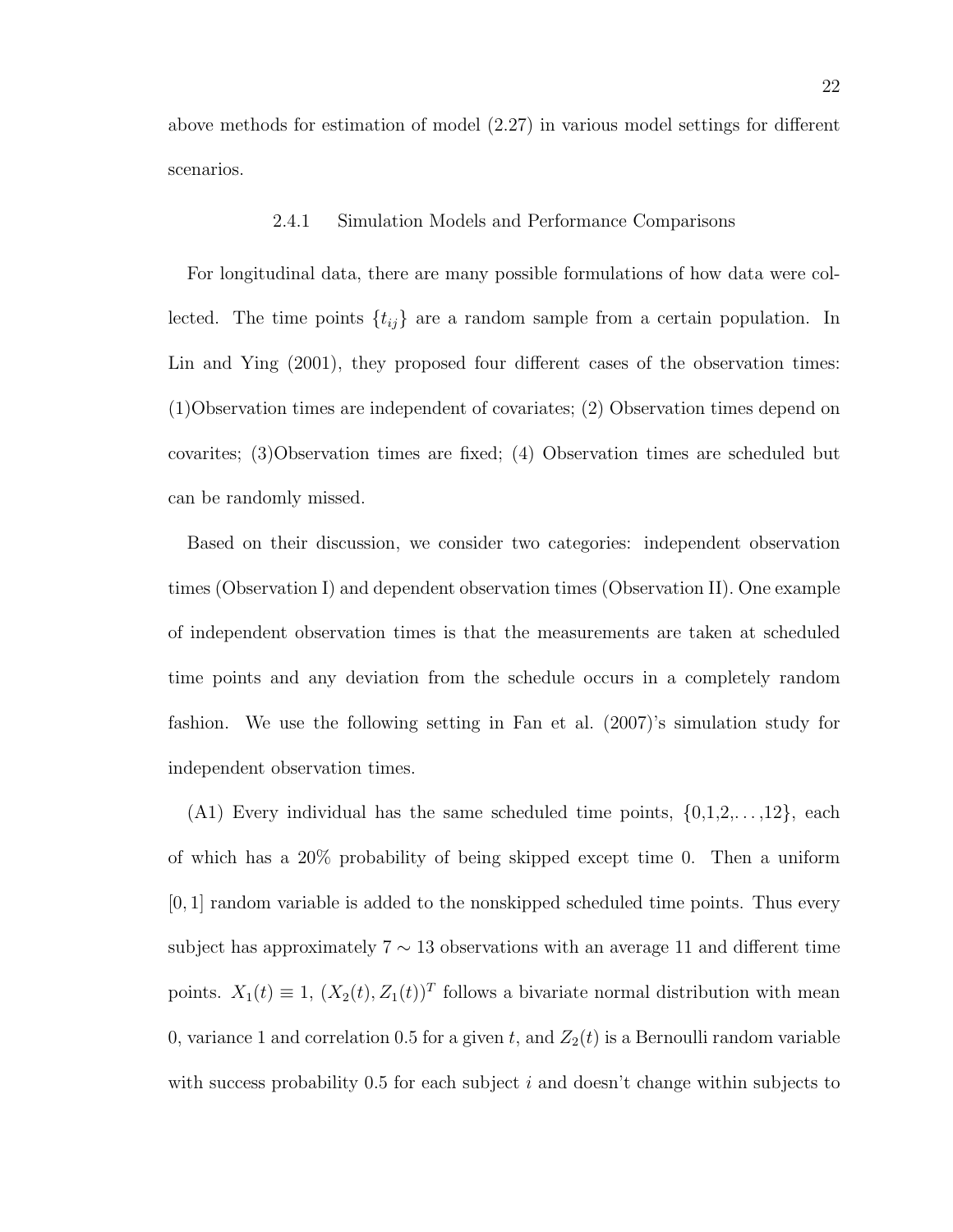above methods for estimation of model (2.27) in various model settings for different scenarios.

### 2.4.1 Simulation Models and Performance Comparisons

For longitudinal data, there are many possible formulations of how data were collected. The time points  $\{t_{ij}\}$  are a random sample from a certain population. In Lin and Ying (2001), they proposed four different cases of the observation times: (1)Observation times are independent of covariates; (2) Observation times depend on covarites; (3)Observation times are fixed; (4) Observation times are scheduled but can be randomly missed.

Based on their discussion, we consider two categories: independent observation times (Observation I) and dependent observation times (Observation II). One example of independent observation times is that the measurements are taken at scheduled time points and any deviation from the schedule occurs in a completely random fashion. We use the following setting in Fan et al. (2007)'s simulation study for independent observation times.

(A1) Every individual has the same scheduled time points,  $\{0,1,2,\ldots,12\}$ , each of which has a 20% probability of being skipped except time 0. Then a uniform  $[0, 1]$  random variable is added to the nonskipped scheduled time points. Thus every subject has approximately  $7 \sim 13$  observations with an average 11 and different time points.  $X_1(t) \equiv 1$ ,  $(X_2(t), Z_1(t))^T$  follows a bivariate normal distribution with mean 0, variance 1 and correlation 0.5 for a given  $t$ , and  $Z_2(t)$  is a Bernoulli random variable with success probability  $0.5$  for each subject i and doesn't change within subjects to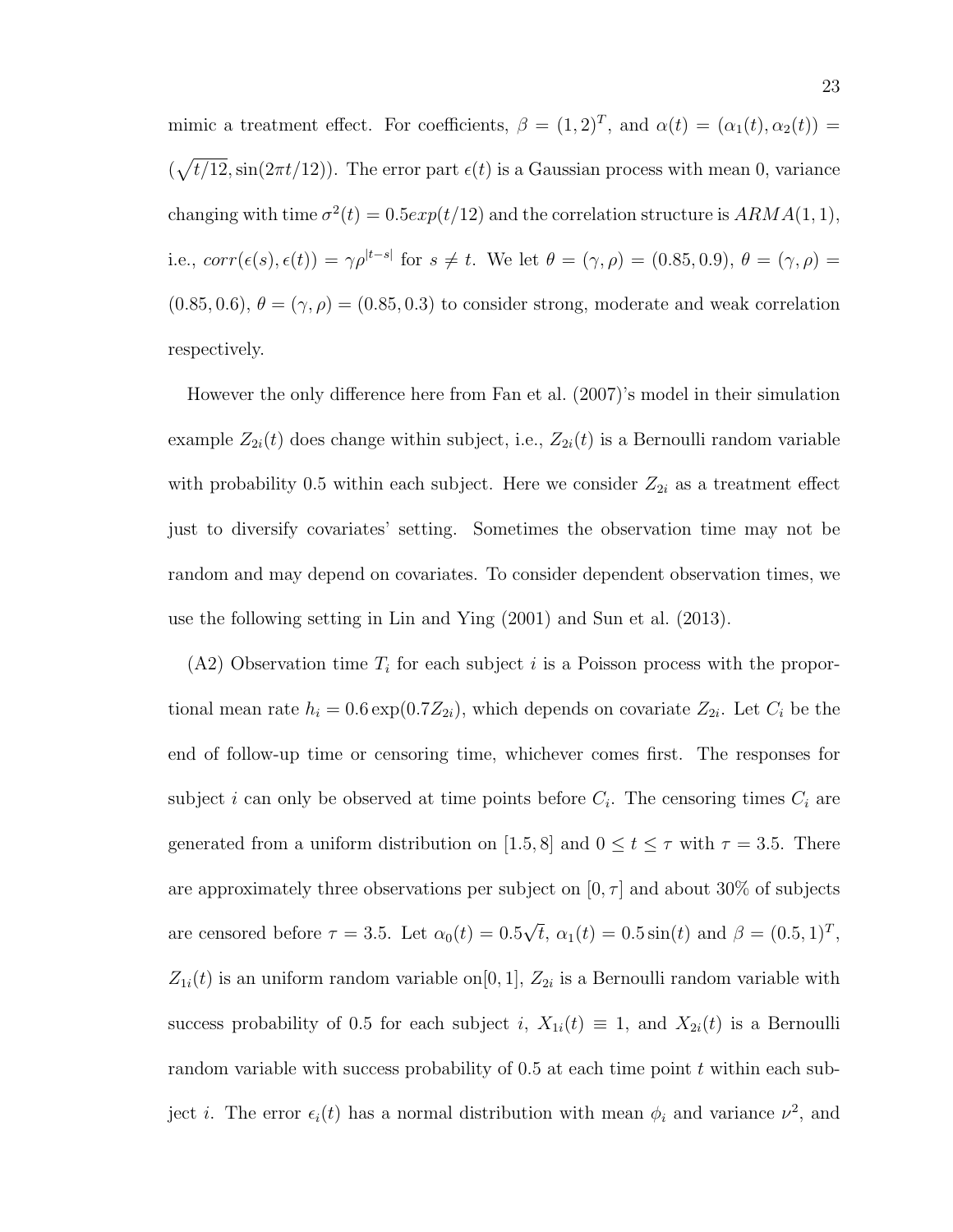mimic a treatment effect. For coefficients,  $\beta = (1,2)^T$ , and  $\alpha(t) = (\alpha_1(t), \alpha_2(t)) =$  $(\sqrt{t/12}, \sin(2\pi t/12))$ . The error part  $\epsilon(t)$  is a Gaussian process with mean 0, variance changing with time  $\sigma^2(t) = 0.5exp(t/12)$  and the correlation structure is  $ARMA(1, 1)$ , i.e.,  $corr(\epsilon(s), \epsilon(t)) = \gamma \rho^{|t-s|}$  for  $s \neq t$ . We let  $\theta = (\gamma, \rho) = (0.85, 0.9), \theta = (\gamma, \rho) =$  $(0.85, 0.6), \theta = (\gamma, \rho) = (0.85, 0.3)$  to consider strong, moderate and weak correlation respectively.

However the only difference here from Fan et al. (2007)'s model in their simulation example  $Z_{2i}(t)$  does change within subject, i.e.,  $Z_{2i}(t)$  is a Bernoulli random variable with probability 0.5 within each subject. Here we consider  $Z_{2i}$  as a treatment effect just to diversify covariates' setting. Sometimes the observation time may not be random and may depend on covariates. To consider dependent observation times, we use the following setting in Lin and Ying (2001) and Sun et al. (2013).

 $(A2)$  Observation time  $T_i$  for each subject i is a Poisson process with the proportional mean rate  $h_i = 0.6 \exp(0.7Z_{2i})$ , which depends on covariate  $Z_{2i}$ . Let  $C_i$  be the end of follow-up time or censoring time, whichever comes first. The responses for subject *i* can only be observed at time points before  $C_i$ . The censoring times  $C_i$  are generated from a uniform distribution on [1.5, 8] and  $0 \le t \le \tau$  with  $\tau = 3.5$ . There are approximately three observations per subject on  $[0, \tau]$  and about 30% of subjects are censored before  $\tau = 3.5$ . Let  $\alpha_0(t) = 0.5$ √  $\bar{t}$ ,  $\alpha_1(t) = 0.5 \sin(t)$  and  $\beta = (0.5, 1)^T$ ,  $Z_{1i}(t)$  is an uniform random variable on $[0, 1]$ ,  $Z_{2i}$  is a Bernoulli random variable with success probability of 0.5 for each subject i,  $X_{1i}(t) \equiv 1$ , and  $X_{2i}(t)$  is a Bernoulli random variable with success probability of  $0.5$  at each time point t within each subject *i*. The error  $\epsilon_i(t)$  has a normal distribution with mean  $\phi_i$  and variance  $\nu^2$ , and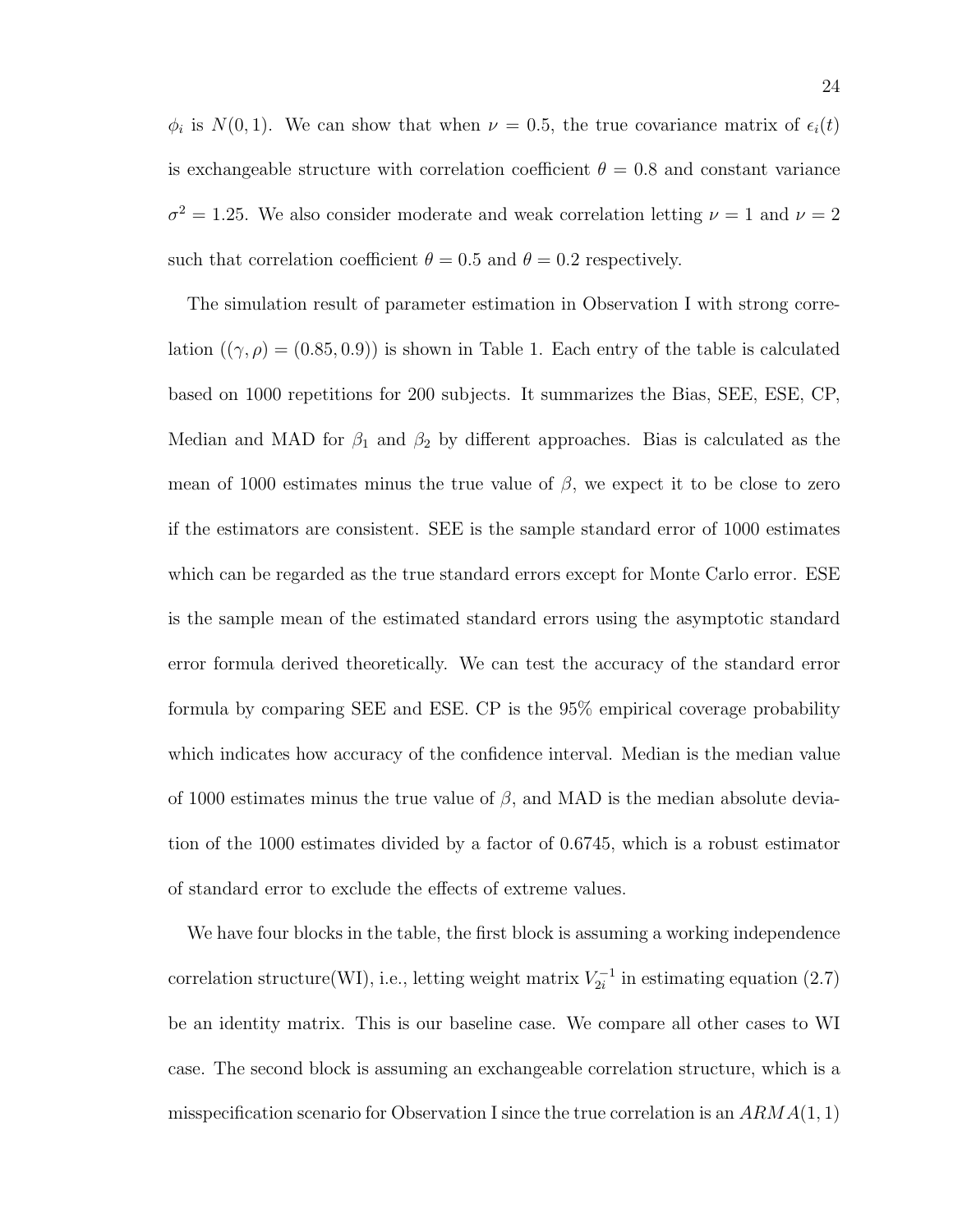$\phi_i$  is  $N(0, 1)$ . We can show that when  $\nu = 0.5$ , the true covariance matrix of  $\epsilon_i(t)$ is exchangeable structure with correlation coefficient  $\theta = 0.8$  and constant variance  $\sigma^2 = 1.25$ . We also consider moderate and weak correlation letting  $\nu = 1$  and  $\nu = 2$ such that correlation coefficient  $\theta = 0.5$  and  $\theta = 0.2$  respectively.

The simulation result of parameter estimation in Observation I with strong correlation  $((\gamma, \rho) = (0.85, 0.9))$  is shown in Table 1. Each entry of the table is calculated based on 1000 repetitions for 200 subjects. It summarizes the Bias, SEE, ESE, CP, Median and MAD for  $\beta_1$  and  $\beta_2$  by different approaches. Bias is calculated as the mean of 1000 estimates minus the true value of  $\beta$ , we expect it to be close to zero if the estimators are consistent. SEE is the sample standard error of 1000 estimates which can be regarded as the true standard errors except for Monte Carlo error. ESE is the sample mean of the estimated standard errors using the asymptotic standard error formula derived theoretically. We can test the accuracy of the standard error formula by comparing SEE and ESE. CP is the 95% empirical coverage probability which indicates how accuracy of the confidence interval. Median is the median value of 1000 estimates minus the true value of  $\beta$ , and MAD is the median absolute deviation of the 1000 estimates divided by a factor of 0.6745, which is a robust estimator of standard error to exclude the effects of extreme values.

We have four blocks in the table, the first block is assuming a working independence correlation structure(WI), i.e., letting weight matrix  $V_{2i}^{-1}$  $\zeta_{2i}^{-1}$  in estimating equation (2.7) be an identity matrix. This is our baseline case. We compare all other cases to WI case. The second block is assuming an exchangeable correlation structure, which is a misspecification scenario for Observation I since the true correlation is an  $ARMA(1, 1)$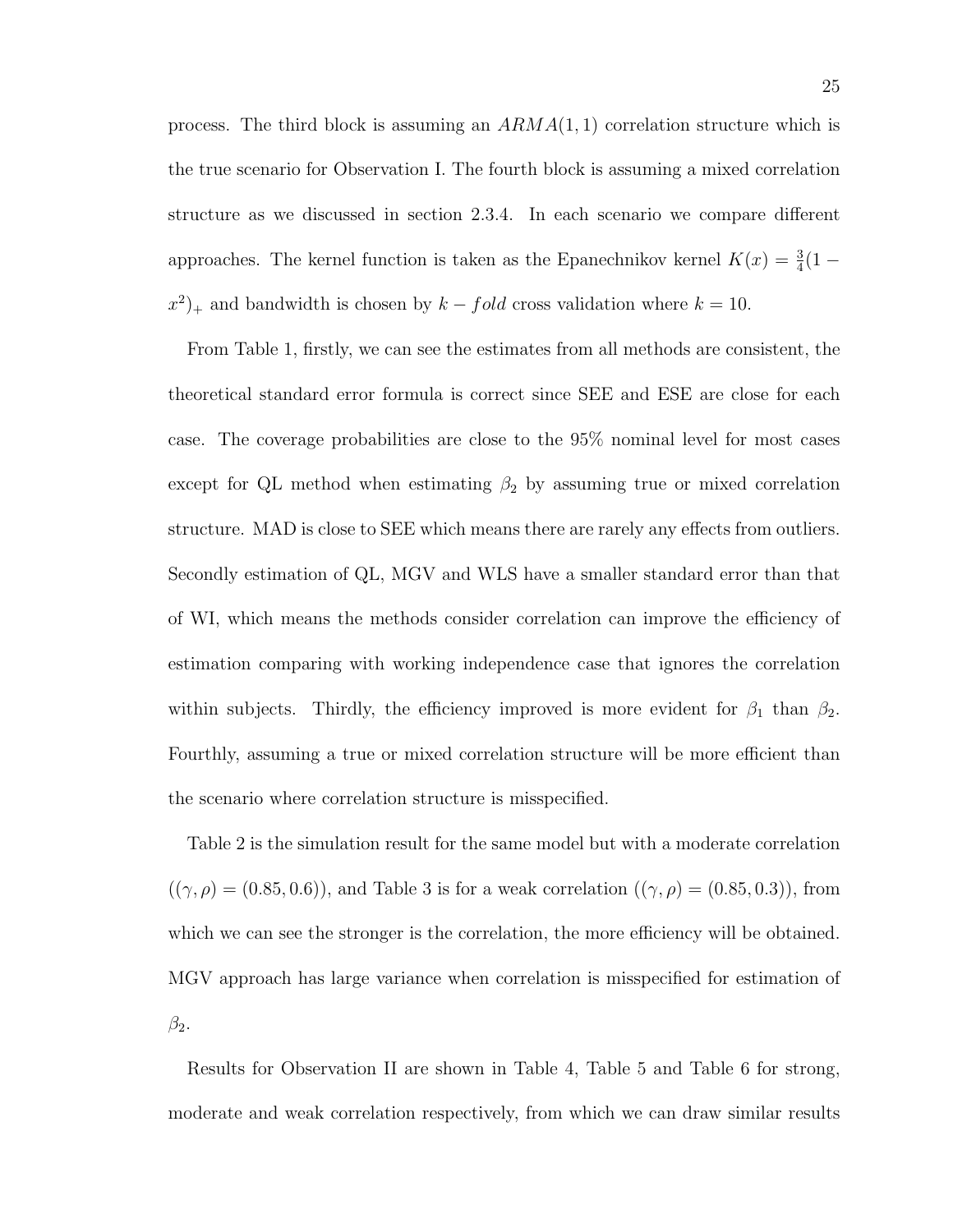process. The third block is assuming an  $ARMA(1, 1)$  correlation structure which is the true scenario for Observation I. The fourth block is assuming a mixed correlation structure as we discussed in section 2.3.4. In each scenario we compare different approaches. The kernel function is taken as the Epanechnikov kernel  $K(x) = \frac{3}{4}(1 (x^2)_+$  and bandwidth is chosen by  $k - fold$  cross validation where  $k = 10$ .

From Table 1, firstly, we can see the estimates from all methods are consistent, the theoretical standard error formula is correct since SEE and ESE are close for each case. The coverage probabilities are close to the 95% nominal level for most cases except for QL method when estimating  $\beta_2$  by assuming true or mixed correlation structure. MAD is close to SEE which means there are rarely any effects from outliers. Secondly estimation of QL, MGV and WLS have a smaller standard error than that of WI, which means the methods consider correlation can improve the efficiency of estimation comparing with working independence case that ignores the correlation within subjects. Thirdly, the efficiency improved is more evident for  $\beta_1$  than  $\beta_2$ . Fourthly, assuming a true or mixed correlation structure will be more efficient than the scenario where correlation structure is misspecified.

Table 2 is the simulation result for the same model but with a moderate correlation  $((\gamma, \rho) = (0.85, 0.6))$ , and Table 3 is for a weak correlation  $((\gamma, \rho) = (0.85, 0.3))$ , from which we can see the stronger is the correlation, the more efficiency will be obtained. MGV approach has large variance when correlation is misspecified for estimation of  $\beta_2$ .

Results for Observation II are shown in Table 4, Table 5 and Table 6 for strong, moderate and weak correlation respectively, from which we can draw similar results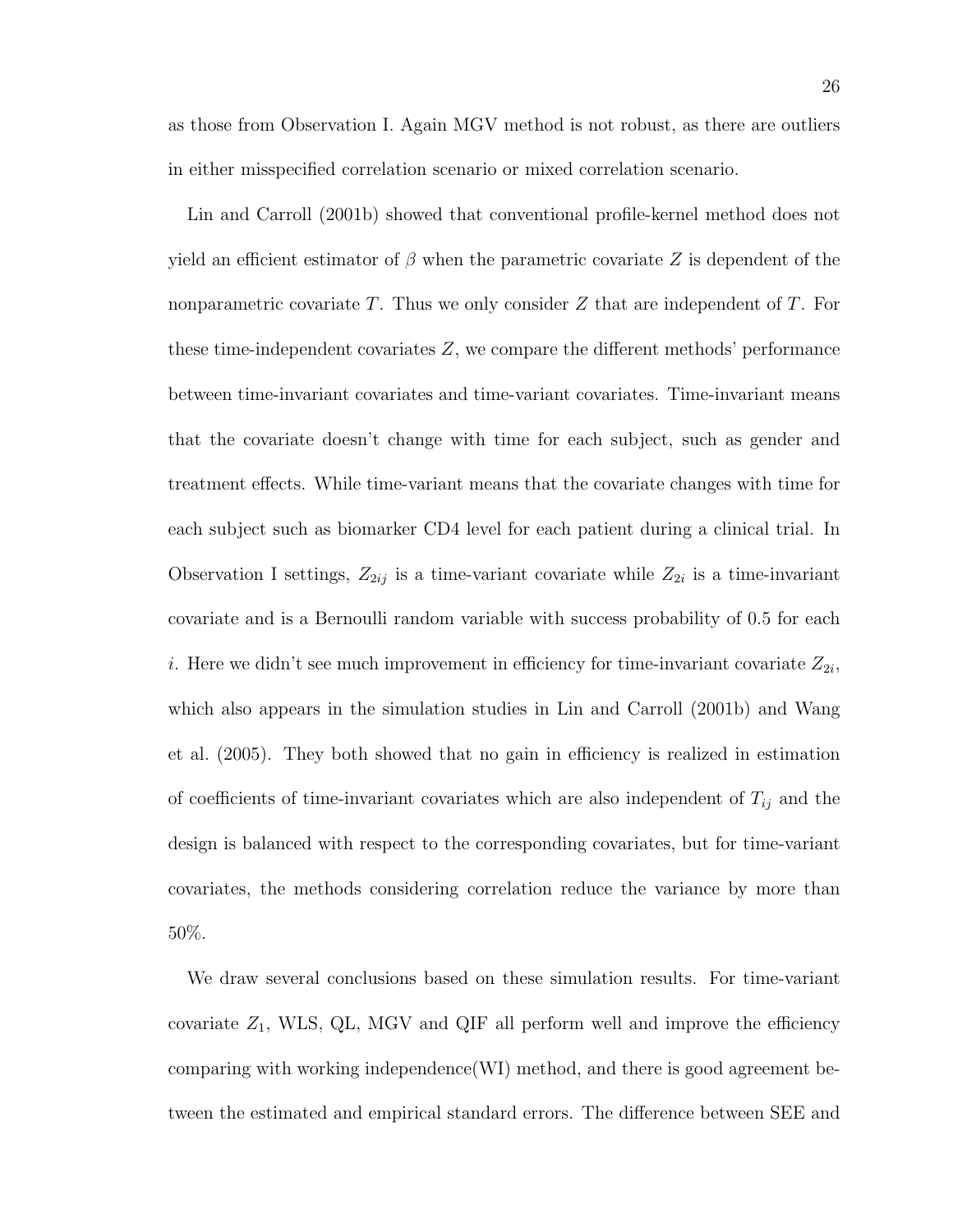as those from Observation I. Again MGV method is not robust, as there are outliers in either misspecified correlation scenario or mixed correlation scenario.

Lin and Carroll (2001b) showed that conventional profile-kernel method does not yield an efficient estimator of  $\beta$  when the parametric covariate Z is dependent of the nonparametric covariate T. Thus we only consider  $Z$  that are independent of T. For these time-independent covariates Z, we compare the different methods' performance between time-invariant covariates and time-variant covariates. Time-invariant means that the covariate doesn't change with time for each subject, such as gender and treatment effects. While time-variant means that the covariate changes with time for each subject such as biomarker CD4 level for each patient during a clinical trial. In Observation I settings,  $Z_{2ij}$  is a time-variant covariate while  $Z_{2i}$  is a time-invariant covariate and is a Bernoulli random variable with success probability of 0.5 for each *i*. Here we didn't see much improvement in efficiency for time-invariant covariate  $Z_{2i}$ , which also appears in the simulation studies in Lin and Carroll (2001b) and Wang et al. (2005). They both showed that no gain in efficiency is realized in estimation of coefficients of time-invariant covariates which are also independent of  $T_{ij}$  and the design is balanced with respect to the corresponding covariates, but for time-variant covariates, the methods considering correlation reduce the variance by more than 50%.

We draw several conclusions based on these simulation results. For time-variant covariate  $Z_1$ , WLS, QL, MGV and QIF all perform well and improve the efficiency comparing with working independence(WI) method, and there is good agreement between the estimated and empirical standard errors. The difference between SEE and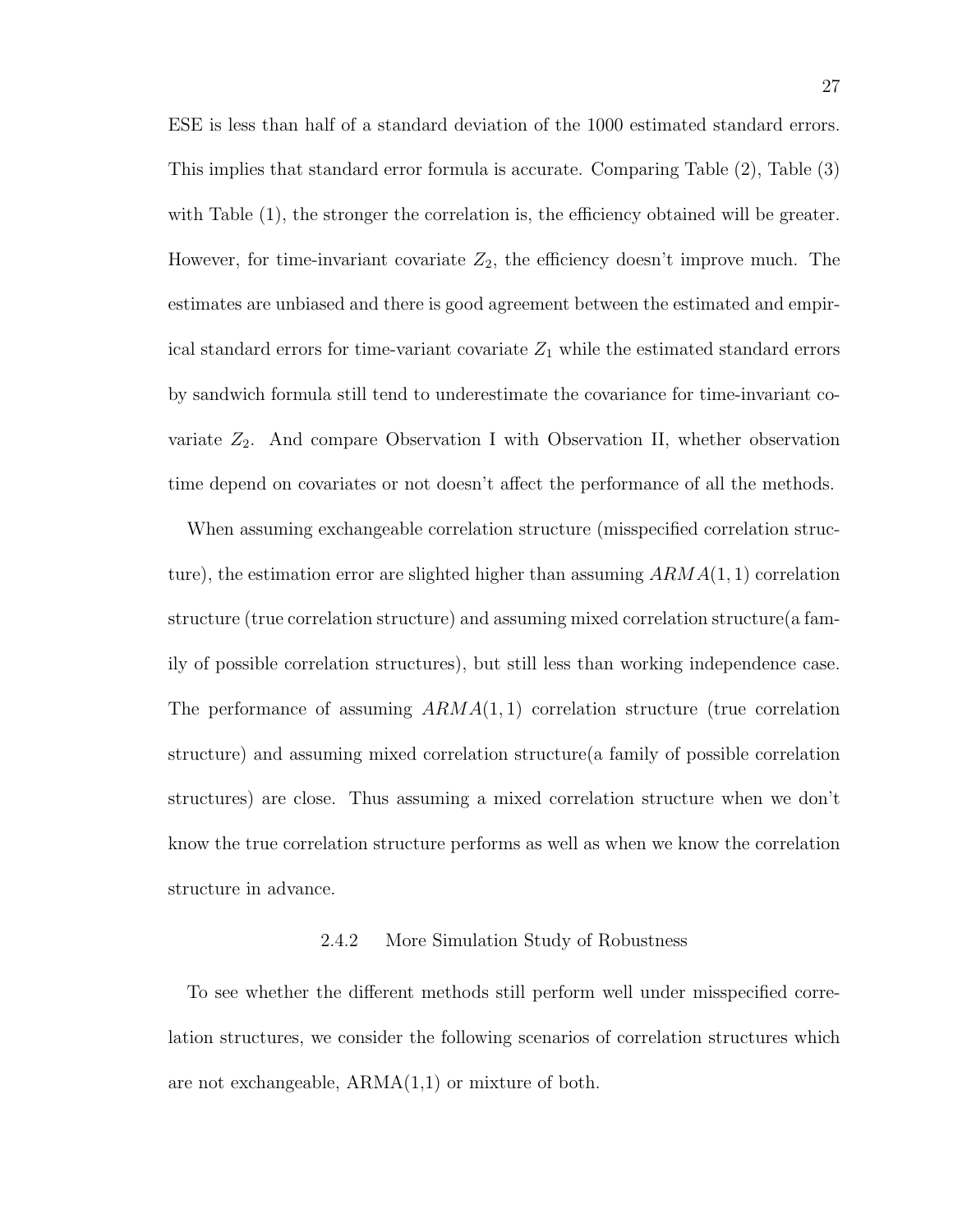ESE is less than half of a standard deviation of the 1000 estimated standard errors. This implies that standard error formula is accurate. Comparing Table (2), Table (3) with Table (1), the stronger the correlation is, the efficiency obtained will be greater. However, for time-invariant covariate  $Z_2$ , the efficiency doesn't improve much. The estimates are unbiased and there is good agreement between the estimated and empirical standard errors for time-variant covariate  $Z_1$  while the estimated standard errors by sandwich formula still tend to underestimate the covariance for time-invariant covariate  $Z_2$ . And compare Observation I with Observation II, whether observation time depend on covariates or not doesn't affect the performance of all the methods.

When assuming exchangeable correlation structure (misspecified correlation structure), the estimation error are slighted higher than assuming  $ARMA(1, 1)$  correlation structure (true correlation structure) and assuming mixed correlation structure(a family of possible correlation structures), but still less than working independence case. The performance of assuming  $ARMA(1, 1)$  correlation structure (true correlation structure) and assuming mixed correlation structure(a family of possible correlation structures) are close. Thus assuming a mixed correlation structure when we don't know the true correlation structure performs as well as when we know the correlation structure in advance.

## 2.4.2 More Simulation Study of Robustness

To see whether the different methods still perform well under misspecified correlation structures, we consider the following scenarios of correlation structures which are not exchangeable, ARMA(1,1) or mixture of both.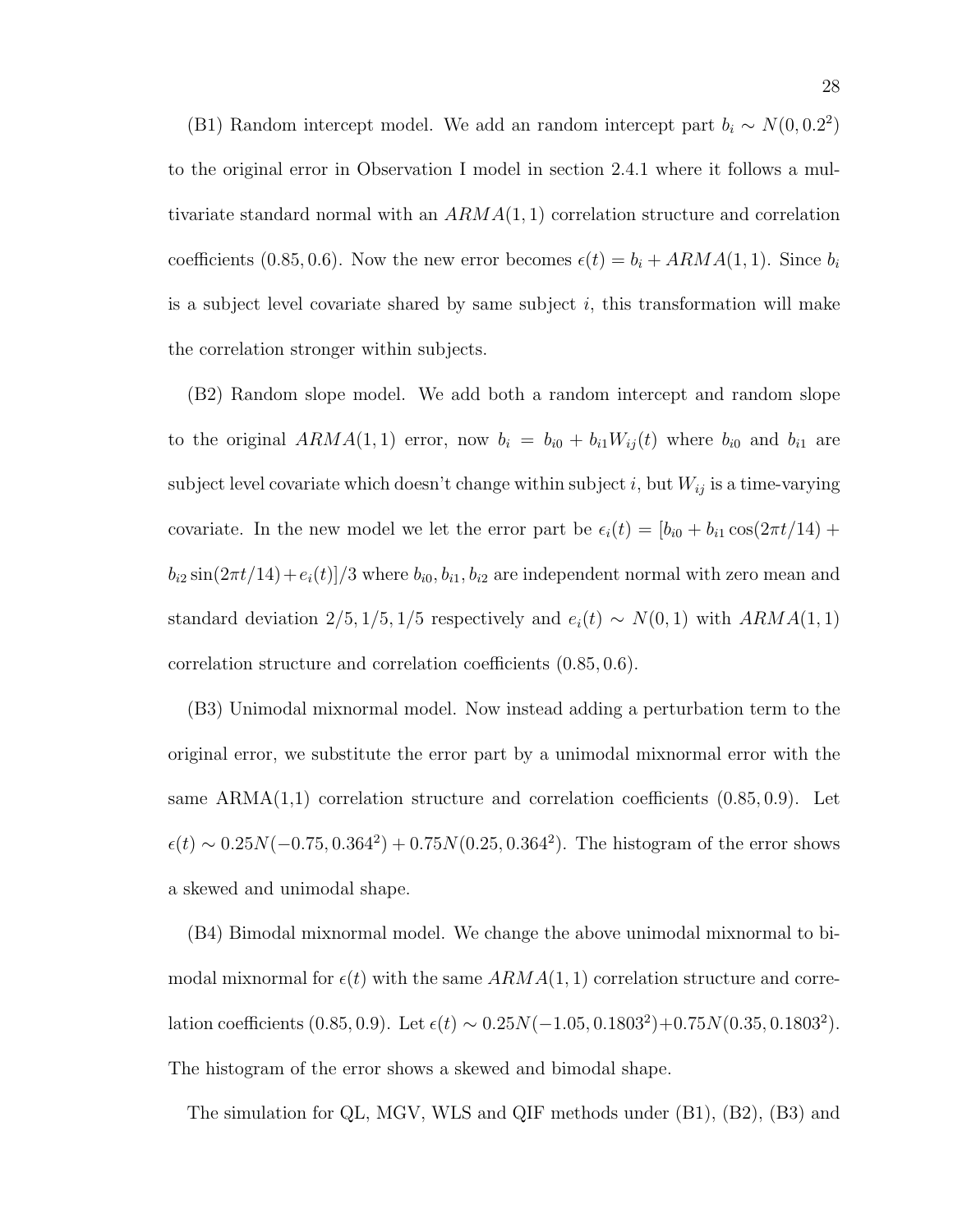(B1) Random intercept model. We add an random intercept part  $b_i \sim N(0, 0.2^2)$ to the original error in Observation I model in section 2.4.1 where it follows a multivariate standard normal with an  $ARMA(1, 1)$  correlation structure and correlation coefficients (0.85, 0.6). Now the new error becomes  $\epsilon(t) = b_i + ARMA(1, 1)$ . Since  $b_i$ is a subject level covariate shared by same subject  $i$ , this transformation will make the correlation stronger within subjects.

(B2) Random slope model. We add both a random intercept and random slope to the original  $ARMA(1, 1)$  error, now  $b_i = b_{i0} + b_{i1}W_{ij}(t)$  where  $b_{i0}$  and  $b_{i1}$  are subject level covariate which doesn't change within subject i, but  $W_{ij}$  is a time-varying covariate. In the new model we let the error part be  $\epsilon_i(t) = [b_{i0} + b_{i1} \cos(2\pi t/14) +$  $b_{i2} \sin(2\pi t/14) + e_i(t)/3$  where  $b_{i0}, b_{i1}, b_{i2}$  are independent normal with zero mean and standard deviation  $2/5$ ,  $1/5$ ,  $1/5$  respectively and  $e_i(t) \sim N(0, 1)$  with  $ARMA(1, 1)$ correlation structure and correlation coefficients (0.85, 0.6).

(B3) Unimodal mixnormal model. Now instead adding a perturbation term to the original error, we substitute the error part by a unimodal mixnormal error with the same  $ARMA(1,1)$  correlation structure and correlation coefficients  $(0.85, 0.9)$ . Let  $\epsilon(t) \sim 0.25N(-0.75, 0.364^2) + 0.75N(0.25, 0.364^2)$ . The histogram of the error shows a skewed and unimodal shape.

(B4) Bimodal mixnormal model. We change the above unimodal mixnormal to bimodal mixnormal for  $\epsilon(t)$  with the same  $ARMA(1, 1)$  correlation structure and correlation coefficients  $(0.85, 0.9)$ . Let  $\epsilon(t) \sim 0.25N(-1.05, 0.1803^2) + 0.75N(0.35, 0.1803^2)$ . The histogram of the error shows a skewed and bimodal shape.

The simulation for QL, MGV, WLS and QIF methods under (B1), (B2), (B3) and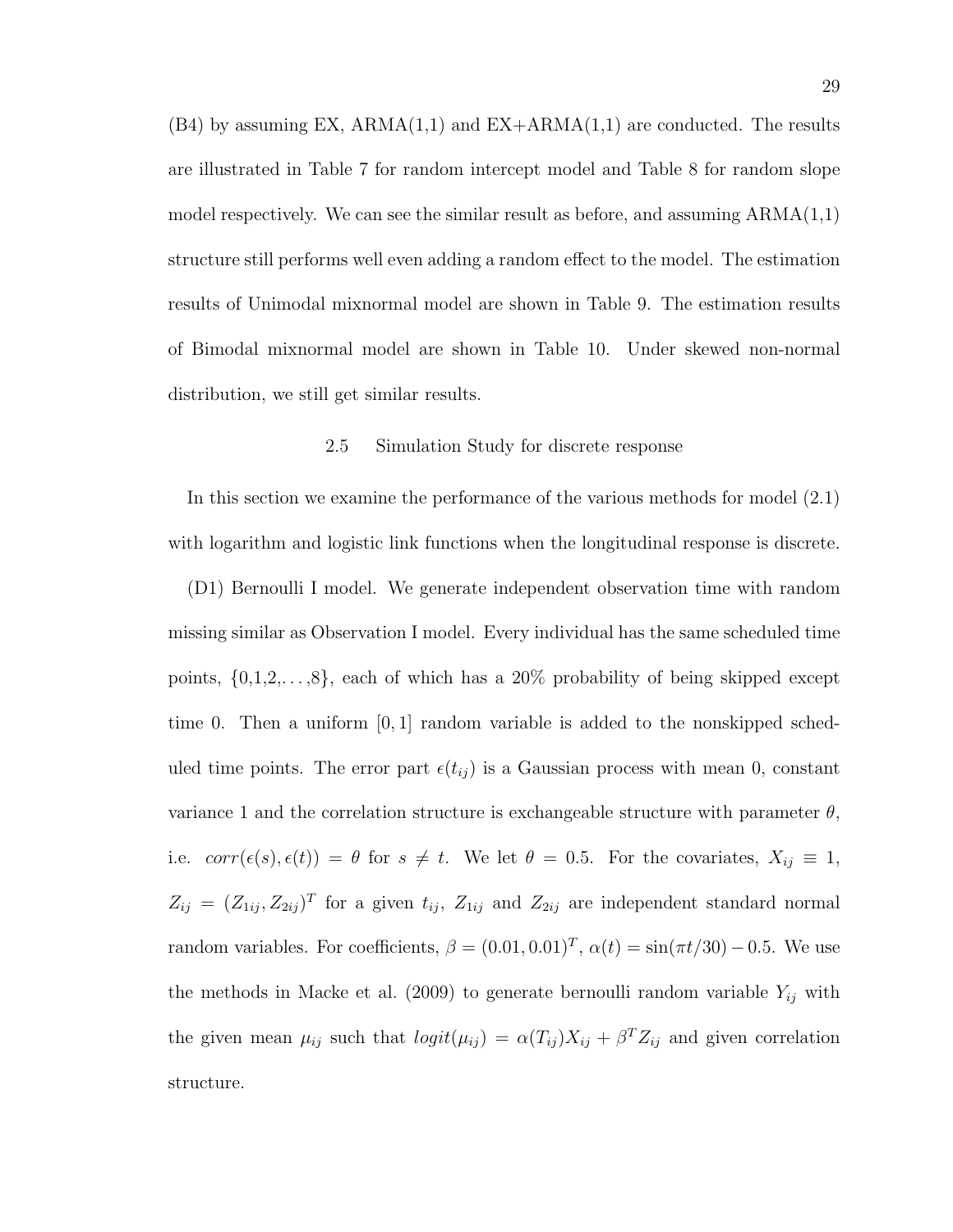$(B4)$  by assuming EX,  $ARMA(1,1)$  and  $EX+ARMA(1,1)$  are conducted. The results are illustrated in Table 7 for random intercept model and Table 8 for random slope model respectively. We can see the similar result as before, and assuming  $ARMA(1,1)$ structure still performs well even adding a random effect to the model. The estimation results of Unimodal mixnormal model are shown in Table 9. The estimation results of Bimodal mixnormal model are shown in Table 10. Under skewed non-normal distribution, we still get similar results.

## 2.5 Simulation Study for discrete response

In this section we examine the performance of the various methods for model (2.1) with logarithm and logistic link functions when the longitudinal response is discrete.

(D1) Bernoulli I model. We generate independent observation time with random missing similar as Observation I model. Every individual has the same scheduled time points,  $\{0,1,2,\ldots,8\}$ , each of which has a 20% probability of being skipped except time 0. Then a uniform  $[0, 1]$  random variable is added to the nonskipped scheduled time points. The error part  $\epsilon(t_{ij})$  is a Gaussian process with mean 0, constant variance 1 and the correlation structure is exchangeable structure with parameter  $\theta$ , i.e.  $corr(\epsilon(s), \epsilon(t)) = \theta$  for  $s \neq t$ . We let  $\theta = 0.5$ . For the covariates,  $X_{ij} \equiv 1$ ,  $Z_{ij} = (Z_{1ij}, Z_{2ij})^T$  for a given  $t_{ij}$ ,  $Z_{1ij}$  and  $Z_{2ij}$  are independent standard normal random variables. For coefficients,  $\beta = (0.01, 0.01)^T$ ,  $\alpha(t) = \sin(\pi t/30) - 0.5$ . We use the methods in Macke et al. (2009) to generate bernoulli random variable  $Y_{ij}$  with the given mean  $\mu_{ij}$  such that  $logit(\mu_{ij}) = \alpha(T_{ij})X_{ij} + \beta^{T}Z_{ij}$  and given correlation structure.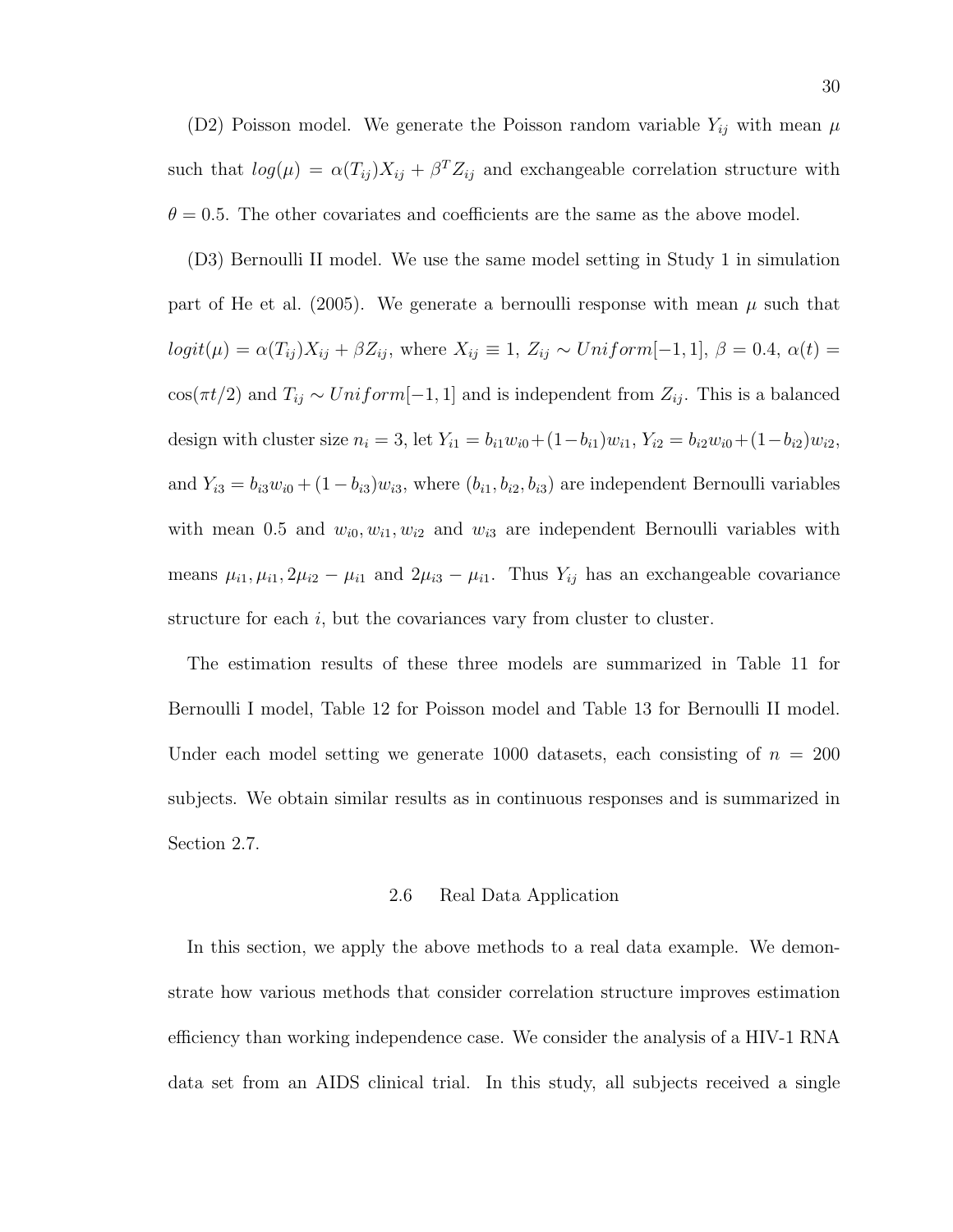(D2) Poisson model. We generate the Poisson random variable  $Y_{ij}$  with mean  $\mu$ such that  $log(\mu) = \alpha(T_{ij})X_{ij} + \beta^{T}Z_{ij}$  and exchangeable correlation structure with  $\theta = 0.5$ . The other covariates and coefficients are the same as the above model.

(D3) Bernoulli II model. We use the same model setting in Study 1 in simulation part of He et al. (2005). We generate a bernoulli response with mean  $\mu$  such that  $logit(\mu) = \alpha(T_{ij})X_{ij} + \beta Z_{ij}$ , where  $X_{ij} \equiv 1, Z_{ij} \sim Uniform[-1, 1], \beta = 0.4, \alpha(t) =$  $cos(\pi t/2)$  and  $T_{ij} \sim Uniform[-1, 1]$  and is independent from  $Z_{ij}$ . This is a balanced design with cluster size  $n_i = 3$ , let  $Y_{i1} = b_{i1}w_{i0} + (1 - b_{i1})w_{i1}$ ,  $Y_{i2} = b_{i2}w_{i0} + (1 - b_{i2})w_{i2}$ , and  $Y_{i3} = b_{i3}w_{i0} + (1 - b_{i3})w_{i3}$ , where  $(b_{i1}, b_{i2}, b_{i3})$  are independent Bernoulli variables with mean 0.5 and  $w_{i0}, w_{i1}, w_{i2}$  and  $w_{i3}$  are independent Bernoulli variables with means  $\mu_{i1}, \mu_{i1}, 2\mu_{i2} - \mu_{i1}$  and  $2\mu_{i3} - \mu_{i1}$ . Thus  $Y_{ij}$  has an exchangeable covariance structure for each  $i$ , but the covariances vary from cluster to cluster.

The estimation results of these three models are summarized in Table 11 for Bernoulli I model, Table 12 for Poisson model and Table 13 for Bernoulli II model. Under each model setting we generate 1000 datasets, each consisting of  $n = 200$ subjects. We obtain similar results as in continuous responses and is summarized in Section 2.7.

### 2.6 Real Data Application

In this section, we apply the above methods to a real data example. We demonstrate how various methods that consider correlation structure improves estimation efficiency than working independence case. We consider the analysis of a HIV-1 RNA data set from an AIDS clinical trial. In this study, all subjects received a single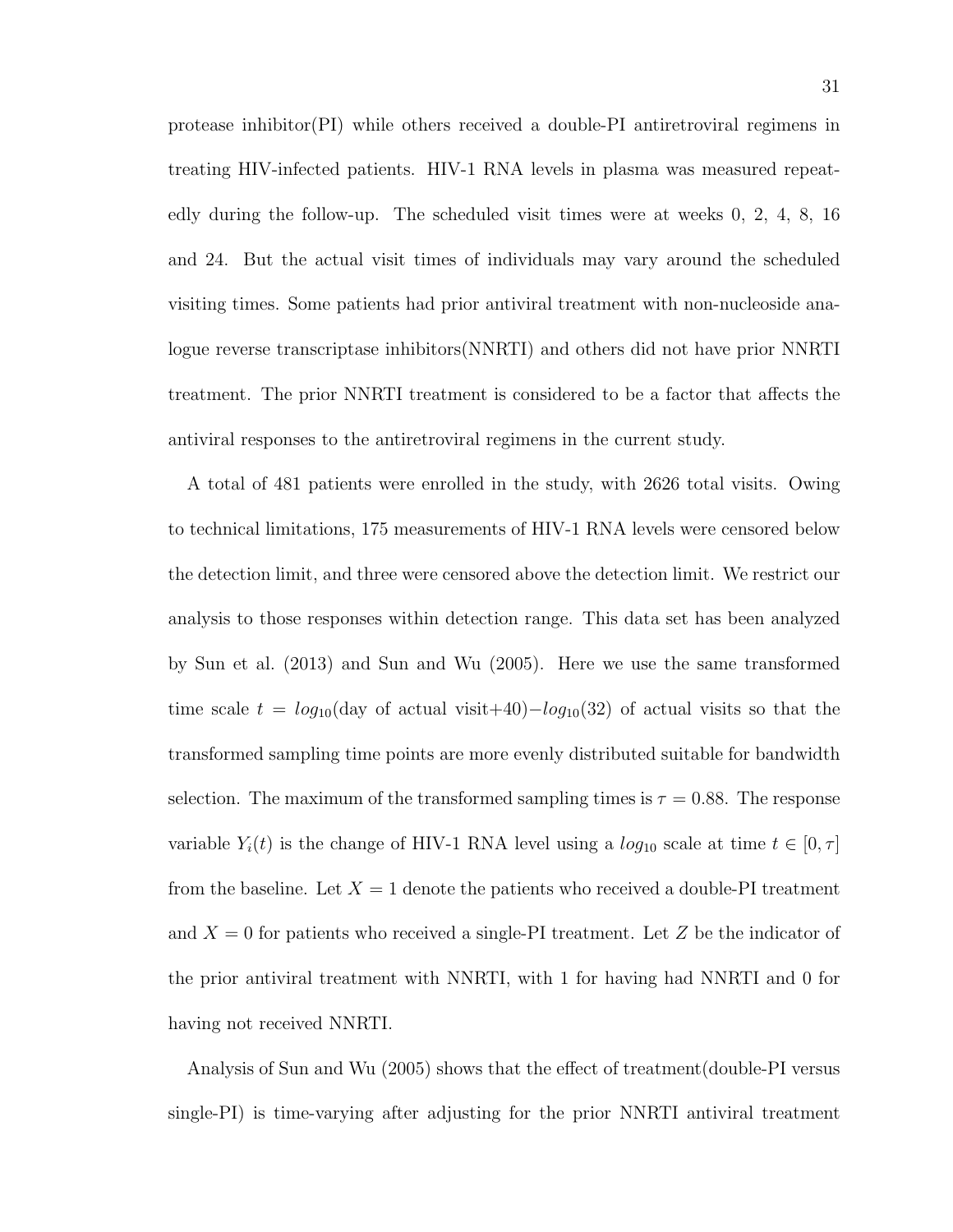protease inhibitor(PI) while others received a double-PI antiretroviral regimens in treating HIV-infected patients. HIV-1 RNA levels in plasma was measured repeatedly during the follow-up. The scheduled visit times were at weeks 0, 2, 4, 8, 16 and 24. But the actual visit times of individuals may vary around the scheduled visiting times. Some patients had prior antiviral treatment with non-nucleoside analogue reverse transcriptase inhibitors(NNRTI) and others did not have prior NNRTI treatment. The prior NNRTI treatment is considered to be a factor that affects the antiviral responses to the antiretroviral regimens in the current study.

A total of 481 patients were enrolled in the study, with 2626 total visits. Owing to technical limitations, 175 measurements of HIV-1 RNA levels were censored below the detection limit, and three were censored above the detection limit. We restrict our analysis to those responses within detection range. This data set has been analyzed by Sun et al. (2013) and Sun and Wu (2005). Here we use the same transformed time scale  $t = log_{10}(day \text{ of actual visit}+40)-log_{10}(32)$  of actual visits so that the transformed sampling time points are more evenly distributed suitable for bandwidth selection. The maximum of the transformed sampling times is  $\tau = 0.88$ . The response variable  $Y_i(t)$  is the change of HIV-1 RNA level using a  $log_{10}$  scale at time  $t \in [0, \tau]$ from the baseline. Let  $X = 1$  denote the patients who received a double-PI treatment and  $X = 0$  for patients who received a single-PI treatment. Let Z be the indicator of the prior antiviral treatment with NNRTI, with 1 for having had NNRTI and 0 for having not received NNRTI.

Analysis of Sun and Wu (2005) shows that the effect of treatment(double-PI versus single-PI) is time-varying after adjusting for the prior NNRTI antiviral treatment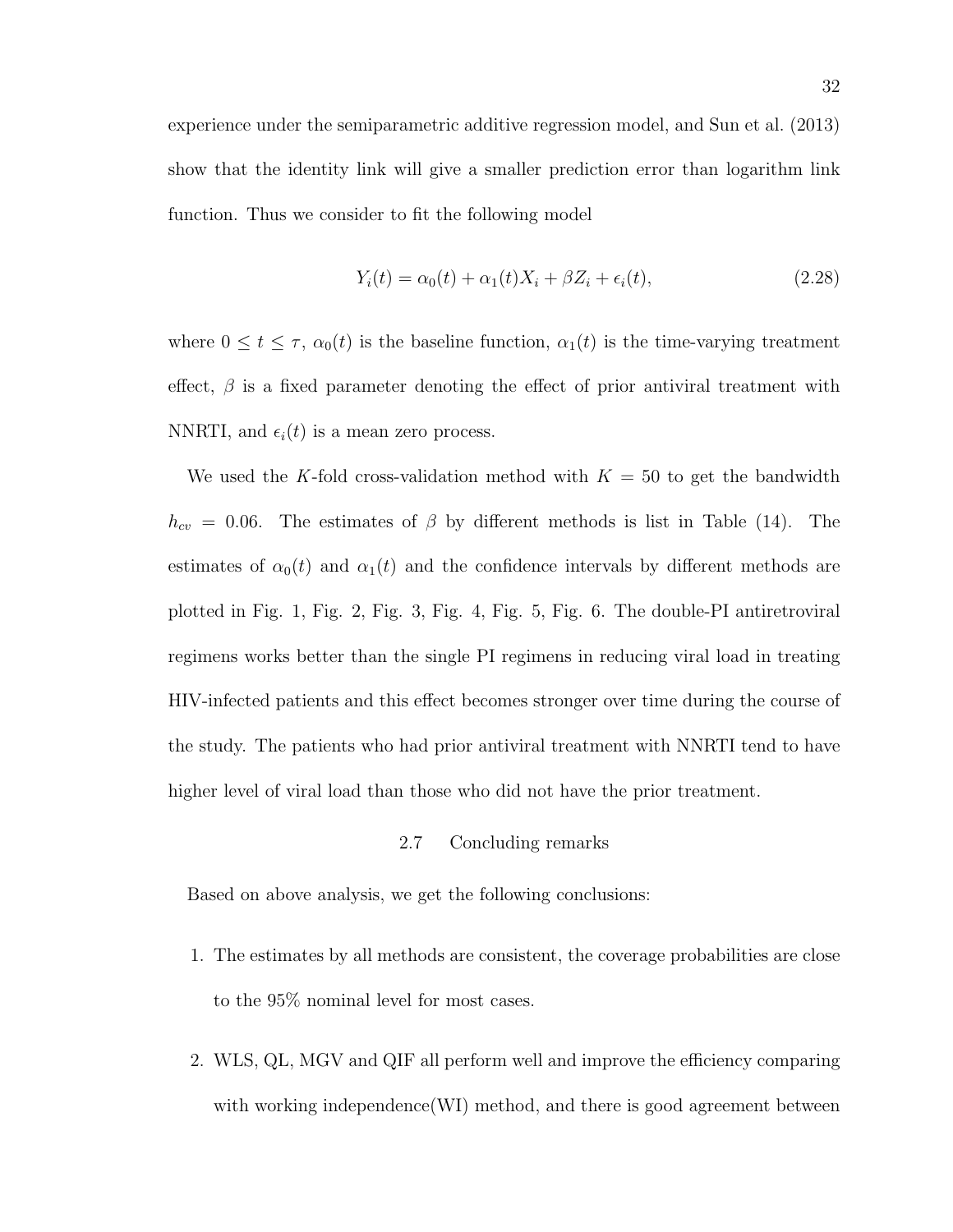$$
Y_i(t) = \alpha_0(t) + \alpha_1(t)X_i + \beta Z_i + \epsilon_i(t),
$$
\n(2.28)

where  $0 \le t \le \tau$ ,  $\alpha_0(t)$  is the baseline function,  $\alpha_1(t)$  is the time-varying treatment effect,  $\beta$  is a fixed parameter denoting the effect of prior antiviral treatment with NNRTI, and  $\epsilon_i(t)$  is a mean zero process.

We used the K-fold cross-validation method with  $K = 50$  to get the bandwidth  $h_{cv} = 0.06$ . The estimates of  $\beta$  by different methods is list in Table (14). The estimates of  $\alpha_0(t)$  and  $\alpha_1(t)$  and the confidence intervals by different methods are plotted in Fig. 1, Fig. 2, Fig. 3, Fig. 4, Fig. 5, Fig. 6. The double-PI antiretroviral regimens works better than the single PI regimens in reducing viral load in treating HIV-infected patients and this effect becomes stronger over time during the course of the study. The patients who had prior antiviral treatment with NNRTI tend to have higher level of viral load than those who did not have the prior treatment.

## 2.7 Concluding remarks

Based on above analysis, we get the following conclusions:

- 1. The estimates by all methods are consistent, the coverage probabilities are close to the 95% nominal level for most cases.
- 2. WLS, QL, MGV and QIF all perform well and improve the efficiency comparing with working independence(WI) method, and there is good agreement between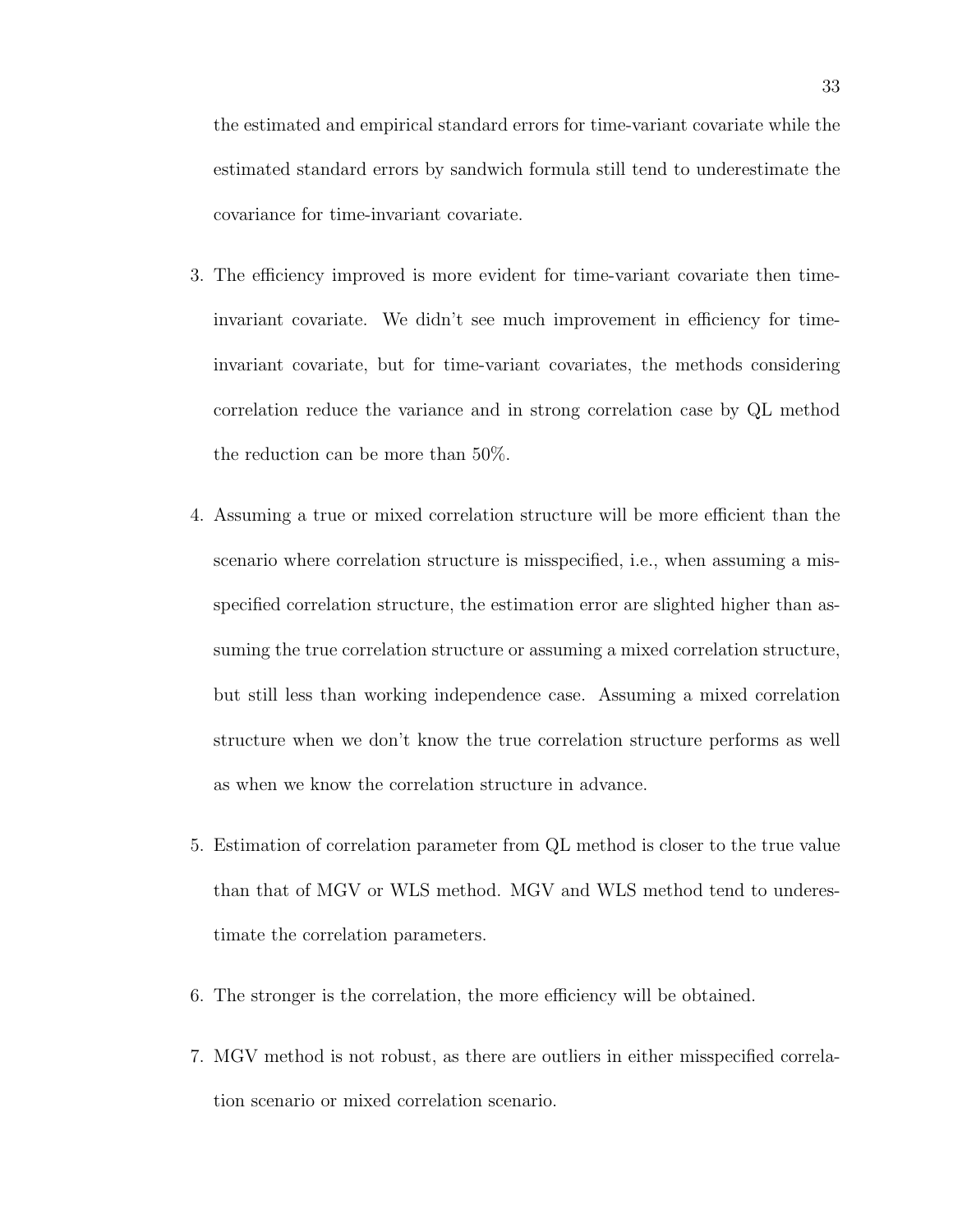the estimated and empirical standard errors for time-variant covariate while the estimated standard errors by sandwich formula still tend to underestimate the covariance for time-invariant covariate.

- 3. The efficiency improved is more evident for time-variant covariate then timeinvariant covariate. We didn't see much improvement in efficiency for timeinvariant covariate, but for time-variant covariates, the methods considering correlation reduce the variance and in strong correlation case by QL method the reduction can be more than 50%.
- 4. Assuming a true or mixed correlation structure will be more efficient than the scenario where correlation structure is misspecified, i.e., when assuming a misspecified correlation structure, the estimation error are slighted higher than assuming the true correlation structure or assuming a mixed correlation structure, but still less than working independence case. Assuming a mixed correlation structure when we don't know the true correlation structure performs as well as when we know the correlation structure in advance.
- 5. Estimation of correlation parameter from QL method is closer to the true value than that of MGV or WLS method. MGV and WLS method tend to underestimate the correlation parameters.
- 6. The stronger is the correlation, the more efficiency will be obtained.
- 7. MGV method is not robust, as there are outliers in either misspecified correlation scenario or mixed correlation scenario.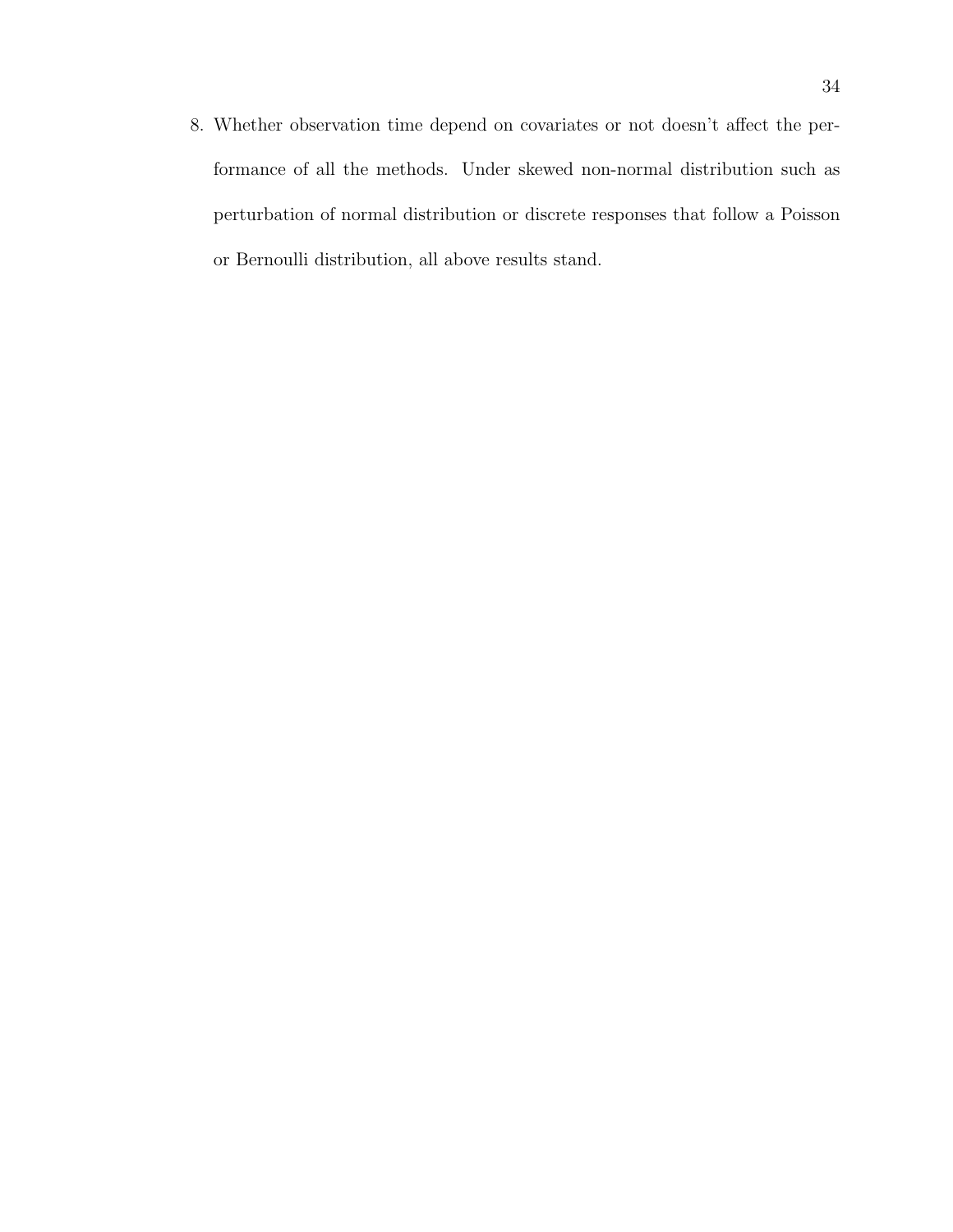8. Whether observation time depend on covariates or not doesn't affect the performance of all the methods. Under skewed non-normal distribution such as perturbation of normal distribution or discrete responses that follow a Poisson or Bernoulli distribution, all above results stand.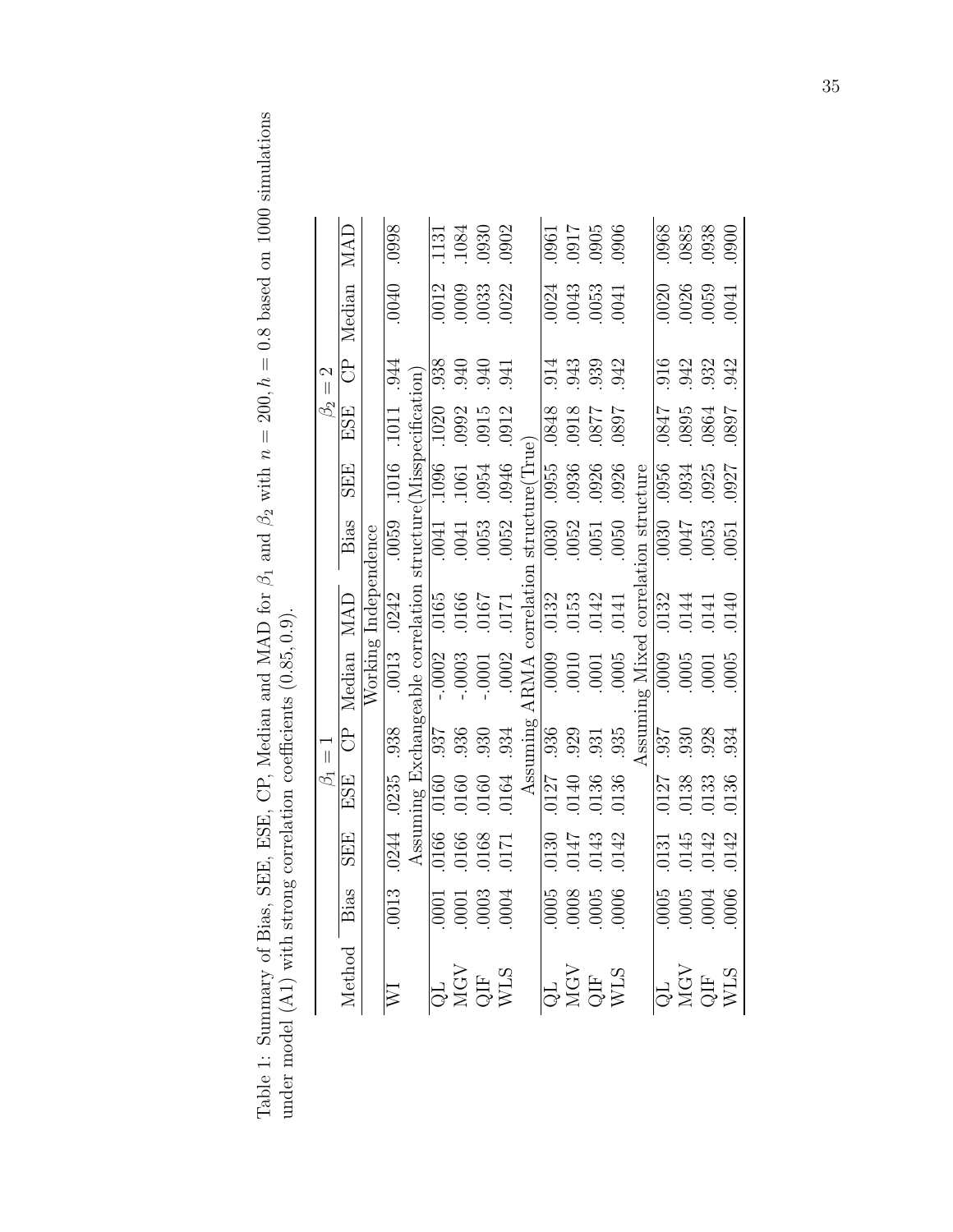Table 1: Summary of Bias, SEE, ESE, CP, Median and MAD for  $\beta_1$  and  $\beta_2$  with  $n = 200$ ,  $h = 0.8$  based on 1000 simulations Table 1: Summary of Bias, SEE, CP, Median and MAD for  $\beta_1$  and  $\beta_2$  with  $n = 200$ ,  $h = 0.8$  based on 1000 simulations under model (A1) with strong correlation coefficients (0.85, 0.9). under model (A1) with strong correlation coefficients (0.85, 0.9).

|                               | MAD        |                      | .0998                       |  | $\frac{1131}{1084}$<br>$\frac{0902}{0902}$                      |       |                              |       |                     | 900<br>1160<br>1160<br>1900<br>1900                                   |                                                                          |                                |                     |                                                                        |      |
|-------------------------------|------------|----------------------|-----------------------------|--|-----------------------------------------------------------------|-------|------------------------------|-------|---------------------|-----------------------------------------------------------------------|--------------------------------------------------------------------------|--------------------------------|---------------------|------------------------------------------------------------------------|------|
|                               | Median     |                      | 0400                        |  | $\begin{array}{c} 0012 \\ 0003 \\ 0033 \\ 0022 \end{array}$     |       |                              |       |                     | $\begin{array}{c} 0024 \\ 0043 \\ 0053 \\ 0041 \end{array}$           |                                                                          |                                |                     | $\begin{array}{c} 0020 \\ 0026 \\ 0059 \\ 0041 \end{array}$            |      |
| $\mathcal{C}$<br>$\vert\vert$ | පි         |                      | 944                         |  | 936<br>940<br>941<br>941                                        |       |                              |       |                     |                                                                       | 513<br>533<br>542<br>542                                                 |                                |                     | 912<br>942<br>942<br>942                                               |      |
| $\beta_2$                     | ESE        |                      | .1011                       |  |                                                                 |       |                              |       |                     |                                                                       | 1680<br>1280<br>1280<br>8950                                             |                                |                     | $\begin{array}{c} 0.0847 \\ 1.0895 \\ 1.0804 \\ 1.0804 \\ \end{array}$ |      |
|                               | <b>SEE</b> |                      | .1016                       |  |                                                                 |       |                              |       |                     | 0955<br>0936<br>0926<br>0926                                          |                                                                          |                                |                     | 0956<br>0934<br>0927<br>0927                                           |      |
|                               | Bias       |                      | .0059                       |  |                                                                 |       |                              |       |                     | $\begin{array}{c} 0.030 \\ -0.052 \\ -0.051 \\ -0.050 \\ \end{array}$ |                                                                          |                                |                     | $\begin{array}{c} 0.030 \\ -0.047 \\ 0.053 \\ 0.051 \\ \end{array}$    |      |
|                               | MAD        | Working Independence | .0242                       |  |                                                                 |       | correlation structure (True) | .0132 |                     | $.0153$<br>$.0142$                                                    | .0141                                                                    | ag Mixed correlation structure | $\frac{0132}{0144}$ |                                                                        | 0140 |
|                               | Median     |                      | .0013                       |  |                                                                 | .0002 | <b>ARMA</b>                  |       | $\frac{1000}{0000}$ |                                                                       | 0005                                                                     |                                |                     | $0005$<br>$0005$<br>$0005$<br>$0005$                                   |      |
| $\frac{1}{\sqrt{2}}$          | ි<br>ට     |                      | .938                        |  |                                                                 |       | Assuming                     |       |                     | 930<br>931<br>935<br>935                                              |                                                                          | $\frac{1}{2}$                  |                     | 937<br>930<br>934<br>934                                               |      |
| $\beta_1$                     | ESE        |                      | .0235                       |  |                                                                 |       |                              |       |                     |                                                                       | $\frac{0127}{0140}$<br>0140<br>0136<br>0136                              |                                |                     | 0127<br>0138<br>0133<br>0136                                           |      |
|                               | <b>SEE</b> |                      | .0244                       |  |                                                                 |       |                              |       |                     |                                                                       | $\frac{0130}{0147}$<br>0147<br>0143<br>0142                              |                                |                     | 0131<br>0145<br>0142<br>0142                                           |      |
|                               | Bias       |                      | 0013                        |  | $\begin{array}{c} 0.001 \\ 0.001 \\ 0.003 \\ 0.004 \end{array}$ |       |                              |       |                     |                                                                       | $\begin{array}{c} 0.005 \\ 0.008 \\ 0.005 \\ 0.005 \\ 0.006 \end{array}$ |                                |                     | 0005<br>0005<br>0004<br>0006                                           |      |
|                               | Method     |                      | $\overline{\triangleright}$ |  | QL<br>NGV<br>QIF<br>WLS                                         |       |                              |       |                     |                                                                       | QL<br>MGV<br>QIF<br>WLS                                                  |                                |                     | QL<br>NGV<br>QH<br>WLS<br>WLS                                          |      |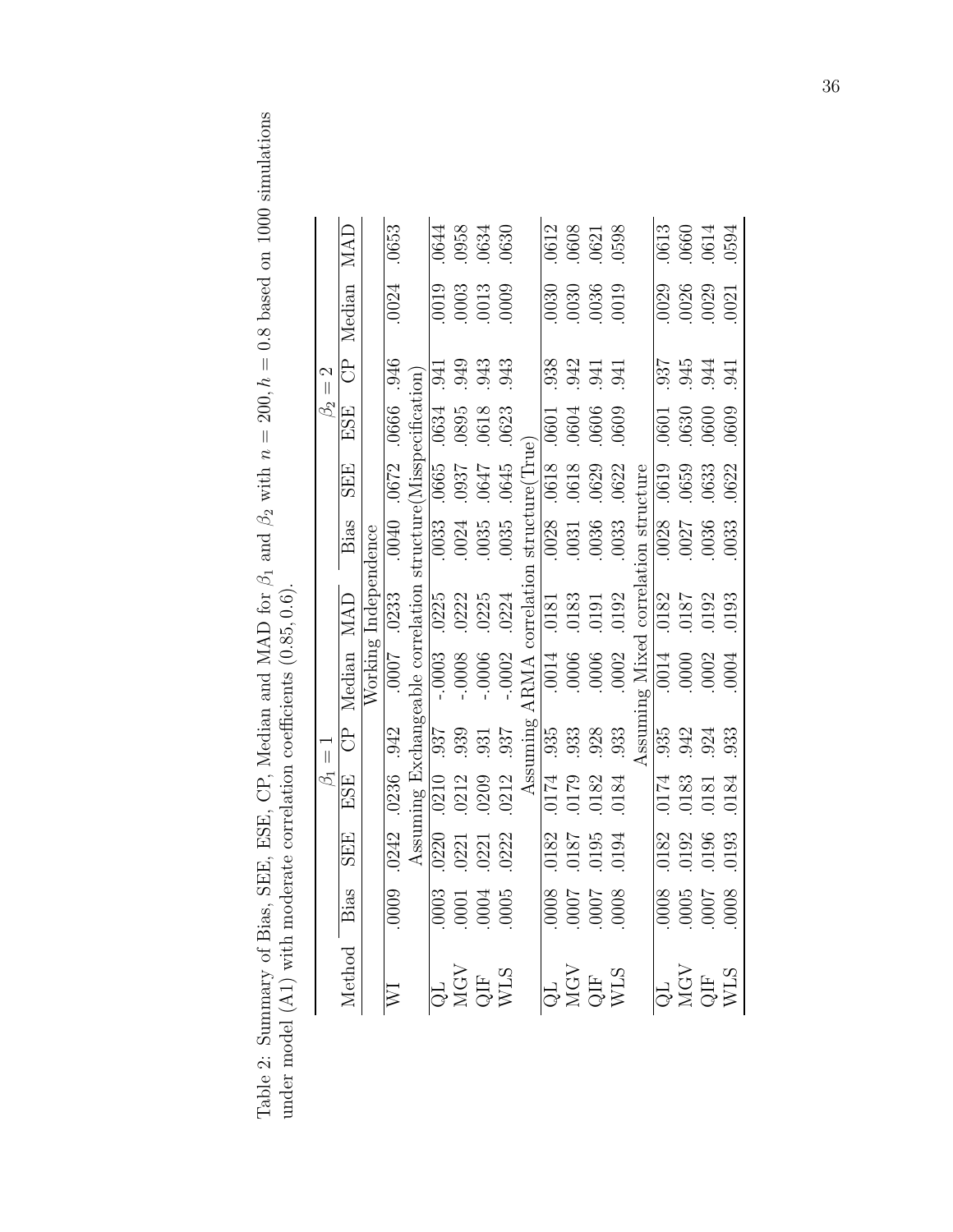Table 2: Summary of Bias, SEE, ESE, CP, Median and MAD for  $\beta_1$  and  $\beta_2$  with  $n = 200$ ,  $h = 0.8$  based on 1000 simulations under model (A1) with moderate correlation coefficients (0.85, 0.6). Table 2: Summary of Bias, SEE, ESE, CP, Median and MAD for  $\beta_1$  and  $\beta_2$  with  $n = 200$ ,  $h = 0.8$  based on 1000 simulations under model (A1) with moderate correlation coefficients (0.85, 0.6).

|                 | MAD           |                      | .0653                       |  | $0.0644$<br>$0.0634$<br>$0.0634$<br>$0.0630$                             |          |                                  |       | $\begin{array}{c} 0612 \\ 0608 \\ 0621 \\ 0598 \end{array}$      |       |                                                                     |                                |  | $0613$<br>$0660$<br>$0614$<br>$0594$                               |      |
|-----------------|---------------|----------------------|-----------------------------|--|--------------------------------------------------------------------------|----------|----------------------------------|-------|------------------------------------------------------------------|-------|---------------------------------------------------------------------|--------------------------------|--|--------------------------------------------------------------------|------|
|                 | CP Median     |                      | .0024                       |  | $\begin{array}{c} 0019 \\ 0003 \\ 0013 \\ 0009 \end{array}$              |          |                                  |       | $\begin{array}{c} 0.030 \\ 0.030 \\ 0.0036 \\ 0.019 \end{array}$ |       |                                                                     |                                |  | 0029<br>0026<br>0029<br>0021                                       |      |
| $\beta_2=2$     |               |                      | .946                        |  | .943<br>043<br>943                                                       |          |                                  |       |                                                                  |       | 33<br>34<br>34<br>34<br>34<br>34<br>3                               |                                |  | 55<br>55<br>55<br>56<br>56<br>56<br>56<br>5                        |      |
|                 | ESE           |                      | .0666                       |  | $\frac{1}{0.0634}$<br>$0.0618$<br>$0.0623$                               |          |                                  |       |                                                                  |       | $\begin{array}{l} 0601 \\ 0604 \\ 0606 \\ 0606 \end{array}$         |                                |  | $.0601$<br>$.0630$<br>$.0600$<br>$.0609$                           |      |
|                 | <b>SEE</b>    |                      | .0672                       |  |                                                                          | .0645    |                                  |       | 0618<br>0618<br>0629<br>0622                                     |       |                                                                     |                                |  | $0619$<br>$0659$<br>$0633$<br>$0632$                               |      |
|                 | Bias          |                      | 0440                        |  | $\frac{1}{10034}$<br>$\frac{1}{10035}$<br>$\frac{1}{10035}$              |          | ARMA correlation structure(True) |       | $\frac{8}{0.031}$<br>$\frac{1}{0.035}$<br>$\frac{1}{0.033}$      |       |                                                                     | ng Mixed correlation structure |  | $\begin{array}{c} 0.028 \\ 0.027 \\ 0.036 \\ 0.033 \end{array}$    |      |
|                 |               | Working Independence | .0233                       |  |                                                                          | .0224    |                                  | .0181 | .0183                                                            | .0191 | .0192                                                               |                                |  | $\frac{0182}{0187}$                                                | 0193 |
|                 | CP Median MAD |                      | 7000.                       |  |                                                                          | $-.0002$ |                                  |       | $\begin{array}{c} 0.014 \\ 0.006 \\ 0.006 \end{array}$           |       | .0002                                                               |                                |  | 0014<br>0000<br>0002<br>0004                                       |      |
| $\overline{  }$ |               |                      |                             |  | $\frac{12}{33}$<br>$\frac{12}{33}$<br>$\frac{12}{33}$<br>$\frac{12}{33}$ |          | Assuming                         |       | $\begin{array}{c} 935 \\ 933 \end{array}$                        | .933  |                                                                     | $\Lambda$ ssum                 |  | 55<br>942<br>933<br>933                                            |      |
| $\beta_1$       | ESE           |                      | .0242 .0236 .942            |  |                                                                          | .0212    |                                  |       |                                                                  |       | $\begin{array}{c} 0174 \\ 0179 \\ 0182 \\ 0182 \\ 0184 \end{array}$ |                                |  | $\begin{array}{c} 0.174 \\ 0.183 \\ 0.181 \\ 0.181 \\ \end{array}$ |      |
|                 | <b>SEE</b>    |                      |                             |  | 0220<br>0221<br>0221<br>0222                                             |          |                                  |       |                                                                  |       | 182<br>1810.<br>1940.<br>1940.                                      |                                |  | 0182<br>0192<br>0195<br>0193                                       |      |
|                 |               |                      | 0009                        |  | $\frac{1}{10001}$<br>0001<br>0004<br>0005                                |          |                                  |       |                                                                  |       | 8000<br>2000<br>2000<br>8000                                        |                                |  | 8000<br>1000<br>1000<br>1000                                       |      |
|                 | Method Bias   |                      | $\overline{\triangleright}$ |  | QL<br>NGV<br>QIF<br>WLS                                                  |          |                                  |       |                                                                  |       | QL<br>MGV<br>QIF<br>WLS                                             |                                |  | QL<br>MGV<br>QIF<br>WLS                                            |      |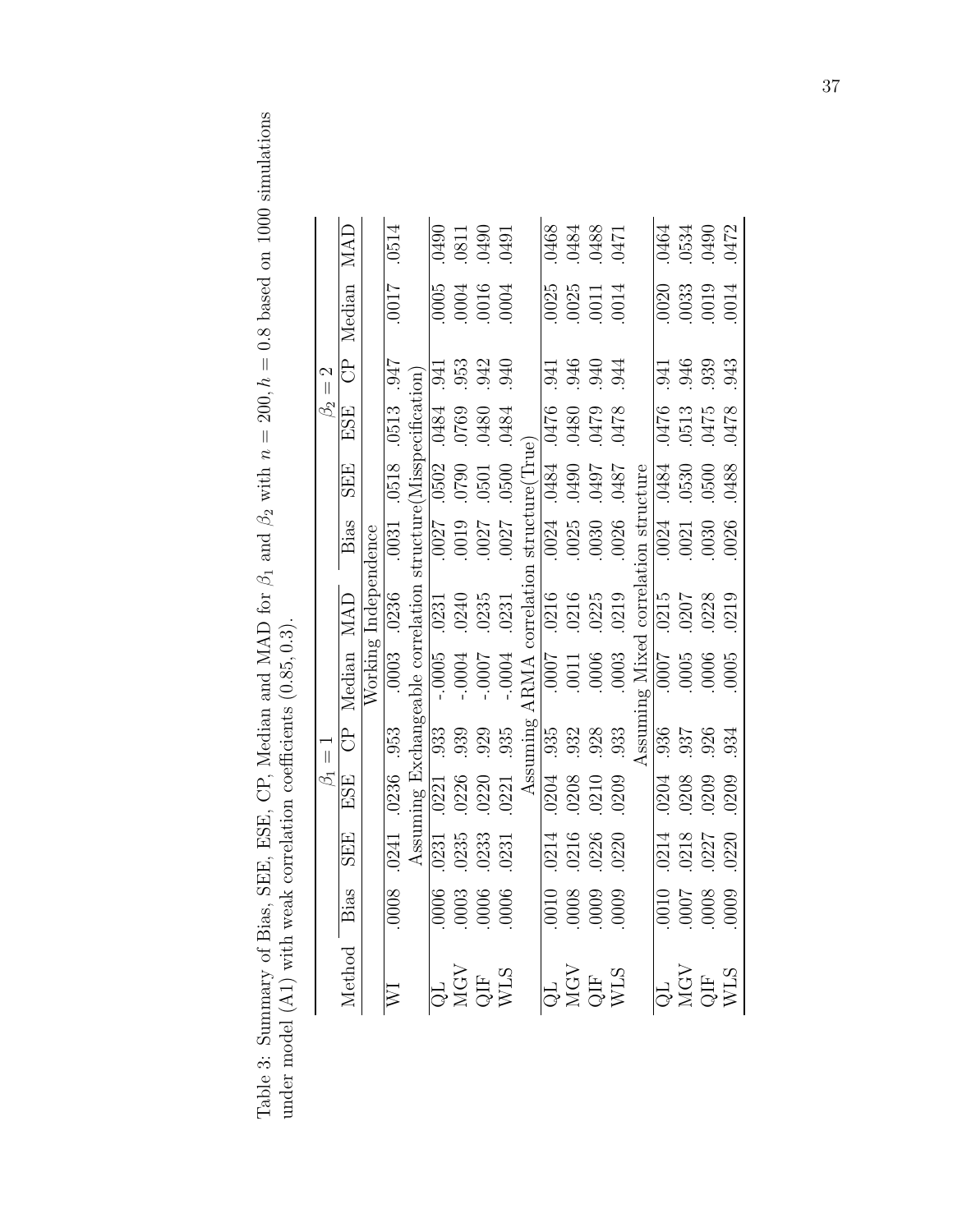Table 3: Summary of Bias, SEE, ESE, CP, Median and MAD for  $\beta_1$  and  $\beta_2$  with  $n = 200$ ,  $h = 0.8$  based on 1000 simulations Table 3: Summary of Bias, SEE, CP, Median and MAD for  $\beta_1$  and  $\beta_2$  with  $n = 200$ ,  $h = 0.8$  based on 1000 simulations under model (A1) with weak correlation coefficients (0.85, 0.3). under model (A1) with weak correlation coefficients (0.85, 0.3).

|                 | <b>MAD</b>    |                      | .0514                       |       | 0490<br>0811<br>0490<br>0491                                  |         |                             |      |                         | 1250<br>0484<br>0483<br>0471       |                                     |                                |             |       | 0464<br>0534<br>0472<br>0472                           |       |
|-----------------|---------------|----------------------|-----------------------------|-------|---------------------------------------------------------------|---------|-----------------------------|------|-------------------------|------------------------------------|-------------------------------------|--------------------------------|-------------|-------|--------------------------------------------------------|-------|
|                 | Median        |                      | 7100.                       |       | $0005$<br>$0004$<br>$0006$<br>$0004$                          |         |                             |      |                         | 0025<br>0025<br>0011<br>0014       |                                     |                                |             |       | $\begin{array}{c} 0020 \\ 0033 \\ 0019 \end{array}$    | 0014  |
| $\beta_2=2$     | .<br>ටි       |                      |                             | .941  | 953<br>942<br>940                                             |         |                             |      |                         |                                    | 946<br>946<br>944                   |                                |             |       | 946<br>946<br>943<br>943                               |       |
|                 | ESE           |                      | 1547.813                    |       | P8F0<br>0320<br>0320<br>0484                                  |         |                             |      |                         |                                    | 8250<br>6250<br>8250<br><u>9250</u> |                                |             |       | 0476<br>0513<br>0475<br>0478                           |       |
|                 | <b>SEE</b>    |                      | .0518                       |       | $\frac{10502}{0500}$                                          | .0500   |                             |      |                         | 1870<br>1670<br>1670<br>1870       |                                     |                                |             |       | 8870<br>0090<br>0090<br>0090                           |       |
|                 | Bias          |                      | .0031                       |       |                                                               | .0027   |                             |      |                         | $\frac{1}{0.0025}$<br>0025<br>0030 | .0026                               |                                | .0024       |       | $.0021$<br>$.0030$                                     | .0026 |
|                 |               | Working Independence | .0003 .0236                 |       |                                                               | .0231   | correlation structure(True) |      | $\frac{0.0216}{0.0216}$ | .0225                              | .0219                               | ng Mixed correlation structure | .0215       | .0207 | 0228                                                   | 0219  |
|                 | CP Median MAD |                      |                             |       |                                                               | $-0004$ | ARMA                        |      |                         | $\frac{9000}{1100}$                | .0003                               |                                | <b>LOOO</b> |       | $\begin{array}{c} 0.005 \\ 0.006 \\ 0.006 \end{array}$ |       |
| $\overline{  }$ |               |                      |                             |       |                                                               | .935    | Assuming                    | .935 | .932                    | $.928$<br>$.933$                   |                                     | Assum                          | .936        |       | .937<br>026                                            | .934  |
| S.              | ESE           |                      | 0241 0236 953               |       |                                                               | .0221   |                             |      |                         |                                    | 0204<br>0208<br>0210<br>0209        |                                |             |       | 0204<br>0208<br>0209<br>0209                           |       |
|                 | <b>SEE</b>    |                      |                             | .0231 | $.0235$<br>$.0233$<br>$.0231$                                 |         |                             |      |                         |                                    | 0214<br>0216<br>0226<br>0220        |                                |             |       | $.0214$<br>$.0218$<br>$.0227$                          | 0220  |
|                 |               |                      | 8000                        |       | $\begin{array}{c} 0.0006 \\ -0.0006 \\ -0.006 \\ \end{array}$ |         |                             |      |                         |                                    |                                     |                                |             |       | 6000<br>2000<br>2000<br>2000                           |       |
|                 | Method Bias   |                      | $\overline{\triangleright}$ |       | MGV<br>QIF<br>WLS                                             |         |                             |      |                         |                                    | QL<br>MGV<br>QIF<br>WLS             |                                |             |       | QL<br>NGV<br>QIF<br>WLS                                |       |

37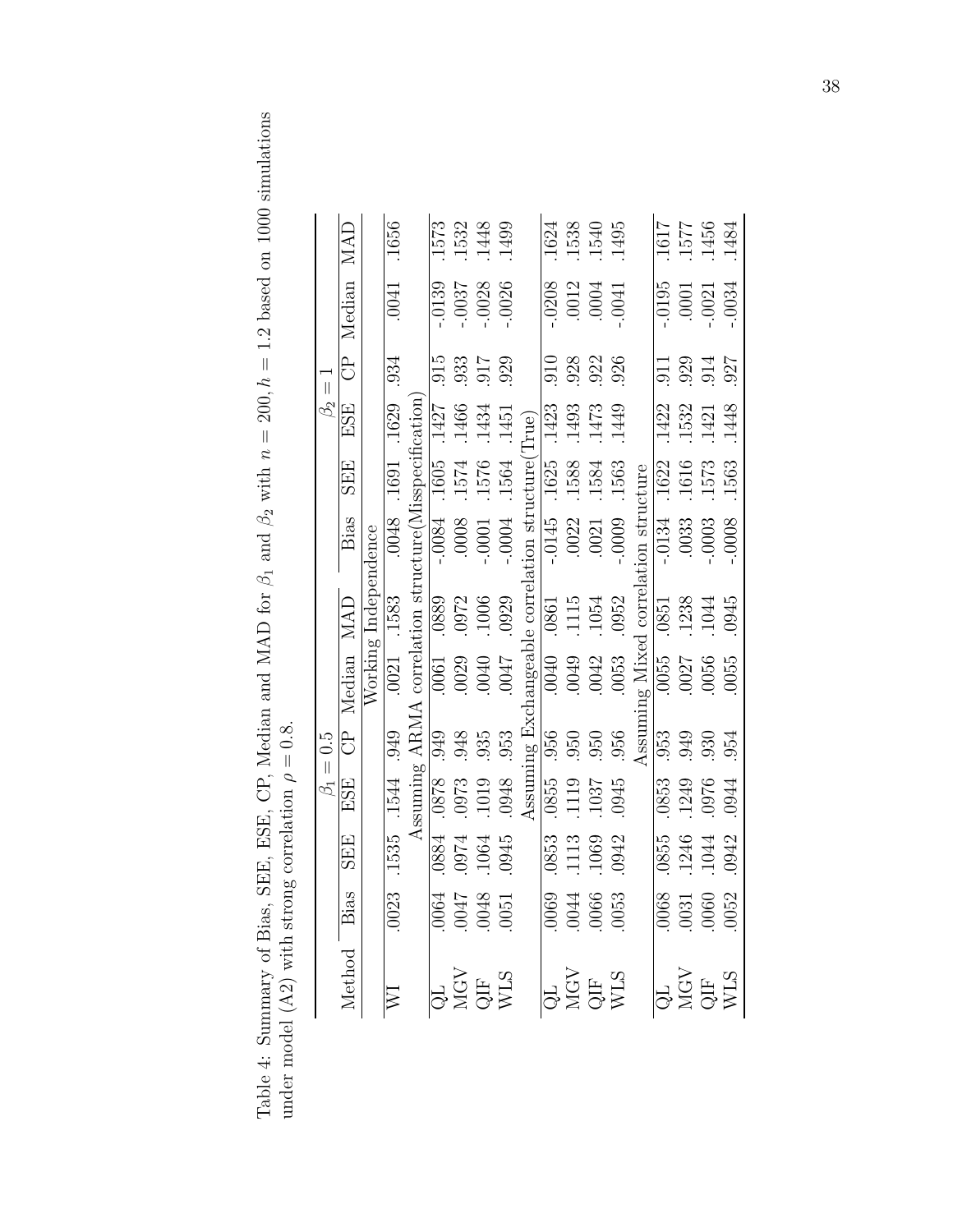Table 4: Summary of Bias, SEE, ESE, CP, Median and MAD for  $\beta_1$  and  $\beta_2$  with  $n = 200$ ,  $h = 1.2$  based on 1000 simulations Table 4: Summary of Bias, SEE, CP, Median and MAD for  $\beta_1$  and  $\beta_2$  with  $n = 200$ ,  $h = 1.2$  based on 1000 simulations under model (A2) with strong correlation  $\rho=0.8.$ under model (A2) with strong correlation  $\rho = 0.8$ .

|                                                                                                                 |                                                                         |                               |                    | $\beta_1 = 0.5$  |                                                      |                      |                       |                               | $\beta_2 =$        |         |                    |                              |
|-----------------------------------------------------------------------------------------------------------------|-------------------------------------------------------------------------|-------------------------------|--------------------|------------------|------------------------------------------------------|----------------------|-----------------------|-------------------------------|--------------------|---------|--------------------|------------------------------|
| Method Bias                                                                                                     |                                                                         | <b>SEE</b>                    | ESE                | ි<br>ටි          | Median                                               | MAD                  | Bias                  | SEE                           | ESE                | දි<br>ප | Median             | MAD                          |
|                                                                                                                 |                                                                         |                               |                    |                  |                                                      | Working Independence |                       |                               |                    |         |                    |                              |
|                                                                                                                 | .0023                                                                   |                               | .1535 .1544 .949   |                  |                                                      | .0021 .1583          |                       | $.0048$ . 1691 . 1629         |                    | .934    | .0041              | .1656                        |
|                                                                                                                 |                                                                         |                               |                    |                  | Assuming ARMA correlation structure(Misspecification |                      |                       |                               |                    |         |                    |                              |
|                                                                                                                 |                                                                         | .0884                         | $\underline{8280}$ | 616.             | $\frac{1900}{\sqrt{1}}$                              | 889.                 |                       | $-10084$ . 1605 . 1427        |                    | 015     | 0.139              | .1573                        |
|                                                                                                                 |                                                                         |                               | .0973              |                  | .0029                                                | .0972                | $0008$                | 1574                          | 1466               | .933    | -.0037             | .1532                        |
| QL<br>MGV<br>QIF<br>WLS                                                                                         | $1900$<br>$800$<br>$2000$<br>$1900$                                     | $.1064$<br>$.1064$<br>$.0945$ | 1019<br>848        | $.948$<br>$.935$ | 0040                                                 | .1006                | $-0001$               | .1576                         | .1434              | .917    | -.0028             | 1448<br>1499                 |
|                                                                                                                 |                                                                         |                               |                    | .953             | 7100.                                                | .0929                | $-0004$               | .1564                         | .1451              | .929    | .0026              |                              |
|                                                                                                                 |                                                                         |                               |                    |                  |                                                      |                      |                       |                               |                    |         |                    |                              |
|                                                                                                                 |                                                                         | .0853                         |                    |                  |                                                      |                      |                       | .1625 .1423                   |                    | 010     | .0208              | 1624                         |
|                                                                                                                 |                                                                         | 1113<br>1069<br>1069          |                    |                  |                                                      |                      |                       |                               | .1493              | .928    | $.0012$<br>$.0004$ |                              |
|                                                                                                                 |                                                                         |                               |                    |                  |                                                      |                      |                       |                               | .1473              | .922    |                    | 1538<br>1540<br>1495         |
| $\begin{array}{c} \begin{array}{c} \text{QL} \\ \text{MGV} \\ \text{QIF} \end{array} \\ \text{WLS} \end{array}$ | $\begin{array}{r} 600 \\ + 000 \\ - 000 \\ - 000 \\ \hline \end{array}$ |                               |                    |                  |                                                      |                      |                       |                               | .1449              | .926    | .0041              |                              |
|                                                                                                                 |                                                                         |                               |                    | Assumi           | ing Mixed                                            |                      | correlation structure |                               |                    |         |                    |                              |
|                                                                                                                 |                                                                         | .0855                         | .0853              | .953             | $\overline{0055}$                                    | $\frac{1}{1}$        | $-.0134$              | .1622                         | .1422              | .911    | $-0195$            |                              |
| QL<br>NGV<br>QIF<br>WLS<br>WLS                                                                                  | $\begin{array}{r} 0.0068 \\ -0.0031 \\ -0.0060 \\ -0.0052 \end{array}$  | $.1246$<br>$.1044$<br>$.0942$ | .1249              | .949             | .0027                                                | .1238                | .0033                 | $.1616$<br>$.1573$<br>$.1563$ | .1532              | .929    | .0001              | 1617<br>1577<br>1456<br>1456 |
|                                                                                                                 |                                                                         |                               | 0976               | .930             | .0056                                                | .1044                | $-.0003$              |                               | $.1421$<br>$.1448$ | .914    | $-0021$            |                              |
|                                                                                                                 |                                                                         |                               | .0944              | .954             | 0055                                                 | .0945                | $-0008$               |                               |                    | .927    | .0034              | .1484                        |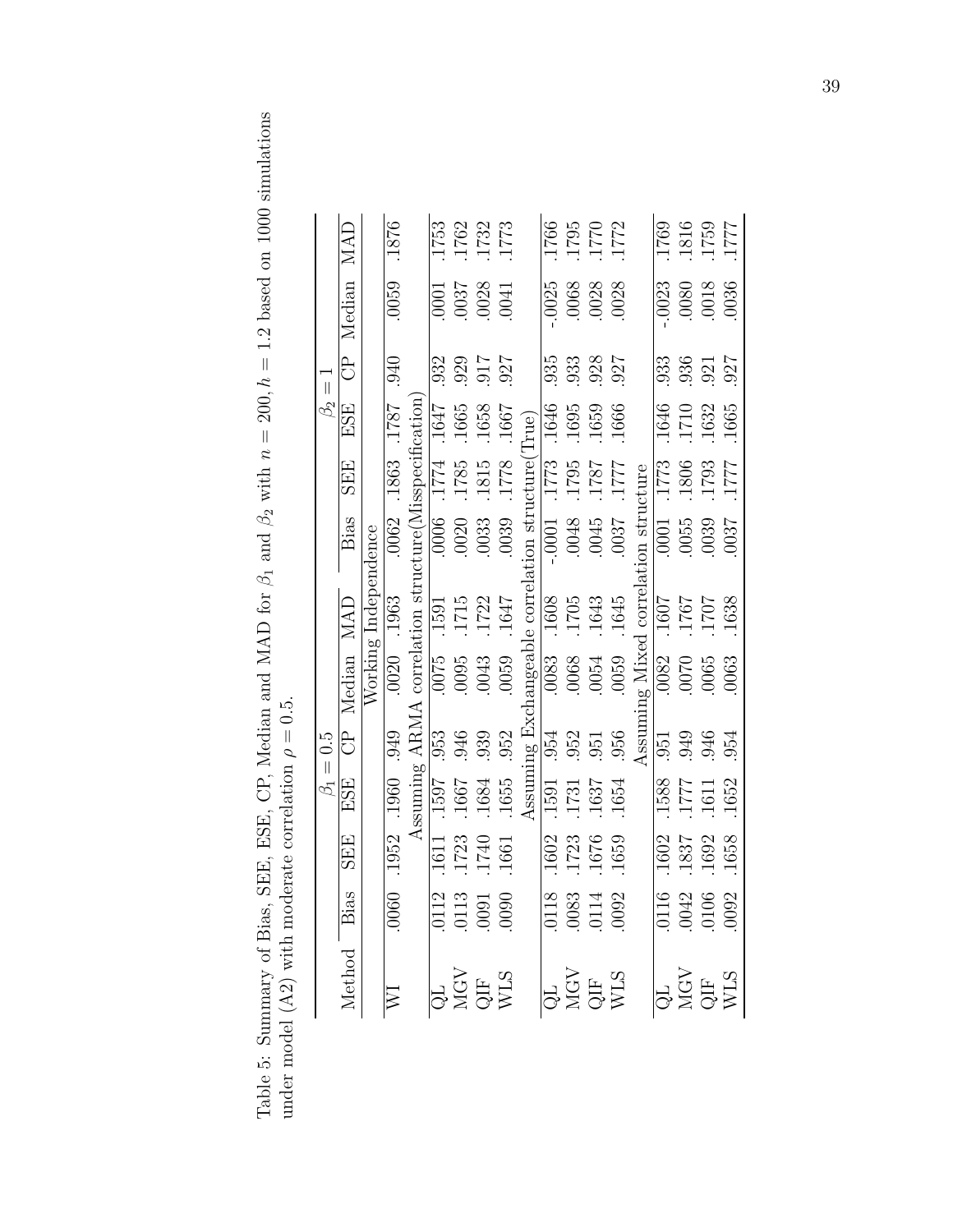Table 5: Summary of Bias, SEE, ESE, CP, Median and MAD for  $\beta_1$  and  $\beta_2$  with  $n = 200$ ,  $h = 1.2$  based on 1000 simulations under model (A2) with moderate correlation  $\rho = 0.5$ . Table 5: Summary of Bias, SEE, ESE, CP, Median and MAD for  $\beta_1$  and  $\beta_2$  with  $n = 200$ ,  $h = 1.2$  based on 1000 simulations under model (A2) with moderate correlation  $\rho = 0.5$ .

|                         | MAD         |                      | .1876                      |                                                       |                         | 1753<br>1762<br>1773<br>1773                                |                   |       |                                  |           | 1766<br>1795<br>1772<br>1772                                                         |                                                   |                                |                |      | 1769<br>1818<br>1759<br>1771                                   |      |
|-------------------------|-------------|----------------------|----------------------------|-------------------------------------------------------|-------------------------|-------------------------------------------------------------|-------------------|-------|----------------------------------|-----------|--------------------------------------------------------------------------------------|---------------------------------------------------|--------------------------------|----------------|------|----------------------------------------------------------------|------|
|                         | Median      |                      | 0059                       |                                                       |                         | $\begin{array}{c} 0001 \\ 0037 \\ 0028 \\ 0041 \end{array}$ |                   |       |                                  | .0025     | 0068<br>0028<br>0028                                                                 |                                                   |                                | .0023          |      | 0080<br>8100.<br>91036                                         |      |
| $\overline{\mathbf{u}}$ | å           |                      | .940                       |                                                       | 932                     |                                                             | 126<br>415<br>126 |       |                                  | .935      | 933<br>928<br>927                                                                    |                                                   |                                |                |      | 33<br>336<br>927<br>927                                        |      |
| $\beta_2$               | ESE         |                      | 1871.                      |                                                       | .1647                   | 1665<br>1658<br>1667                                        |                   |       | True)                            | .1646     | 1695<br>1659<br>1666                                                                 |                                                   |                                |                |      | 1646<br>1710<br>1632<br>1665                                   |      |
|                         | <b>SEE</b>  |                      | .1863                      |                                                       | $\frac{1774}{ }$        | $\frac{1785}{1815}$                                         |                   |       |                                  |           | $\begin{array}{c}\n 1773 \\  1871 \\  1871 \\  1871 \\  \hline\n 1887\n \end{array}$ |                                                   |                                |                |      | 773<br>1806<br>1711<br>1777<br>1771                            |      |
|                         | Bias        |                      | .0062                      |                                                       | $\frac{9000}{\sqrt{2}}$ | 0020                                                        | .0033             | .0039 |                                  | $-0.0001$ | 6400.                                                                                | .0037                                             |                                | $\sqrt{10001}$ |      | $.0055$<br>$.0039$                                             | 0037 |
|                         | MAD         | Working Independence | 0020 1963                  |                                                       | $\frac{1591}{ }$        | 1715                                                        | 1722              | 1647  | nangeable correlation structure( | .1608     | 1705<br>1643<br>1645                                                                 |                                                   | ng Mixed correlation structure | 1607           | 1767 | 1707                                                           | 1638 |
|                         | Median      |                      |                            | Assuming ARMA correlation structure(Misspecification) |                         | $\frac{1}{0005}$<br>0095<br>0043                            |                   | 0059  |                                  |           | 0083<br>0068<br>0054<br>0059                                                         |                                                   |                                |                |      | $\begin{array}{c} 6000 \\ 0000 \\ 0000 \\ 0000 \\ \end{array}$ |      |
| $= 0.5$                 | ි<br>ටි     |                      | .949                       |                                                       |                         | $0.953$<br>$0.946$                                          | .939              | .952  | Assuming Exch                    |           | $\frac{954}{952}$<br>$\frac{351}{956}$                                               |                                                   | $\mathbf{Assum}$               |                |      | 951<br>946<br>954                                              |      |
| $\beta_1$               | ESE         |                      | .1960                      |                                                       |                         | $\frac{1597}{1597}$<br>1667<br>1654<br>1655                 |                   |       |                                  |           |                                                                                      | $\frac{1\overline{1591}}{1.1731}$<br>1637<br>1654 |                                |                |      | 1588<br>1777<br>1652<br>1652                                   |      |
|                         | <b>SEE</b>  |                      | .1952                      |                                                       | 1611                    | $\frac{1723}{1740}$                                         |                   |       |                                  |           | 1602<br>1723<br>1659<br>1659                                                         |                                                   |                                | .1602          |      | $\frac{1837}{1692}$                                            |      |
|                         |             |                      | .0060                      |                                                       |                         | $\begin{array}{c} 0112 \\ 0113 \\ 0091 \\ 0090 \end{array}$ |                   |       |                                  |           | 0118<br>0083<br>00114<br>0092                                                        |                                                   |                                |                |      | 0116<br>0042<br>0106<br>0092                                   |      |
|                         | Method Bias |                      | $\overline{\triangledown}$ |                                                       |                         | QL<br>MGV<br>QIF<br>WLS                                     |                   |       |                                  |           | QL<br>NGV<br>QIF<br>WLS                                                              |                                                   |                                |                |      | QL<br>MGV<br>QIF<br>WLS                                        |      |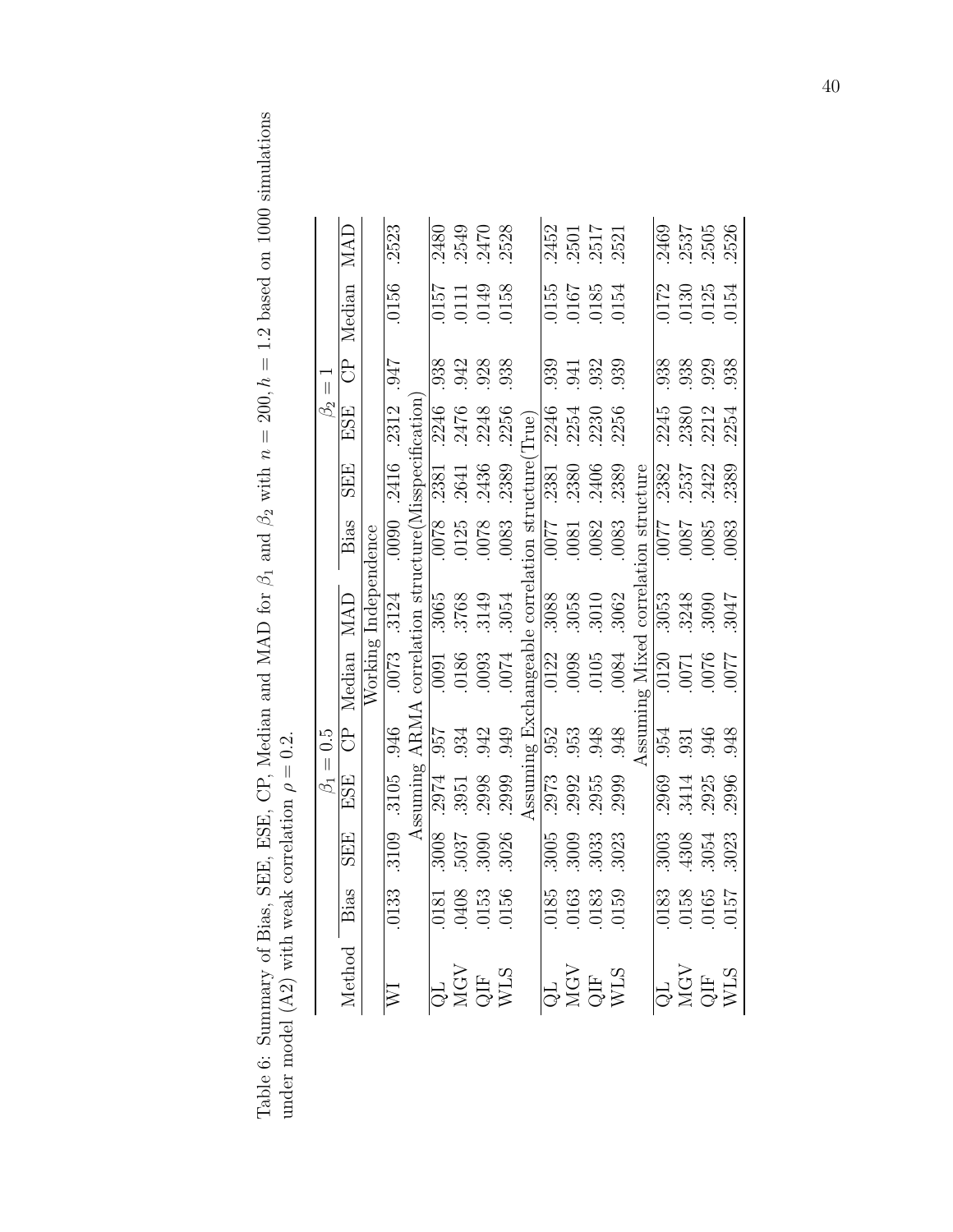Table 6: Summary of Bias, SEE, ESE, CP, Median and MAD for  $\beta_1$  and  $\beta_2$  with  $n = 200$ ,  $h = 1.2$  based on 1000 simulations Table 6: Summary of Bias, SEE, CP, Median and MAD for  $\beta_1$  and  $\beta_2$  with  $n = 200$ ,  $h = 1.2$  based on 1000 simulations under model (A2) with weak correlation  $\rho=0.2.$ under model (A2) with weak correlation  $\rho = 0.2$ .

|                                                                                                           |       |                        |                                                                                                                             | $\beta_1 = 0.5$ |                                                                                                                                                                                                                                  |                      |                                                                                                                                                                                                                                                                                                                                               |                                      | $\beta_2 =$                    |             |                                                     |                              |
|-----------------------------------------------------------------------------------------------------------|-------|------------------------|-----------------------------------------------------------------------------------------------------------------------------|-----------------|----------------------------------------------------------------------------------------------------------------------------------------------------------------------------------------------------------------------------------|----------------------|-----------------------------------------------------------------------------------------------------------------------------------------------------------------------------------------------------------------------------------------------------------------------------------------------------------------------------------------------|--------------------------------------|--------------------------------|-------------|-----------------------------------------------------|------------------------------|
| Method Bias                                                                                               |       | <b>SEE</b>             | ESE                                                                                                                         |                 | CP Median MAD                                                                                                                                                                                                                    |                      | Bias                                                                                                                                                                                                                                                                                                                                          | <b>SEE</b>                           | ESE                            | ි<br>ටි     | Median                                              | MAD                          |
|                                                                                                           |       |                        |                                                                                                                             |                 |                                                                                                                                                                                                                                  | Working Independence |                                                                                                                                                                                                                                                                                                                                               |                                      |                                |             |                                                     |                              |
|                                                                                                           | .0133 | $.3109 - .3105 - .946$ |                                                                                                                             |                 |                                                                                                                                                                                                                                  | $.0073 - 3124$       |                                                                                                                                                                                                                                                                                                                                               |                                      | $\overline{.0090}$ .2416 .2312 | 716.        | .0156                                               | .2523                        |
|                                                                                                           |       |                        |                                                                                                                             |                 |                                                                                                                                                                                                                                  |                      |                                                                                                                                                                                                                                                                                                                                               |                                      |                                |             |                                                     |                              |
|                                                                                                           |       | 3008                   |                                                                                                                             |                 |                                                                                                                                                                                                                                  |                      |                                                                                                                                                                                                                                                                                                                                               |                                      |                                | .938        | <b>157</b>                                          |                              |
|                                                                                                           |       | 5037                   |                                                                                                                             |                 | $\begin{tabular}{lcl} Assuming ARMA correlation structure (Misspecification \\ \hline 308 & .2974 & .957 & .0091 & .3065 & .0078 & .2381 & .2246 \\ 037 & .3951 & .934 & .0186 & .3768 & .0125 & .2641 & .2476 \\ \end{tabular}$ |                      | $\frac{8200}{9615}$                                                                                                                                                                                                                                                                                                                           |                                      |                                | .942        |                                                     |                              |
|                                                                                                           |       | .3090                  | 2998                                                                                                                        | .942            | $\begin{array}{c} 0186 \\ 0093 \\ 0074 \end{array}$                                                                                                                                                                              | .3149                |                                                                                                                                                                                                                                                                                                                                               | .2436                                | .2248                          | .928        | $\begin{array}{c} 0111 \\ 0149 \\ 0158 \end{array}$ |                              |
| $\frac{\text{QL}}{\text{MSLO}} = \frac{0.181}{0.0181}$<br>CHE 0.153<br>CHE 0.153<br>WLS 0.156             |       | 3026                   | .2999                                                                                                                       | .949            |                                                                                                                                                                                                                                  | .3054                | .0083                                                                                                                                                                                                                                                                                                                                         | .2389                                | .2256                          | .938        |                                                     | 2480<br>2549<br>2528<br>2528 |
|                                                                                                           |       |                        |                                                                                                                             |                 |                                                                                                                                                                                                                                  |                      |                                                                                                                                                                                                                                                                                                                                               |                                      | True)                          |             |                                                     |                              |
|                                                                                                           |       | .3005                  |                                                                                                                             |                 |                                                                                                                                                                                                                                  |                      |                                                                                                                                                                                                                                                                                                                                               |                                      | .2246                          |             |                                                     |                              |
|                                                                                                           |       | 3009                   | $\begin{array}{l} {\rm Assuming\,\,Exch} \\ \textcolor{red}{2973} \quad 952 \\ \textcolor{red}{2992} \quad 953 \end{array}$ |                 |                                                                                                                                                                                                                                  |                      |                                                                                                                                                                                                                                                                                                                                               |                                      | .2254                          |             |                                                     |                              |
|                                                                                                           |       | 3033                   | .2955                                                                                                                       | .948            | $\begin{tabular}{ll} \texttt{changeable correlation structure} (T1\\ \hline 0122 & .3088 & .0077 & .2381 & .2\\ 0008 & .3058 & .0081 & .2380 & .2\\ 0105 & .3010 & .0082 & .2406 & .2\\ \end{tabular}$                           |                      |                                                                                                                                                                                                                                                                                                                                               | $\frac{1}{2380}$ $\frac{2380}{2406}$ |                                |             | 0155<br>0167<br>0185<br>0154                        | 2452<br>2501<br>2517<br>2521 |
| $\frac{\text{QL}}{\text{MGV}} = \frac{0185}{0163}$<br>CMGV 0163<br>QIF 0183                               |       | 3023                   | 2999                                                                                                                        | .948            | .0084                                                                                                                                                                                                                            | .3062                | .0083                                                                                                                                                                                                                                                                                                                                         |                                      | .2230<br>.2256                 |             |                                                     |                              |
|                                                                                                           |       |                        |                                                                                                                             |                 | Assuming Mixed                                                                                                                                                                                                                   |                      | correlation structure                                                                                                                                                                                                                                                                                                                         |                                      |                                |             |                                                     |                              |
|                                                                                                           |       | .3003                  | 2969                                                                                                                        | .954            |                                                                                                                                                                                                                                  | .3053                | $\frac{2200}{\frac{2200}{\frac{2200}{\frac{225}{\frac{2250}{\frac{225}{\frac{2250}{\frac{2250}{\frac{2250}{\frac{2250}{\frac{2250}{\frac{2250}{\frac{2250}{\frac{2250}{\frac{2250}{\frac{2250}{\frac{2250}{\frac{2250}{\frac{2250}{\frac{2250}{\frac{2250}{\frac{2250}{\frac{2250}{\frac{2250}{\frac{2250}{\frac{2250}{\frac{2250}{\frac{225$ |                                      |                                | .938        | .0172                                               | .2469                        |
| $\frac{\text{QL}}{\text{MGV}} = \frac{0183}{0158}$<br>$\frac{\text{MGV}}{\text{QIF}} = \frac{0153}{0157}$ |       | .4308                  | 3414                                                                                                                        | .931            | 2200<br>2000<br>2000<br>2010                                                                                                                                                                                                     | .3248                | 5800.<br>L800.                                                                                                                                                                                                                                                                                                                                | 2382<br>2537<br>2532<br>2389         | 2245<br>2380<br>2254<br>2254   |             | $.0130$<br>$.0125$                                  | $.2537$<br>$.2505$           |
|                                                                                                           |       | 3054                   | 2925                                                                                                                        | .946            |                                                                                                                                                                                                                                  | $.3090$<br>$.3047$   |                                                                                                                                                                                                                                                                                                                                               |                                      |                                | .938<br>029 |                                                     |                              |
|                                                                                                           |       | 3023                   | 2996                                                                                                                        | .948            |                                                                                                                                                                                                                                  |                      | .0083                                                                                                                                                                                                                                                                                                                                         |                                      |                                | .938        | .0154                                               | 2526                         |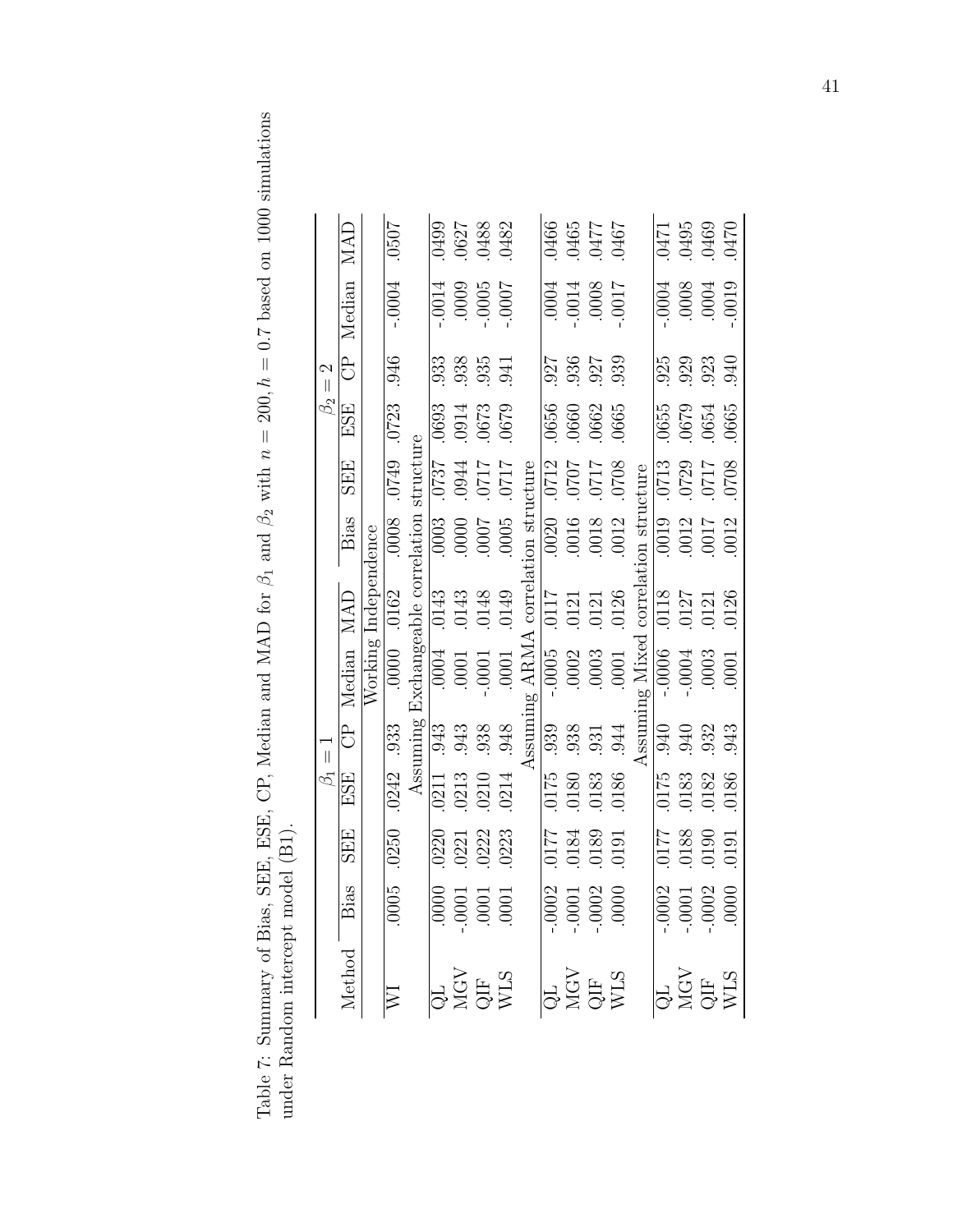Table 7: Summary of Bias, SEE, ESE, CP, Median and MAD for  $\beta_1$  and  $\beta_2$  with  $n = 200$ ,  $h = 0.7$  based on 1000 simulations under Random intercept model (B1). Table 7: Summary of Bias, SEE, CP, Median and MAD for  $\beta_1$  and  $\beta_2$  with  $n = 200$ ,  $h = 0.7$  based on 1000 simulations under Random intercept model (B1).

|                          |                  |                      | .0507                      |                                                                                       |  | 0499<br>0627<br>0627<br>0482                   |       |                       | 1950<br>1465<br>1460<br>1950             |                                                                     |                       |  | 0471<br>695<br>0495<br>0470                                                   |  |
|--------------------------|------------------|----------------------|----------------------------|---------------------------------------------------------------------------------------|--|------------------------------------------------|-------|-----------------------|------------------------------------------|---------------------------------------------------------------------|-----------------------|--|-------------------------------------------------------------------------------|--|
|                          | Median MAD       |                      | $-0004$                    |                                                                                       |  | $70000$<br>$0000$<br>$0000$<br>$0000$          |       |                       | 1100<br>8000<br>11000<br>1000            |                                                                     |                       |  |                                                                               |  |
| $\beta_2=2$              | පි<br>           |                      | .946                       |                                                                                       |  | 33<br>33<br>35<br>35<br>34<br>31               |       |                       |                                          | 927<br>936<br>927<br>939                                            |                       |  | 929<br>929<br>940<br>940                                                      |  |
|                          | ESE              |                      |                            |                                                                                       |  | 6290<br>6290<br>6290<br>6690                   |       |                       |                                          | $\begin{array}{c} 0656 \\ 0660 \\ 0662 \\ 0662 \\ 0665 \end{array}$ |                       |  | 0655<br>0679<br>0654<br>0665                                                  |  |
|                          | <b>SEE</b>       |                      | .0749 .0723                |                                                                                       |  | $1110$<br>$1120$<br>$1120$<br>$1820$<br>$1820$ |       |                       |                                          | 8020<br>2120<br>2020<br>2120                                        |                       |  | 8020<br>1120<br>1120<br>1020                                                  |  |
|                          | Bias             |                      | $\overline{.0008}$         |                                                                                       |  | $\frac{2000}{0000}$<br>$\frac{2000}{0000}$     |       | correlation structure | 0020<br>0016<br>0018<br>0012             |                                                                     | correlation structure |  | $\frac{2}{10012}$<br>$\frac{1}{10012}$<br>$\frac{1}{10012}$                   |  |
|                          | $MA\overline{D}$ | Working Independence |                            |                                                                                       |  | <br>  143<br>  0143<br>  0149<br>  0149        |       |                       | 0117<br>0121<br>0121<br>0126             |                                                                     |                       |  | 0118<br>0127<br>0121<br>0126<br>0126                                          |  |
|                          | Median           |                      |                            | $0242$ .933 .0000 .0162 .0008 .0749 .0<br>Assuming Exchangeable correlation structure |  | $\frac{10004}{0001}$                           | .0001 | ssuming ARMA          | $-0005$<br>$-0002$<br>$-0003$<br>$-0001$ |                                                                     | ng Mixed              |  | $\frac{10006}{10004}$                                                         |  |
| $\overline{\phantom{a}}$ | ි<br>ටි          |                      |                            |                                                                                       |  | 33<br>338<br>539<br>59                         |       |                       |                                          | $939$<br>$938$<br>$931$<br>$944$<br>$944$<br>Ssumin<br>Sax Page     |                       |  | 940<br>940<br>943<br>943                                                      |  |
| $\beta_1$                | ESE              |                      | $.0242$ .933               |                                                                                       |  | 0211<br>0213<br>0210<br>0214                   |       |                       |                                          | $\frac{0175}{0180}$<br>0180<br>0183                                 |                       |  | $\frac{175}{173}$<br>$\frac{33}{173}$<br>$\frac{33}{173}$<br>$\frac{33}{173}$ |  |
|                          | <b>SEE</b>       |                      | .0250                      |                                                                                       |  | 0220<br>0221<br>0222<br>0223<br>0223           |       |                       |                                          | 1610<br>6810<br>6810<br>1210                                        |                       |  | $\begin{array}{r} 1610 \\ 0610 \\ 0610 \\ \hline \end{array}$                 |  |
|                          |                  |                      | $\frac{5000}{\sqrt{100}}$  |                                                                                       |  | $\frac{1000}{0001}$                            |       |                       |                                          | $\frac{1}{10001}$<br>$\frac{0001}{0002}$                            |                       |  | $-0002$<br>$-0001$<br>$-0002$<br>$-0002$                                      |  |
|                          | Method Bias      |                      | $\overline{\triangledown}$ |                                                                                       |  | QL<br>MGV<br>QIF<br>WLS<br>WLS                 |       |                       |                                          | QL<br>MGV<br>QIF<br>WLS                                             |                       |  | QL<br>VICT<br>QIF<br>WLS                                                      |  |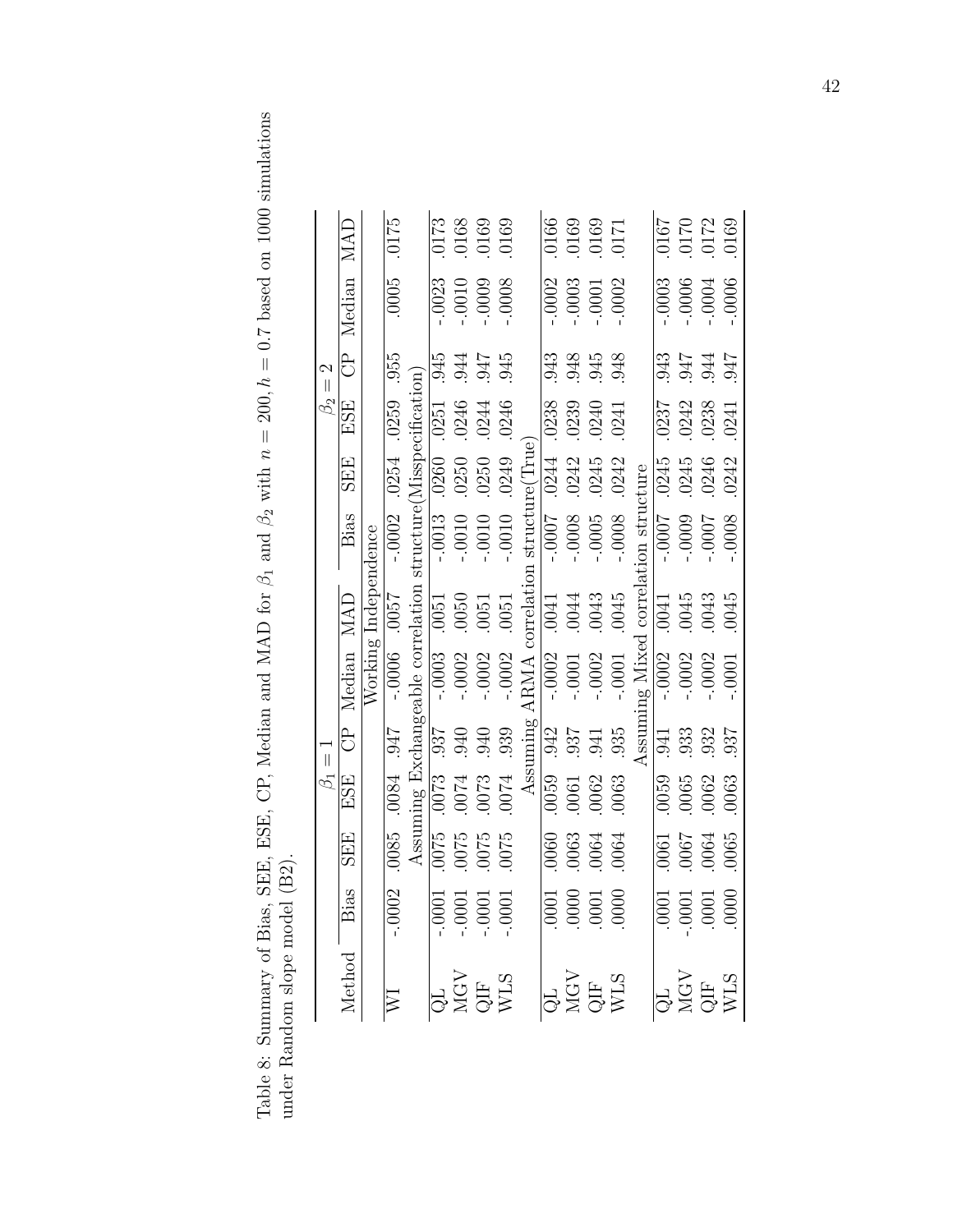Table 8: Summary of Bias, SEE, ESE, CP, Median and MAD for  $\beta_1$  and  $\beta_2$  with  $n = 200$ ,  $h = 0.7$  based on 1000 simulations under Random slope model (B2). Table 8: Summary of Bias, SEE, CR, Median and MAD for  $\beta_1$  and  $\beta_2$  with  $n = 200$ ,  $h = 0.7$  based on 1000 simulations under Random slope model (B2).

| $\beta_1=1$                                                                            |                                                                          |                                                              |                                                       |                                                                                                                                                                                                            |                                                                 |                                |                              |                              | $\beta_2=2$                |                        |                                                                |
|----------------------------------------------------------------------------------------|--------------------------------------------------------------------------|--------------------------------------------------------------|-------------------------------------------------------|------------------------------------------------------------------------------------------------------------------------------------------------------------------------------------------------------------|-----------------------------------------------------------------|--------------------------------|------------------------------|------------------------------|----------------------------|------------------------|----------------------------------------------------------------|
| Method Bias                                                                            | <b>SEE</b>                                                               | ESE                                                          |                                                       | CP Median MAD                                                                                                                                                                                              |                                                                 | Bias                           | <b>SEE</b>                   | ESE                          |                            | CP Median MAD          |                                                                |
|                                                                                        |                                                                          |                                                              |                                                       |                                                                                                                                                                                                            | Working Independence                                            |                                |                              |                              |                            |                        |                                                                |
| $-.0002$                                                                               |                                                                          | 1766 1800 1900                                               |                                                       | -.0000 3000-                                                                                                                                                                                               |                                                                 |                                | $-.0002$ . 0254              | .0259                        | .955                       | .0005                  | .0175                                                          |
|                                                                                        |                                                                          |                                                              |                                                       |                                                                                                                                                                                                            |                                                                 | structure(Misspecification)    |                              |                              |                            |                        |                                                                |
|                                                                                        |                                                                          |                                                              |                                                       |                                                                                                                                                                                                            |                                                                 | $-.0013$                       | .0260                        |                              | .945                       | $-0023$                | $0173$                                                         |
|                                                                                        |                                                                          |                                                              |                                                       |                                                                                                                                                                                                            |                                                                 | $-0.0010$                      |                              |                              |                            | $-0.0010$              |                                                                |
| $\begin{array}{c} \n 1.0001 \\  -0.001 \\  -0.001 \\  -0.001 \\  -0.001\n \end{array}$ |                                                                          | $25000$<br>$25000$<br>$2500$<br>$2500$                       |                                                       | $\begin{array}{l} {\rm Assuming\,\, Example\,\,correlation} \\ \hline 0075 & .0073 & .937 & -.0003 & .0051 \\ 0075 & .0074 & .940 & -.0002 & .0050 \\ 0075 & .0073 & .940 & -.0002 & .0050 \\ \end{array}$ |                                                                 | $-0.0010$                      | .0250<br>0250                | 0251<br>0246<br>0244<br>0246 | 347<br>747<br>945          | $-0009$                | $\begin{array}{c} 0168 \\ 0169 \\ 0169 \end{array}$            |
|                                                                                        |                                                                          |                                                              | .939                                                  | $-.0002$                                                                                                                                                                                                   | .0051                                                           | $-0.0010$                      | .0249                        |                              |                            | 0008                   |                                                                |
|                                                                                        |                                                                          |                                                              | Assuming                                              | <b>ARMA</b>                                                                                                                                                                                                |                                                                 | correlation structure (True)   |                              |                              |                            |                        |                                                                |
|                                                                                        | $.0060$<br>$0063$                                                        |                                                              |                                                       | $-.0002$                                                                                                                                                                                                   |                                                                 | $-1000 -$                      |                              |                              | .943                       | $-0002$                |                                                                |
| $\begin{array}{r} 0000 \\ 0000 \\ 0000 \\ 1000 \\ \hline \end{array}$                  |                                                                          |                                                              | $\frac{32}{95}$<br>$\frac{35}{95}$<br>$\frac{35}{95}$ | $-0.0001$                                                                                                                                                                                                  | $\begin{array}{r} 10041 \\ 0044 \\ 0043 \\ 0045 \\ \end{array}$ | $-0008$                        | 0244<br>0242<br>0245<br>0242 |                              |                            | $-0.0003$<br>$-0.0001$ |                                                                |
|                                                                                        | 0064                                                                     |                                                              |                                                       |                                                                                                                                                                                                            |                                                                 | $-0005$                        |                              |                              |                            |                        |                                                                |
|                                                                                        | .0064                                                                    | $\begin{array}{c} 0059 \\ 0061 \\ -0062 \\ 0063 \end{array}$ |                                                       | $-.0001$                                                                                                                                                                                                   |                                                                 | $-0008$                        |                              | 0238<br>0239<br>0241<br>0241 | 845<br>945<br>948          | $-0002$                |                                                                |
|                                                                                        |                                                                          |                                                              | $\Lambda$ ssum                                        |                                                                                                                                                                                                            |                                                                 | ng Mixed correlation structure |                              |                              |                            |                        |                                                                |
|                                                                                        |                                                                          |                                                              |                                                       | $-.0002$                                                                                                                                                                                                   | .0041                                                           | -.0007                         |                              |                              |                            | .0003                  |                                                                |
|                                                                                        |                                                                          |                                                              |                                                       | $-.0002$                                                                                                                                                                                                   |                                                                 | $-0009$                        |                              |                              |                            | $-.0006$<br>$-.0004$   |                                                                |
| $\begin{array}{r} \hline 10001 \\ -0001 \\ -0001 \\ -0001 \end{array}$                 | $\begin{array}{c} 0.0061 \\ -0.0067 \\ -0.0064 \\ 1.0061 \\ \end{array}$ | $\begin{array}{c} 0.059 \\ -0.065 \\ -0.063 \\ \end{array}$  | $\begin{array}{c} 941 \\ 933 \\ 932 \\ \end{array}$   | $-.0002$                                                                                                                                                                                                   | $\begin{array}{c} 0045 \\ -0043 \\ -0045 \\ \end{array}$        | -.0007                         | 0245<br>0245<br>0246<br>0242 | 0237<br>0242<br>0238<br>0241 | 176<br>176<br>1947<br>1947 |                        | $\begin{array}{c} 0167 \\ 0170 \\ 0170 \\ 0101 \\ \end{array}$ |
|                                                                                        |                                                                          |                                                              |                                                       | $-.0001$                                                                                                                                                                                                   |                                                                 | 80000                          |                              |                              |                            | .0006                  |                                                                |

42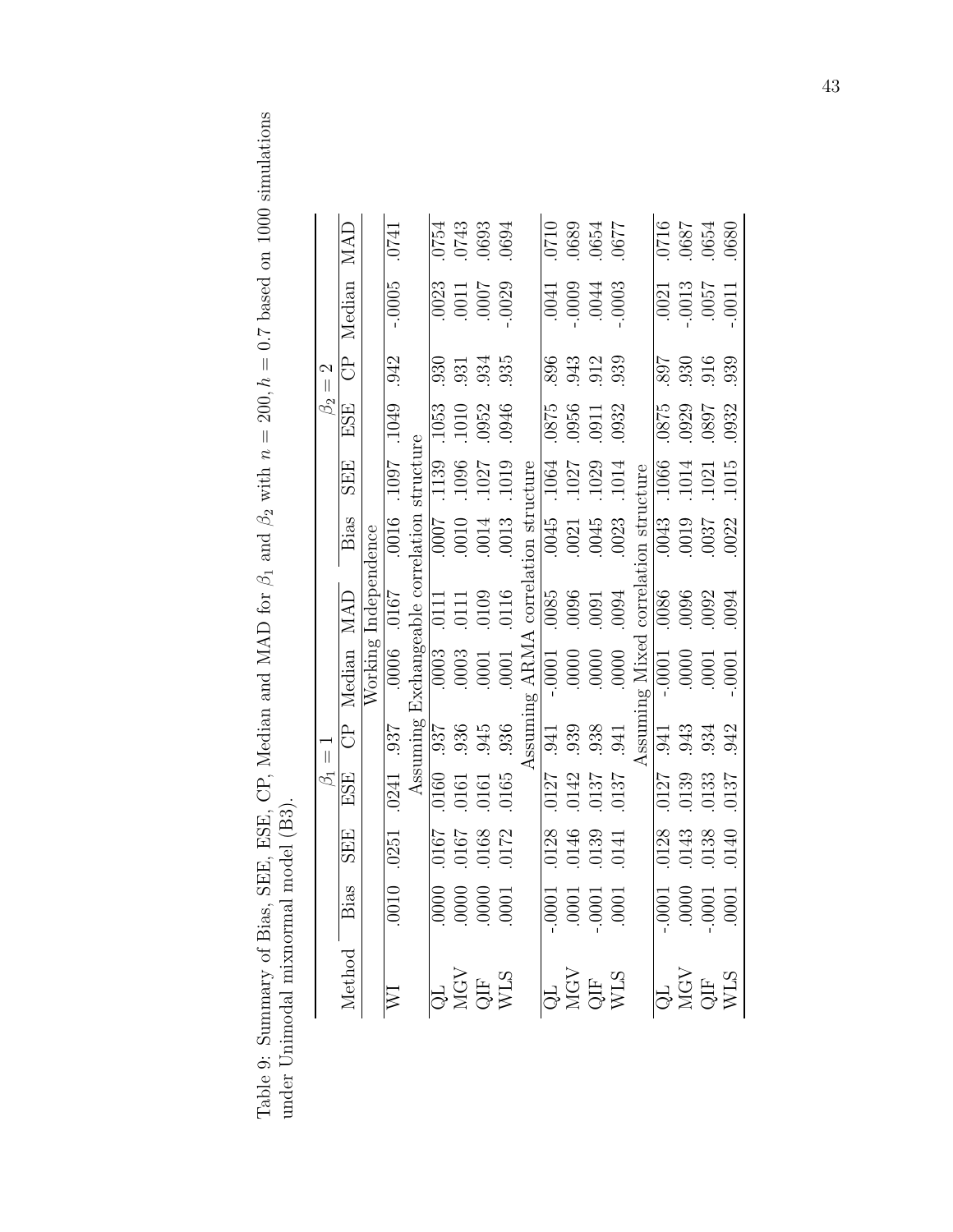Table 9: Summary of Bias, SEE, ESE, CP, Median and MAD for  $\beta_1$  and  $\beta_2$  with  $n = 200$ ,  $h = 0.7$  based on 1000 simulations under Unimodal mixnormal model (B3). Table 9: Summary of Bias, SEE, CP, Median and MAD for  $\beta_1$  and  $\beta_2$  with  $n = 200$ ,  $h = 0.7$  based on 1000 simulations under Unimodal mixnormal model (B3).

|             | MAD                       |                      | .0741                       |  | 0754<br>0743<br>0693<br>0694                                                                                                                                                                                                                                               |               |  | 770<br>689<br>689<br>677<br>677                                                                 |                                                             |                   |          | $\begin{array}{c} 0890 \\ 1890 \\ -1890 \\ 0110 \\ \end{array}$ |  |
|-------------|---------------------------|----------------------|-----------------------------|--|----------------------------------------------------------------------------------------------------------------------------------------------------------------------------------------------------------------------------------------------------------------------------|---------------|--|-------------------------------------------------------------------------------------------------|-------------------------------------------------------------|-------------------|----------|-----------------------------------------------------------------|--|
|             | Median                    |                      | $-0005$                     |  | 0023<br>10011<br>1007<br>0029                                                                                                                                                                                                                                              |               |  | $\begin{array}{c} 6000 \\ 6000 \\ -0000 \\ \end{array}$                                         |                                                             |                   |          | $\begin{array}{c} 0021 \\ 0013 \\ 0057 \\ 0057 \\ \end{array}$  |  |
| $= 2$       | $\overline{\overline{C}}$ |                      | $\overline{342}$            |  | 930<br>931<br>934<br>935                                                                                                                                                                                                                                                   |               |  |                                                                                                 | $893$<br>$943$<br>$912$<br>$93$<br>$9$                      |                   |          | $807$<br>$930$<br>$916$<br>$939$                                |  |
| $\beta_2$   | ESE                       |                      |                             |  | $\begin{array}{c} 1.053 \\ -1.010 \\ -552 \\ -0.010 \\ -0.046 \end{array}$                                                                                                                                                                                                 |               |  |                                                                                                 | 0875<br>0956<br>0911<br>0932                                |                   |          | 1875<br>1829<br>1932<br>1932                                    |  |
|             | <b>SEE</b>                |                      | 6601 2601                   |  |                                                                                                                                                                                                                                                                            | $\frac{1}{2}$ |  | $\begin{array}{ c c c }\hline 1064 \\ \hline 1027 \\ 1029 \\ \hline 1014 \\ \hline \end{array}$ |                                                             | cture             |          | $\frac{1066}{1014}$<br>$\frac{1014}{1015}$                      |  |
|             | Bias                      |                      |                             |  | $\frac{0.0241}{0.037}$ . $\frac{0.006}{0.0167}$ . $\frac{0.006}{0.016}$ . $\frac{0.003}{0.0167}$ . $\frac{0.003}{0.0161}$ . $\frac{0.003}{0.003}$ . $\frac{0.007}{0.0107}$ . $\frac{0.003}{0.013}$ . $\frac{0.007}{0.016}$ . $\frac{0.053}{0.014}$ . $\frac{0.001}{0.016}$ |               |  | $\begin{array}{c} 0045 \\ 0021 \\ 0045 \\ 0045 \\ \end{array}$                                  |                                                             | correlation strue |          | 0043<br>0019<br>7600.<br>0022                                   |  |
|             | MAD                       | Working Independence |                             |  |                                                                                                                                                                                                                                                                            |               |  | 1600<br>1600<br>1600<br>1600                                                                    |                                                             |                   |          | 0086<br>0096<br>0092<br>0094                                    |  |
|             | Median                    |                      |                             |  |                                                                                                                                                                                                                                                                            |               |  | $\frac{1}{10000}$<br>0000<br>0000                                                               |                                                             | ng Mixed          | $-.0001$ | $0000$<br>$0001$<br>$0001$                                      |  |
| $\beta_1=1$ | දි<br>ප                   |                      |                             |  |                                                                                                                                                                                                                                                                            |               |  |                                                                                                 | $\frac{941}{939}$<br>$\frac{939}{938}$<br>$\frac{11}{941}$  |                   |          | 943<br>943<br>942<br>942                                        |  |
|             | ESE                       |                      | .0241                       |  | 0160<br>0161<br>0161<br>0165                                                                                                                                                                                                                                               |               |  |                                                                                                 | $\begin{array}{c} 0127 \\ 0142 \\ 0137 \\ 0137 \end{array}$ |                   |          | $\begin{array}{c} 0127 \\ 0139 \\ 0133 \\ 0137 \\ \end{array}$  |  |
|             | <b>SEE</b>                |                      | .0251                       |  | $\frac{2167}{79100}$<br>0167<br>63010.<br>5010.                                                                                                                                                                                                                            |               |  |                                                                                                 | 0128<br>0146<br>0139<br>0141                                |                   |          | $\begin{array}{c} 0128 \\ 0143 \\ 0138 \\ 0140 \end{array}$     |  |
|             | Bias                      |                      | $\frac{010}{000}$           |  | $\frac{1000}{0000}$                                                                                                                                                                                                                                                        |               |  |                                                                                                 | $\frac{1}{10001}$                                           |                   |          | $-0000$<br>$-0000$<br>$-0001$<br>$-0001$                        |  |
|             | Method                    |                      | $\overline{\triangleright}$ |  | QL<br>MGV<br>QIF<br>WLS                                                                                                                                                                                                                                                    |               |  |                                                                                                 | QL<br>MGV<br>QIF<br>WLS                                     |                   |          | QL<br>NGV<br>QIF<br>WLS                                         |  |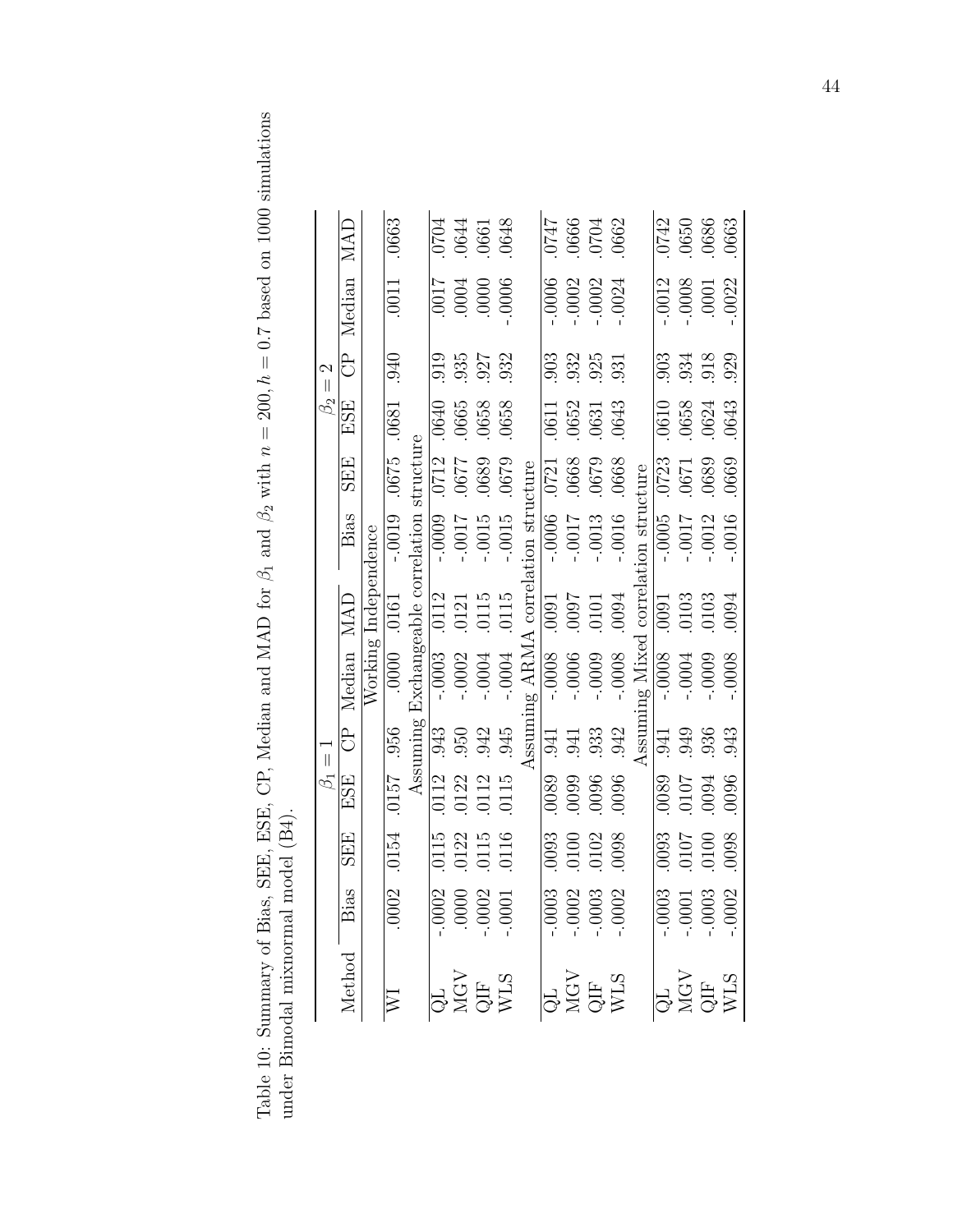Table 10: Summary of Bias, SEE, ESE, CP, Median and MAD for  $\beta_1$  and  $\beta_2$  with  $n = 200$ ,  $h = 0.7$  based on 1000 simulations under Bimodal mixnormal model (B4). Table 10: Summary of Bias, SEE, ESE, CP, Median and MAD for  $\beta_1$  and  $\beta_2$  with  $n = 200$ ,  $h = 0.7$  based on 1000 simulations under Bimodal mixnormal model (B4).

|             | MAD         | .0663              |           |      | $\frac{0704}{0644}$<br>$\frac{0644}{0601}$                                                                                                                                                                                                                                                                                                                                                                                                                                                                     |                                     |      | $0.0747$<br>0666<br>5000.<br>747<br>747                             |          |                                                                                                                                              |                                 |         |                   | $\frac{0742}{0650}$<br>$\frac{0650}{0663}$         |         |
|-------------|-------------|--------------------|-----------|------|----------------------------------------------------------------------------------------------------------------------------------------------------------------------------------------------------------------------------------------------------------------------------------------------------------------------------------------------------------------------------------------------------------------------------------------------------------------------------------------------------------------|-------------------------------------|------|---------------------------------------------------------------------|----------|----------------------------------------------------------------------------------------------------------------------------------------------|---------------------------------|---------|-------------------|----------------------------------------------------|---------|
|             | CP Median   | .0011              |           |      | $\begin{array}{c} 9000 \\ 0000 \\ 1000 \\ 1100 \end{array}$                                                                                                                                                                                                                                                                                                                                                                                                                                                    |                                     |      | $-0.006$<br>$-0.0002$<br>$-0.0002$                                  |          | $-0024$                                                                                                                                      |                                 |         |                   | $-0.0012$<br>$-0.0008$<br>$0.0001$                 | $-0022$ |
| $\beta_2=2$ |             | 040                |           | .919 | 935<br>927<br>932                                                                                                                                                                                                                                                                                                                                                                                                                                                                                              |                                     |      |                                                                     |          | 982<br>982<br>983<br>981                                                                                                                     |                                 |         |                   | 903<br>934<br>929<br>929                           |         |
|             | ESE         |                    |           |      | $0640$<br>$065$<br>$065$<br>$065$<br>$065$<br>$065$                                                                                                                                                                                                                                                                                                                                                                                                                                                            |                                     |      |                                                                     |          | $\begin{array}{c} 0611 \\ 0652 \\ 0631 \\ 0643 \end{array}$                                                                                  |                                 |         |                   | $\frac{0.0610}{0.0658}$<br>$\frac{0.0643}{0.0643}$ |         |
|             | <b>SEE</b>  | 1890 2190          | structure |      | 0712<br>1750<br>1750<br>1750<br>1750                                                                                                                                                                                                                                                                                                                                                                                                                                                                           |                                     |      | $\begin{array}{c} 0721 \\ 0668 \\ 0679 \\ 068 \end{array}$          |          |                                                                                                                                              |                                 |         |                   | $\frac{0.723}{0.0671}$<br>$\frac{0.063}{0.060}$    |         |
|             |             |                    |           |      | $\begin{tabular}{r cc} \hline CP & {\tt Mrc.}\\ \hline J157 & .956 & Vorking In\\ \hline \hline \hline \multicolumn{1}{c}{\tt Working In}\\ \hline \multicolumn{1}{c}{\tt Assuming Exchangeable correlation str}\\ \hline \multicolumn{1}{c}{\tt Assuming Exchangeable correlation str}\\ \hline \multicolumn{1}{c}{\tt Assuming C} & .0003 & .0121 & -.0009\\ \hline \multicolumn{1}{c}{\tt No} & .0003 & .0121 & -.0009\\ \hline \multicolumn{1}{c}{\tt No} & .0002 & .0121 & -.0017\\ \hline \multicolumn{$ | Assuming ARMA correlation structure |      | LT00<br>9000-<br>9000-                                              | $-.0013$ | $-0.0016$                                                                                                                                    | ing Mixed correlation structure |         | $-0.005$<br>7000- | $-.0012$                                           | $-0016$ |
|             |             |                    |           |      |                                                                                                                                                                                                                                                                                                                                                                                                                                                                                                                |                                     |      | $\begin{array}{r} \n 1010 \\  1010 \\  \hline\n 1600\n \end{array}$ |          |                                                                                                                                              |                                 | .0091   |                   | $.0103$<br>$.0103$                                 | .0094   |
|             |             |                    |           |      |                                                                                                                                                                                                                                                                                                                                                                                                                                                                                                                |                                     |      | $-0.0006$<br>$-0.0006$<br>$-0.0009$                                 |          | $-0008$                                                                                                                                      |                                 | $-0008$ | $-0.0004$         | $-0009$                                            | .0008   |
| $\beta_1=1$ |             |                    |           |      |                                                                                                                                                                                                                                                                                                                                                                                                                                                                                                                |                                     | .941 | $.941$<br>$.933$<br>$.942$                                          |          |                                                                                                                                              | Assum                           |         |                   | 949<br>949<br>943<br>943                           |         |
|             |             |                    |           |      | 0112<br>0122<br>0112<br>0115<br>0115                                                                                                                                                                                                                                                                                                                                                                                                                                                                           |                                     |      |                                                                     |          | 9600<br>6600<br>6800                                                                                                                         |                                 |         |                   | 9800<br>10107<br>10107<br>1090                     |         |
|             | <b>SEE</b>  | 020.7510.40157.956 |           |      | 0115<br>0122<br>0115<br>0116                                                                                                                                                                                                                                                                                                                                                                                                                                                                                   |                                     |      |                                                                     |          | 0093<br>0100<br>0102<br>0098                                                                                                                 |                                 |         |                   | 8600<br>2010:<br>2010:                             |         |
|             |             | Ō.                 |           |      | $-0.0002$<br>0000.<br>0000.<br>0001.                                                                                                                                                                                                                                                                                                                                                                                                                                                                           |                                     |      |                                                                     |          | $-0.0003$<br>$-0.0003$<br>$-0.0003$<br>$-0.0002$                                                                                             |                                 |         |                   | $-0.0003$<br>0001<br>0003<br>0003-0002             |         |
|             | Method Bias |                    |           |      | $\begin{array}{c} \text{QL} \\ \text{MGV} \\ \text{QIF} \\ \text{WLS} \end{array}$                                                                                                                                                                                                                                                                                                                                                                                                                             |                                     |      |                                                                     |          | $\begin{array}{c} \begin{array}{c} \text{GL} \\ \text{NGV} \end{array} \\ \begin{array}{c} \text{QIF} \\ \text{WLS} \end{array} \end{array}$ |                                 |         |                   | QL<br>MGV<br>QIF<br>WLS<br>WLS                     |         |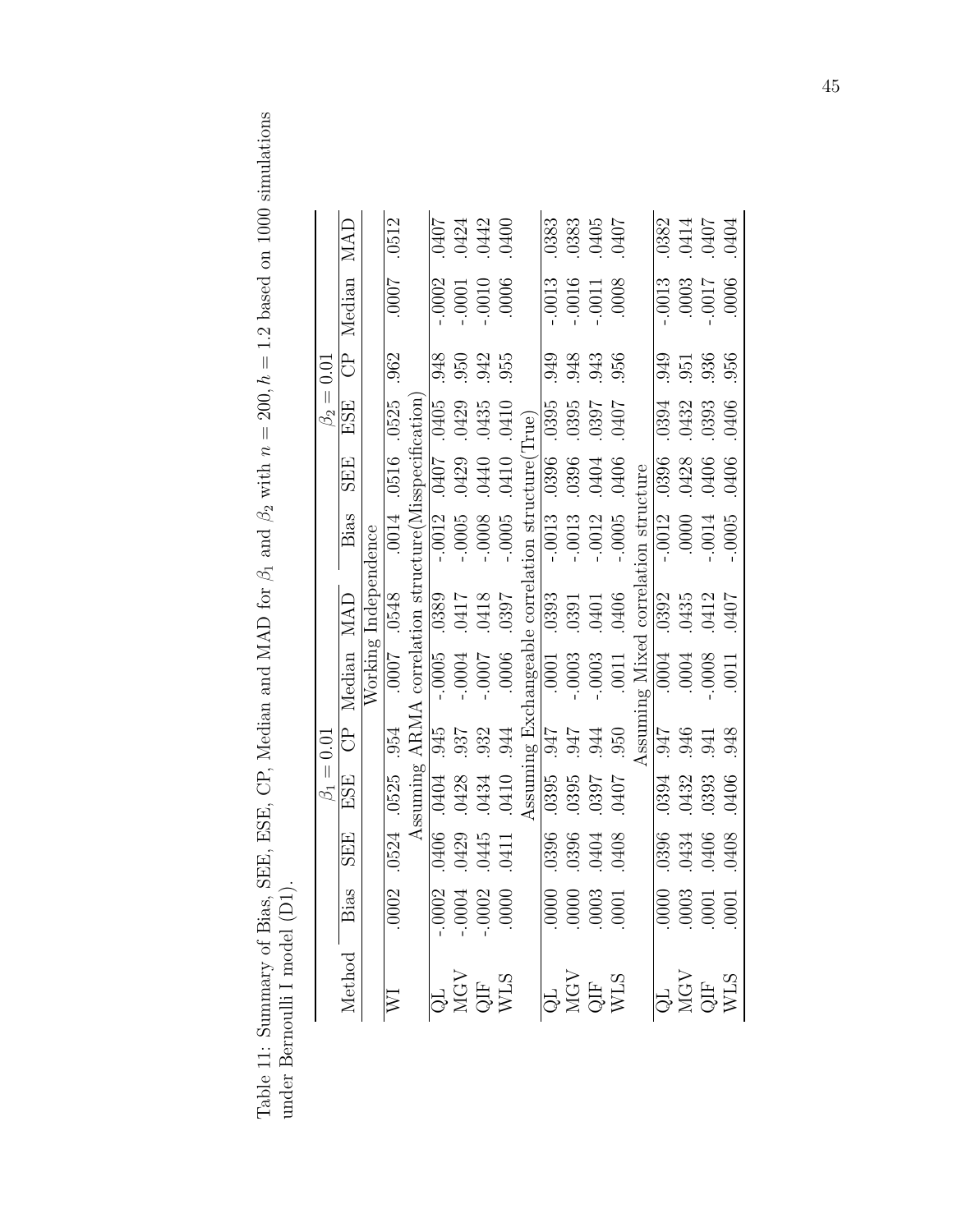Table 11: Summary of Bias, SEE, ESE, CP, Median and MAD for  $\beta_1$  and  $\beta_2$  with  $n = 200$ ,  $h = 1.2$  based on 1000 simulations under Bernoulli I model (D1). Table 11: Summary of Bias, SEE, ESE, CP, Median and MAD for  $\beta_1$  and  $\beta_2$  with  $n = 200$ ,  $h = 1.2$  based on 1000 simulations under Bernoulli I model (D1).

|                |                         |                      | .0512                    |                                                                                                                                                                 |          |                      | 0407<br>0424<br>0442<br>0400                                                                   |         |                                       | .0383        | $.0383$<br>$.0405$<br>$.0407$                   |                  |                                                                                                                                  |                                 |          |      | 0382<br>0414<br>0407<br>0404                                        |         |
|----------------|-------------------------|----------------------|--------------------------|-----------------------------------------------------------------------------------------------------------------------------------------------------------------|----------|----------------------|------------------------------------------------------------------------------------------------|---------|---------------------------------------|--------------|-------------------------------------------------|------------------|----------------------------------------------------------------------------------------------------------------------------------|---------------------------------|----------|------|---------------------------------------------------------------------|---------|
|                | CP Median MAD           |                      | 7000.                    |                                                                                                                                                                 | $-.0002$ | $-.0001$             | $-0010$<br>0006.                                                                               |         |                                       | 0013         | $-0.016$<br>$-0.011$<br>$-0.003$                |                  |                                                                                                                                  |                                 |          |      | 2100<br>2000<br>2000<br>2000-                                       | .0006   |
| $\beta_2=0.01$ |                         |                      | .962                     |                                                                                                                                                                 | 948      |                      | 950<br>942<br>955                                                                              |         |                                       | 949          |                                                 |                  | 943<br>943<br>956                                                                                                                |                                 |          |      | 949<br>951<br>956<br>956                                            |         |
|                | ESE                     |                      | .0525                    |                                                                                                                                                                 |          | .0429                | .0435                                                                                          | .0410   |                                       |              |                                                 |                  | 10395<br>10395<br>10397<br>10407                                                                                                 |                                 |          |      | 0394<br>0432<br>0406<br>0406                                        |         |
|                | <b>SEE</b>              |                      | 0014 .0516               |                                                                                                                                                                 |          |                      | 0407<br>0429<br>0440<br>0410                                                                   |         |                                       |              |                                                 |                  | $\begin{array}{r} 0396 \\ 0396 \\ 0404 \\ 0404 \end{array}$                                                                      |                                 |          |      | 0396<br>0428<br>0406<br>0406                                        |         |
|                | Bias                    |                      |                          | $\frac{\text{Assuming ARMA correlation structure(Misspecification)}{406 \quad .0404 \quad .945} \quad -.0005 \quad .0389 \quad -.0012 \quad .0407 \quad .0405}$ |          | $-0005$              | $-0008$                                                                                        | $-0005$ | hangeable correlation structure(True) | $-0.0013$    | $-.0013$                                        | $-.0012$         | $-.0005$                                                                                                                         | ing Mixed correlation structure | $-.0012$ | 0000 | $-0.0014$                                                           | $-0005$ |
|                |                         |                      | 8F90 2000                |                                                                                                                                                                 |          | 81FO<br>21FO<br>2015 |                                                                                                | .0397   |                                       |              | $\frac{10393}{0391}$<br>0.991<br>0.401<br>0.406 |                  |                                                                                                                                  |                                 | .0392    |      | $.0435$<br>$.0412$<br>$.0407$                                       |         |
|                | CP Median MAD           | Working Independence |                          |                                                                                                                                                                 |          | $-0004$              | -.000.                                                                                         | .0006   |                                       |              | $\frac{1}{0001}$<br>- 0003<br>- 0003            |                  | .0011                                                                                                                            |                                 |          |      | 8000<br>FOOO<br>FOOO                                                | .0011   |
| $\beta_1=0.01$ |                         |                      |                          |                                                                                                                                                                 |          | $.937$<br>$.932$     |                                                                                                | .944    |                                       | <b>176</b> . | 176.                                            | $0.60$<br>$0.60$ |                                                                                                                                  | Assum                           |          |      | 845<br>946<br>945<br>948                                            |         |
|                | $\overline{\text{ESE}}$ |                      |                          |                                                                                                                                                                 |          |                      | $\begin{array}{c} 0428 \\ 0434 \\ 0410 \end{array}$                                            |         | Assuming Exc                          | $-0395$      |                                                 |                  | 10395<br>10397<br>10407                                                                                                          |                                 |          |      | 0394<br>0432<br>0432<br>0406                                        |         |
|                | <b>SEE</b>              |                      | $02$ $0524$ $0525$ $054$ |                                                                                                                                                                 | .0406    |                      | .0429<br>0445<br>0411                                                                          |         |                                       | .0396        | 0396                                            |                  | 0404<br>0408                                                                                                                     |                                 |          |      | 8050<br>0134<br>01406<br>0108                                       |         |
|                |                         |                      | Š                        |                                                                                                                                                                 |          |                      | $-0.0002$<br>$-0.0004$<br>$-0.0002$                                                            |         |                                       |              | $\frac{1000}{0000}$                             |                  |                                                                                                                                  |                                 |          |      | $\begin{array}{ l} \hline 0000 \\ 0003 \\ 0001 \\ 0001 \end{array}$ |         |
|                | Method Bias             |                      | $\Xi$                    |                                                                                                                                                                 |          |                      | $\begin{array}{c} \widehat{\mathbf{QL}} \\ \text{MGV} \\ \text{QIF} \\ \text{WLS} \end{array}$ |         |                                       |              |                                                 |                  | $\begin{array}{c}\n\overline{\text{QL}} \\ \overline{\text{MGV}} \\ \overline{\text{QIF}} \\ \overline{\text{WLS}}\n\end{array}$ |                                 |          |      | QL<br>MGV<br>QIF<br>WLS<br>WLS                                      |         |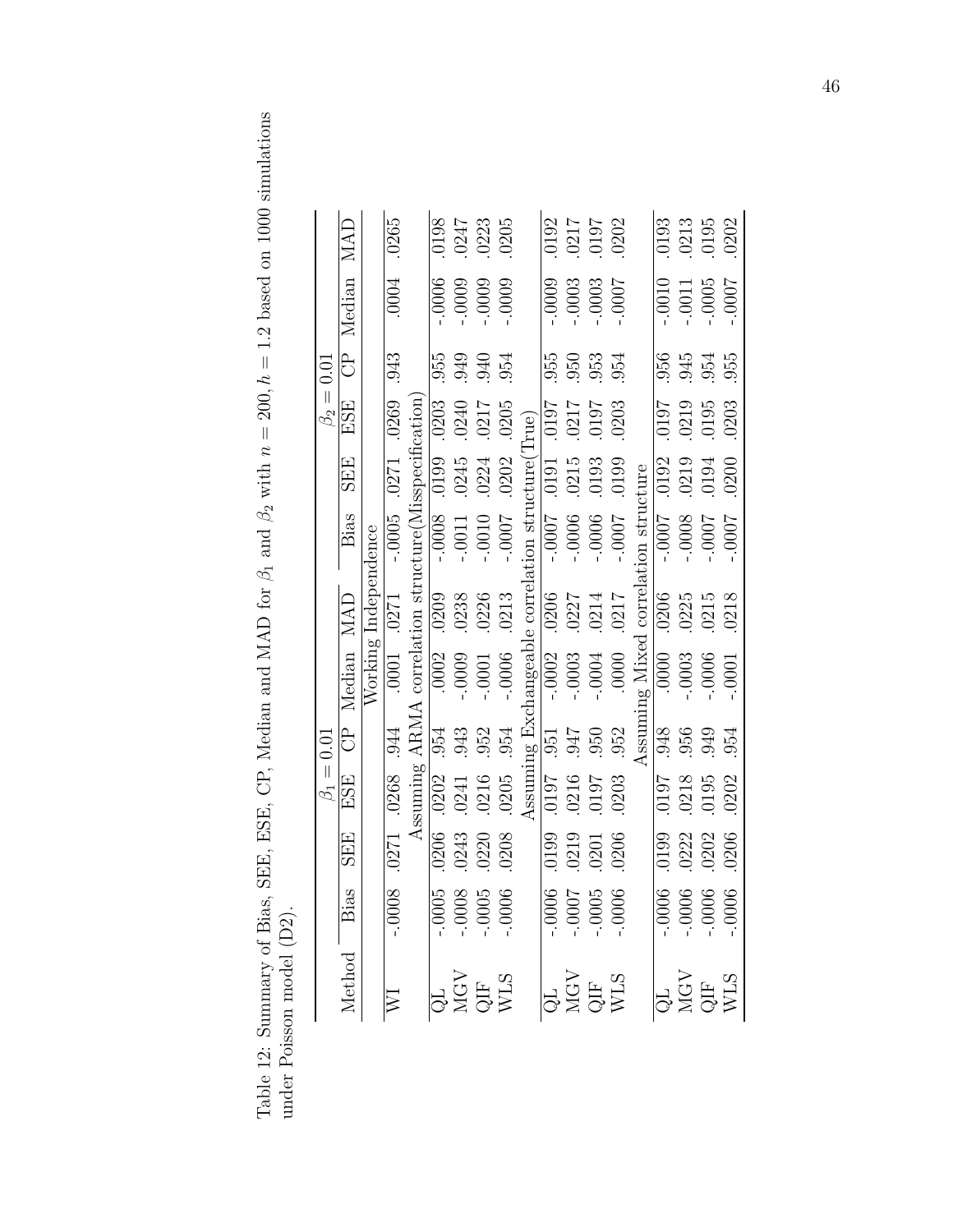Table 12: Summary of Bias, SEE, ESE, CP, Median and MAD for  $\beta_1$  and  $\beta_2$  with  $n = 200$ ,  $h = 1.2$  based on 1000 simulations under Poisson model (D2). Table 12: Summary of Bias, SEE, ESE, CP, Median and MAD for  $\beta_1$  and  $\beta_2$  with  $n = 200$ ,  $h = 1.2$  based on 1000 simulations under Poisson model (D2).

|                |               |                      | .0265            |                                                      | .0198              |          | $.0247$<br>$.0223$                                                                                                                                                   | .0205   |                                                   |                | 0192<br>0217<br>0197<br>0202<br>0202                                                           |          |                                                                                                                    |                                 |          |                       | 0193<br>0213<br>0195<br>0202                                               |       |
|----------------|---------------|----------------------|------------------|------------------------------------------------------|--------------------|----------|----------------------------------------------------------------------------------------------------------------------------------------------------------------------|---------|---------------------------------------------------|----------------|------------------------------------------------------------------------------------------------|----------|--------------------------------------------------------------------------------------------------------------------|---------------------------------|----------|-----------------------|----------------------------------------------------------------------------|-------|
|                | CP Median MAD |                      | .0004            |                                                      | .0006              | $-0009$  | $-0009$                                                                                                                                                              | $-0009$ |                                                   | .0009          | $-.0003$                                                                                       | $-0003$  | 7000.                                                                                                              |                                 | $0010$ . | $-0011$               | $-0005$                                                                    | 7000. |
|                |               |                      | 943              |                                                      | .955               |          | 940<br>954<br>954                                                                                                                                                    |         |                                                   | .955           |                                                                                                |          | 953<br>953<br>954                                                                                                  |                                 |          |                       | 955<br>945<br>955<br>955                                                   |       |
| $\beta_2=0.01$ | ESE           |                      | .0269            |                                                      | .0203              | .0240    | .0217                                                                                                                                                                | .0205   |                                                   |                |                                                                                                |          | 50<br>2017<br>2010<br>2010                                                                                         |                                 |          |                       | 0197<br>0219<br>0203<br>0203                                               |       |
|                | <b>SEE</b>    |                      |                  |                                                      | 0.0199             | .0245    | .0224                                                                                                                                                                | .0202   |                                                   |                | $\begin{array}{ l } \hline 0191\ \hline 0215\ \hline 0.93\ \hline 0.0199 \ \hline \end{array}$ |          |                                                                                                                    |                                 |          |                       | 0192<br>0219<br>0194<br>0200                                               |       |
|                | Bias          |                      | $-0.0005$ . 0271 | Assuming ARMA correlation structure(Misspecification | $-0.0008$          | $-.0011$ | $-0010$                                                                                                                                                              | -.000.  | Assuming Exchangeable correlation structure(True) | $-1000 -$      | $-0006$                                                                                        | $-0006$  | -.0007                                                                                                             | ing Mixed correlation structure | $-000 -$ | 80000                 | -.000.                                                                     | 7000. |
|                |               | Working Independence |                  |                                                      | .0209              | .0238    | .0226                                                                                                                                                                | .0213   |                                                   |                | 0206<br>0227<br>0214<br>0217<br>0217                                                           |          |                                                                                                                    |                                 | .0206    | .0225                 | .0215                                                                      | .0218 |
|                | CP Median MAD |                      | .0001 .0271      |                                                      | $\overline{.0002}$ | $-0009$  | $-.0001$                                                                                                                                                             | $-0006$ |                                                   | $-.0002$       | $-.0003$                                                                                       | $-0004$  | .0000                                                                                                              |                                 | .0000    | 0003                  | -.0006                                                                     | 0001  |
|                |               |                      |                  |                                                      | .954               | .943     | .952                                                                                                                                                                 | .954    |                                                   | $\overline{.}$ | $0.66$ .                                                                                       |          | .952                                                                                                               | Assum                           | .948     |                       | 956<br>949<br>954                                                          |       |
| $\beta_1=0.01$ | ESE           |                      |                  |                                                      | .0202              | $.0241$  | .0216                                                                                                                                                                | .0205   |                                                   | 7610.          | .0216<br>0197                                                                                  |          | .0203                                                                                                              |                                 |          |                       | 197<br>8120.<br>8120.                                                      | .0202 |
|                | <b>SEE</b>    |                      | .0271 .0268 .944 |                                                      | .0206              | .0243    | 0220                                                                                                                                                                 | .0208   |                                                   | .0199          | .0219                                                                                          | $0201\,$ | .0206                                                                                                              |                                 |          | .0199<br>0222<br>0202 |                                                                            | 0206  |
|                |               |                      | $-0008$          |                                                      |                    |          | $\begin{array}{r}\n 1.0005 \\  -0.008 \\  -0.005 \\  -0.005\n \end{array}$                                                                                           |         |                                                   |                | $\begin{array}{r}\n 10000 \\  -10000 \\  -7000\n \end{array}$                                  |          |                                                                                                                    |                                 |          |                       | $\begin{array}{r}\n -0.006 \\  -0.006 \\  -0.006 \\  -0.006\n \end{array}$ |       |
|                | Method Bias   |                      |                  |                                                      |                    |          | $\begin{array}{c} \widehat{\mathbf{Q}} \mathbf{L} \\ \mathbf{M}\mathbf{G}\mathbf{V} \\ \mathbf{Q}\mathbf{I}\mathbf{F} \\ \mathbf{W}\mathbf{L}\mathbf{S} \end{array}$ |         |                                                   |                |                                                                                                |          | $\begin{array}{c} \bigcirc \overline{\mathbf{G}} \mathbf{L} \\ \text{MGV} \\ \text{QIF} \\ \text{WLS} \end{array}$ |                                 |          |                       | QL<br>MGV<br>QIF<br>WLS<br>WLS                                             |       |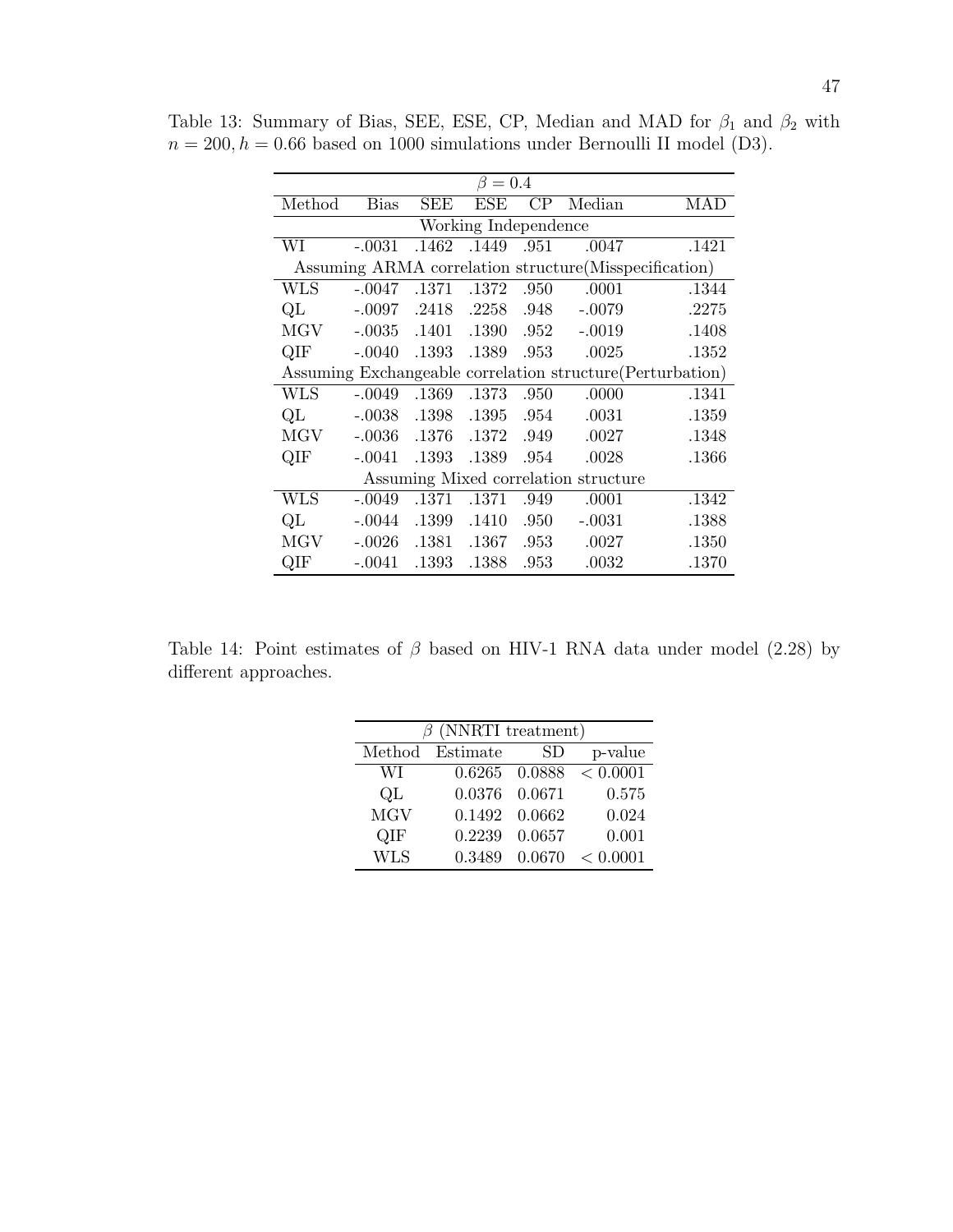| $\beta=0.4$                                                |             |            |             |      |          |       |  |  |
|------------------------------------------------------------|-------------|------------|-------------|------|----------|-------|--|--|
| Method                                                     | <b>Bias</b> | <b>SEE</b> | ESE         | CP   | Median   | MAD   |  |  |
| Working Independence                                       |             |            |             |      |          |       |  |  |
| WI                                                         | $-.0031$    | .1462      | .1449       | .951 | .0047    | .1421 |  |  |
| Assuming ARMA correlation structure (Misspecification)     |             |            |             |      |          |       |  |  |
| <b>WLS</b>                                                 | $-.0047$    |            | .1371 .1372 | .950 | .0001    | .1344 |  |  |
| QL                                                         | $-.0097$    |            | .2418 .2258 | .948 | $-.0079$ | .2275 |  |  |
| MGV                                                        | $-.0035$    | .1401      | .1390       | .952 | $-.0019$ | .1408 |  |  |
| QIF                                                        | $-.0040$    | .1393      | .1389       | .953 | .0025    | .1352 |  |  |
| Assuming Exchangeable correlation structure (Perturbation) |             |            |             |      |          |       |  |  |
| <b>WLS</b>                                                 | $-.0049$    | .1369      | .1373       | .950 | .0000    | .1341 |  |  |
| QL                                                         | $-.0038$    | .1398      | .1395       | .954 | .0031    | .1359 |  |  |
| <b>MGV</b>                                                 | $-.0036$    | .1376      | .1372       | .949 | .0027    | .1348 |  |  |
| QIF                                                        | $-.0041$    | .1393      | .1389       | .954 | .0028    | .1366 |  |  |
| Assuming Mixed correlation structure                       |             |            |             |      |          |       |  |  |
| <b>WLS</b>                                                 | $-.0049$    | .1371      | .1371       | .949 | .0001    | .1342 |  |  |
| QL                                                         | $-.0044$    | .1399      | .1410       | .950 | $-.0031$ | .1388 |  |  |
| <b>MGV</b>                                                 | $-.0026$    | .1381      | .1367       | .953 | .0027    | .1350 |  |  |
| QIF                                                        | $-.0041$    | .1393      | .1388       | .953 | .0032    | .1370 |  |  |

Table 13: Summary of Bias, SEE, ESE, CP, Median and MAD for  $\beta_1$  and  $\beta_2$  with  $n = 200, h = 0.66$  based on 1000 simulations under Bernoulli II model (D3).

Table 14: Point estimates of  $\beta$  based on HIV-1 RNA data under model (2.28) by different approaches.

| $\beta$ (NNRTI treatment) |          |               |          |  |  |  |  |
|---------------------------|----------|---------------|----------|--|--|--|--|
| Method                    | Estimate | SD            | p-value  |  |  |  |  |
| WІ                        |          | 0.6265 0.0888 | < 0.0001 |  |  |  |  |
| QL                        | 0.0376   | 0.0671        | 0.575    |  |  |  |  |
| <b>MGV</b>                | 0.1492   | 0.0662        | 0.024    |  |  |  |  |
| QIF                       | 0.2239   | 0.0657        | 0.001    |  |  |  |  |
| <b>WLS</b>                | 0.3489   | 0.0670        | < 0.0001 |  |  |  |  |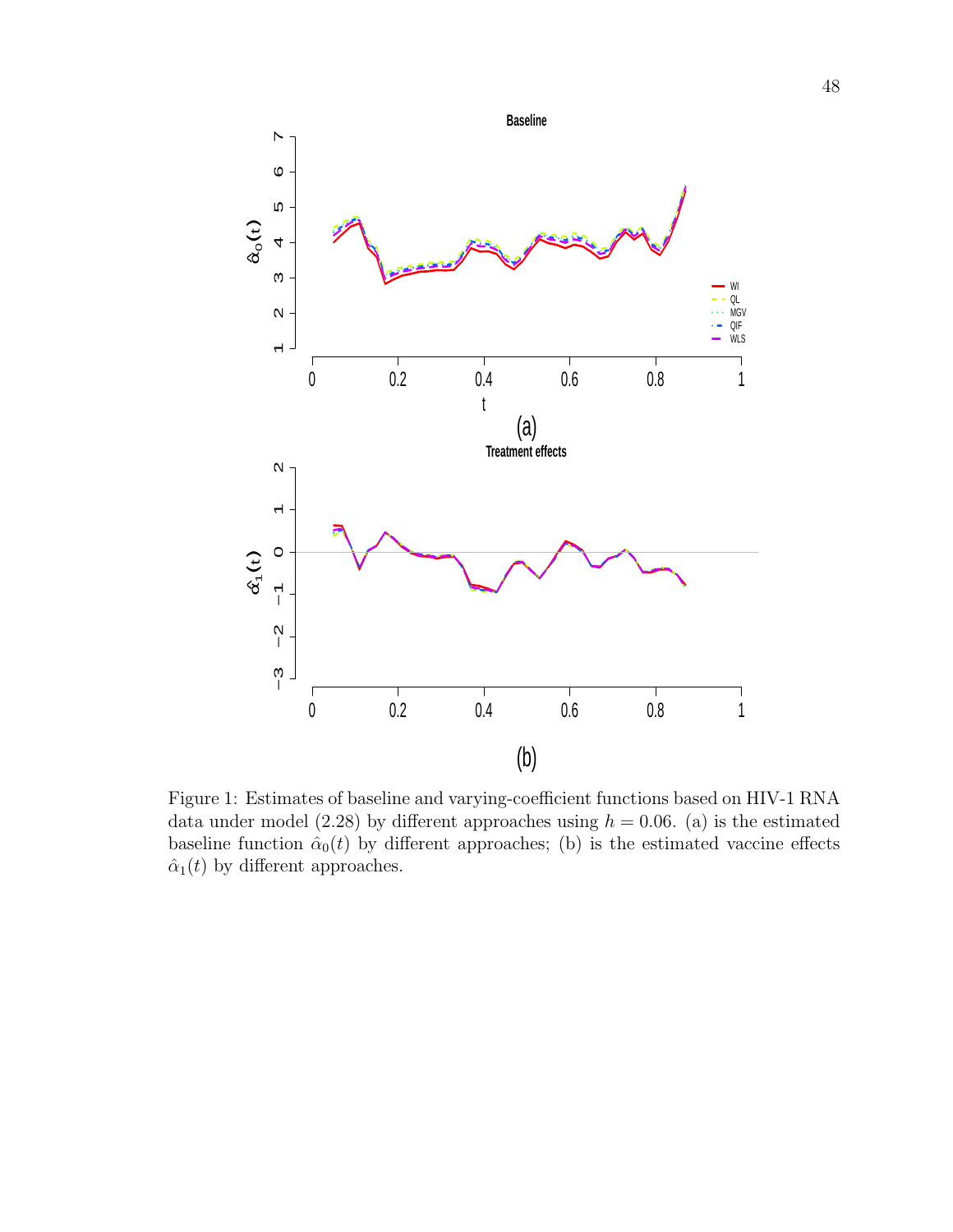

Figure 1: Estimates of baseline and varying-coefficient functions based on HIV-1 RNA data under model (2.28) by different approaches using  $h = 0.06$ . (a) is the estimated baseline function  $\hat{\alpha}_0(t)$  by different approaches; (b) is the estimated vaccine effects  $\hat{\alpha}_1(t)$  by different approaches.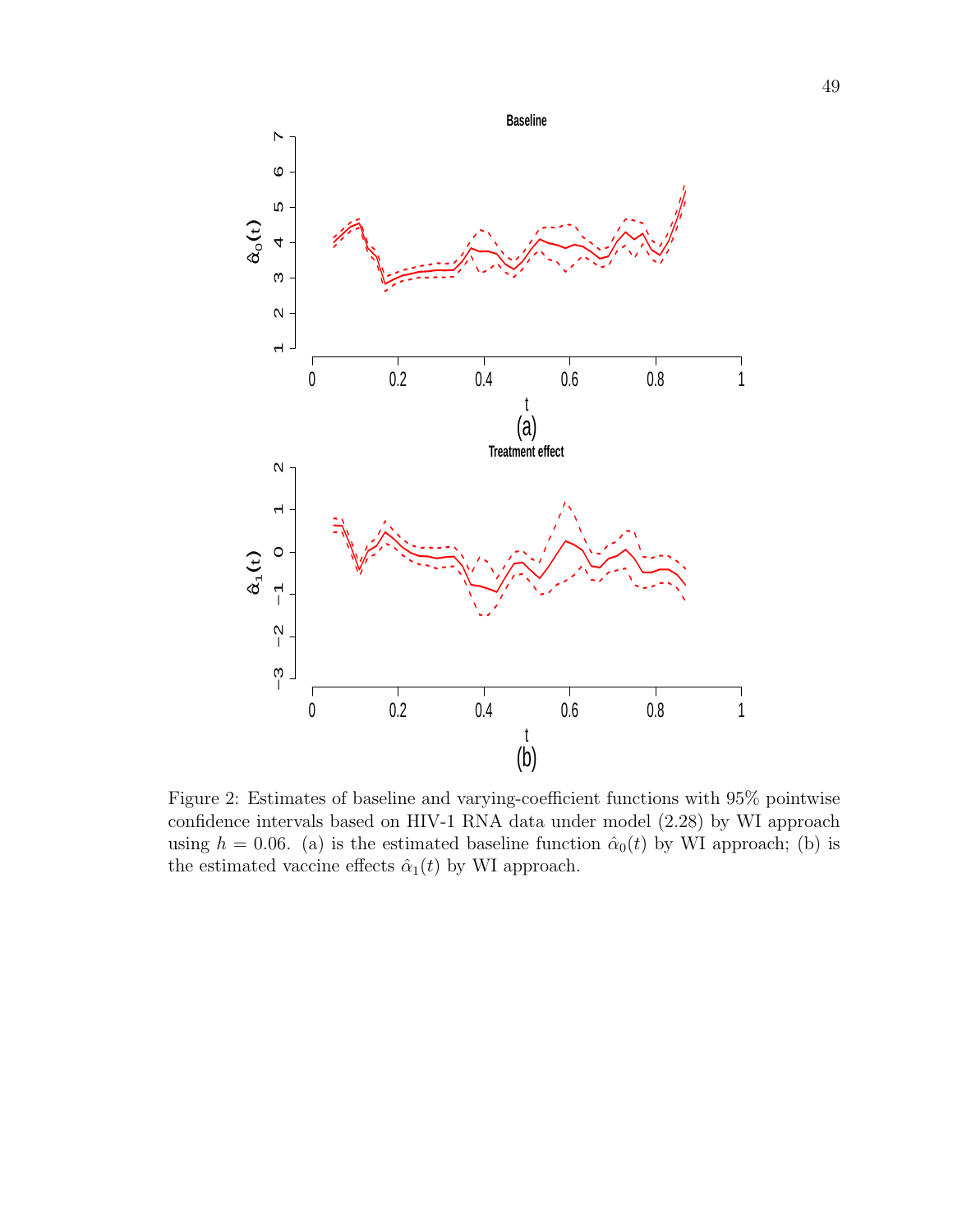

Figure 2: Estimates of baseline and varying-coefficient functions with 95% pointwise confidence intervals based on HIV-1 RNA data under model (2.28) by WI approach using  $h = 0.06$ . (a) is the estimated baseline function  $\hat{\alpha}_0(t)$  by WI approach; (b) is the estimated vaccine effects  $\hat{\alpha}_1(t)$  by WI approach.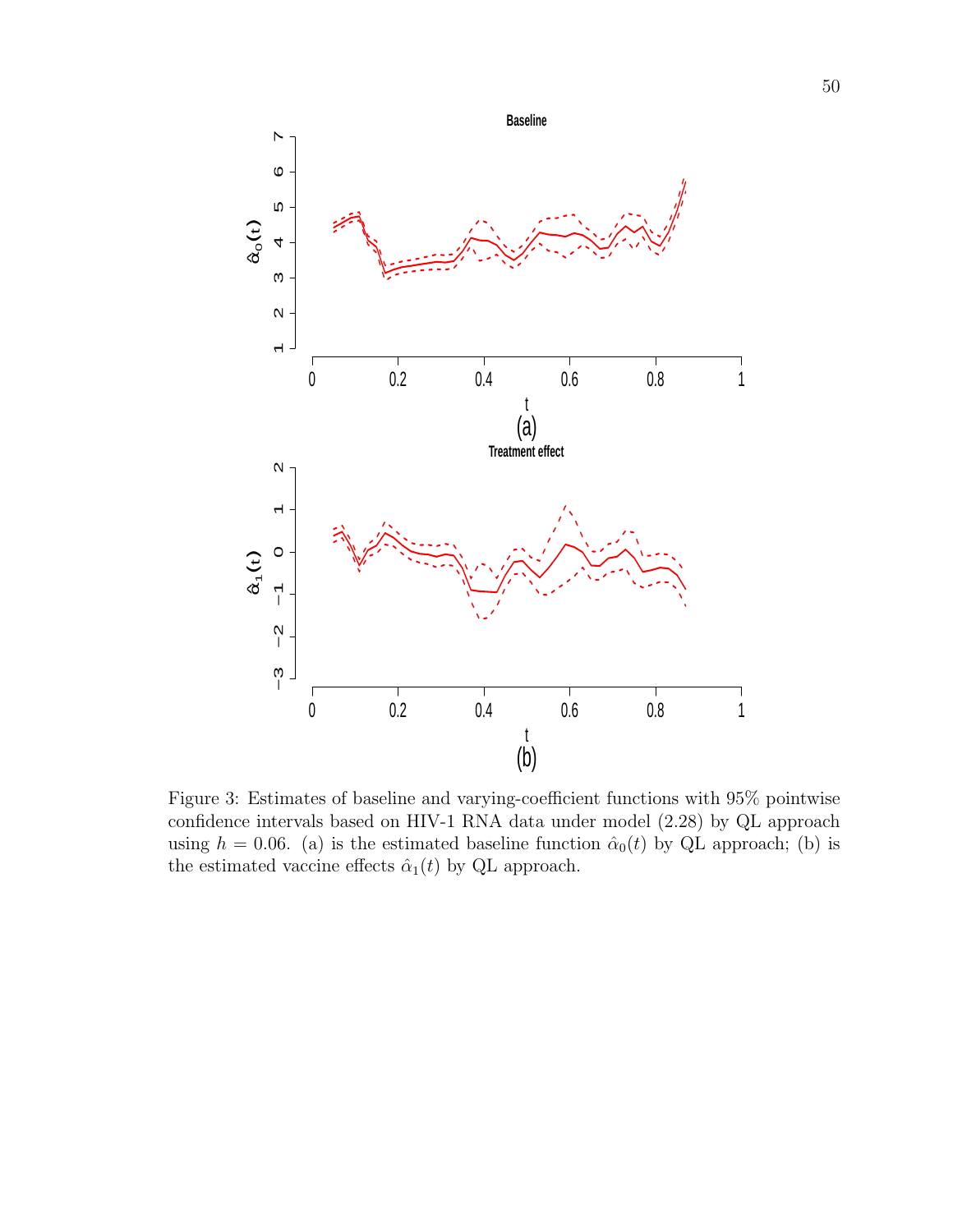

Figure 3: Estimates of baseline and varying-coefficient functions with 95% pointwise confidence intervals based on HIV-1 RNA data under model (2.28) by QL approach using  $h = 0.06$ . (a) is the estimated baseline function  $\hat{\alpha}_0(t)$  by QL approach; (b) is the estimated vaccine effects  $\hat{\alpha}_1(t)$  by QL approach.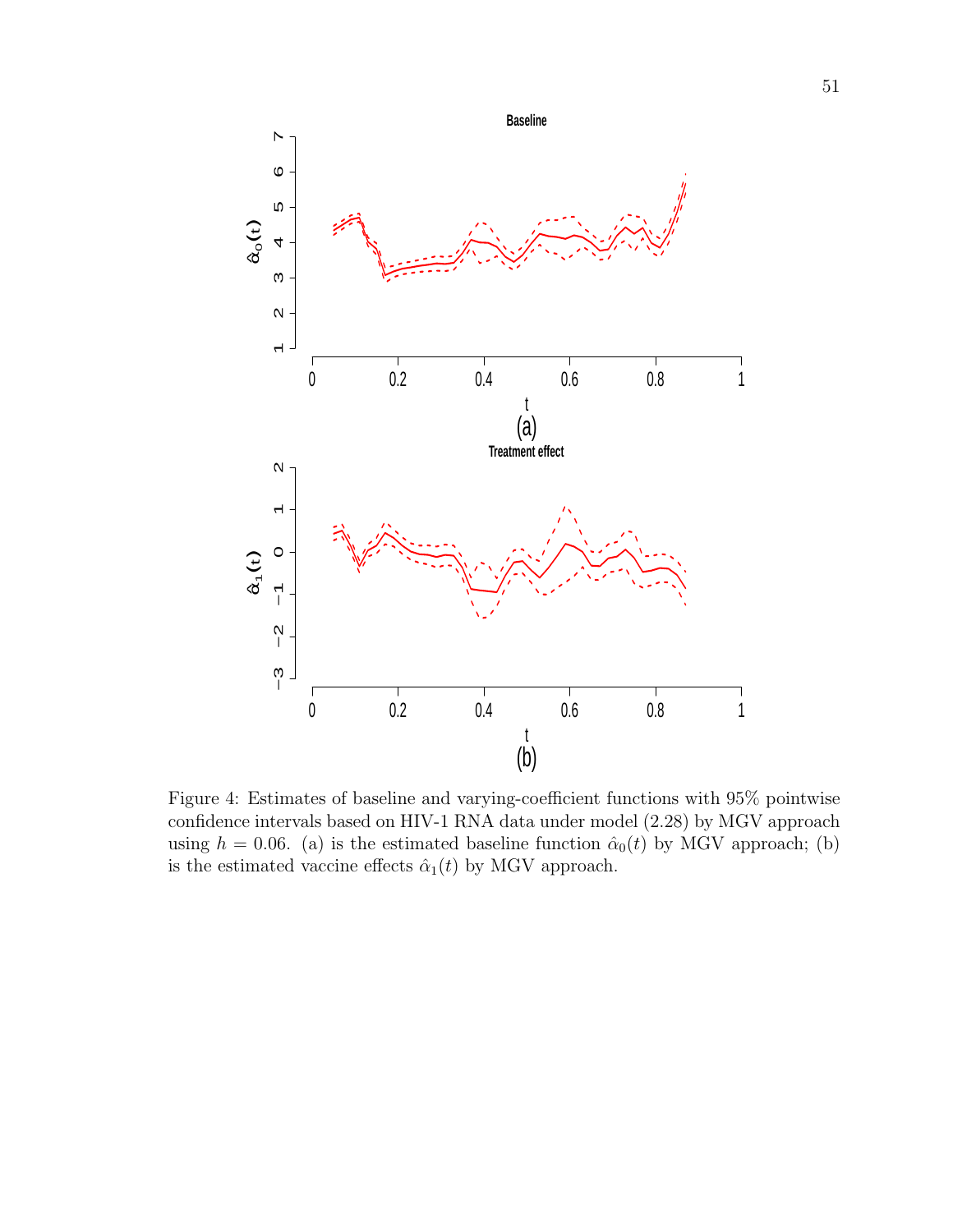

Figure 4: Estimates of baseline and varying-coefficient functions with 95% pointwise confidence intervals based on HIV-1 RNA data under model (2.28) by MGV approach using  $h = 0.06$ . (a) is the estimated baseline function  $\hat{\alpha}_0(t)$  by MGV approach; (b) is the estimated vaccine effects  $\hat{\alpha}_1(t)$  by MGV approach.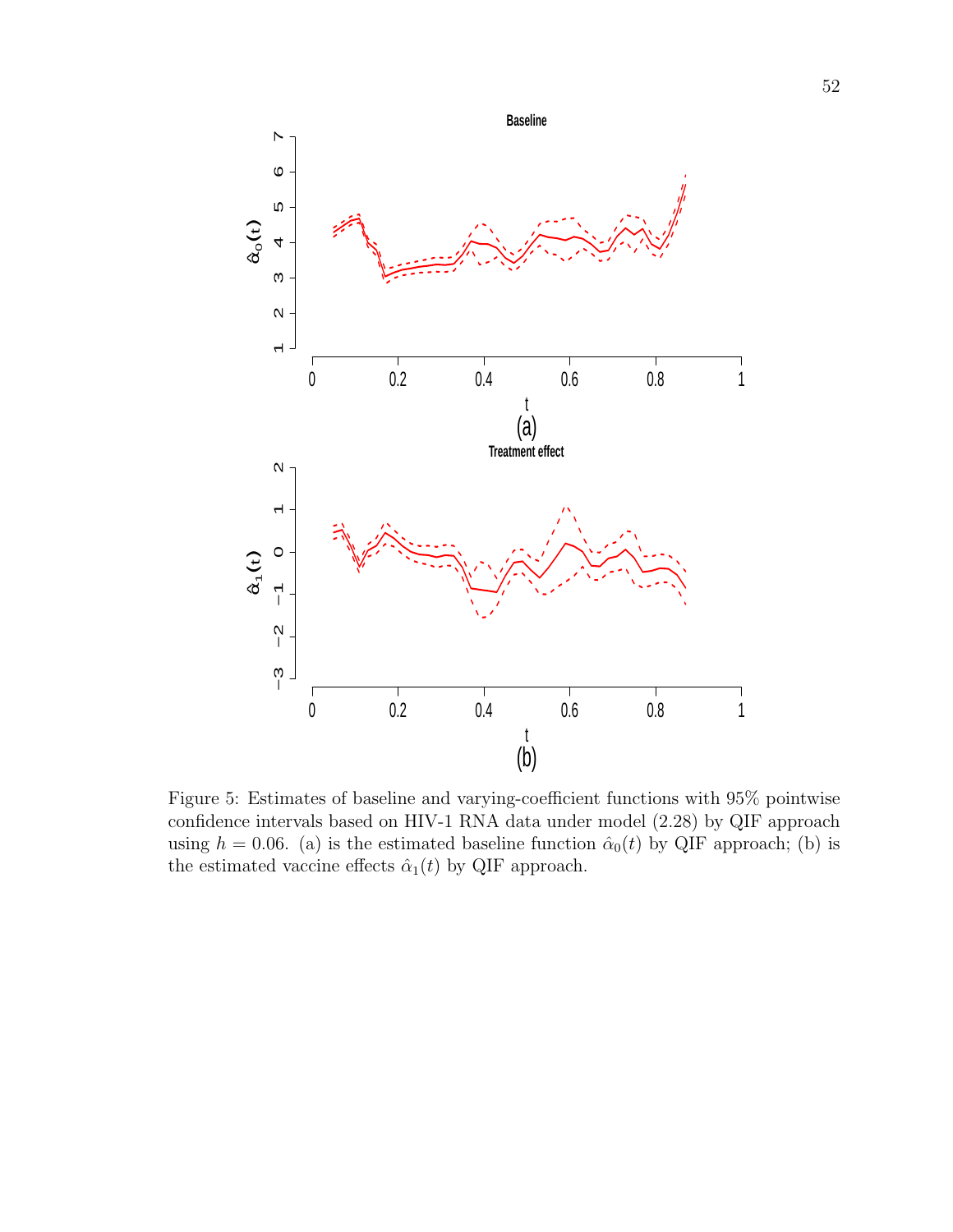

Figure 5: Estimates of baseline and varying-coefficient functions with 95% pointwise confidence intervals based on HIV-1 RNA data under model (2.28) by QIF approach using  $h = 0.06$ . (a) is the estimated baseline function  $\hat{\alpha}_0(t)$  by QIF approach; (b) is the estimated vaccine effects  $\hat{\alpha}_1(t)$  by QIF approach.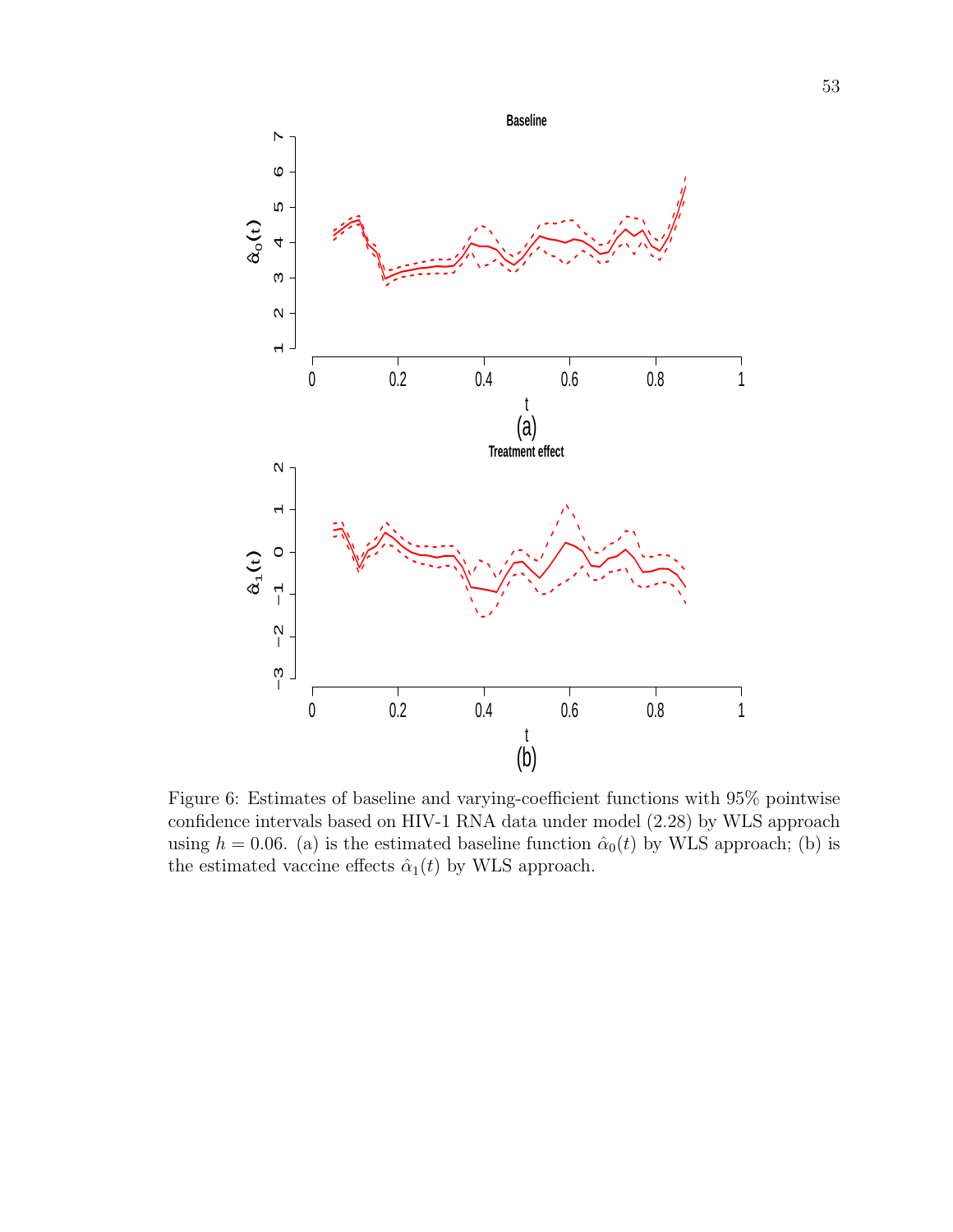

Figure 6: Estimates of baseline and varying-coefficient functions with 95% pointwise confidence intervals based on HIV-1 RNA data under model (2.28) by WLS approach using  $h = 0.06$ . (a) is the estimated baseline function  $\hat{\alpha}_0(t)$  by WLS approach; (b) is the estimated vaccine effects  $\hat{\alpha}_1(t)$  by WLS approach.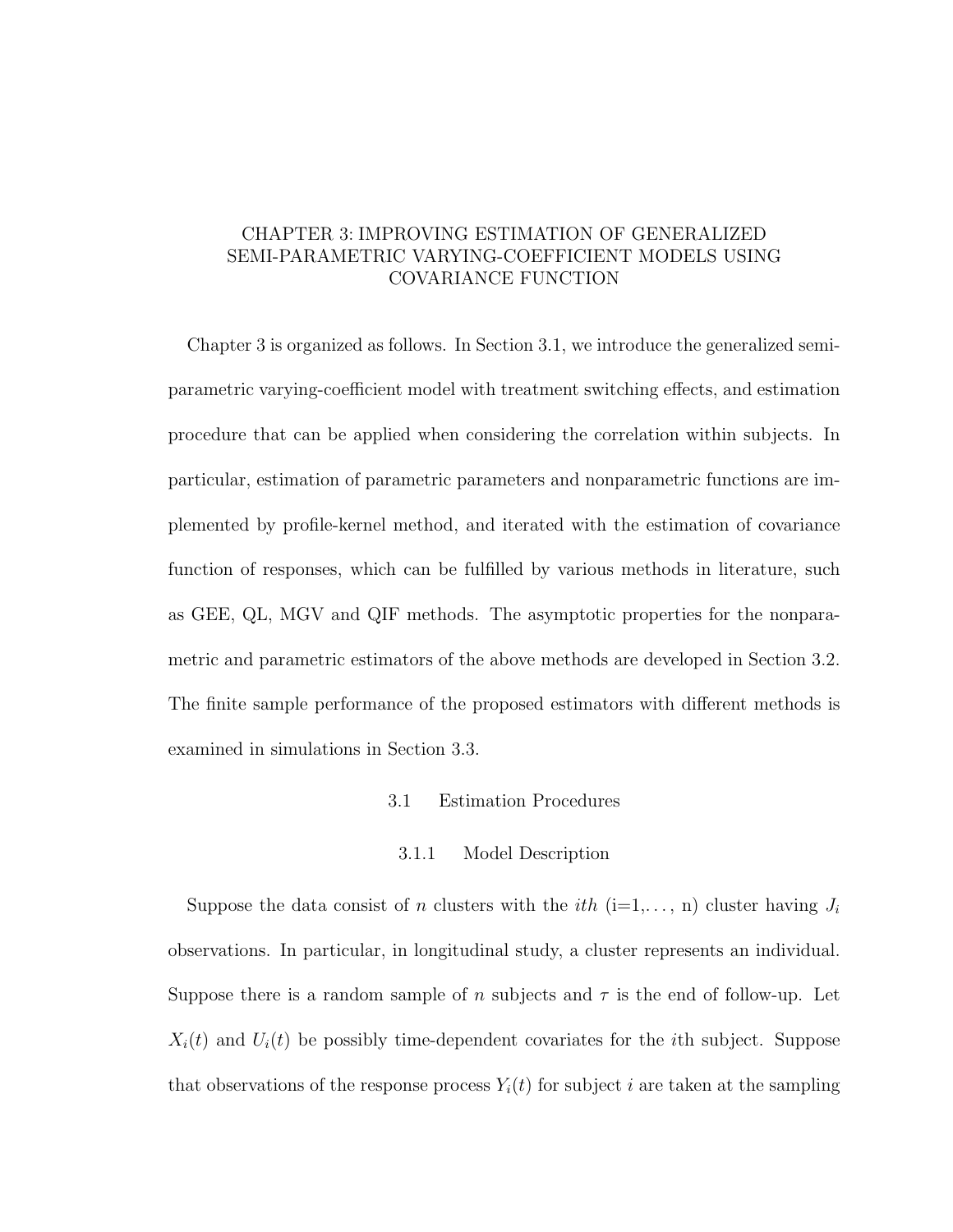# CHAPTER 3: IMPROVING ESTIMATION OF GENERALIZED SEMI-PARAMETRIC VARYING-COEFFICIENT MODELS USING COVARIANCE FUNCTION

Chapter 3 is organized as follows. In Section 3.1, we introduce the generalized semiparametric varying-coefficient model with treatment switching effects, and estimation procedure that can be applied when considering the correlation within subjects. In particular, estimation of parametric parameters and nonparametric functions are implemented by profile-kernel method, and iterated with the estimation of covariance function of responses, which can be fulfilled by various methods in literature, such as GEE, QL, MGV and QIF methods. The asymptotic properties for the nonparametric and parametric estimators of the above methods are developed in Section 3.2. The finite sample performance of the proposed estimators with different methods is examined in simulations in Section 3.3.

### 3.1 Estimation Procedures

### 3.1.1 Model Description

Suppose the data consist of n clusters with the *i*th (i=1,..., n) cluster having  $J_i$ observations. In particular, in longitudinal study, a cluster represents an individual. Suppose there is a random sample of n subjects and  $\tau$  is the end of follow-up. Let  $X_i(t)$  and  $U_i(t)$  be possibly time-dependent covariates for the *i*th subject. Suppose that observations of the response process  $Y_i(t)$  for subject i are taken at the sampling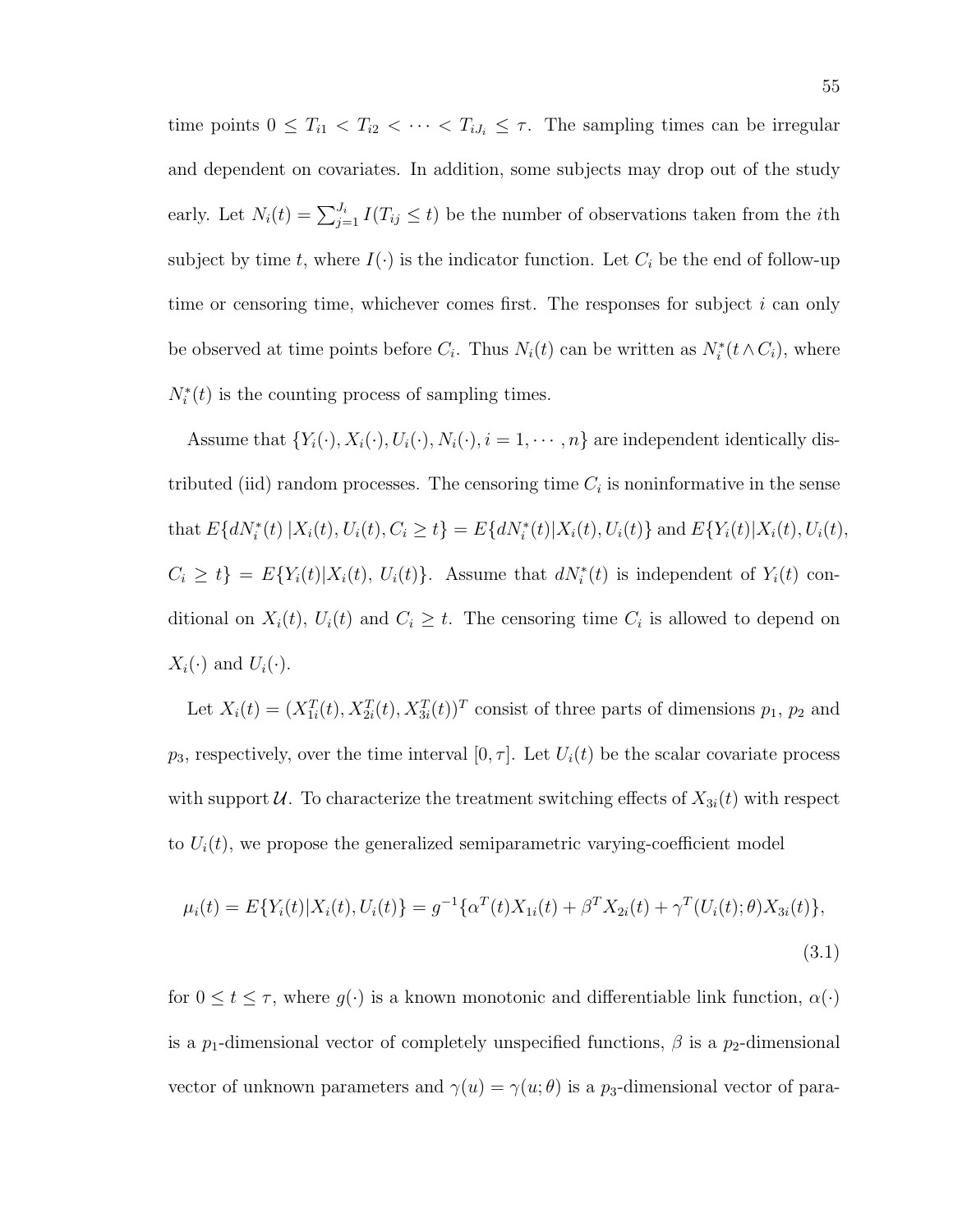time points  $0 \leq T_{i1} < T_{i2} < \cdots < T_{iJ_i} \leq \tau$ . The sampling times can be irregular and dependent on covariates. In addition, some subjects may drop out of the study early. Let  $N_i(t) = \sum_{j=1}^{J_i} I(T_{ij} \leq t)$  be the number of observations taken from the *i*th subject by time t, where  $I(\cdot)$  is the indicator function. Let  $C_i$  be the end of follow-up time or censoring time, whichever comes first. The responses for subject  $i$  can only be observed at time points before  $C_i$ . Thus  $N_i(t)$  can be written as  $N_i^*(t \wedge C_i)$ , where  $N_i^*(t)$  is the counting process of sampling times.

Assume that  $\{Y_i(\cdot), X_i(\cdot), U_i(\cdot), N_i(\cdot), i = 1, \cdots, n\}$  are independent identically distributed (iid) random processes. The censoring time  $C_i$  is noninformative in the sense that  $E\{dN_i^*(t) | X_i(t), U_i(t), C_i \ge t\} = E\{dN_i^*(t) | X_i(t), U_i(t)\}$  and  $E\{Y_i(t) | X_i(t), U_i(t),$  $C_i \geq t$  =  $E\{Y_i(t)|X_i(t), U_i(t)\}$ . Assume that  $dN_i^*(t)$  is independent of  $Y_i(t)$  conditional on  $X_i(t)$ ,  $U_i(t)$  and  $C_i \geq t$ . The censoring time  $C_i$  is allowed to depend on  $X_i(\cdot)$  and  $U_i(\cdot)$ .

Let  $X_i(t) = (X_{1i}^T(t), X_{2i}^T(t), X_{3i}^T(t))^T$  consist of three parts of dimensions  $p_1, p_2$  and  $p_3$ , respectively, over the time interval  $[0, \tau]$ . Let  $U_i(t)$  be the scalar covariate process with support U. To characterize the treatment switching effects of  $X_{3i}(t)$  with respect to  $U_i(t)$ , we propose the generalized semiparametric varying-coefficient model

$$
\mu_i(t) = E\{Y_i(t)|X_i(t), U_i(t)\} = g^{-1}\{\alpha^T(t)X_{1i}(t) + \beta^T X_{2i}(t) + \gamma^T(U_i(t); \theta)X_{3i}(t)\},\tag{3.1}
$$

for  $0 \le t \le \tau$ , where  $g(\cdot)$  is a known monotonic and differentiable link function,  $\alpha(\cdot)$ is a  $p_1$ -dimensional vector of completely unspecified functions,  $\beta$  is a  $p_2$ -dimensional vector of unknown parameters and  $\gamma(u) = \gamma(u; \theta)$  is a p<sub>3</sub>-dimensional vector of para-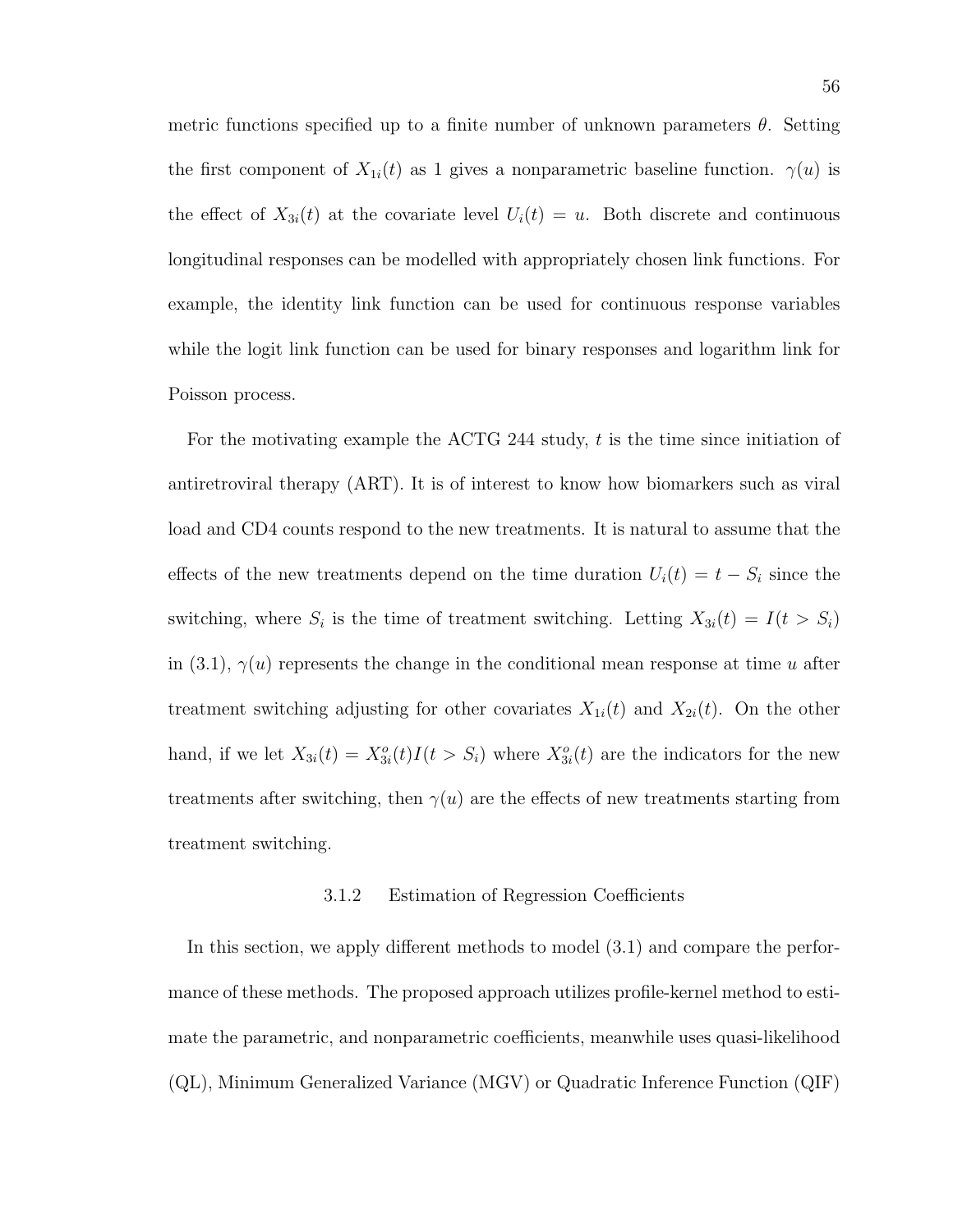metric functions specified up to a finite number of unknown parameters  $\theta$ . Setting the first component of  $X_{1i}(t)$  as 1 gives a nonparametric baseline function.  $\gamma(u)$  is the effect of  $X_{3i}(t)$  at the covariate level  $U_i(t) = u$ . Both discrete and continuous longitudinal responses can be modelled with appropriately chosen link functions. For example, the identity link function can be used for continuous response variables while the logit link function can be used for binary responses and logarithm link for Poisson process.

For the motivating example the ACTG 244 study, t is the time since initiation of antiretroviral therapy (ART). It is of interest to know how biomarkers such as viral load and CD4 counts respond to the new treatments. It is natural to assume that the effects of the new treatments depend on the time duration  $U_i(t) = t - S_i$  since the switching, where  $S_i$  is the time of treatment switching. Letting  $X_{3i}(t) = I(t > S_i)$ in (3.1),  $\gamma(u)$  represents the change in the conditional mean response at time u after treatment switching adjusting for other covariates  $X_{1i}(t)$  and  $X_{2i}(t)$ . On the other hand, if we let  $X_{3i}(t) = X_{3i}^o(t)I(t > S_i)$  where  $X_{3i}^o(t)$  are the indicators for the new treatments after switching, then  $\gamma(u)$  are the effects of new treatments starting from treatment switching.

#### 3.1.2 Estimation of Regression Coefficients

In this section, we apply different methods to model (3.1) and compare the performance of these methods. The proposed approach utilizes profile-kernel method to estimate the parametric, and nonparametric coefficients, meanwhile uses quasi-likelihood (QL), Minimum Generalized Variance (MGV) or Quadratic Inference Function (QIF)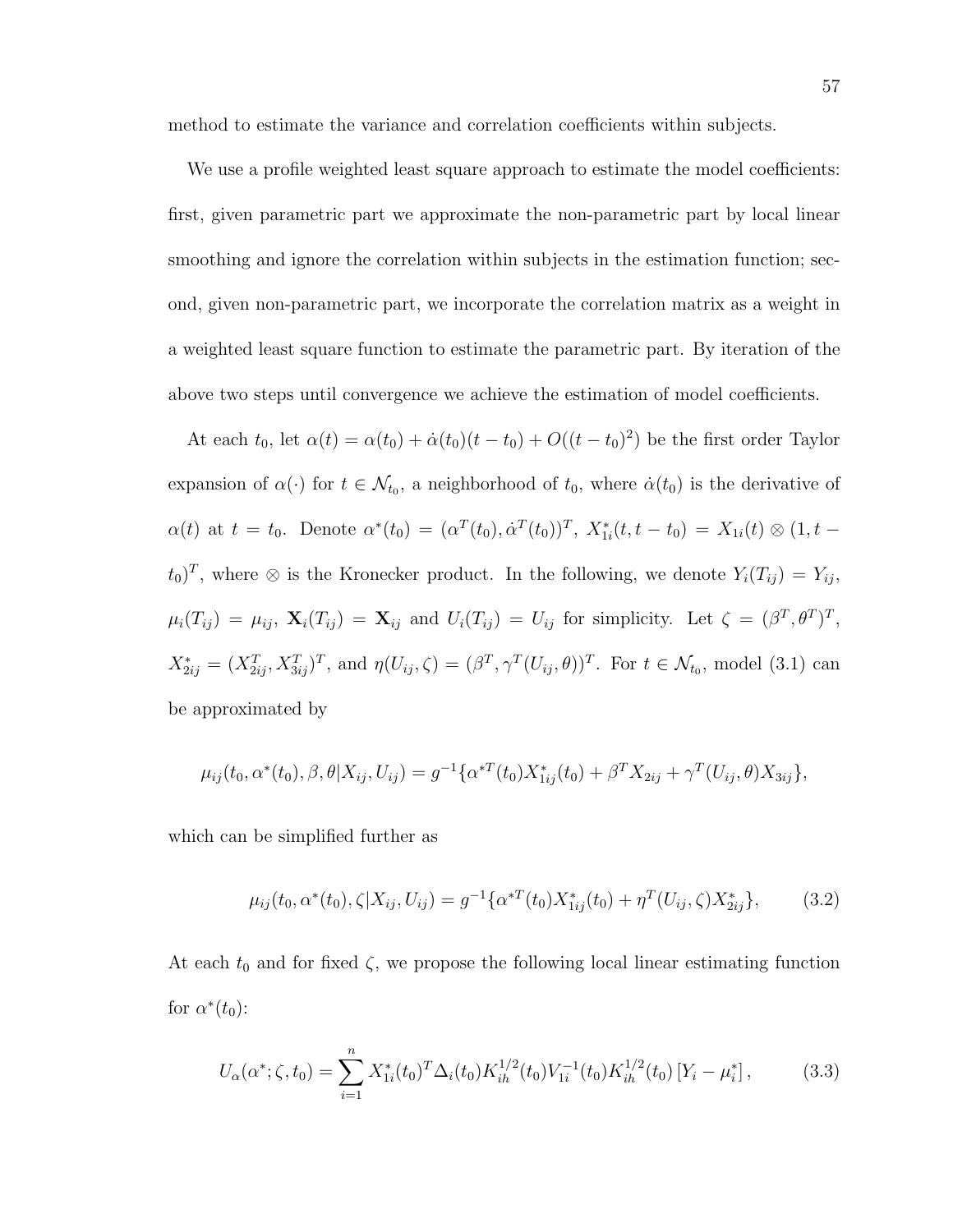method to estimate the variance and correlation coefficients within subjects.

We use a profile weighted least square approach to estimate the model coefficients: first, given parametric part we approximate the non-parametric part by local linear smoothing and ignore the correlation within subjects in the estimation function; second, given non-parametric part, we incorporate the correlation matrix as a weight in a weighted least square function to estimate the parametric part. By iteration of the above two steps until convergence we achieve the estimation of model coefficients.

At each  $t_0$ , let  $\alpha(t) = \alpha(t_0) + \dot{\alpha}(t_0)(t - t_0) + O((t - t_0)^2)$  be the first order Taylor expansion of  $\alpha(\cdot)$  for  $t \in \mathcal{N}_{t_0}$ , a neighborhood of  $t_0$ , where  $\dot{\alpha}(t_0)$  is the derivative of  $\alpha(t)$  at  $t = t_0$ . Denote  $\alpha^*(t_0) = (\alpha^T(t_0), \dot{\alpha}^T(t_0))^T$ ,  $X_{1i}^*(t, t - t_0) = X_{1i}(t) \otimes (1, t - t_0)$  $(t_0)^T$ , where  $\otimes$  is the Kronecker product. In the following, we denote  $Y_i(T_{ij}) = Y_{ij}$ ,  $\mu_i(T_{ij}) = \mu_{ij}, \mathbf{X}_i(T_{ij}) = \mathbf{X}_{ij}$  and  $U_i(T_{ij}) = U_{ij}$  for simplicity. Let  $\zeta = (\beta^T, \theta^T)^T$ ,  $X_{2ij}^* = (X_{2ij}^T, X_{3ij}^T)^T$ , and  $\eta(U_{ij}, \zeta) = (\beta^T, \gamma^T(U_{ij}, \theta))^T$ . For  $t \in \mathcal{N}_{t_0}$ , model (3.1) can be approximated by

$$
\mu_{ij}(t_0, \alpha^*(t_0), \beta, \theta | X_{ij}, U_{ij}) = g^{-1} \{ \alpha^{*T}(t_0) X_{1ij}^*(t_0) + \beta^T X_{2ij} + \gamma^T (U_{ij}, \theta) X_{3ij} \},
$$

which can be simplified further as

$$
\mu_{ij}(t_0, \alpha^*(t_0), \zeta | X_{ij}, U_{ij}) = g^{-1} \{ \alpha^{*T}(t_0) X_{1ij}^*(t_0) + \eta^T(U_{ij}, \zeta) X_{2ij}^* \},\tag{3.2}
$$

At each  $t_0$  and for fixed  $\zeta$ , we propose the following local linear estimating function for  $\alpha^*(t_0)$ :

$$
U_{\alpha}(\alpha^*; \zeta, t_0) = \sum_{i=1}^n X_{1i}^*(t_0)^T \Delta_i(t_0) K_{ih}^{1/2}(t_0) V_{1i}^{-1}(t_0) K_{ih}^{1/2}(t_0) [Y_i - \mu_i^*], \tag{3.3}
$$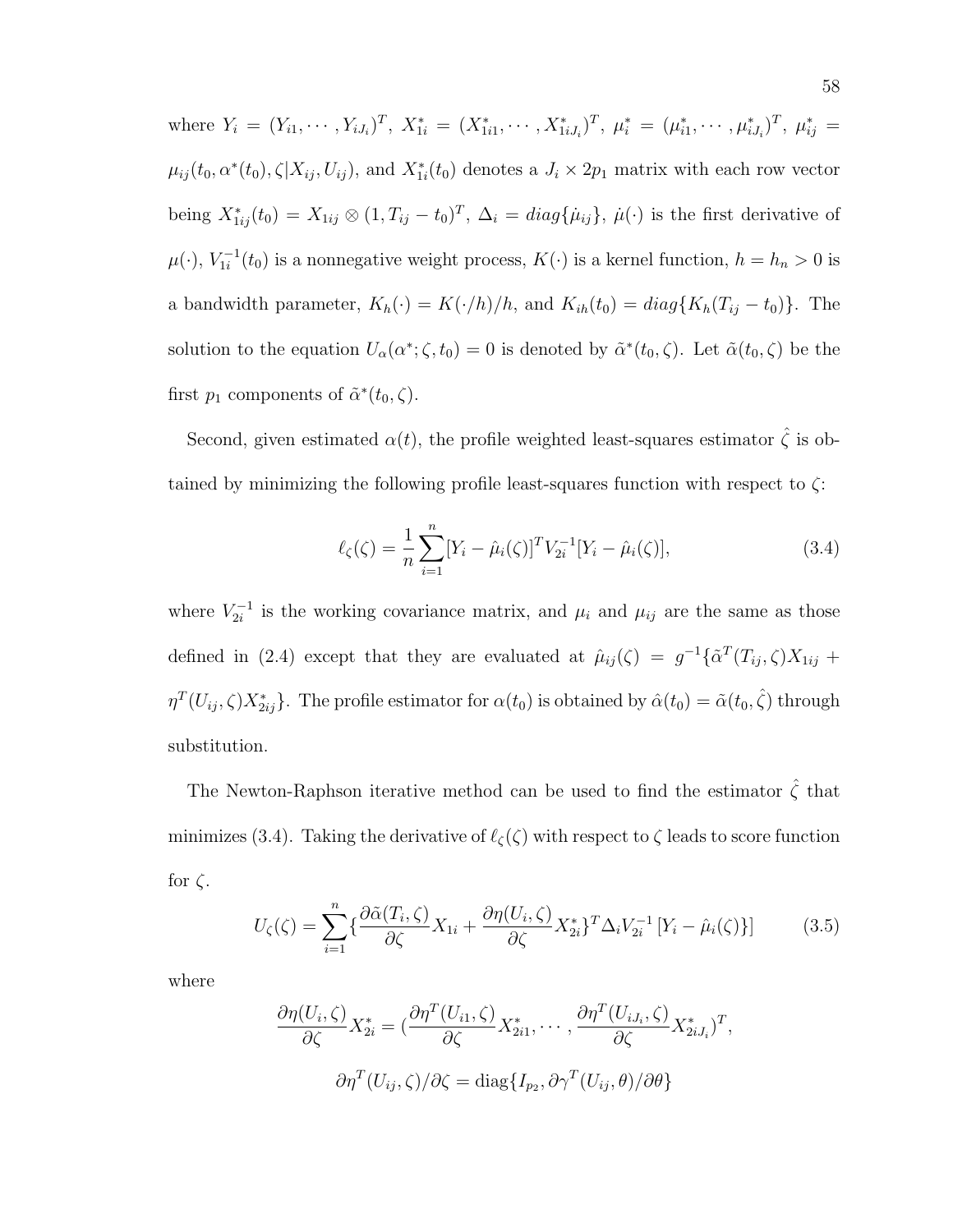where  $Y_i = (Y_{i1}, \cdots, Y_{iJ_i})^T$ ,  $X_{1i}^* = (X_{1i1}^*, \cdots, X_{1iJ_i}^*)^T$ ,  $\mu_i^* = (\mu_{i1}^*, \cdots, \mu_{iJ_i}^*)^T$ ,  $\mu_{ij}^* =$  $\mu_{ij}(t_0, \alpha^*(t_0), \zeta|X_{ij}, U_{ij})$ , and  $X_{1i}^*(t_0)$  denotes a  $J_i \times 2p_1$  matrix with each row vector being  $X_{1ij}^*(t_0) = X_{1ij} \otimes (1, T_{ij} - t_0)^T$ ,  $\Delta_i = diag\{\mu_{ij}\}\$ ,  $\mu(\cdot)$  is the first derivative of  $\mu(\cdot), V_{1i}^{-1}$  $I_{1i}^{-1}(t_0)$  is a nonnegative weight process,  $K(\cdot)$  is a kernel function,  $h = h_n > 0$  is a bandwidth parameter,  $K_h(\cdot) = K(\cdot/h)/h$ , and  $K_{ih}(t_0) = diag\{K_h(T_{ij} - t_0)\}\.$  The solution to the equation  $U_{\alpha}(\alpha^*; \zeta, t_0) = 0$  is denoted by  $\tilde{\alpha}^*(t_0, \zeta)$ . Let  $\tilde{\alpha}(t_0, \zeta)$  be the first  $p_1$  components of  $\tilde{\alpha}^*(t_0, \zeta)$ .

Second, given estimated  $\alpha(t)$ , the profile weighted least-squares estimator  $\hat{\zeta}$  is obtained by minimizing the following profile least-squares function with respect to  $\zeta$ :

$$
\ell_{\zeta}(\zeta) = \frac{1}{n} \sum_{i=1}^{n} [Y_i - \hat{\mu}_i(\zeta)]^T V_{2i}^{-1} [Y_i - \hat{\mu}_i(\zeta)], \qquad (3.4)
$$

where  $V_{2i}^{-1}$  $\mu_{2i}^{-1}$  is the working covariance matrix, and  $\mu_i$  and  $\mu_{ij}$  are the same as those defined in (2.4) except that they are evaluated at  $\hat{\mu}_{ij}(\zeta) = g^{-1}\{\tilde{\alpha}^T(T_{ij},\zeta)X_{1ij} +$  $\eta^T(U_{ij}, \zeta) X^*_{2ij}$ . The profile estimator for  $\alpha(t_0)$  is obtained by  $\hat{\alpha}(t_0) = \tilde{\alpha}(t_0, \hat{\zeta})$  through substitution.

The Newton-Raphson iterative method can be used to find the estimator  $\hat{\zeta}$  that minimizes (3.4). Taking the derivative of  $\ell_{\zeta}(\zeta)$  with respect to  $\zeta$  leads to score function for  $\zeta$ .

$$
U_{\zeta}(\zeta) = \sum_{i=1}^{n} \left\{ \frac{\partial \tilde{\alpha}(T_i, \zeta)}{\partial \zeta} X_{1i} + \frac{\partial \eta(U_i, \zeta)}{\partial \zeta} X_{2i}^* \right\}^T \Delta_i V_{2i}^{-1} \left[ Y_i - \hat{\mu}_i(\zeta) \right] \tag{3.5}
$$

where

$$
\frac{\partial \eta(U_i, \zeta)}{\partial \zeta} X_{2i}^* = \left( \frac{\partial \eta^T(U_{i1}, \zeta)}{\partial \zeta} X_{2i1}^*, \cdots, \frac{\partial \eta^T(U_{iJ_i}, \zeta)}{\partial \zeta} X_{2iJ_i}^* \right)^T,
$$

$$
\frac{\partial \eta^T(U_{ij}, \zeta)}{\partial \zeta} = \text{diag}\{I_{p_2}, \partial \gamma^T(U_{ij}, \theta)/\partial \theta\}
$$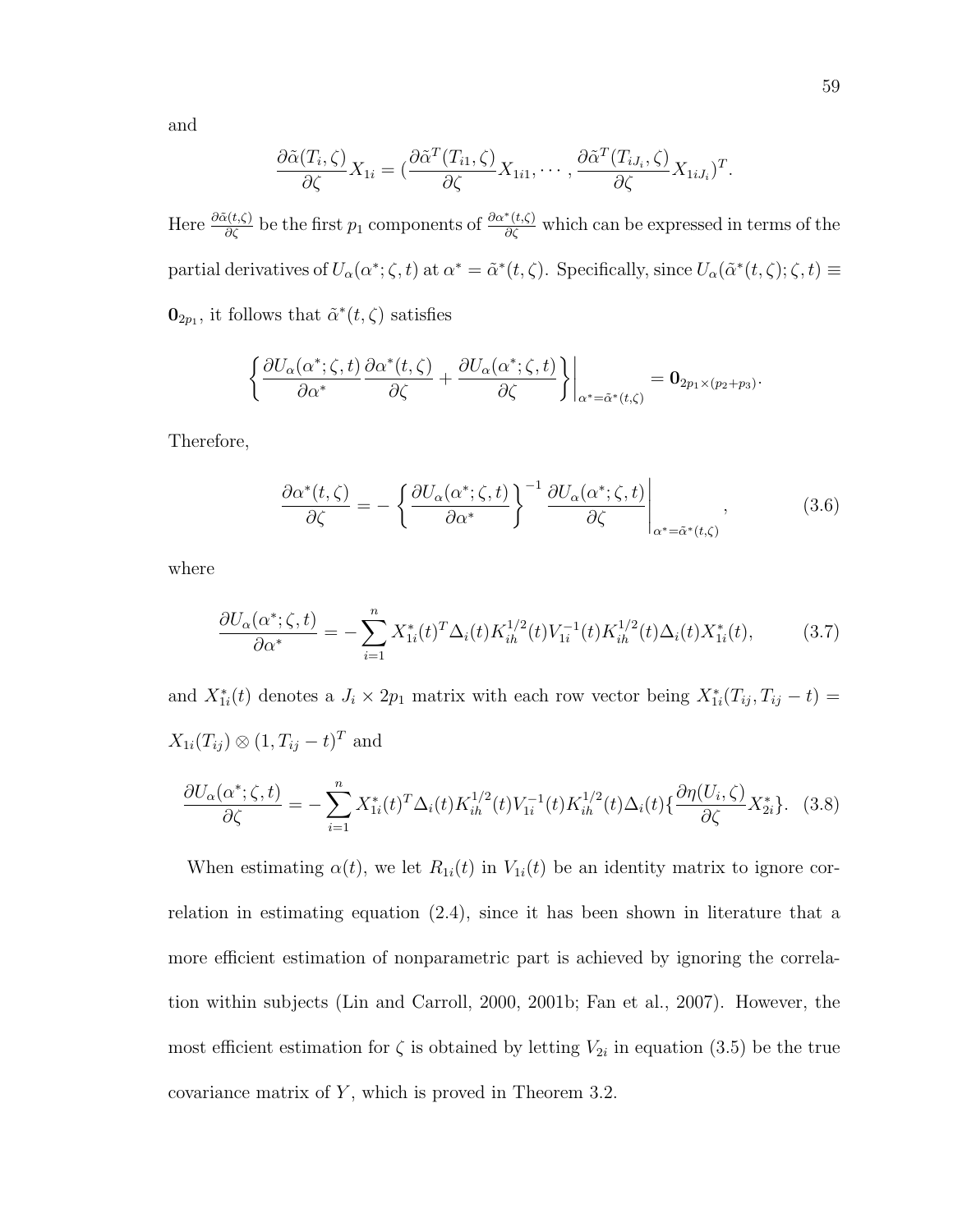and

$$
\frac{\partial \tilde{\alpha}(T_i,\zeta)}{\partial \zeta} X_{1i} = \left( \frac{\partial \tilde{\alpha}^T(T_{i1},\zeta)}{\partial \zeta} X_{1i1}, \cdots, \frac{\partial \tilde{\alpha}^T(T_{iJ_i},\zeta)}{\partial \zeta} X_{1iJ_i} \right)^T.
$$

Here  $\frac{\partial \tilde{\alpha}(t,\zeta)}{\partial \zeta}$  be the first  $p_1$  components of  $\frac{\partial \alpha^*(t,\zeta)}{\partial \zeta}$  which can be expressed in terms of the partial derivatives of  $U_{\alpha}(\alpha^*; \zeta, t)$  at  $\alpha^* = \tilde{\alpha}^*(t, \zeta)$ . Specifically, since  $U_{\alpha}(\tilde{\alpha}^*(t, \zeta); \zeta, t) \equiv$  $\mathbf{0}_{2p_1}$ , it follows that  $\tilde{\alpha}^*(t,\zeta)$  satisfies

$$
\left\{\frac{\partial U_{\alpha}(\alpha^*; \zeta, t)}{\partial \alpha^*} \frac{\partial \alpha^*(t, \zeta)}{\partial \zeta} + \frac{\partial U_{\alpha}(\alpha^*; \zeta, t)}{\partial \zeta}\right\}\Big|_{\alpha^* = \tilde{\alpha}^*(t, \zeta)} = \mathbf{0}_{2p_1 \times (p_2 + p_3)}.
$$

Therefore,

$$
\frac{\partial \alpha^*(t,\zeta)}{\partial \zeta} = -\left\{ \frac{\partial U_\alpha(\alpha^*;\zeta,t)}{\partial \alpha^*} \right\}^{-1} \frac{\partial U_\alpha(\alpha^*;\zeta,t)}{\partial \zeta} \Bigg|_{\alpha^* = \tilde{\alpha}^*(t,\zeta)},\tag{3.6}
$$

where

$$
\frac{\partial U_{\alpha}(\alpha^{\ast};\zeta,t)}{\partial \alpha^{\ast}} = -\sum_{i=1}^{n} X_{1i}^{\ast}(t)^{T} \Delta_{i}(t) K_{ih}^{1/2}(t) V_{1i}^{-1}(t) K_{ih}^{1/2}(t) \Delta_{i}(t) X_{1i}^{\ast}(t), \tag{3.7}
$$

and  $X_{1i}^*(t)$  denotes a  $J_i \times 2p_1$  matrix with each row vector being  $X_{1i}^*(T_{ij}, T_{ij} - t) =$  $X_{1i}(T_{ij})\otimes (1,T_{ij}-t)^T$  and

$$
\frac{\partial U_{\alpha}(\alpha^*; \zeta, t)}{\partial \zeta} = -\sum_{i=1}^n X_{1i}^*(t)^T \Delta_i(t) K_{ih}^{1/2}(t) V_{1i}^{-1}(t) K_{ih}^{1/2}(t) \Delta_i(t) \{ \frac{\partial \eta(U_i, \zeta)}{\partial \zeta} X_{2i}^* \}. (3.8)
$$

When estimating  $\alpha(t)$ , we let  $R_{1i}(t)$  in  $V_{1i}(t)$  be an identity matrix to ignore correlation in estimating equation (2.4), since it has been shown in literature that a more efficient estimation of nonparametric part is achieved by ignoring the correlation within subjects (Lin and Carroll, 2000, 2001b; Fan et al., 2007). However, the most efficient estimation for  $\zeta$  is obtained by letting  $V_{2i}$  in equation (3.5) be the true covariance matrix of  $Y$ , which is proved in Theorem 3.2.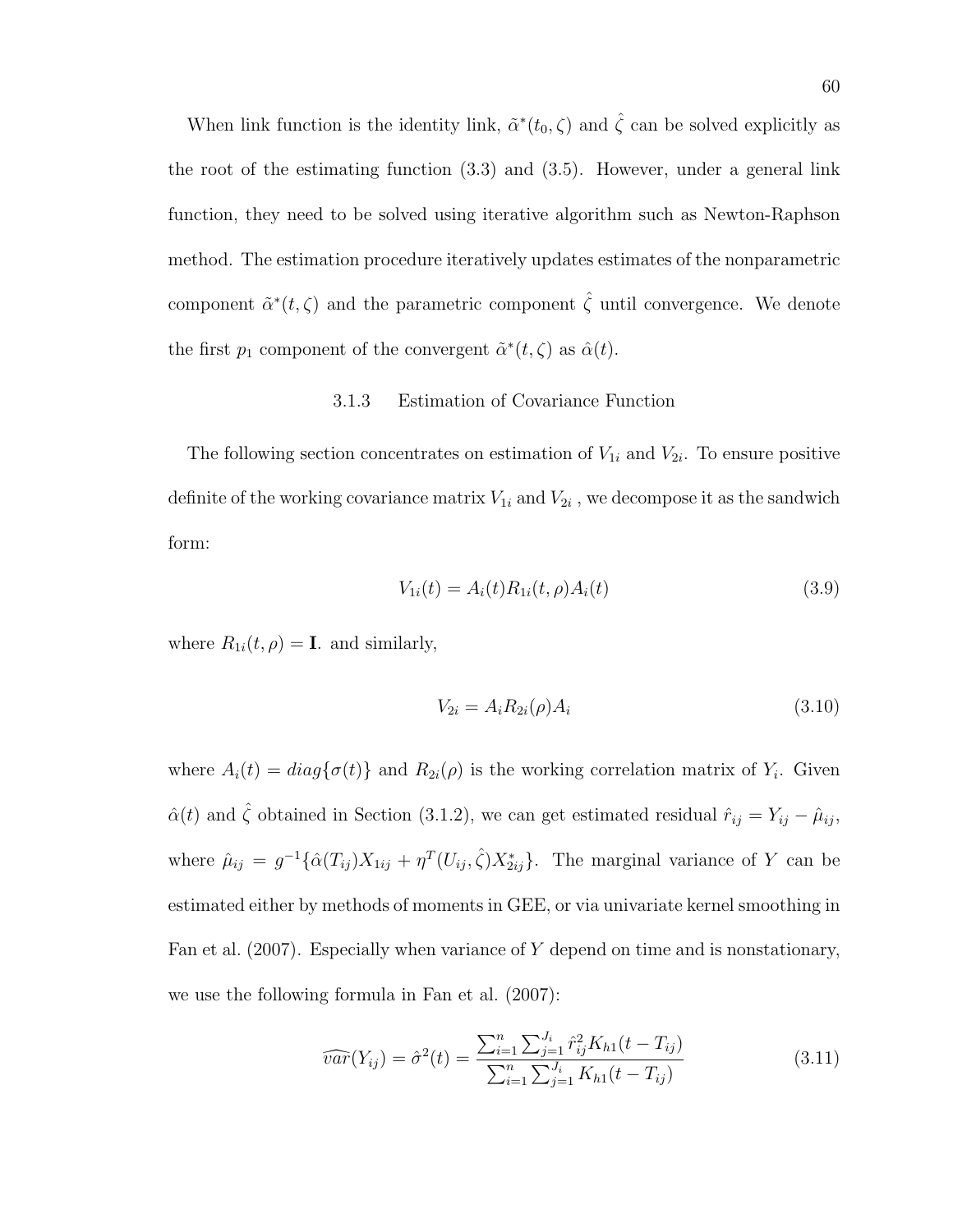When link function is the identity link,  $\tilde{\alpha}^*(t_0, \zeta)$  and  $\hat{\zeta}$  can be solved explicitly as the root of the estimating function (3.3) and (3.5). However, under a general link function, they need to be solved using iterative algorithm such as Newton-Raphson method. The estimation procedure iteratively updates estimates of the nonparametric component  $\tilde{\alpha}^*(t,\zeta)$  and the parametric component  $\hat{\zeta}$  until convergence. We denote the first  $p_1$  component of the convergent  $\tilde{\alpha}^*(t,\zeta)$  as  $\hat{\alpha}(t)$ .

# 3.1.3 Estimation of Covariance Function

The following section concentrates on estimation of  $V_{1i}$  and  $V_{2i}$ . To ensure positive definite of the working covariance matrix  $V_{1i}$  and  $V_{2i}$  , we decompose it as the sandwich form:

$$
V_{1i}(t) = A_i(t)R_{1i}(t, \rho)A_i(t)
$$
\n(3.9)

where  $R_{1i}(t, \rho) = \mathbf{I}$ . and similarly,

$$
V_{2i} = A_i R_{2i}(\rho) A_i \tag{3.10}
$$

where  $A_i(t) = diag\{\sigma(t)\}\$ and  $R_{2i}(\rho)$  is the working correlation matrix of  $Y_i$ . Given  $\hat{\alpha}(t)$  and  $\hat{\zeta}$  obtained in Section (3.1.2), we can get estimated residual  $\hat{r}_{ij} = Y_{ij} - \hat{\mu}_{ij}$ , where  $\hat{\mu}_{ij} = g^{-1} \{ \hat{\alpha}(T_{ij}) X_{1ij} + \eta^T(U_{ij}, \hat{\zeta}) X_{2ij}^* \}$ . The marginal variance of Y can be estimated either by methods of moments in GEE, or via univariate kernel smoothing in Fan et al.  $(2007)$ . Especially when variance of Y depend on time and is nonstationary, we use the following formula in Fan et al. (2007):

$$
\widehat{var}(Y_{ij}) = \widehat{\sigma}^2(t) = \frac{\sum_{i=1}^n \sum_{j=1}^{J_i} \widehat{r}_{ij}^2 K_{h1}(t - T_{ij})}{\sum_{i=1}^n \sum_{j=1}^{J_i} K_{h1}(t - T_{ij})}
$$
(3.11)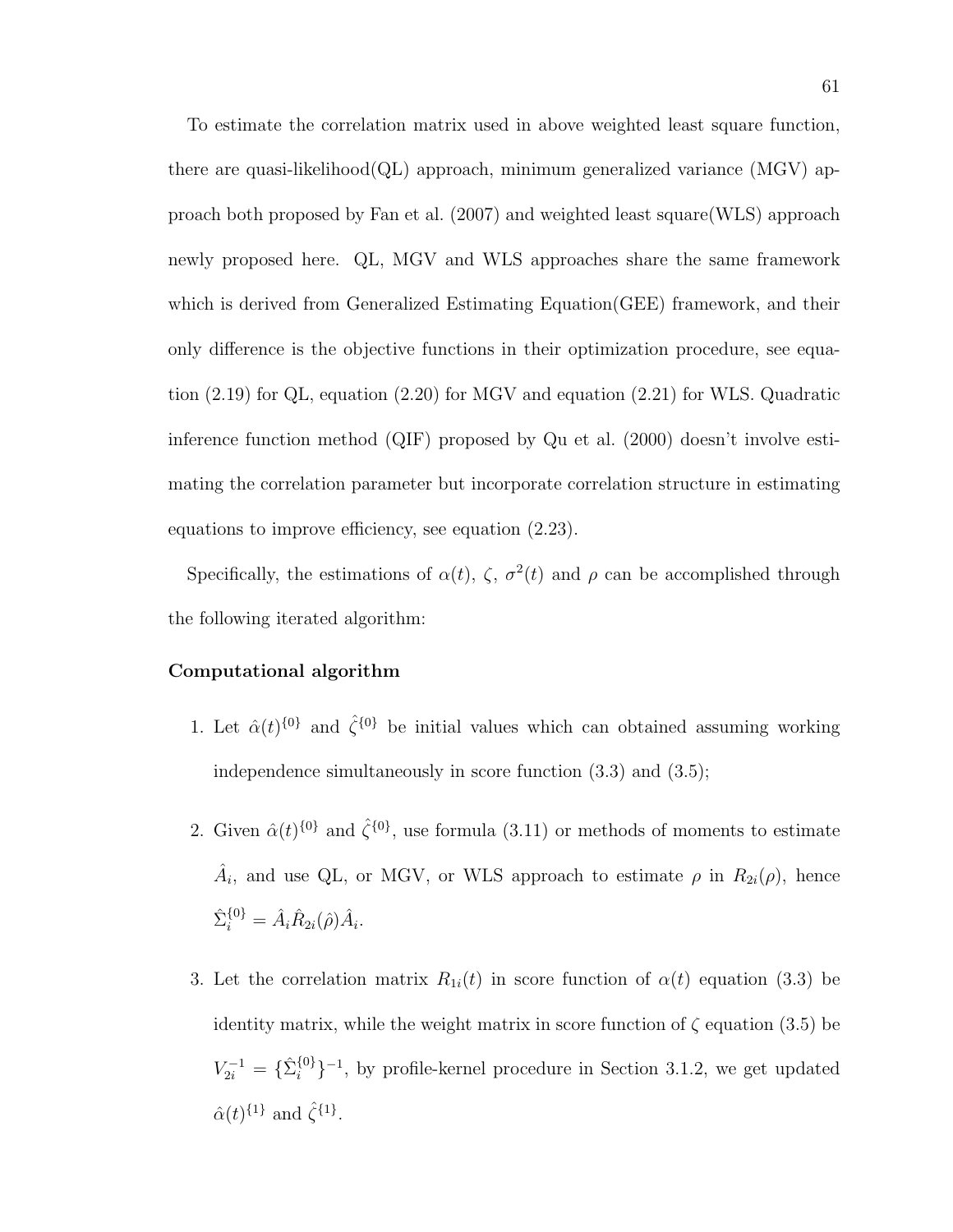To estimate the correlation matrix used in above weighted least square function, there are quasi-likelihood(QL) approach, minimum generalized variance (MGV) approach both proposed by Fan et al. (2007) and weighted least square(WLS) approach newly proposed here. QL, MGV and WLS approaches share the same framework which is derived from Generalized Estimating Equation(GEE) framework, and their only difference is the objective functions in their optimization procedure, see equation (2.19) for QL, equation (2.20) for MGV and equation (2.21) for WLS. Quadratic inference function method (QIF) proposed by Qu et al. (2000) doesn't involve estimating the correlation parameter but incorporate correlation structure in estimating equations to improve efficiency, see equation (2.23).

Specifically, the estimations of  $\alpha(t)$ ,  $\zeta$ ,  $\sigma^2(t)$  and  $\rho$  can be accomplished through the following iterated algorithm:

## Computational algorithm

- 1. Let  $\hat{\alpha}(t)^{\{0\}}$  and  $\hat{\zeta}^{\{0\}}$  be initial values which can obtained assuming working independence simultaneously in score function (3.3) and (3.5);
- 2. Given  $\hat{\alpha}(t)^{\{0\}}$  and  $\hat{\zeta}^{\{0\}}$ , use formula (3.11) or methods of moments to estimate  $\hat{A}_i$ , and use QL, or MGV, or WLS approach to estimate  $\rho$  in  $R_{2i}(\rho)$ , hence  $\hat{\Sigma}_i^{\{0\}} = \hat{A}_i \hat{R}_{2i}(\hat{\rho}) \hat{A}_i.$
- 3. Let the correlation matrix  $R_{1i}(t)$  in score function of  $\alpha(t)$  equation (3.3) be identity matrix, while the weight matrix in score function of  $\zeta$  equation (3.5) be  $V_{2i}^{-1} = \{ \hat{\Sigma}_i^{\{0\}}$  $\{0\}\}^{-1}$ , by profile-kernel procedure in Section 3.1.2, we get updated  $\hat{\alpha}(t)$ <sup>{1}</sup> and  $\hat{\zeta}$ <sup>{1}</sup>.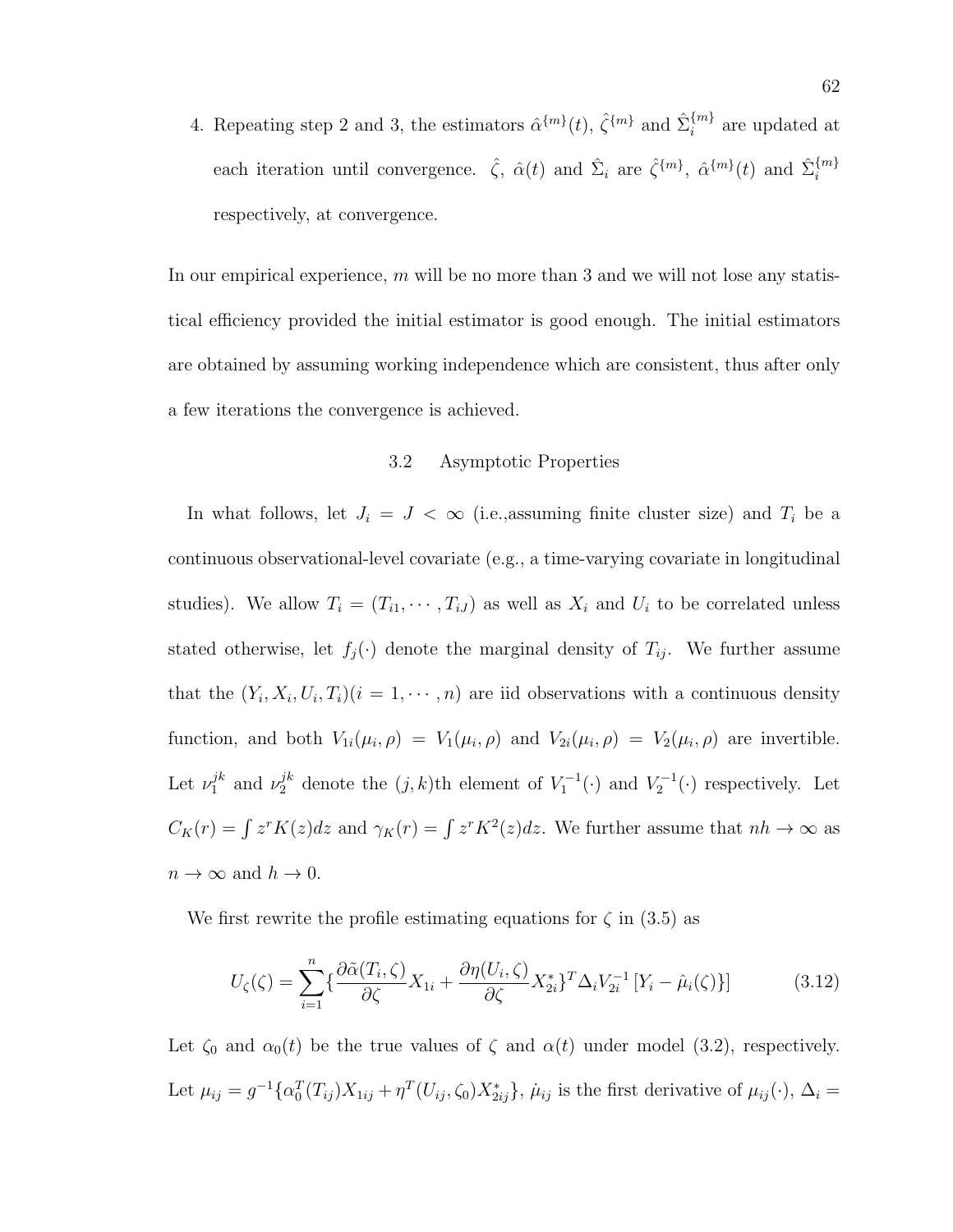4. Repeating step 2 and 3, the estimators  $\hat{\alpha}^{\{m\}}(t)$ ,  $\hat{\zeta}^{\{m\}}$  and  $\hat{\Sigma}_i^{\{m\}}$  $i^{m}$  are updated at each iteration until convergence.  $\hat{\zeta}$ ,  $\hat{\alpha}(t)$  and  $\hat{\Sigma}_i$  are  $\hat{\zeta}^{\{m\}}$ ,  $\hat{\alpha}^{\{m\}}(t)$  and  $\hat{\Sigma}_i^{\{m\}}$ i respectively, at convergence.

In our empirical experience,  $m$  will be no more than 3 and we will not lose any statistical efficiency provided the initial estimator is good enough. The initial estimators are obtained by assuming working independence which are consistent, thus after only a few iterations the convergence is achieved.

### 3.2 Asymptotic Properties

In what follows, let  $J_i = J \langle \infty \rangle$  (i.e., assuming finite cluster size) and  $T_i$  be a continuous observational-level covariate (e.g., a time-varying covariate in longitudinal studies). We allow  $T_i = (T_{i1}, \dots, T_{iJ})$  as well as  $X_i$  and  $U_i$  to be correlated unless stated otherwise, let  $f_j(\cdot)$  denote the marginal density of  $T_{ij}$ . We further assume that the  $(Y_i, X_i, U_i, T_i)$  ( $i = 1, \dots, n$ ) are iid observations with a continuous density function, and both  $V_{1i}(\mu_i, \rho) = V_1(\mu_i, \rho)$  and  $V_{2i}(\mu_i, \rho) = V_2(\mu_i, \rho)$  are invertible. Let  $\nu_1^{jk}$  $j^k$  and  $\nu_2^{jk}$  denote the  $(j, k)$ th element of  $V_1^{-1}(\cdot)$  and  $V_2^{-1}(\cdot)$  respectively. Let  $C_K(r) = \int z^r K(z) dz$  and  $\gamma_K(r) = \int z^r K^2(z) dz$ . We further assume that  $nh \to \infty$  as  $n \to \infty$  and  $h \to 0$ .

We first rewrite the profile estimating equations for  $\zeta$  in (3.5) as

$$
U_{\zeta}(\zeta) = \sum_{i=1}^{n} \left\{ \frac{\partial \tilde{\alpha}(T_i, \zeta)}{\partial \zeta} X_{1i} + \frac{\partial \eta(U_i, \zeta)}{\partial \zeta} X_{2i}^* \right\}^T \Delta_i V_{2i}^{-1} \left[ Y_i - \hat{\mu}_i(\zeta) \right] \tag{3.12}
$$

Let  $\zeta_0$  and  $\alpha_0(t)$  be the true values of  $\zeta$  and  $\alpha(t)$  under model (3.2), respectively. Let  $\mu_{ij} = g^{-1} \{ \alpha_0^T(T_{ij}) X_{1ij} + \eta^T(U_{ij}, \zeta_0) X_{2ij}^* \}, \mu_{ij}$  is the first derivative of  $\mu_{ij}(\cdot), \Delta_i =$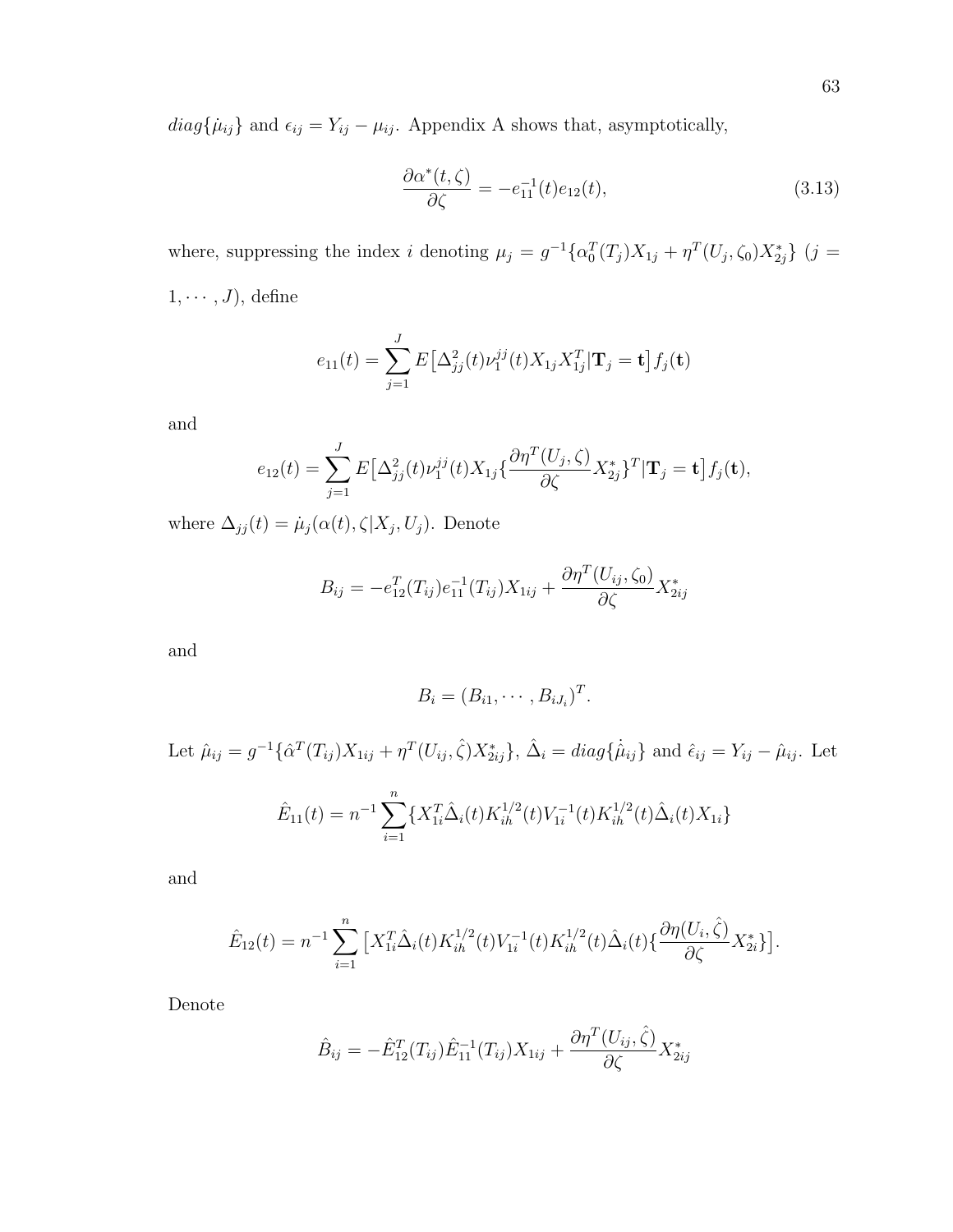$diag{\mu_{ij}}$  and  $\epsilon_{ij} = Y_{ij} - \mu_{ij}$ . Appendix A shows that, asymptotically,

$$
\frac{\partial \alpha^*(t,\zeta)}{\partial \zeta} = -e_{11}^{-1}(t)e_{12}(t),\tag{3.13}
$$

where, suppressing the index i denoting  $\mu_j = g^{-1} \{ \alpha_0^T(T_j) X_{1j} + \eta^T(U_j, \zeta_0) X_{2j}^* \}$  (j =  $1, \cdots, J$ , define

$$
e_{11}(t) = \sum_{j=1}^{J} E\big[\Delta_{jj}^{2}(t)\nu_{1}^{jj}(t)X_{1j}X_{1j}^{T}\big|\mathbf{T}_{j} = \mathbf{t}\big]f_{j}(\mathbf{t})
$$

and

$$
e_{12}(t) = \sum_{j=1}^{J} E\big[\Delta_{jj}^{2}(t)\nu_{1}^{jj}(t)X_{1j}\big\{\frac{\partial\eta^{T}(U_{j},\zeta)}{\partial\zeta}X_{2j}^{*}\big\}^{T}|\mathbf{T}_{j}=\mathbf{t}\big]f_{j}(\mathbf{t}),
$$

where  $\Delta_{jj}(t) = \mu_j(\alpha(t), \zeta | X_j, U_j)$ . Denote

$$
B_{ij} = -e_{12}^{T}(T_{ij})e_{11}^{-1}(T_{ij})X_{1ij} + \frac{\partial \eta^{T}(U_{ij}, \zeta_{0})}{\partial \zeta}X_{2ij}^{*}
$$

and

$$
B_i=(B_{i1},\cdots,B_{iJ_i})^T.
$$

Let  $\hat{\mu}_{ij} = g^{-1} \{ \hat{\alpha}^T(T_{ij}) X_{1ij} + \eta^T(U_{ij}, \hat{\zeta}) X_{2ij}^* \}, \, \hat{\Delta}_i = diag\{ \hat{\mu}_{ij} \}$  and  $\hat{\epsilon}_{ij} = Y_{ij} - \hat{\mu}_{ij}$ . Let  $\hat{E}_{11}(t) = n^{-1} \sum_{n=1}^{n}$  $i=1$  $\{X_{1i}^T \hat{\Delta}_i(t) K_{ih}^{1/2}(t) V_{1i}^{-1}$  $\tilde{K}_{1i}^{-1}(t)K_{ih}^{1/2}(t)\hat{\Delta}_i(t)X_{1i}\}$ 

and

$$
\hat{E}_{12}(t) = n^{-1} \sum_{i=1}^{n} \left[ X_{1i}^{T} \hat{\Delta}_i(t) K_{ih}^{1/2}(t) V_{1i}^{-1}(t) K_{ih}^{1/2}(t) \hat{\Delta}_i(t) \{ \frac{\partial \eta(U_i, \hat{\zeta})}{\partial \zeta} X_{2i}^{*} \} \right].
$$

Denote

$$
\hat{B}_{ij} = -\hat{E}_{12}^T(T_{ij})\hat{E}_{11}^{-1}(T_{ij})X_{1ij} + \frac{\partial \eta^T(U_{ij}, \hat{\zeta})}{\partial \zeta} X_{2ij}^*
$$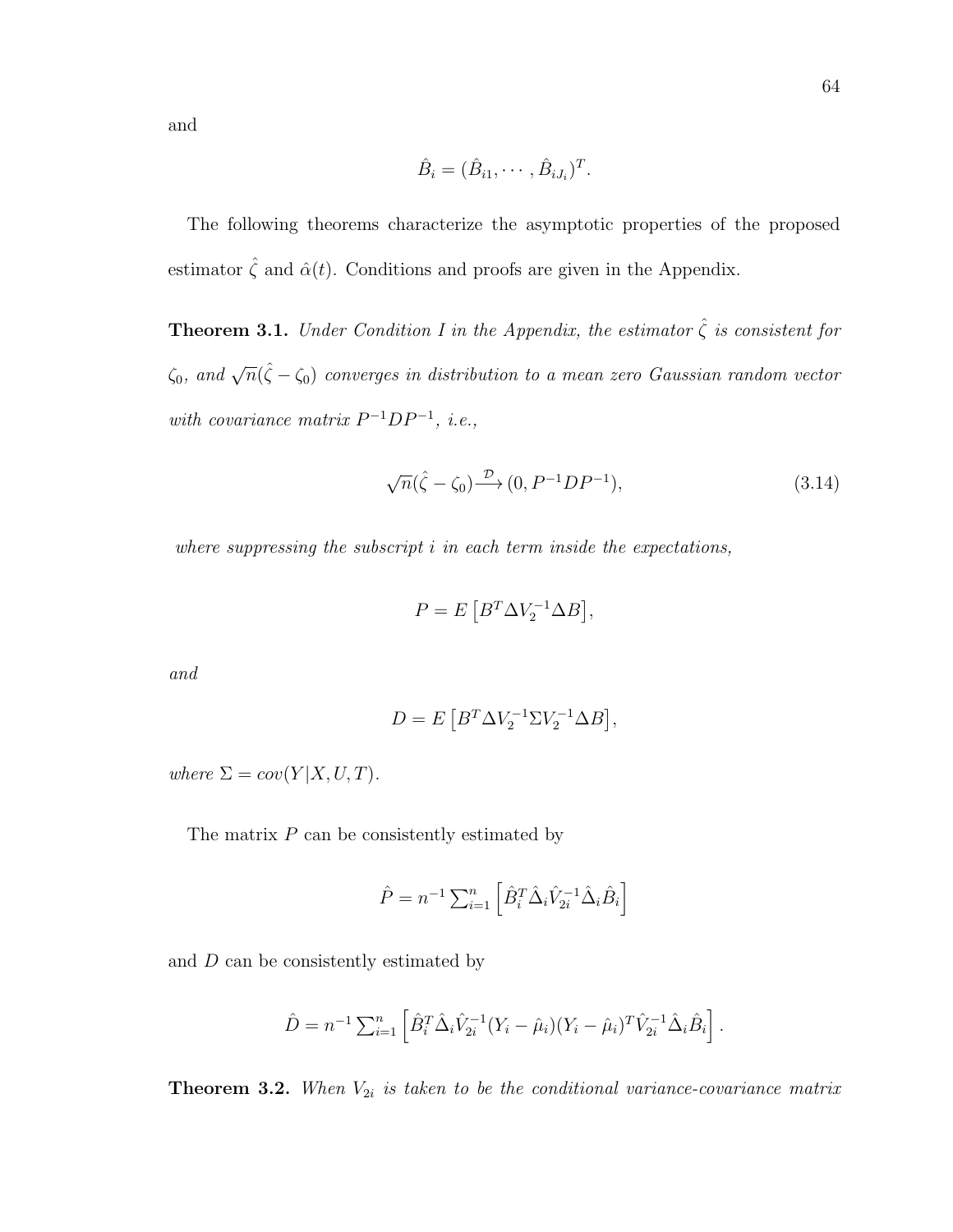and

$$
\hat{B}_i = (\hat{B}_{i1}, \cdots, \hat{B}_{iJ_i})^T.
$$

The following theorems characterize the asymptotic properties of the proposed estimator  $\hat{\zeta}$  and  $\hat{\alpha}(t)$ . Conditions and proofs are given in the Appendix.

**Theorem 3.1.** Under Condition I in the Appendix, the estimator  $\hat{\zeta}$  is consistent for  $\zeta_0$ , and  $\sqrt{n}(\hat{\zeta}-\zeta_0)$  converges in distribution to a mean zero Gaussian random vector with covariance matrix  $P^{-1}DP^{-1}$ , i.e.,

$$
\sqrt{n}(\hat{\zeta} - \zeta_0) \xrightarrow{\mathcal{D}} (0, P^{-1}DP^{-1}), \qquad (3.14)
$$

where suppressing the subscript  $i$  in each term inside the expectations,

$$
P = E\left[B^T \Delta V_2^{-1} \Delta B\right],
$$

and

$$
D = E\left[B^T \Delta V_2^{-1} \Sigma V_2^{-1} \Delta B\right],
$$

where  $\Sigma = cov(Y|X,U,T)$ .

The matrix  $P$  can be consistently estimated by

$$
\hat{P} = n^{-1} \sum_{i=1}^{n} \left[ \hat{B}_i^T \hat{\Delta}_i \hat{V}_{2i}^{-1} \hat{\Delta}_i \hat{B}_i \right]
$$

and D can be consistently estimated by

$$
\hat{D} = n^{-1} \sum_{i=1}^{n} \left[ \hat{B}_{i}^{T} \hat{\Delta}_{i} \hat{V}_{2i}^{-1} (Y_{i} - \hat{\mu}_{i}) (Y_{i} - \hat{\mu}_{i})^{T} \hat{V}_{2i}^{-1} \hat{\Delta}_{i} \hat{B}_{i} \right].
$$

**Theorem 3.2.** When  $V_{2i}$  is taken to be the conditional variance-covariance matrix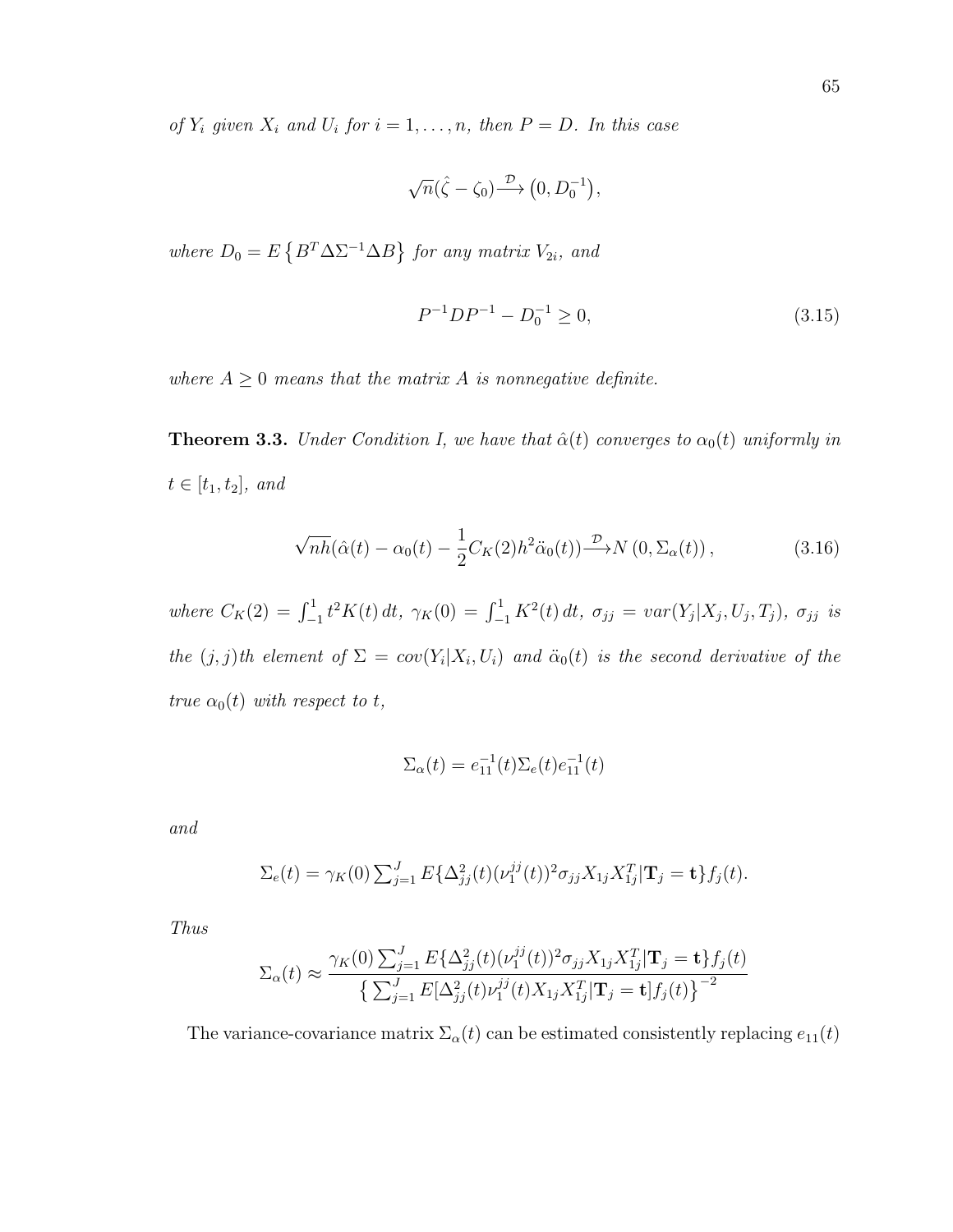of  $Y_i$  given  $X_i$  and  $U_i$  for  $i = 1, \ldots, n$ , then  $P = D$ . In this case

$$
\sqrt{n}(\hat{\zeta}-\zeta_0)\stackrel{\mathcal{D}}{\longrightarrow}\left(0,D_0^{-1}\right),\,
$$

where  $D_0 = E \{ B^T \Delta \Sigma^{-1} \Delta B \}$  for any matrix  $V_{2i}$ , and

$$
P^{-1}DP^{-1} - D_0^{-1} \ge 0,\t\t(3.15)
$$

where  $A \geq 0$  means that the matrix A is nonnegative definite.

**Theorem 3.3.** Under Condition I, we have that  $\hat{\alpha}(t)$  converges to  $\alpha_0(t)$  uniformly in  $t \in [t_1, t_2]$ , and

$$
\sqrt{nh}(\hat{\alpha}(t) - \alpha_0(t) - \frac{1}{2}C_K(2)h^2\ddot{\alpha}_0(t)) \stackrel{\mathcal{D}}{\longrightarrow} N(0, \Sigma_\alpha(t)),
$$
\n(3.16)

where  $C_K(2) = \int_{-1}^1 t^2 K(t) dt$ ,  $\gamma_K(0) = \int_{-1}^1 K^2(t) dt$ ,  $\sigma_{jj} = var(Y_j | X_j, U_j, T_j)$ ,  $\sigma_{jj}$  is the  $(j, j)$ th element of  $\Sigma = cov(Y_i | X_i, U_i)$  and  $\ddot{\alpha}_0(t)$  is the second derivative of the true  $\alpha_0(t)$  with respect to t,

$$
\Sigma_{\alpha}(t) = e_{11}^{-1}(t)\Sigma_{e}(t)e_{11}^{-1}(t)
$$

and

$$
\Sigma_e(t) = \gamma_K(0) \sum_{j=1}^J E\{\Delta_{jj}^2(t) (\nu_1^{jj}(t))^2 \sigma_{jj} X_{1j} X_{1j}^T | \mathbf{T}_j = \mathbf{t} \} f_j(t).
$$

Thus

$$
\Sigma_{\alpha}(t) \approx \frac{\gamma_K(0) \sum_{j=1}^J E\{\Delta_{jj}^2(t) (\nu_1^{jj}(t))^2 \sigma_{jj} X_{1j} X_{1j}^T | \mathbf{T}_j = \mathbf{t}\} f_j(t)}{\left\{\sum_{j=1}^J E[\Delta_{jj}^2(t) \nu_1^{jj}(t) X_{1j} X_{1j}^T | \mathbf{T}_j = \mathbf{t}] f_j(t)\right\}^{-2}}
$$

The variance-covariance matrix  $\Sigma_{\alpha}(t)$  can be estimated consistently replacing  $e_{11}(t)$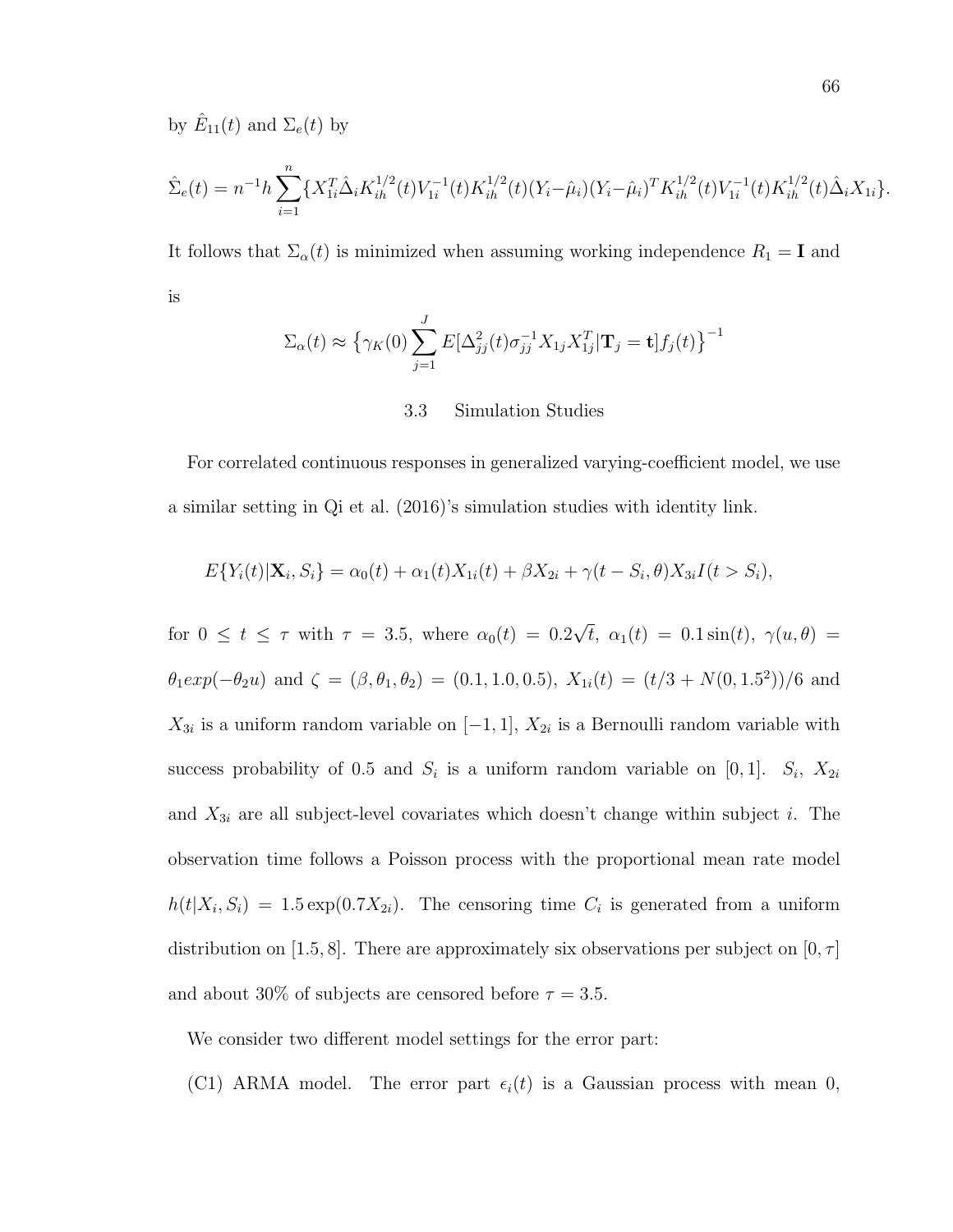by  $\hat{E}_{11}(t)$  and  $\Sigma_e(t)$  by

$$
\hat{\Sigma}_e(t) = n^{-1} h \sum_{i=1}^n \{ X_{1i}^T \hat{\Delta}_i K_{ih}^{1/2}(t) V_{1i}^{-1}(t) K_{ih}^{1/2}(t) (Y_i - \hat{\mu}_i) (Y_i - \hat{\mu}_i)^T K_{ih}^{1/2}(t) V_{1i}^{-1}(t) K_{ih}^{1/2}(t) \hat{\Delta}_i X_{1i} \}.
$$

It follows that  $\Sigma_{\alpha}(t)$  is minimized when assuming working independence  $R_1 = \mathbf{I}$  and is

$$
\Sigma_{\alpha}(t) \approx \left\{ \gamma_K(0) \sum_{j=1}^{J} E[\Delta_{jj}^2(t)\sigma_{jj}^{-1}X_{1j}X_{1j}^T | \mathbf{T}_j = \mathbf{t}]f_j(t) \right\}^{-1}
$$

### 3.3 Simulation Studies

For correlated continuous responses in generalized varying-coefficient model, we use a similar setting in Qi et al. (2016)'s simulation studies with identity link.

$$
E\{Y_i(t)|\mathbf{X}_i, S_i\} = \alpha_0(t) + \alpha_1(t)X_{1i}(t) + \beta X_{2i} + \gamma(t - S_i, \theta)X_{3i}I(t > S_i),
$$

for  $0 \le t \le \tau$  with  $\tau = 3.5$ , where  $\alpha_0(t) = 0.2$ √  $t, \alpha_1(t) = 0.1 \sin(t), \gamma(u, \theta) =$  $\theta_1 exp(-\theta_2 u)$  and  $\zeta = (\beta, \theta_1, \theta_2) = (0.1, 1.0, 0.5), X_{1i}(t) = (t/3 + N(0, 1.5^2))/6$  and  $X_{3i}$  is a uniform random variable on  $[-1,1], X_{2i}$  is a Bernoulli random variable with success probability of 0.5 and  $S_i$  is a uniform random variable on [0, 1].  $S_i$ ,  $X_{2i}$ and  $X_{3i}$  are all subject-level covariates which doesn't change within subject *i*. The observation time follows a Poisson process with the proportional mean rate model  $h(t|X_i, S_i) = 1.5 \exp(0.7X_{2i}).$  The censoring time  $C_i$  is generated from a uniform distribution on [1.5, 8]. There are approximately six observations per subject on [0,  $\tau$ ] and about 30% of subjects are censored before  $\tau = 3.5$ .

We consider two different model settings for the error part:

(C1) ARMA model. The error part  $\epsilon_i(t)$  is a Gaussian process with mean 0,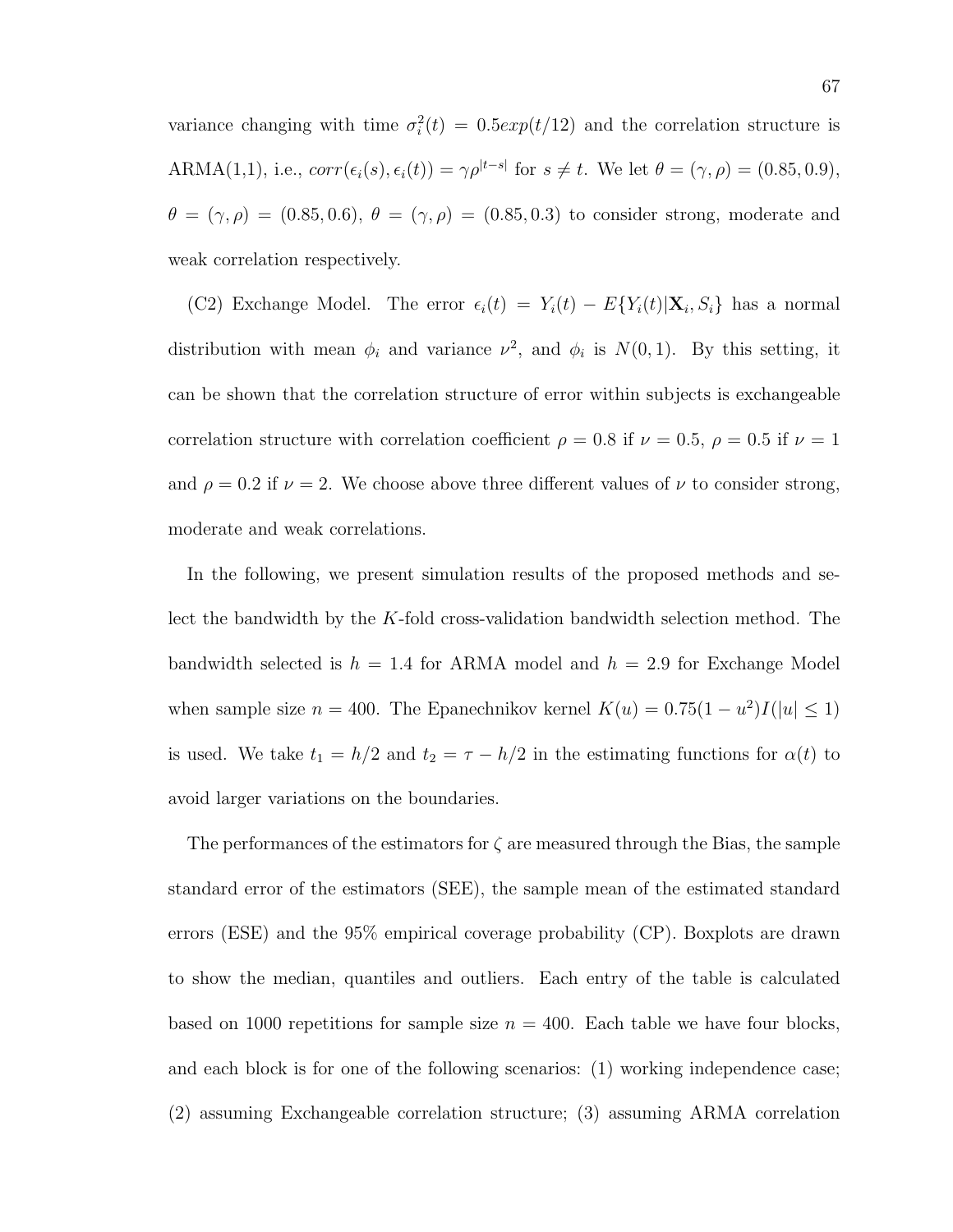variance changing with time  $\sigma_i^2(t) = 0.5exp(t/12)$  and the correlation structure is ARMA(1,1), i.e.,  $corr(\epsilon_i(s), \epsilon_i(t)) = \gamma \rho^{|t-s|}$  for  $s \neq t$ . We let  $\theta = (\gamma, \rho) = (0.85, 0.9)$ ,  $\theta = (\gamma, \rho) = (0.85, 0.6), \ \theta = (\gamma, \rho) = (0.85, 0.3)$  to consider strong, moderate and weak correlation respectively.

(C2) Exchange Model. The error  $\epsilon_i(t) = Y_i(t) - E{Y_i(t)|\mathbf{X}_i, S_i}$  has a normal distribution with mean  $\phi_i$  and variance  $\nu^2$ , and  $\phi_i$  is  $N(0, 1)$ . By this setting, it can be shown that the correlation structure of error within subjects is exchangeable correlation structure with correlation coefficient  $\rho = 0.8$  if  $\nu = 0.5$ ,  $\rho = 0.5$  if  $\nu = 1$ and  $\rho = 0.2$  if  $\nu = 2$ . We choose above three different values of  $\nu$  to consider strong, moderate and weak correlations.

In the following, we present simulation results of the proposed methods and select the bandwidth by the K-fold cross-validation bandwidth selection method. The bandwidth selected is  $h = 1.4$  for ARMA model and  $h = 2.9$  for Exchange Model when sample size  $n = 400$ . The Epanechnikov kernel  $K(u) = 0.75(1 - u^2)I(|u| \le 1)$ is used. We take  $t_1 = h/2$  and  $t_2 = \tau - h/2$  in the estimating functions for  $\alpha(t)$  to avoid larger variations on the boundaries.

The performances of the estimators for  $\zeta$  are measured through the Bias, the sample standard error of the estimators (SEE), the sample mean of the estimated standard errors (ESE) and the 95% empirical coverage probability (CP). Boxplots are drawn to show the median, quantiles and outliers. Each entry of the table is calculated based on 1000 repetitions for sample size  $n = 400$ . Each table we have four blocks, and each block is for one of the following scenarios: (1) working independence case; (2) assuming Exchangeable correlation structure; (3) assuming ARMA correlation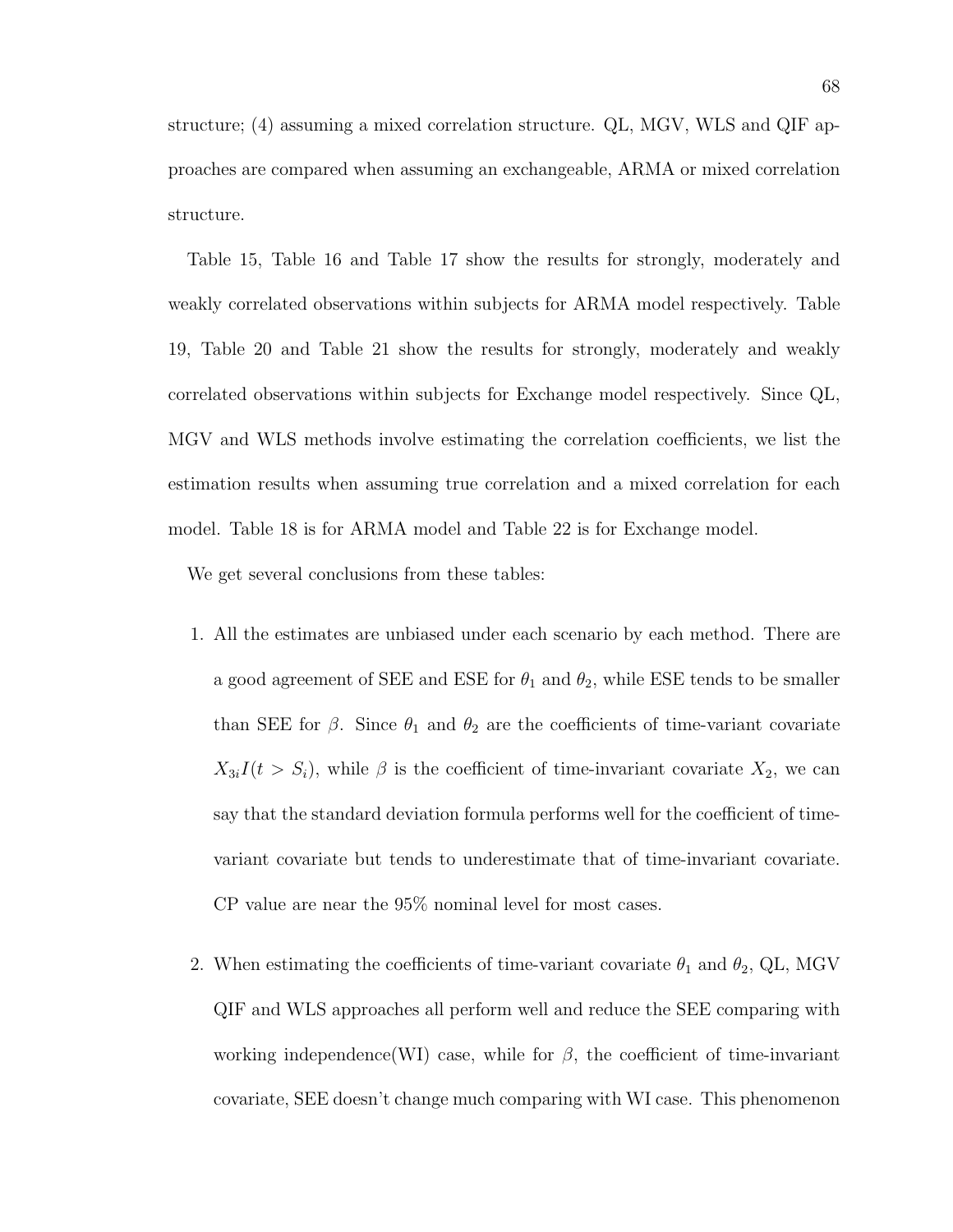structure; (4) assuming a mixed correlation structure. QL, MGV, WLS and QIF approaches are compared when assuming an exchangeable, ARMA or mixed correlation structure.

Table 15, Table 16 and Table 17 show the results for strongly, moderately and weakly correlated observations within subjects for ARMA model respectively. Table 19, Table 20 and Table 21 show the results for strongly, moderately and weakly correlated observations within subjects for Exchange model respectively. Since QL, MGV and WLS methods involve estimating the correlation coefficients, we list the estimation results when assuming true correlation and a mixed correlation for each model. Table 18 is for ARMA model and Table 22 is for Exchange model.

We get several conclusions from these tables:

- 1. All the estimates are unbiased under each scenario by each method. There are a good agreement of SEE and ESE for  $\theta_1$  and  $\theta_2$ , while ESE tends to be smaller than SEE for  $\beta$ . Since  $\theta_1$  and  $\theta_2$  are the coefficients of time-variant covariate  $X_{3i}I(t > S_i)$ , while  $\beta$  is the coefficient of time-invariant covariate  $X_2$ , we can say that the standard deviation formula performs well for the coefficient of timevariant covariate but tends to underestimate that of time-invariant covariate. CP value are near the 95% nominal level for most cases.
- 2. When estimating the coefficients of time-variant covariate  $\theta_1$  and  $\theta_2$ , QL, MGV QIF and WLS approaches all perform well and reduce the SEE comparing with working independence(WI) case, while for  $\beta$ , the coefficient of time-invariant covariate, SEE doesn't change much comparing with WI case. This phenomenon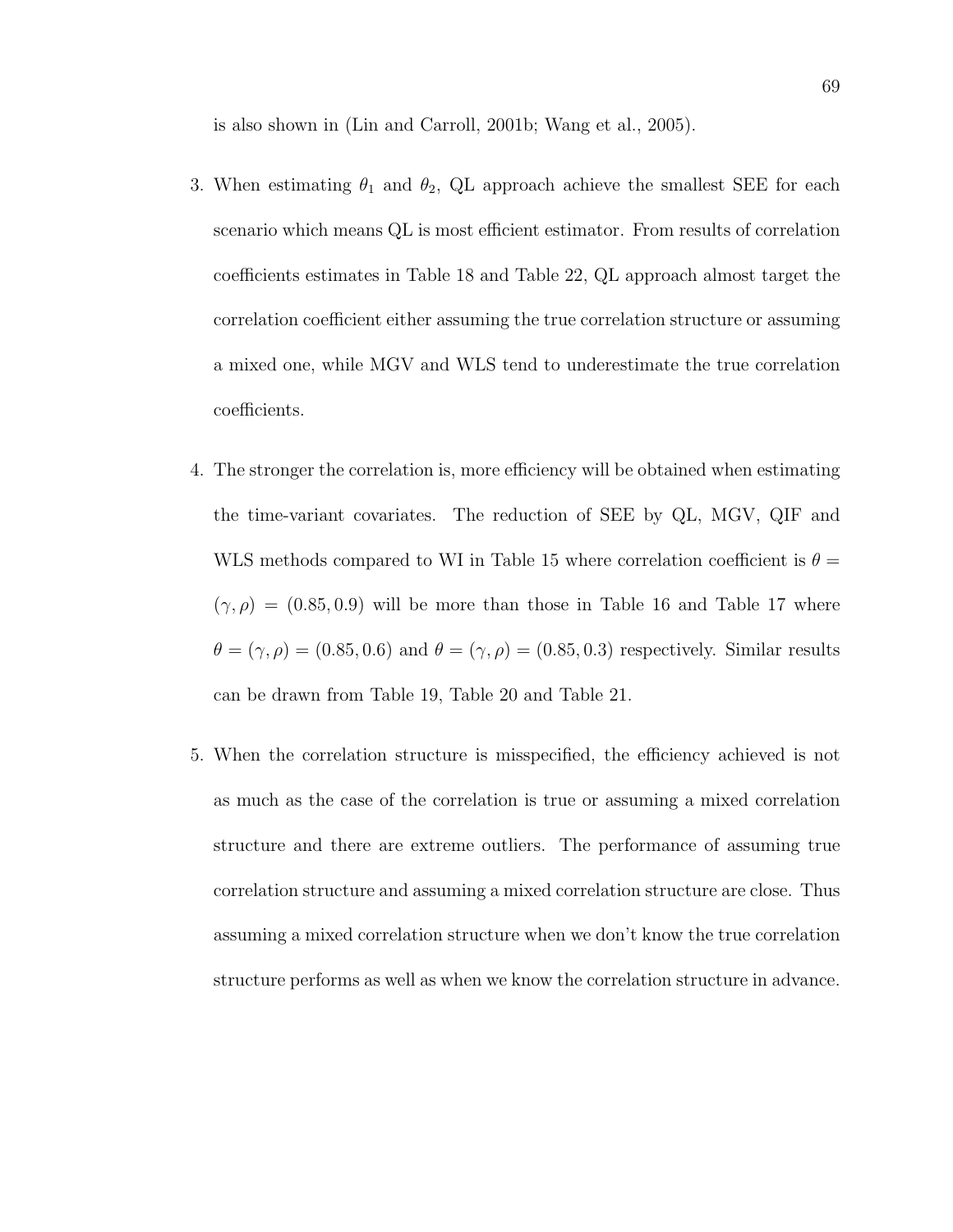is also shown in (Lin and Carroll, 2001b; Wang et al., 2005).

- 3. When estimating  $\theta_1$  and  $\theta_2$ , QL approach achieve the smallest SEE for each scenario which means QL is most efficient estimator. From results of correlation coefficients estimates in Table 18 and Table 22, QL approach almost target the correlation coefficient either assuming the true correlation structure or assuming a mixed one, while MGV and WLS tend to underestimate the true correlation coefficients.
- 4. The stronger the correlation is, more efficiency will be obtained when estimating the time-variant covariates. The reduction of SEE by QL, MGV, QIF and WLS methods compared to WI in Table 15 where correlation coefficient is  $\theta =$  $(\gamma, \rho) = (0.85, 0.9)$  will be more than those in Table 16 and Table 17 where  $\theta = (\gamma, \rho) = (0.85, 0.6)$  and  $\theta = (\gamma, \rho) = (0.85, 0.3)$  respectively. Similar results can be drawn from Table 19, Table 20 and Table 21.
- 5. When the correlation structure is misspecified, the efficiency achieved is not as much as the case of the correlation is true or assuming a mixed correlation structure and there are extreme outliers. The performance of assuming true correlation structure and assuming a mixed correlation structure are close. Thus assuming a mixed correlation structure when we don't know the true correlation structure performs as well as when we know the correlation structure in advance.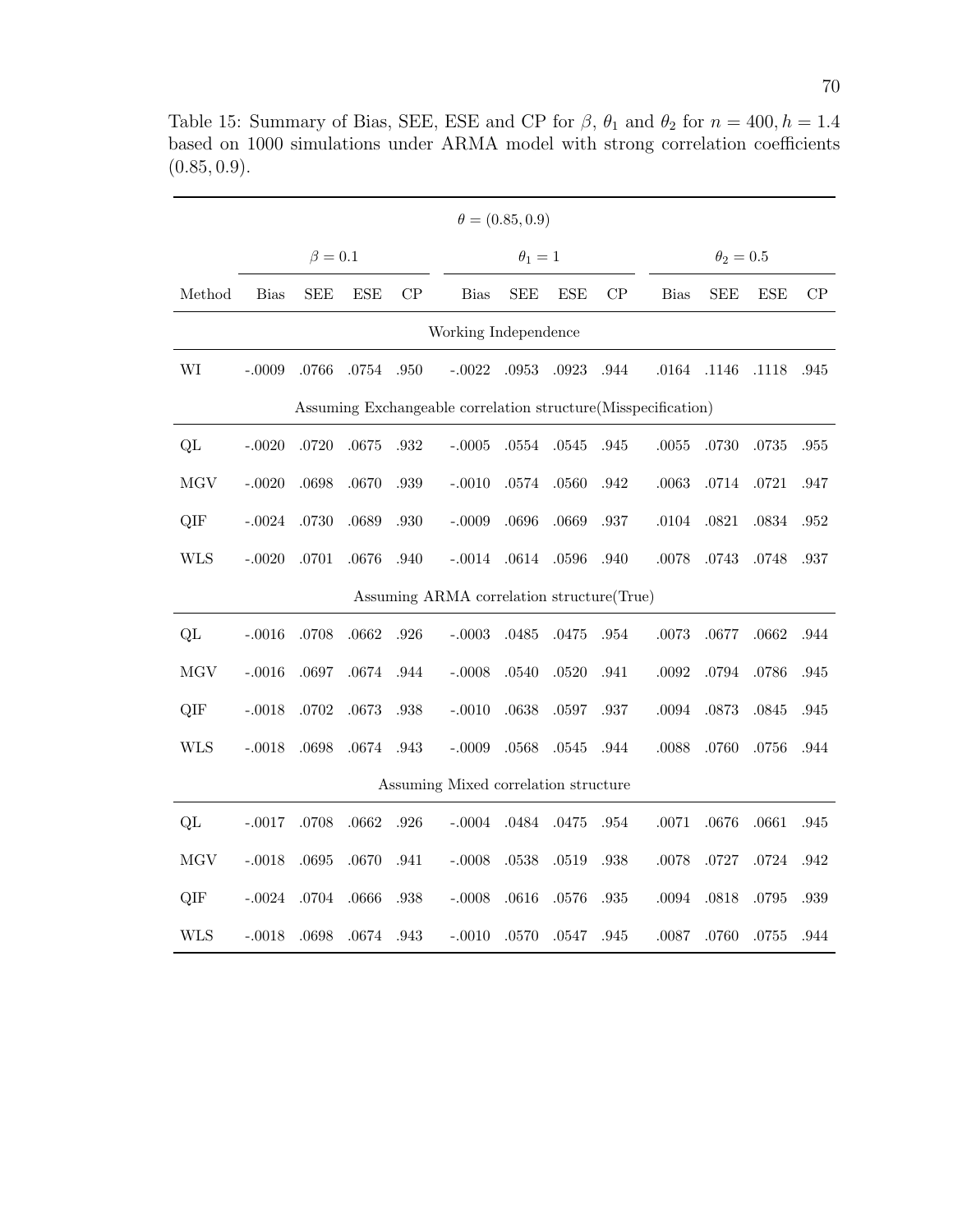|                                                               |             | $\beta=0.1$ |            |          |                                            | $\theta_1=1$ |            |      |             | $\theta_2=0.5$ |            |      |  |
|---------------------------------------------------------------|-------------|-------------|------------|----------|--------------------------------------------|--------------|------------|------|-------------|----------------|------------|------|--|
| Method                                                        | <b>Bias</b> | <b>SEE</b>  | <b>ESE</b> | CP       | <b>Bias</b>                                | <b>SEE</b>   | <b>ESE</b> | CP   | <b>Bias</b> | <b>SEE</b>     | <b>ESE</b> | CP   |  |
| Working Independence                                          |             |             |            |          |                                            |              |            |      |             |                |            |      |  |
| WI                                                            | $-.0009$    | .0766       | .0754      | .950     | $-.0022$                                   | $.0953\,$    | .0923      | .944 | $.0164\,$   | .1146          | .1118      | .945 |  |
| Assuming Exchangeable correlation structure(Misspecification) |             |             |            |          |                                            |              |            |      |             |                |            |      |  |
| QL                                                            | $-.0020$    | $.0720\,$   | .0675      | .932     | $-.0005$                                   | $.0554\,$    | .0545      | .945 | $.0055\,$   | .0730          | .0735      | .955 |  |
| <b>MGV</b>                                                    | $-.0020$    | .0698       | .0670      | .939     | $-.0010$                                   | $.0574\,$    | .0560      | .942 | .0063       | .0714          | .0721      | .947 |  |
| QIF                                                           | $-.0024$    | .0730       | .0689      | .930     | $-.0009$                                   | .0696        | .0669      | .937 | .0104       | .0821          | .0834      | .952 |  |
| <b>WLS</b>                                                    | $-.0020$    | $.0701\,$   | .0676      | .940     | $-.0014$                                   | $.0614\,$    | $.0596\,$  | .940 | .0078       | .0743          | .0748      | .937 |  |
|                                                               |             |             |            |          | Assuming ARMA correlation structure (True) |              |            |      |             |                |            |      |  |
| QL                                                            | $-.0016$    | .0708       | $.0662\,$  | .926     | $-.0003$                                   | .0485        | .0475      | .954 | .0073       | .0677          | .0662      | .944 |  |
| <b>MGV</b>                                                    | $-.0016$    | .0697       | .0674      | .944     | $-.0008$                                   | .0540        | .0520      | .941 | $.0092\,$   | .0794          | .0786      | .945 |  |
| QIF                                                           | $-.0018$    | $.0702\,$   | .0673      | .938     | $-.0010$                                   | .0638        | .0597      | .937 | $.0094\,$   | .0873          | .0845      | .945 |  |
| <b>WLS</b>                                                    | $-.0018$    | .0698       | $.0674\,$  | $.943\,$ | $-.0009$                                   | $.0568\,$    | $.0545\,$  | .944 | .0088       | .0760          | $.0756\,$  | .944 |  |
|                                                               |             |             |            |          | Assuming Mixed correlation structure       |              |            |      |             |                |            |      |  |
| QL                                                            | $-.0017$    | .0708       | .0662      | .926     | $-.0004$                                   | .0484        | .0475      | .954 | .0071       | .0676          | .0661      | .945 |  |
| <b>MGV</b>                                                    | $-.0018$    | .0695       | .0670      | .941     | $-.0008$                                   | .0538        | .0519      | .938 | .0078       | .0727          | .0724      | .942 |  |
| QIF                                                           | $-.0024$    | .0704       | .0666      | .938     | $-.0008$                                   | .0616        | .0576      | .935 | .0094       | .0818          | $.0795\,$  | .939 |  |
| <b>WLS</b>                                                    | $-.0018$    | .0698       | .0674      | .943     | $-.0010$                                   | .0570        | .0547      | .945 | .0087       | .0760          | .0755      | .944 |  |

Table 15: Summary of Bias, SEE, ESE and CP for  $\beta$ ,  $\theta_1$  and  $\theta_2$  for  $n = 400, h = 1.4$ based on 1000 simulations under ARMA model with strong correlation coefficients  $(0.85, 0.9).$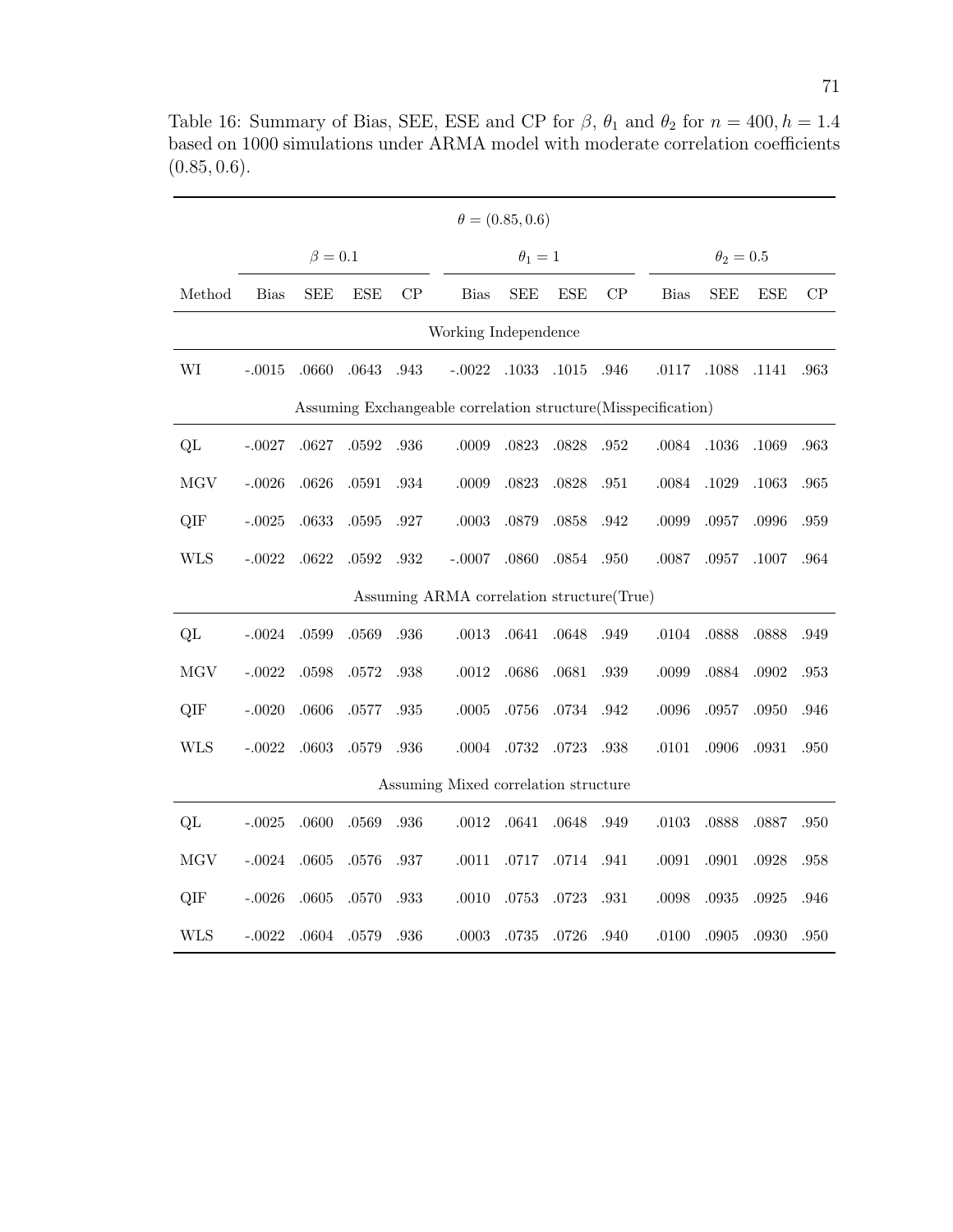|                                                               | $\theta = (0.85, 0.6)$ |             |            |      |                                           |              |            |      |                |            |            |      |
|---------------------------------------------------------------|------------------------|-------------|------------|------|-------------------------------------------|--------------|------------|------|----------------|------------|------------|------|
|                                                               |                        | $\beta=0.1$ |            |      |                                           | $\theta_1=1$ |            |      | $\theta_2=0.5$ |            |            |      |
| Method                                                        | <b>Bias</b>            | <b>SEE</b>  | <b>ESE</b> | CP   | <b>Bias</b>                               | <b>SEE</b>   | <b>ESE</b> | CP   | <b>Bias</b>    | <b>SEE</b> | <b>ESE</b> | CP   |
| Working Independence                                          |                        |             |            |      |                                           |              |            |      |                |            |            |      |
| WI                                                            | $-.0015$               | .0660       | .0643      | .943 | $-.0022$                                  | .1033        | .1015      | .946 | .0117          | .1088      | .1141      | .963 |
| Assuming Exchangeable correlation structure(Misspecification) |                        |             |            |      |                                           |              |            |      |                |            |            |      |
| QL                                                            | $-.0027$               | .0627       | .0592      | .936 | .0009                                     | .0823        | .0828      | .952 | $.0084\,$      | .1036      | .1069      | .963 |
| MGV                                                           | $-.0026$               | .0626       | .0591      | .934 | $.0009$                                   | .0823        | .0828      | .951 | .0084          | .1029      | .1063      | .965 |
| QIF                                                           | $-.0025$               | .0633       | $.0595\,$  | .927 | $.0003\,$                                 | .0879        | .0858      | .942 | .0099          | .0957      | .0996      | .959 |
| <b>WLS</b>                                                    | $-.0022$               | .0622       | $.0592\,$  | .932 | $-.0007$                                  | .0860        | $.0854\,$  | .950 | .0087          | .0957      | .1007      | .964 |
|                                                               |                        |             |            |      | Assuming ARMA correlation structure(True) |              |            |      |                |            |            |      |
| QL                                                            | $-.0024$               | .0599       | .0569      | .936 | $.0013\,$                                 | .0641        | .0648      | .949 | .0104          | .0888      | .0888      | .949 |
| <b>MGV</b>                                                    | $-.0022$               | .0598       | .0572      | .938 | $.0012\,$                                 | .0686        | .0681      | .939 | .0099          | .0884      | $.0902\,$  | .953 |
| QIF                                                           | $-.0020$               | .0606       | .0577      | .935 | $.0005$                                   | $.0756\,$    | .0734      | .942 | .0096          | .0957      | .0950      | .946 |
| <b>WLS</b>                                                    | $-.0022$               | .0603       | .0579      | .936 | .0004                                     | .0732        | $.0723\,$  | .938 | .0101          | .0906      | $.0931\,$  | .950 |
|                                                               |                        |             |            |      | Assuming Mixed correlation structure      |              |            |      |                |            |            |      |
| QL                                                            | $-.0025$               | .0600       | .0569      | .936 | $.0012\,$                                 | .0641        | .0648      | .949 | .0103          | .0888      | .0887      | .950 |
| MGV                                                           | $-.0024$               | .0605       | .0576      | .937 | .0011                                     | .0717        | .0714      | .941 | .0091          | .0901      | .0928      | .958 |
| QIF                                                           | $-.0026$               | $.0605$     | .0570      | .933 | .0010                                     | .0753        | .0723      | .931 | .0098          | .0935      | .0925      | .946 |
| <b>WLS</b>                                                    | $-.0022$               | .0604       | .0579      | .936 | .0003                                     | .0735        | .0726      | .940 | .0100          | .0905      | .0930      | .950 |

Table 16: Summary of Bias, SEE, ESE and CP for  $\beta$ ,  $\theta_1$  and  $\theta_2$  for  $n = 400, h = 1.4$ based on 1000 simulations under ARMA model with moderate correlation coefficients  $(0.85, 0.6).$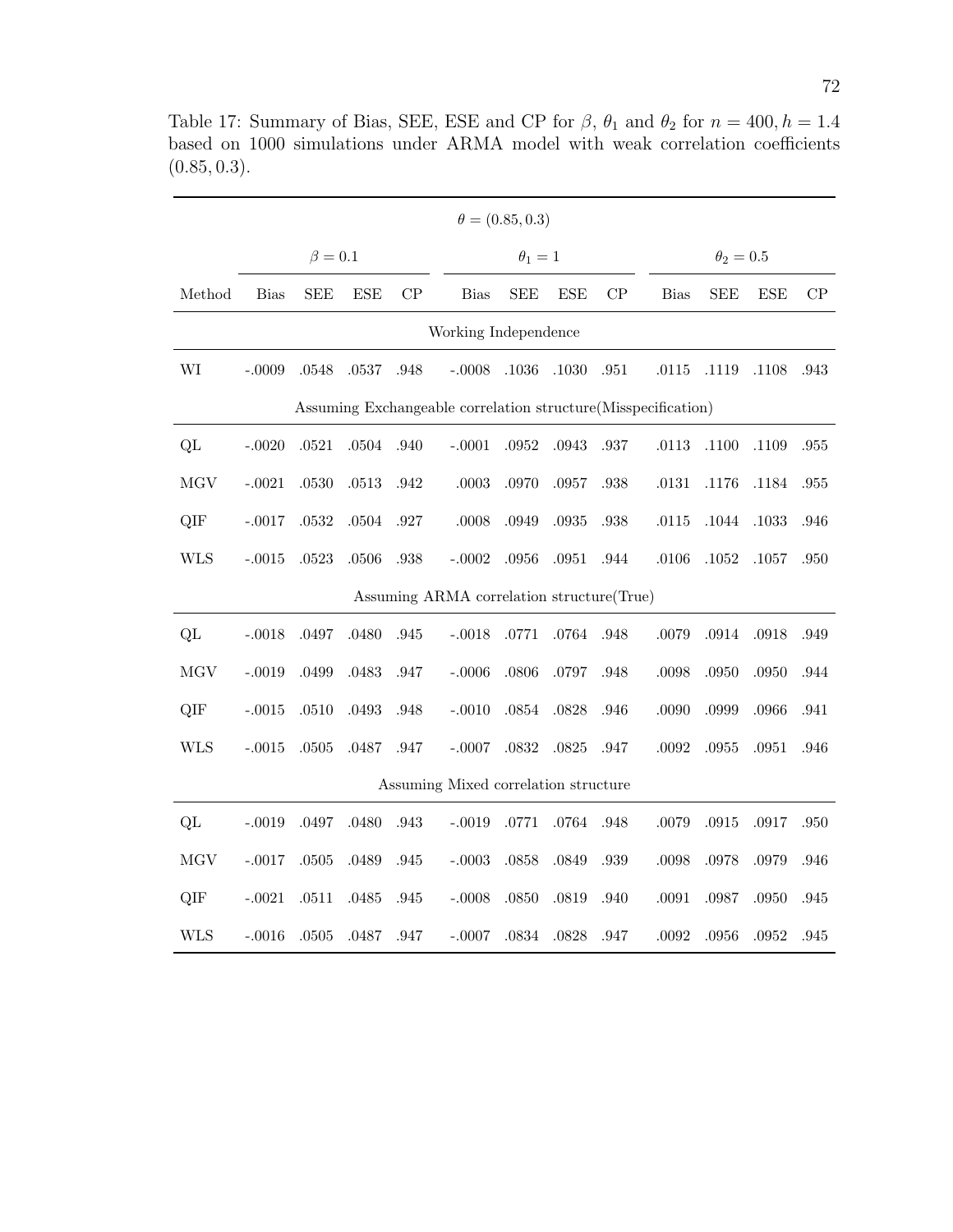|                      | $\theta = (0.85, 0.3)$ |               |            |          |                                                                |              |            |      |             |                |            |      |  |
|----------------------|------------------------|---------------|------------|----------|----------------------------------------------------------------|--------------|------------|------|-------------|----------------|------------|------|--|
|                      |                        | $\beta = 0.1$ |            |          |                                                                | $\theta_1=1$ |            |      |             | $\theta_2=0.5$ |            |      |  |
| Method               | <b>Bias</b>            | <b>SEE</b>    | <b>ESE</b> | CP       | <b>Bias</b>                                                    | <b>SEE</b>   | <b>ESE</b> | CP   | <b>Bias</b> | <b>SEE</b>     | <b>ESE</b> | CP   |  |
| Working Independence |                        |               |            |          |                                                                |              |            |      |             |                |            |      |  |
| WI                   | $-.0009$               | .0548         | .0537      | .948     | $-.0008$                                                       | .1036        | $.1030\,$  | .951 | .0115       | .1119          | .1108      | .943 |  |
|                      |                        |               |            |          | Assuming Exchangeable correlation structure (Misspecification) |              |            |      |             |                |            |      |  |
| QL                   | $-.0020$               | .0521         | $.0504\,$  | .940     | $-.0001$                                                       | .0952        | .0943      | .937 | .0113       | .1100          | .1109      | .955 |  |
| MGV                  | $-.0021$               | .0530         | .0513      | .942     | $.0003$                                                        | .0970        | .0957      | .938 | .0131       | .1176          | .1184      | .955 |  |
| QIF                  | $-.0017$               | $.0532\,$     | $.0504\,$  | .927     | $.0008$                                                        | .0949        | $.0935\,$  | .938 | .0115       | .1044          | .1033      | .946 |  |
| <b>WLS</b>           | $-.0015$               | .0523         | .0506      | .938     | $-.0002$                                                       | .0956        | $.0951\,$  | .944 | .0106       | $.1052\,$      | .1057      | .950 |  |
|                      |                        |               |            |          | Assuming ARMA correlation structure(True)                      |              |            |      |             |                |            |      |  |
| QL                   | $-.0018$               | .0497         | .0480      | .945     | $-.0018$                                                       | .0771        | .0764      | .948 | .0079       | .0914          | .0918      | .949 |  |
| <b>MGV</b>           | $-.0019$               | .0499         | .0483      | .947     | $-.0006$                                                       | .0806        | .0797      | .948 | $.0098\,$   | .0950          | .0950      | .944 |  |
| QIF                  | $-.0015$               | .0510         | .0493      | .948     | $-.0010$                                                       | .0854        | .0828      | .946 | .0090       | .0999          | .0966      | .941 |  |
| <b>WLS</b>           | $-.0015$               | $.0505\,$     | .0487      | $.947\,$ | $-.0007$                                                       | .0832        | .0825      | .947 | $.0092\,$   | .0955          | .0951      | .946 |  |
|                      |                        |               |            |          | Assuming Mixed correlation structure                           |              |            |      |             |                |            |      |  |
| QL                   | $-.0019$               | $.0497\,$     | .0480      | .943     | $-.0019$                                                       | $.0771\,$    | $.0764\,$  | .948 | .0079       | .0915          | .0917      | .950 |  |
| MGV                  | $-.0017$               | $.0505\,$     | .0489      | .945     | $-.0003$                                                       | .0858        | .0849      | .939 | .0098       | .0978          | .0979      | .946 |  |
| QIF                  | $-.0021$               | .0511         | .0485      | .945     | $-.0008$                                                       | .0850        | .0819      | .940 | .0091       | .0987          | .0950      | .945 |  |
| <b>WLS</b>           | $-.0016$               | .0505         | .0487      | .947     | $-.0007$                                                       | .0834        | .0828      | .947 | $.0092\,$   | .0956          | $.0952\,$  | .945 |  |

Table 17: Summary of Bias, SEE, ESE and CP for  $\beta$ ,  $\theta_1$  and  $\theta_2$  for  $n = 400, h = 1.4$ based on 1000 simulations under ARMA model with weak correlation coefficients (0.85, 0.3).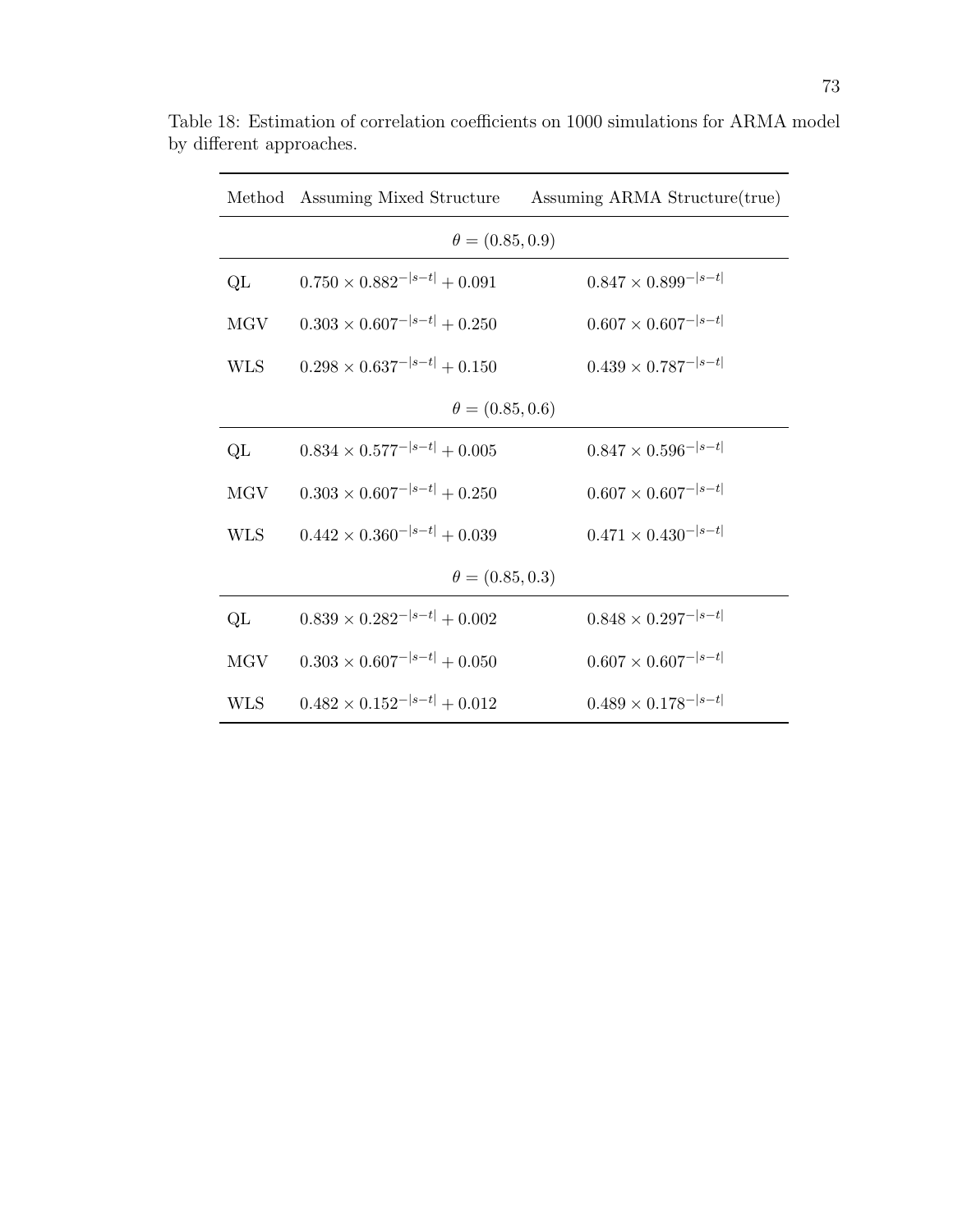|                        |                                       | Method Assuming Mixed Structure Assuming ARMA Structure (true) |  |  |  |  |  |  |  |
|------------------------|---------------------------------------|----------------------------------------------------------------|--|--|--|--|--|--|--|
|                        | $\theta = (0.85, 0.9)$                |                                                                |  |  |  |  |  |  |  |
| QL                     | $0.750 \times 0.882^{- s-t } + 0.091$ | $0.847 \times 0.899^{- s-t }$                                  |  |  |  |  |  |  |  |
| <b>MGV</b>             | $0.303 \times 0.607^{- s-t } + 0.250$ | $0.607 \times 0.607^{- s-t }$                                  |  |  |  |  |  |  |  |
| <b>WLS</b>             | $0.298 \times 0.637^{- s-t } + 0.150$ | $0.439\times0.787^{- s-t }$                                    |  |  |  |  |  |  |  |
| $\theta = (0.85, 0.6)$ |                                       |                                                                |  |  |  |  |  |  |  |
| QL                     | $0.834 \times 0.577^{- s-t } + 0.005$ | $0.847 \times 0.596^{- s-t }$                                  |  |  |  |  |  |  |  |
| <b>MGV</b>             | $0.303 \times 0.607^{- s-t } + 0.250$ | $0.607 \times 0.607^{- s-t }$                                  |  |  |  |  |  |  |  |
| <b>WLS</b>             | $0.442 \times 0.360^{- s-t } + 0.039$ | $0.471 \times 0.430^{- s-t }$                                  |  |  |  |  |  |  |  |
|                        | $\theta = (0.85, 0.3)$                |                                                                |  |  |  |  |  |  |  |
| QL                     | $0.839 \times 0.282^{- s-t } + 0.002$ | $0.848 \times 0.297^{- s-t }$                                  |  |  |  |  |  |  |  |
| <b>MGV</b>             | $0.303 \times 0.607^{- s-t } + 0.050$ | $0.607 \times 0.607^{- s-t }$                                  |  |  |  |  |  |  |  |
| WLS                    | $0.482 \times 0.152^{- s-t } + 0.012$ | $0.489 \times 0.178^{- s-t }$                                  |  |  |  |  |  |  |  |

Table 18: Estimation of correlation coefficients on 1000 simulations for ARMA model by different approaches.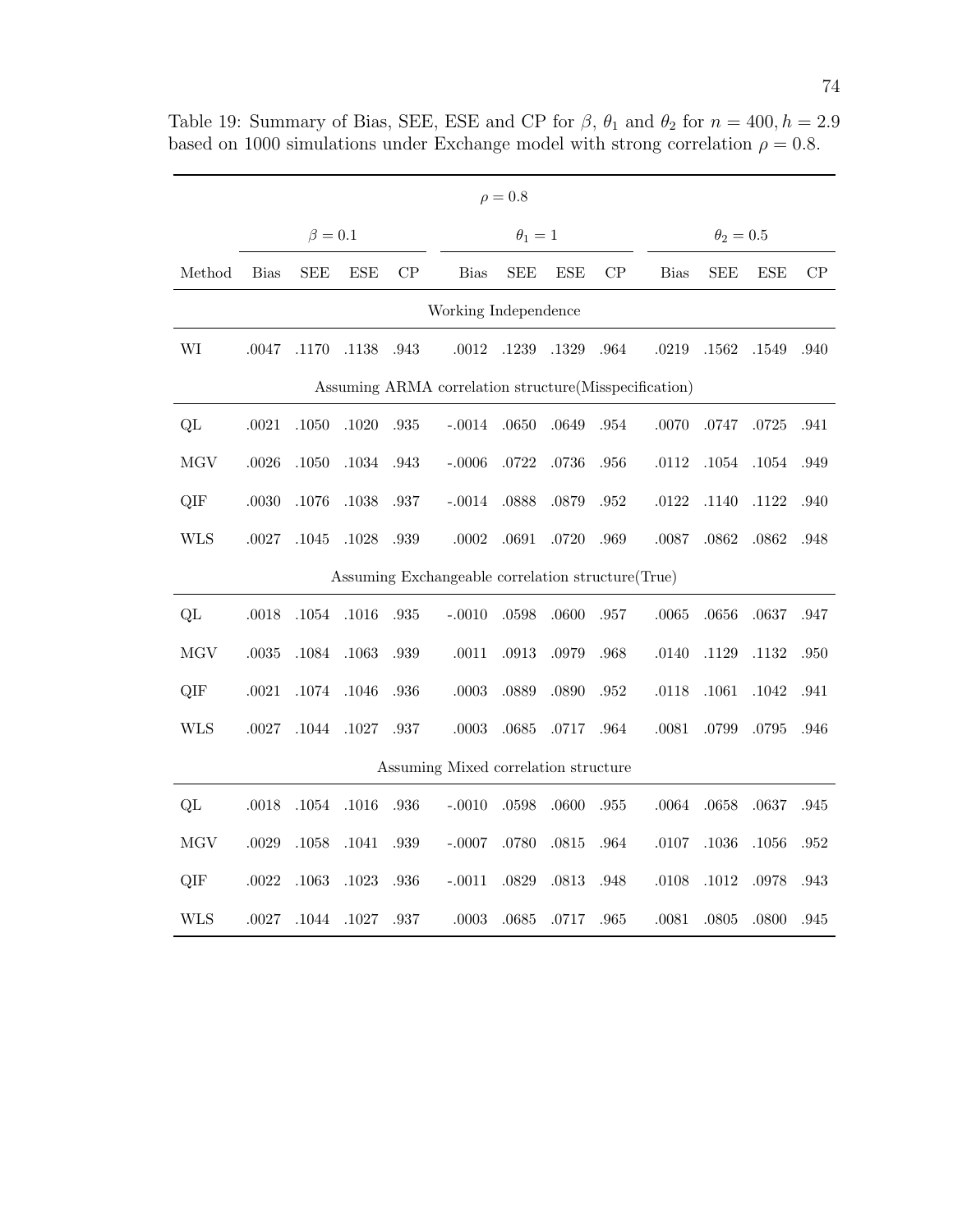| $\rho = 0.8$                                           |             |               |            |      |                                                    |              |            |          |             |                |            |          |
|--------------------------------------------------------|-------------|---------------|------------|------|----------------------------------------------------|--------------|------------|----------|-------------|----------------|------------|----------|
|                                                        |             | $\beta = 0.1$ |            |      |                                                    | $\theta_1=1$ |            |          |             | $\theta_2=0.5$ |            |          |
| Method                                                 | <b>Bias</b> | <b>SEE</b>    | <b>ESE</b> | CP   | <b>Bias</b>                                        | <b>SEE</b>   | <b>ESE</b> | CP       | <b>Bias</b> | <b>SEE</b>     | <b>ESE</b> | CP       |
| Working Independence                                   |             |               |            |      |                                                    |              |            |          |             |                |            |          |
| WI                                                     | .0047       | .1170         | .1138      | .943 | $.0012\,$                                          | .1239        | .1329      | .964     | .0219       | .1562          | .1549      | .940     |
| Assuming ARMA correlation structure (Misspecification) |             |               |            |      |                                                    |              |            |          |             |                |            |          |
| QL                                                     | $.0021\,$   | .1050         | $.1020\,$  | .935 | $-.0014$                                           | .0650        | .0649      | .954     | .0070       | .0747          | .0725      | .941     |
| MGV                                                    | .0026       | .1050         | $.1034\,$  | .943 | $-.0006$                                           | .0722        | .0736      | .956     | .0112       | .1054          | .1054      | .949     |
| QIF                                                    | $.0030\,$   | .1076         | $.1038\,$  | .937 | $-.0014$                                           | .0888        | .0879      | $.952\,$ | .0122       | .1140          | .1122      | .940     |
| <b>WLS</b>                                             | $.0027\,$   | .1045         | $.1028\,$  | .939 | $.0002$                                            | .0691        | $.0720\,$  | .969     | .0087       | .0862          | .0862      | .948     |
|                                                        |             |               |            |      | Assuming Exchangeable correlation structure (True) |              |            |          |             |                |            |          |
| QL                                                     | .0018       | $.1054\,$     | .1016      | .935 | $-.0010$                                           | .0598        | .0600      | $.957\,$ | .0065       | .0656          | .0637      | .947     |
| MGV                                                    | $.0035\,$   | .1084         | .1063      | .939 | .0011                                              | .0913        | .0979      | .968     | .0140       | .1129          | .1132      | .950     |
| QIF                                                    | .0021       | .1074         | .1046      | .936 | .0003                                              | .0889        | .0890      | .952     | .0118       | .1061          | .1042      | .941     |
| <b>WLS</b>                                             | .0027       | $.1044\,$     | .1027      | .937 | $.0003\,$                                          | .0685        | .0717      | .964     | .0081       | .0799          | $.0795\,$  | .946     |
|                                                        |             |               |            |      | Assuming Mixed correlation structure               |              |            |          |             |                |            |          |
| QL                                                     | .0018       | $.1054\,$     | $.1016\,$  | .936 | $-.0010$                                           | .0598        | .0600      | .955     | .0064       | .0658          | .0637      | .945     |
| <b>MGV</b>                                             | .0029       | .1058         | $.1041\,$  | .939 | $-.0007$                                           | .0780        | $.0815\,$  | .964     | .0107       | $.1036\,$      | $.1056\,$  | .952     |
| QIF                                                    | .0022       | .1063         | .1023      | .936 | $-.0011$                                           | .0829        | .0813      | .948     | .0108       | .1012          | .0978      | .943     |
| <b>WLS</b>                                             | .0027       | $.1044\,$     | .1027      | .937 | $.0003\,$                                          | .0685        | .0717      | .965     | .0081       | .0805          | .0800      | $.945\,$ |

Table 19: Summary of Bias, SEE, ESE and CP for  $\beta$ ,  $\theta_1$  and  $\theta_2$  for  $n = 400, h = 2.9$ based on 1000 simulations under Exchange model with strong correlation  $\rho = 0.8$ .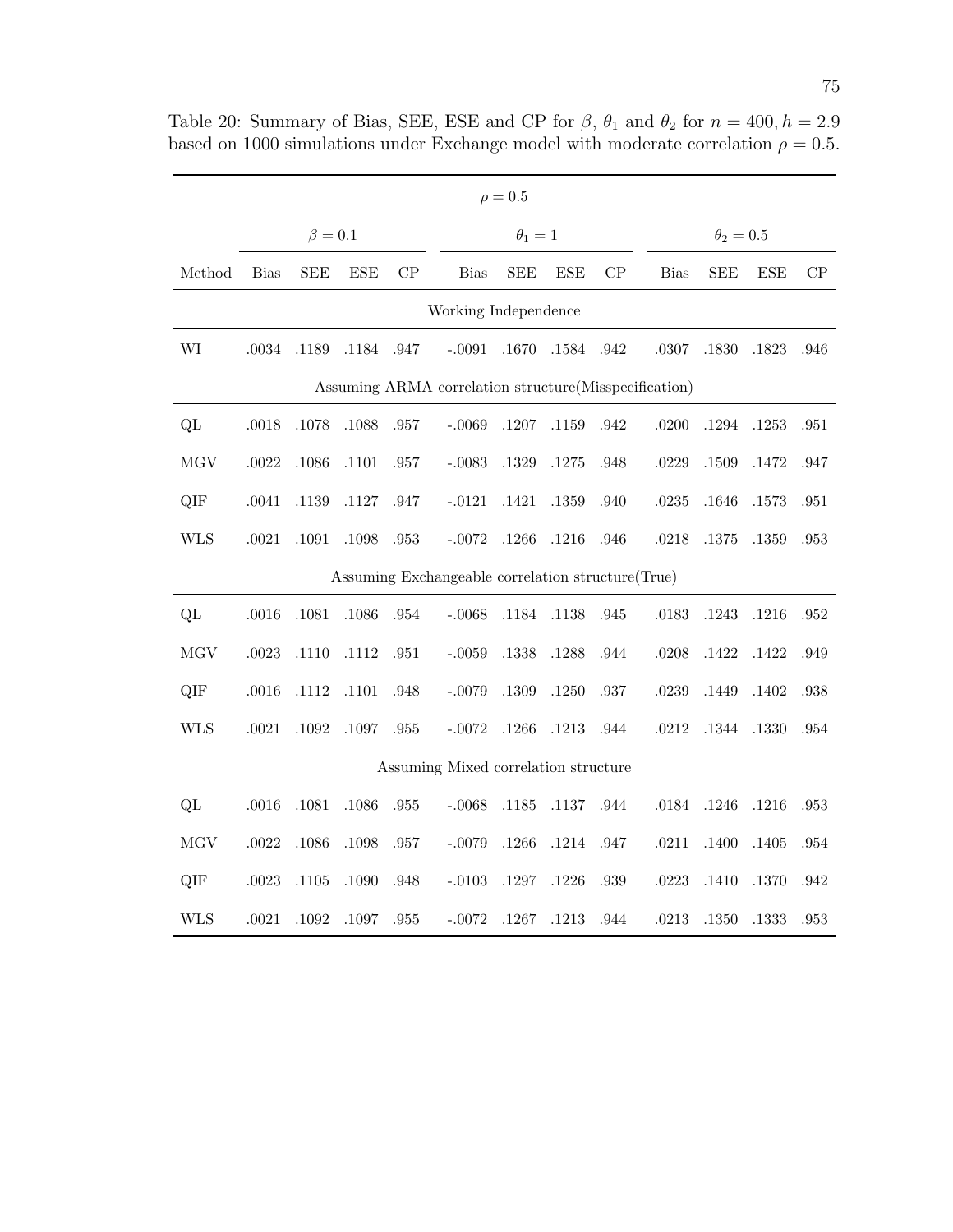| $\rho = 0.5$                                          |             |             |            |          |                                                    |              |            |      |             |                |            |          |
|-------------------------------------------------------|-------------|-------------|------------|----------|----------------------------------------------------|--------------|------------|------|-------------|----------------|------------|----------|
|                                                       |             | $\beta=0.1$ |            |          |                                                    | $\theta_1=1$ |            |      |             | $\theta_2=0.5$ |            |          |
| Method                                                | <b>Bias</b> | <b>SEE</b>  | <b>ESE</b> | CP       | <b>Bias</b>                                        | <b>SEE</b>   | <b>ESE</b> | CP   | <b>Bias</b> | <b>SEE</b>     | <b>ESE</b> | CP       |
| Working Independence                                  |             |             |            |          |                                                    |              |            |      |             |                |            |          |
| WI                                                    | .0034       | .1189       | .1184      | .947     | $-.0091$                                           | $.1670\,$    | .1584      | .942 | .0307       | .1830          | .1823      | .946     |
| Assuming ARMA correlation structure(Misspecification) |             |             |            |          |                                                    |              |            |      |             |                |            |          |
| QL                                                    | $.0018\,$   | $.1078\,$   | $.1088\,$  | $.957\,$ | $-.0069$                                           | $.1207\,$    | .1159      | .942 | .0200       | $.1294\,$      | .1253      | .951     |
| MGV                                                   | .0022       | .1086       | .1101      | .957     | $-.0083$                                           | .1329        | .1275      | .948 | .0229       | .1509          | .1472      | .947     |
| QIF                                                   | .0041       | .1139       | .1127      | .947     | $-.0121$                                           | .1421        | .1359      | .940 | .0235       | .1646          | .1573      | .951     |
| <b>WLS</b>                                            | $.0021\,$   | $.1091\,$   | $.1098\,$  | .953     | $-.0072$                                           | .1266        | $.1216\,$  | .946 | .0218       | .1375          | .1359      | .953     |
|                                                       |             |             |            |          | Assuming Exchangeable correlation structure (True) |              |            |      |             |                |            |          |
| QL                                                    | $.0016\,$   | .1081       | .1086      | .954     | $-.0068$                                           | .1184        | .1138      | .945 | .0183       | .1243          | .1216      | .952     |
| MGV                                                   | .0023       | .1110       | .1112      | .951     | $-.0059$                                           | .1338        | .1288      | .944 | .0208       | .1422          | .1422      | .949     |
| QIF                                                   | .0016       | .1112       | .1101      | .948     | $-.0079$                                           | .1309        | .1250      | .937 | .0239       | .1449          | .1402      | .938     |
| <b>WLS</b>                                            | $.0021\,$   | $.1092\,$   | .1097      | $.955\,$ | $-.0072$                                           | .1266        | $.1213\,$  | .944 | .0212       | $.1344\,$      | .1330      | .954     |
|                                                       |             |             |            |          | Assuming Mixed correlation structure               |              |            |      |             |                |            |          |
| QL                                                    | .0016       | .1081       | .1086      | .955     | $-.0068$                                           | .1185        | .1137      | .944 | .0184       | .1246          | .1216      | .953     |
| MGV                                                   | .0022       | .1086       | .1098      | .957     | $-.0079$                                           | .1266        | $.1214\,$  | .947 | .0211       | .1400          | $.1405\,$  | $.954\,$ |
| QIF                                                   | .0023       | .1105       | .1090      | .948     | $-.0103$                                           | .1297        | .1226      | .939 | .0223       | .1410          | .1370      | .942     |
| <b>WLS</b>                                            | .0021       | .1092       | $.1097\,$  | .955     | $-.0072$                                           | .1267        | .1213      | .944 | .0213       | .1350          | .1333      | .953     |

Table 20: Summary of Bias, SEE, ESE and CP for  $\beta$ ,  $\theta_1$  and  $\theta_2$  for  $n = 400, h = 2.9$ based on 1000 simulations under Exchange model with moderate correlation  $\rho = 0.5$ .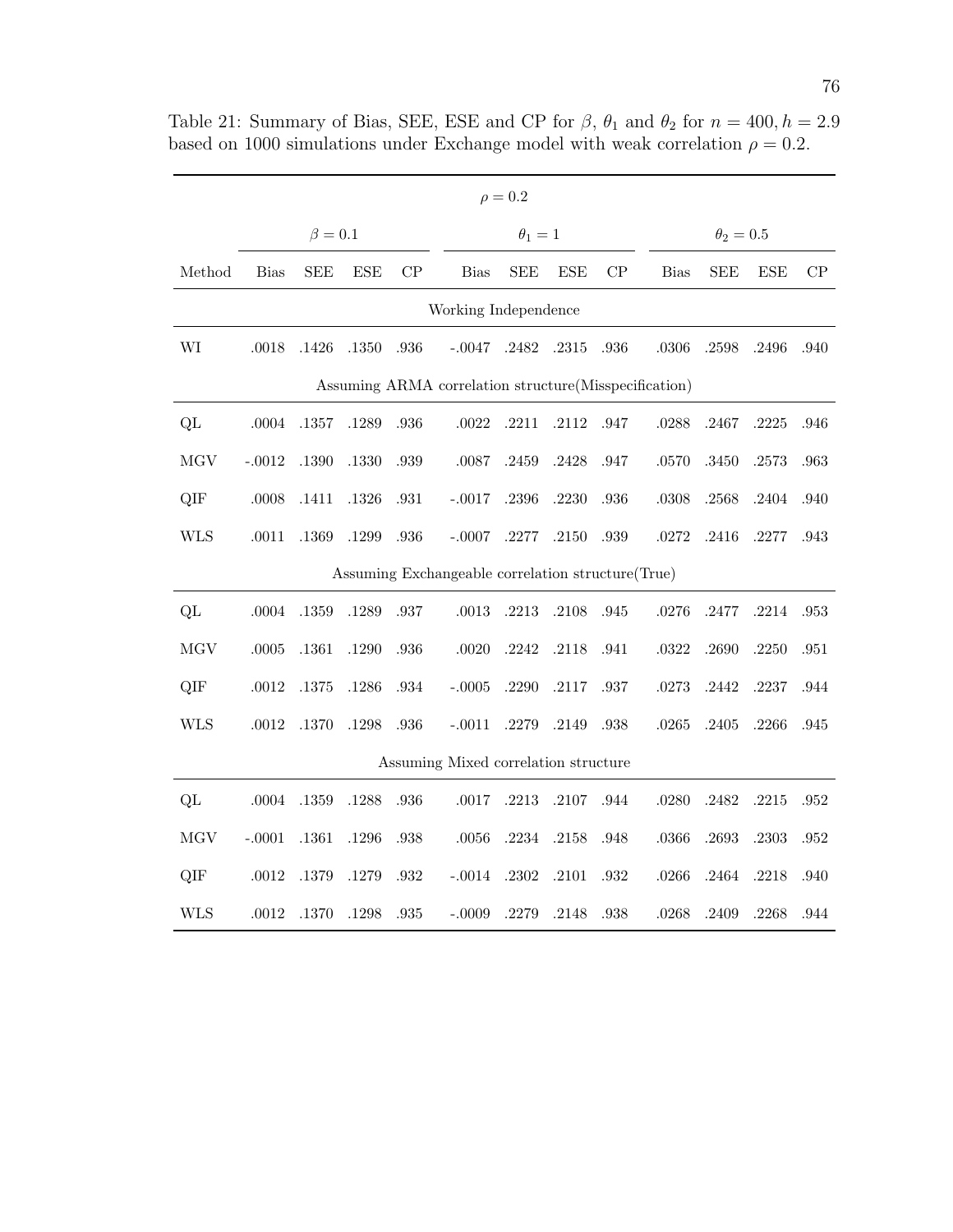| $\rho = 0.2$                                           |             |               |            |      |                                                   |              |            |      |             |                |            |          |  |
|--------------------------------------------------------|-------------|---------------|------------|------|---------------------------------------------------|--------------|------------|------|-------------|----------------|------------|----------|--|
|                                                        |             | $\beta = 0.1$ |            |      |                                                   | $\theta_1=1$ |            |      |             | $\theta_2=0.5$ |            |          |  |
| Method                                                 | <b>Bias</b> | <b>SEE</b>    | <b>ESE</b> | CP   | <b>Bias</b>                                       | <b>SEE</b>   | <b>ESE</b> | CP   | <b>Bias</b> | <b>SEE</b>     | <b>ESE</b> | $\rm CP$ |  |
| Working Independence                                   |             |               |            |      |                                                   |              |            |      |             |                |            |          |  |
| WI                                                     | .0018       | .1426         | .1350      | .936 | $-.0047$                                          | .2482        | .2315      | .936 | .0306       | .2598          | .2496      | .940     |  |
| Assuming ARMA correlation structure (Misspecification) |             |               |            |      |                                                   |              |            |      |             |                |            |          |  |
| QL                                                     | .0004       | .1357         | .1289      | .936 | $.0022\,$                                         | .2211        | .2112      | .947 | .0288       | .2467          | .2225      | .946     |  |
| <b>MGV</b>                                             | $-.0012$    | .1390         | .1330      | .939 | .0087                                             | .2459        | .2428      | .947 | .0570       | .3450          | .2573      | .963     |  |
| QIF                                                    | .0008       | .1411         | .1326      | .931 | $-.0017$                                          | $.2396\,$    | .2230      | .936 | .0308       | .2568          | .2404      | .940     |  |
| <b>WLS</b>                                             | .0011       | .1369         | .1299      | .936 | $-.0007$                                          | .2277        | .2150      | .939 | $.0272\,$   | $.2416\,$      | .2277      | .943     |  |
|                                                        |             |               |            |      | Assuming Exchangeable correlation structure(True) |              |            |      |             |                |            |          |  |
| QL                                                     | .0004       | .1359         | .1289      | .937 | .0013                                             | .2213        | .2108      | .945 | .0276       | .2477          | .2214      | .953     |  |
| <b>MGV</b>                                             | .0005       | .1361         | .1290      | .936 | .0020                                             | .2242        | .2118      | .941 | .0322       | .2690          | .2250      | .951     |  |
| QIF                                                    | .0012       | .1375         | .1286      | .934 | $-.0005$                                          | .2290        | $.2117\,$  | .937 | .0273       | .2442          | .2237      | .944     |  |
| <b>WLS</b>                                             | $.0012\,$   | .1370         | .1298      | .936 | $-.0011$                                          | .2279        | .2149      | .938 | .0265       | $.2405\,$      | .2266      | .945     |  |
|                                                        |             |               |            |      | Assuming Mixed correlation structure              |              |            |      |             |                |            |          |  |
| QL                                                     | .0004       | .1359         | .1288      | .936 | .0017                                             | .2213        | .2107      | .944 | .0280       | .2482          | .2215      | .952     |  |
| MGV                                                    | $-.0001$    | .1361         | .1296      | .938 | $.0056\,$                                         | .2234        | .2158      | .948 | .0366       | .2693          | .2303      | .952     |  |
| QIF                                                    | .0012       | .1379         | .1279      | .932 | $-.0014$                                          | .2302        | .2101      | .932 | $.0266\,$   | .2464          | .2218      | .940     |  |
| WLS                                                    | .0012       | .1370         | .1298      | .935 | $-.0009$                                          | .2279        | .2148      | .938 | .0268       | .2409          | .2268      | .944     |  |

Table 21: Summary of Bias, SEE, ESE and CP for  $\beta$ ,  $\theta_1$  and  $\theta_2$  for  $n = 400, h = 2.9$ based on 1000 simulations under Exchange model with weak correlation  $\rho = 0.2$ .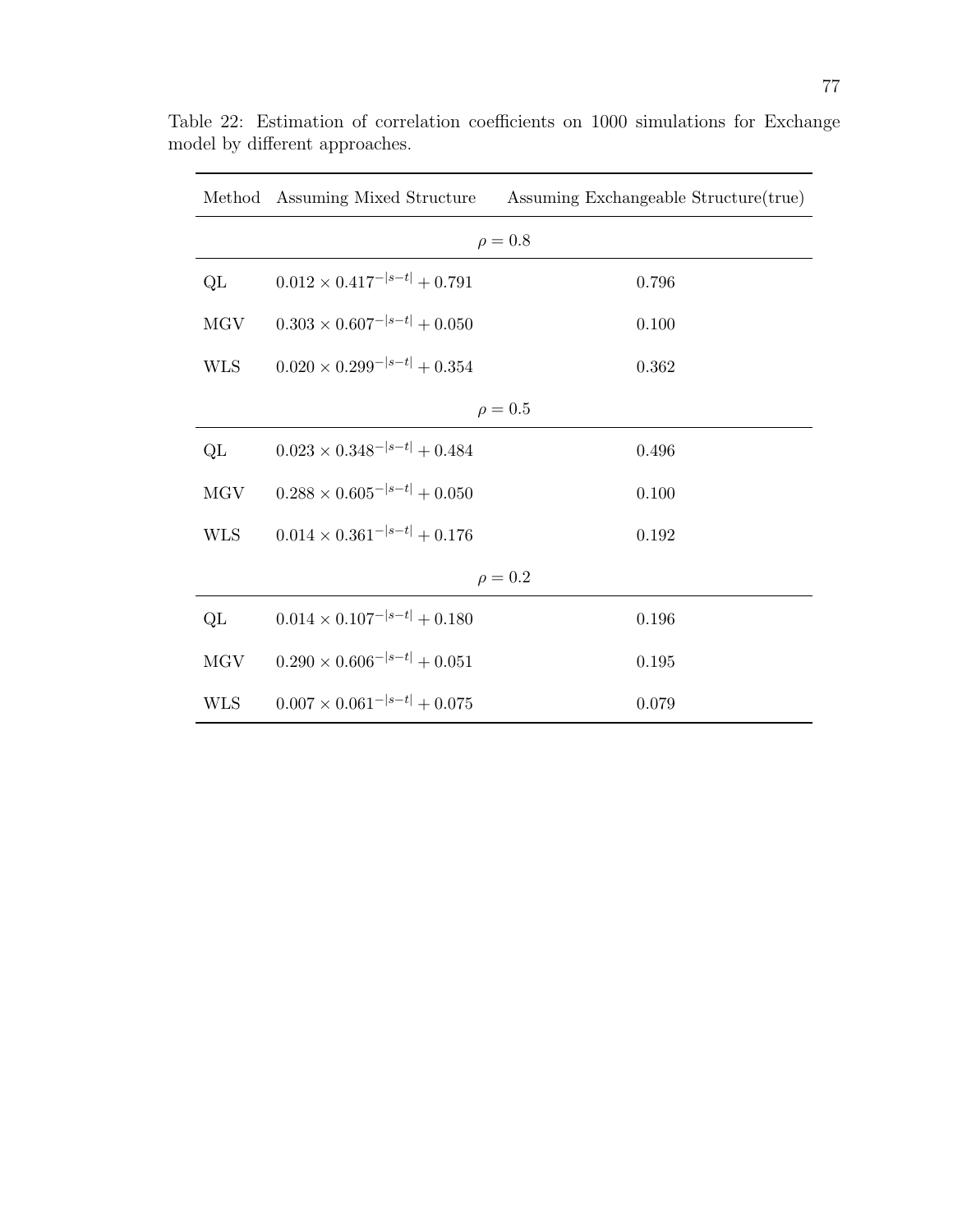|            |                                       | Method Assuming Mixed Structure Assuming Exchangeable Structure (true) |  |  |  |  |
|------------|---------------------------------------|------------------------------------------------------------------------|--|--|--|--|
|            |                                       | $\rho = 0.8$                                                           |  |  |  |  |
| QL         | $0.012 \times 0.417^{- s-t } + 0.791$ | 0.796                                                                  |  |  |  |  |
| <b>MGV</b> | $0.303 \times 0.607^{- s-t } + 0.050$ | 0.100                                                                  |  |  |  |  |
| <b>WLS</b> | $0.020 \times 0.299^{- s-t } + 0.354$ | 0.362                                                                  |  |  |  |  |
|            |                                       | $\rho = 0.5$                                                           |  |  |  |  |
| QL         | $0.023 \times 0.348^{- s-t } + 0.484$ | 0.496                                                                  |  |  |  |  |
| <b>MGV</b> | $0.288 \times 0.605^{- s-t } + 0.050$ | 0.100                                                                  |  |  |  |  |
| <b>WLS</b> | $0.014 \times 0.361^{- s-t } + 0.176$ | 0.192                                                                  |  |  |  |  |
|            |                                       | $\rho = 0.2$                                                           |  |  |  |  |
| QL         | $0.014 \times 0.107^{- s-t } + 0.180$ | 0.196                                                                  |  |  |  |  |
| MGV        | $0.290 \times 0.606^{- s-t } + 0.051$ | 0.195                                                                  |  |  |  |  |
| <b>WLS</b> | $0.007 \times 0.061^{- s-t } + 0.075$ | 0.079                                                                  |  |  |  |  |

Table 22: Estimation of correlation coefficients on 1000 simulations for Exchange model by different approaches.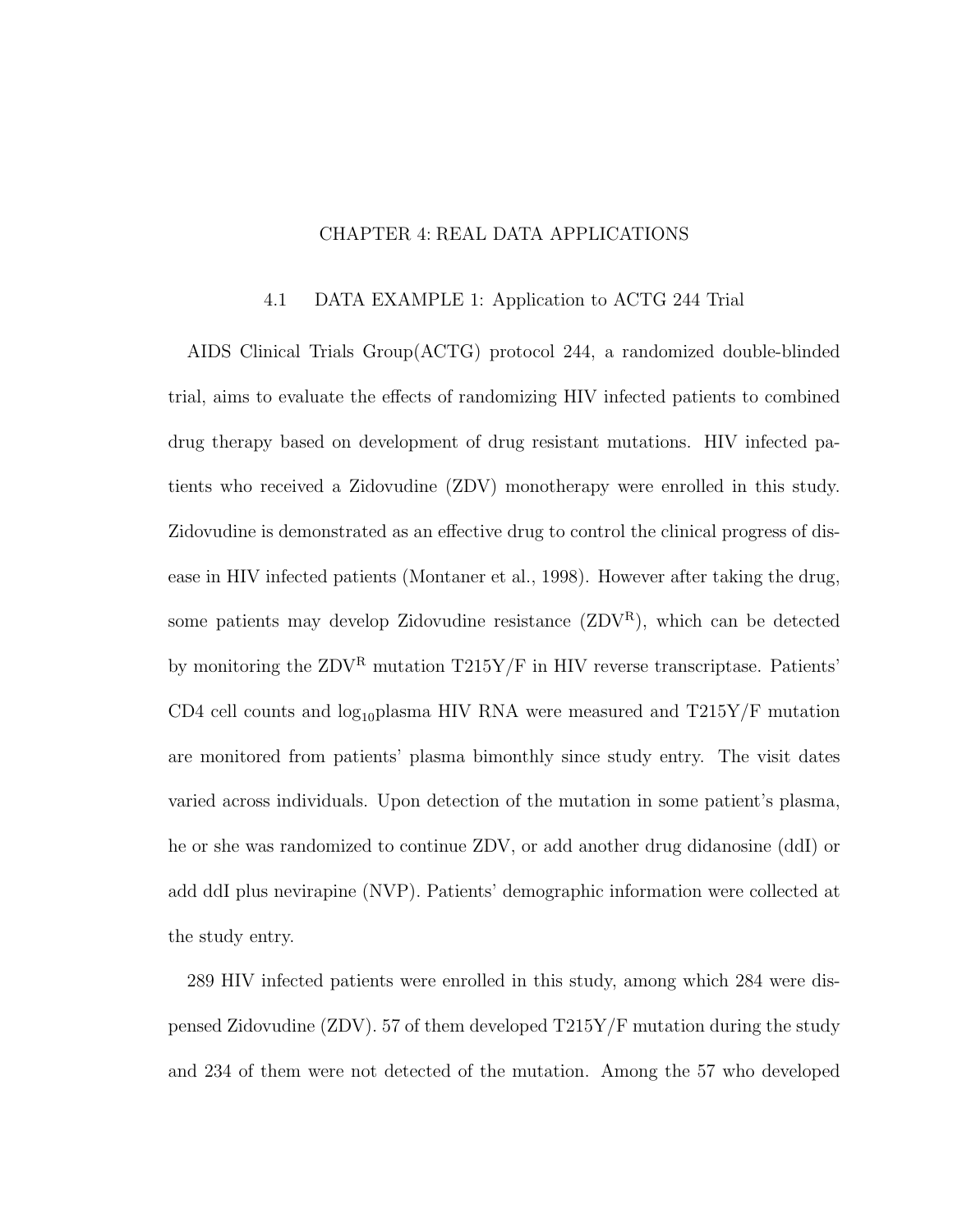## CHAPTER 4: REAL DATA APPLICATIONS

#### 4.1 DATA EXAMPLE 1: Application to ACTG 244 Trial

AIDS Clinical Trials Group(ACTG) protocol 244, a randomized double-blinded trial, aims to evaluate the effects of randomizing HIV infected patients to combined drug therapy based on development of drug resistant mutations. HIV infected patients who received a Zidovudine (ZDV) monotherapy were enrolled in this study. Zidovudine is demonstrated as an effective drug to control the clinical progress of disease in HIV infected patients (Montaner et al., 1998). However after taking the drug, some patients may develop Zidovudine resistance  $(ZDV^R)$ , which can be detected by monitoring the  $ZDV^R$  mutation  $T215Y/F$  in HIV reverse transcriptase. Patients' CD4 cell counts and  $log_{10}$ plasma HIV RNA were measured and T215Y/F mutation are monitored from patients' plasma bimonthly since study entry. The visit dates varied across individuals. Upon detection of the mutation in some patient's plasma, he or she was randomized to continue ZDV, or add another drug didanosine (ddI) or add ddI plus nevirapine (NVP). Patients' demographic information were collected at the study entry.

289 HIV infected patients were enrolled in this study, among which 284 were dispensed Zidovudine (ZDV). 57 of them developed T215Y/F mutation during the study and 234 of them were not detected of the mutation. Among the 57 who developed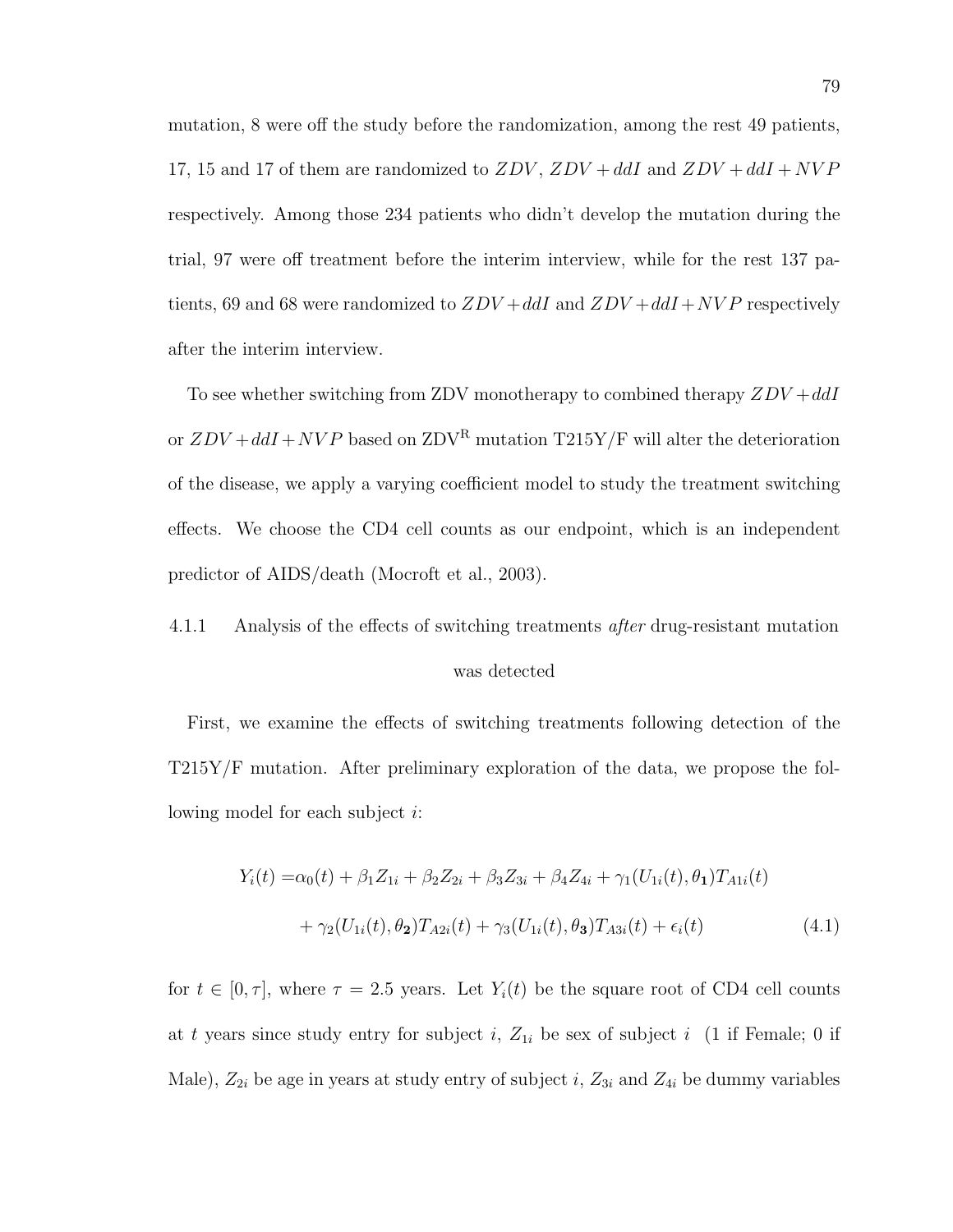mutation, 8 were off the study before the randomization, among the rest 49 patients, 17, 15 and 17 of them are randomized to  $ZDV$ ,  $ZDV + d dI$  and  $ZDV + d dI + NVP$ respectively. Among those 234 patients who didn't develop the mutation during the trial, 97 were off treatment before the interim interview, while for the rest 137 patients, 69 and 68 were randomized to  $ZDV + d dI$  and  $ZDV + d dI + NVP$  respectively after the interim interview.

To see whether switching from ZDV monotherapy to combined therapy  $ZDV + ddl$ or  $ZDV + ddl + NVP$  based on  $ZDV^R$  mutation  $T215Y/F$  will alter the deterioration of the disease, we apply a varying coefficient model to study the treatment switching effects. We choose the CD4 cell counts as our endpoint, which is an independent predictor of AIDS/death (Mocroft et al., 2003).

# 4.1.1 Analysis of the effects of switching treatments after drug-resistant mutation was detected

First, we examine the effects of switching treatments following detection of the T215Y/F mutation. After preliminary exploration of the data, we propose the following model for each subject i:

$$
Y_i(t) = \alpha_0(t) + \beta_1 Z_{1i} + \beta_2 Z_{2i} + \beta_3 Z_{3i} + \beta_4 Z_{4i} + \gamma_1 (U_{1i}(t), \theta_1) T_{A1i}(t)
$$
  
+ 
$$
\gamma_2 (U_{1i}(t), \theta_2) T_{A2i}(t) + \gamma_3 (U_{1i}(t), \theta_3) T_{A3i}(t) + \epsilon_i(t)
$$
(4.1)

for  $t \in [0, \tau]$ , where  $\tau = 2.5$  years. Let  $Y_i(t)$  be the square root of CD4 cell counts at t years since study entry for subject i,  $Z_{1i}$  be sex of subject i (1 if Female; 0 if Male),  $Z_{2i}$  be age in years at study entry of subject i,  $Z_{3i}$  and  $Z_{4i}$  be dummy variables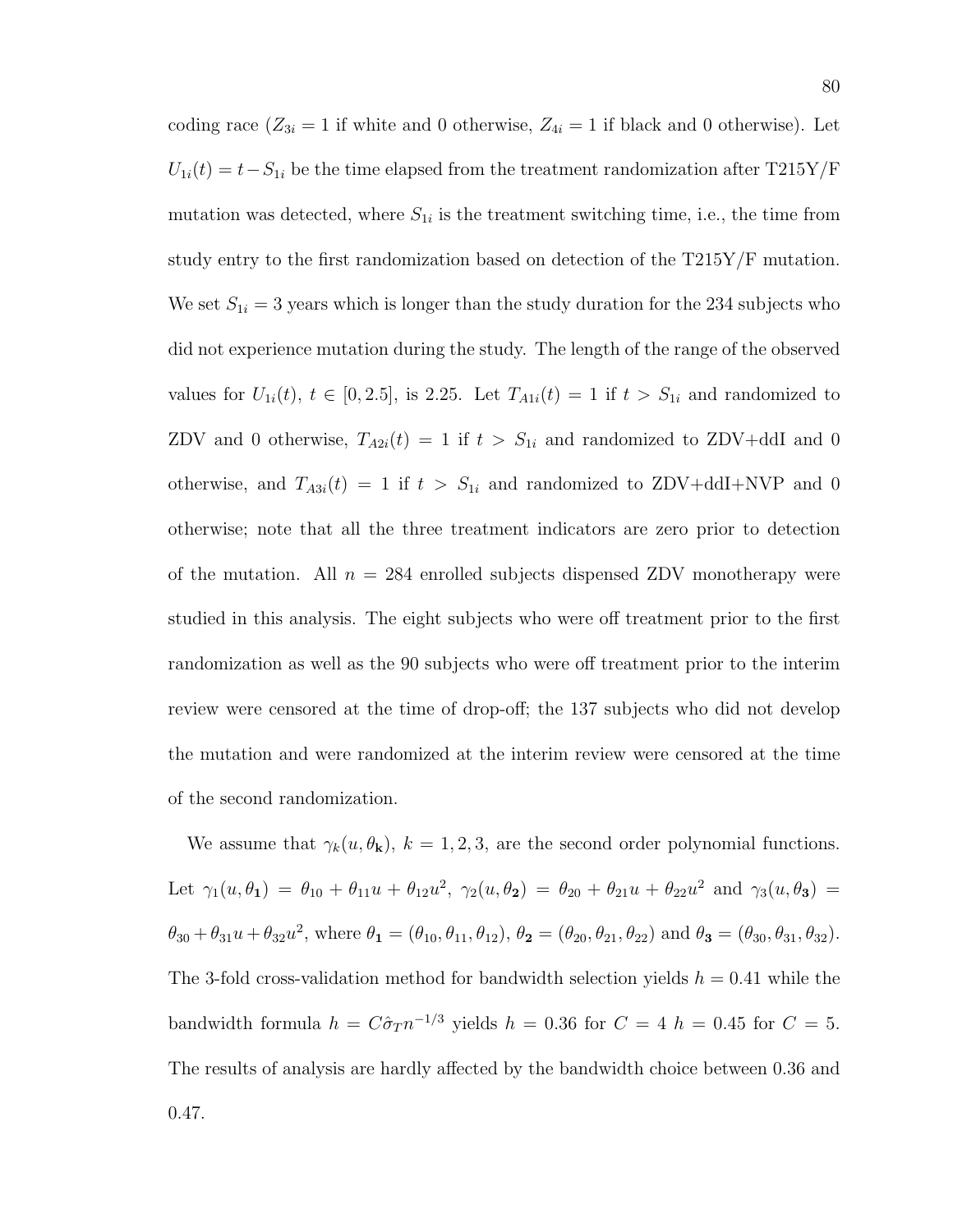coding race  $(Z_{3i} = 1$  if white and 0 otherwise,  $Z_{4i} = 1$  if black and 0 otherwise). Let  $U_{1i}(t) = t - S_{1i}$  be the time elapsed from the treatment randomization after T215Y/F mutation was detected, where  $S_{1i}$  is the treatment switching time, i.e., the time from study entry to the first randomization based on detection of the T215Y/F mutation. We set  $S_{1i} = 3$  years which is longer than the study duration for the 234 subjects who did not experience mutation during the study. The length of the range of the observed values for  $U_{1i}(t)$ ,  $t \in [0, 2.5]$ , is 2.25. Let  $T_{A1i}(t) = 1$  if  $t > S_{1i}$  and randomized to ZDV and 0 otherwise,  $T_{A2i}(t) = 1$  if  $t > S_{1i}$  and randomized to ZDV+ddI and 0 otherwise, and  $T_{A3i}(t) = 1$  if  $t > S_{1i}$  and randomized to ZDV+ddI+NVP and 0 otherwise; note that all the three treatment indicators are zero prior to detection of the mutation. All  $n = 284$  enrolled subjects dispensed ZDV monotherapy were studied in this analysis. The eight subjects who were off treatment prior to the first randomization as well as the 90 subjects who were off treatment prior to the interim review were censored at the time of drop-off; the 137 subjects who did not develop the mutation and were randomized at the interim review were censored at the time of the second randomization.

We assume that  $\gamma_k(u, \theta_k)$ ,  $k = 1, 2, 3$ , are the second order polynomial functions. Let  $\gamma_1(u, \theta_1) = \theta_{10} + \theta_{11}u + \theta_{12}u^2$ ,  $\gamma_2(u, \theta_2) = \theta_{20} + \theta_{21}u + \theta_{22}u^2$  and  $\gamma_3(u, \theta_3) =$  $\theta_{30} + \theta_{31}u + \theta_{32}u^2$ , where  $\theta_1 = (\theta_{10}, \theta_{11}, \theta_{12}), \theta_2 = (\theta_{20}, \theta_{21}, \theta_{22})$  and  $\theta_3 = (\theta_{30}, \theta_{31}, \theta_{32}).$ The 3-fold cross-validation method for bandwidth selection yields  $h = 0.41$  while the bandwidth formula  $h = C\hat{\sigma}_T n^{-1/3}$  yields  $h = 0.36$  for  $C = 4$   $h = 0.45$  for  $C = 5$ . The results of analysis are hardly affected by the bandwidth choice between 0.36 and 0.47.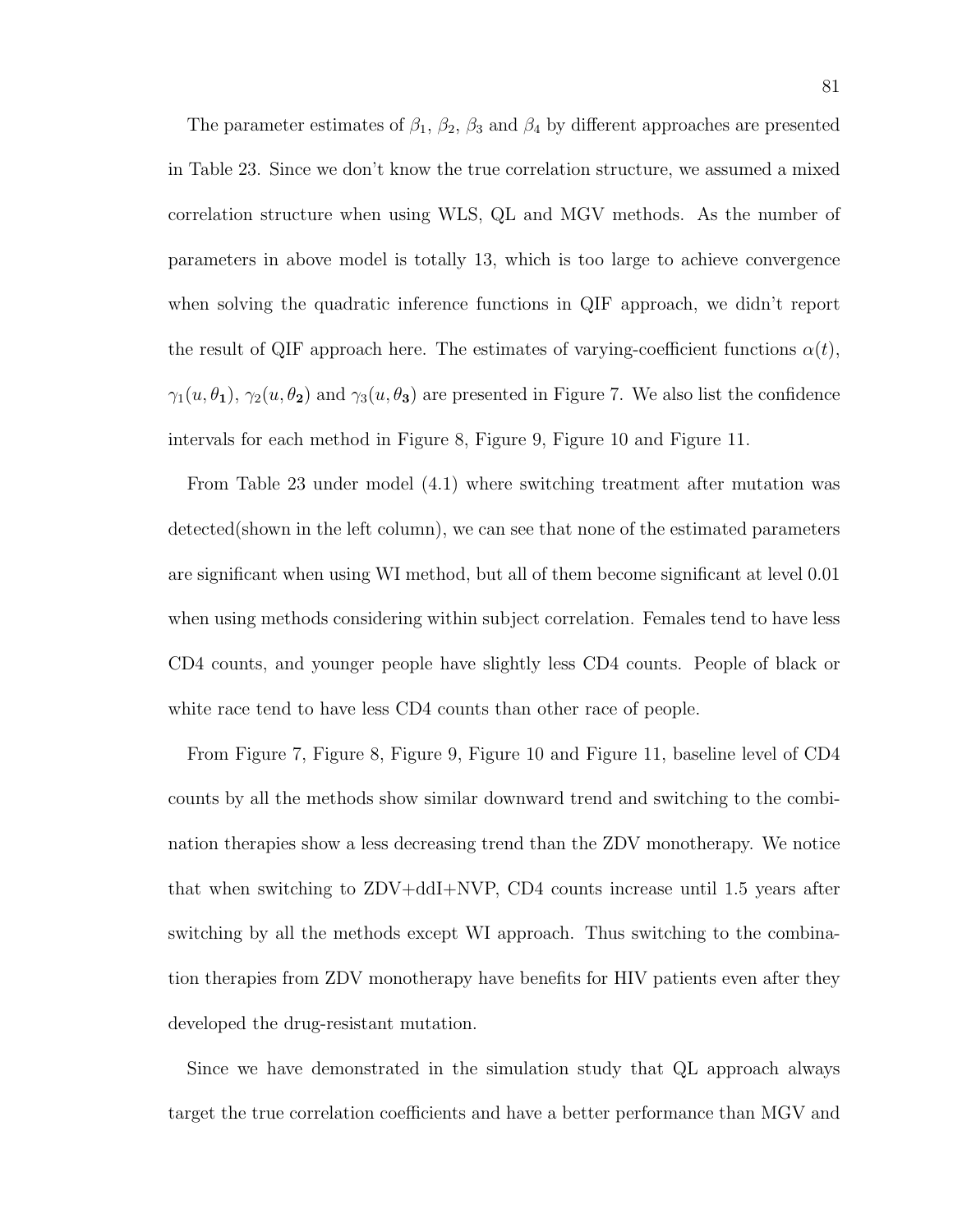The parameter estimates of  $\beta_1$ ,  $\beta_2$ ,  $\beta_3$  and  $\beta_4$  by different approaches are presented in Table 23. Since we don't know the true correlation structure, we assumed a mixed correlation structure when using WLS, QL and MGV methods. As the number of parameters in above model is totally 13, which is too large to achieve convergence when solving the quadratic inference functions in QIF approach, we didn't report the result of QIF approach here. The estimates of varying-coefficient functions  $\alpha(t)$ ,  $\gamma_1(u, \theta_1), \gamma_2(u, \theta_2)$  and  $\gamma_3(u, \theta_3)$  are presented in Figure 7. We also list the confidence intervals for each method in Figure 8, Figure 9, Figure 10 and Figure 11.

From Table 23 under model (4.1) where switching treatment after mutation was detected(shown in the left column), we can see that none of the estimated parameters are significant when using WI method, but all of them become significant at level 0.01 when using methods considering within subject correlation. Females tend to have less CD4 counts, and younger people have slightly less CD4 counts. People of black or white race tend to have less CD4 counts than other race of people.

From Figure 7, Figure 8, Figure 9, Figure 10 and Figure 11, baseline level of CD4 counts by all the methods show similar downward trend and switching to the combination therapies show a less decreasing trend than the ZDV monotherapy. We notice that when switching to ZDV+ddI+NVP, CD4 counts increase until 1.5 years after switching by all the methods except WI approach. Thus switching to the combination therapies from ZDV monotherapy have benefits for HIV patients even after they developed the drug-resistant mutation.

Since we have demonstrated in the simulation study that QL approach always target the true correlation coefficients and have a better performance than MGV and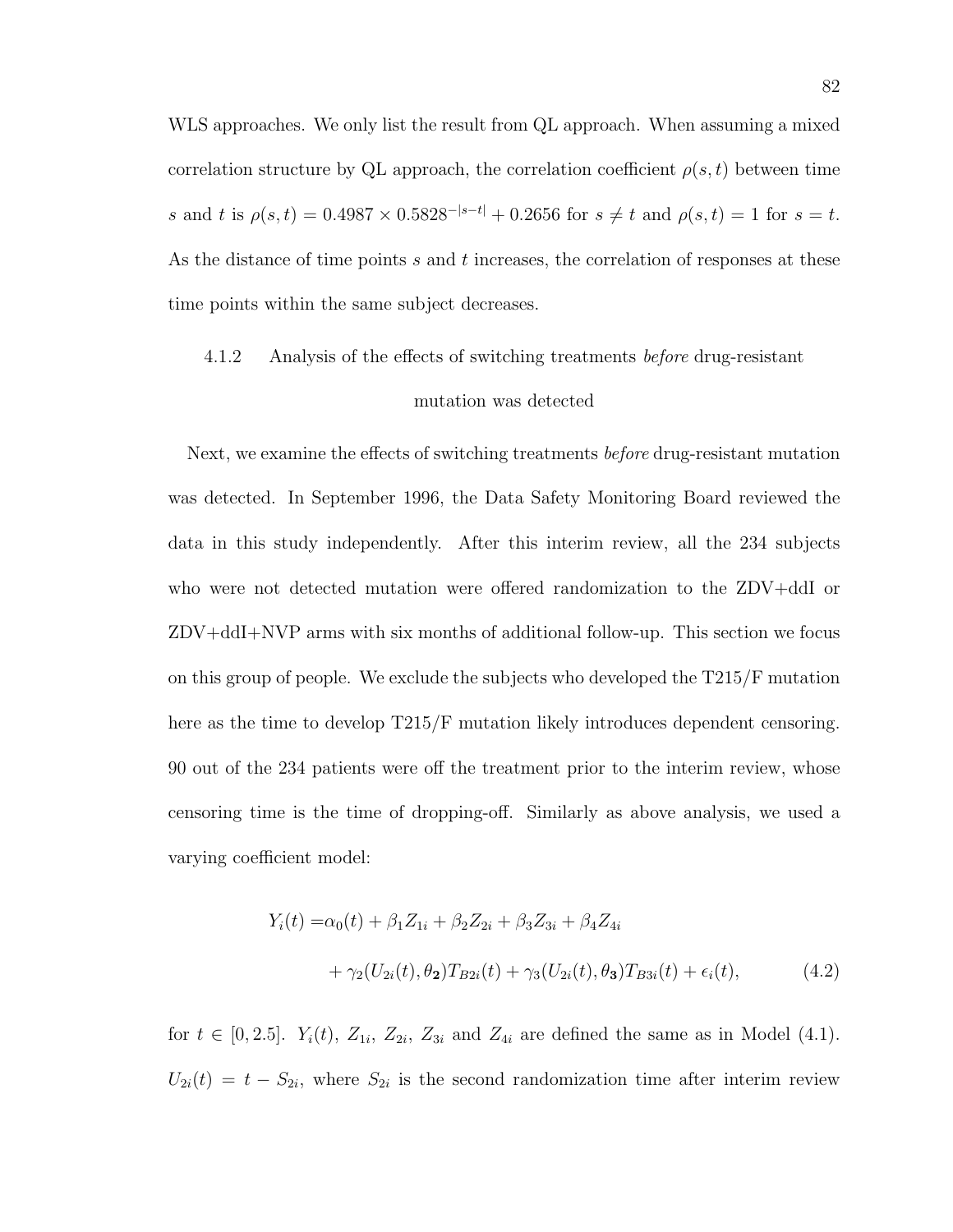WLS approaches. We only list the result from QL approach. When assuming a mixed correlation structure by QL approach, the correlation coefficient  $\rho(s,t)$  between time s and t is  $\rho(s,t) = 0.4987 \times 0.5828^{-|s-t|} + 0.2656$  for  $s \neq t$  and  $\rho(s,t) = 1$  for  $s = t$ . As the distance of time points s and t increases, the correlation of responses at these time points within the same subject decreases.

# 4.1.2 Analysis of the effects of switching treatments before drug-resistant mutation was detected

Next, we examine the effects of switching treatments *before* drug-resistant mutation was detected. In September 1996, the Data Safety Monitoring Board reviewed the data in this study independently. After this interim review, all the 234 subjects who were not detected mutation were offered randomization to the ZDV+ddI or ZDV+ddI+NVP arms with six months of additional follow-up. This section we focus on this group of people. We exclude the subjects who developed the T215/F mutation here as the time to develop T215/F mutation likely introduces dependent censoring. 90 out of the 234 patients were off the treatment prior to the interim review, whose censoring time is the time of dropping-off. Similarly as above analysis, we used a varying coefficient model:

$$
Y_i(t) = \alpha_0(t) + \beta_1 Z_{1i} + \beta_2 Z_{2i} + \beta_3 Z_{3i} + \beta_4 Z_{4i}
$$
  
+ 
$$
\gamma_2 (U_{2i}(t), \theta_2) T_{B2i}(t) + \gamma_3 (U_{2i}(t), \theta_3) T_{B3i}(t) + \epsilon_i(t),
$$
 (4.2)

for  $t \in [0, 2.5]$ .  $Y_i(t)$ ,  $Z_{1i}$ ,  $Z_{2i}$ ,  $Z_{3i}$  and  $Z_{4i}$  are defined the same as in Model (4.1).  $U_{2i}(t) = t - S_{2i}$ , where  $S_{2i}$  is the second randomization time after interim review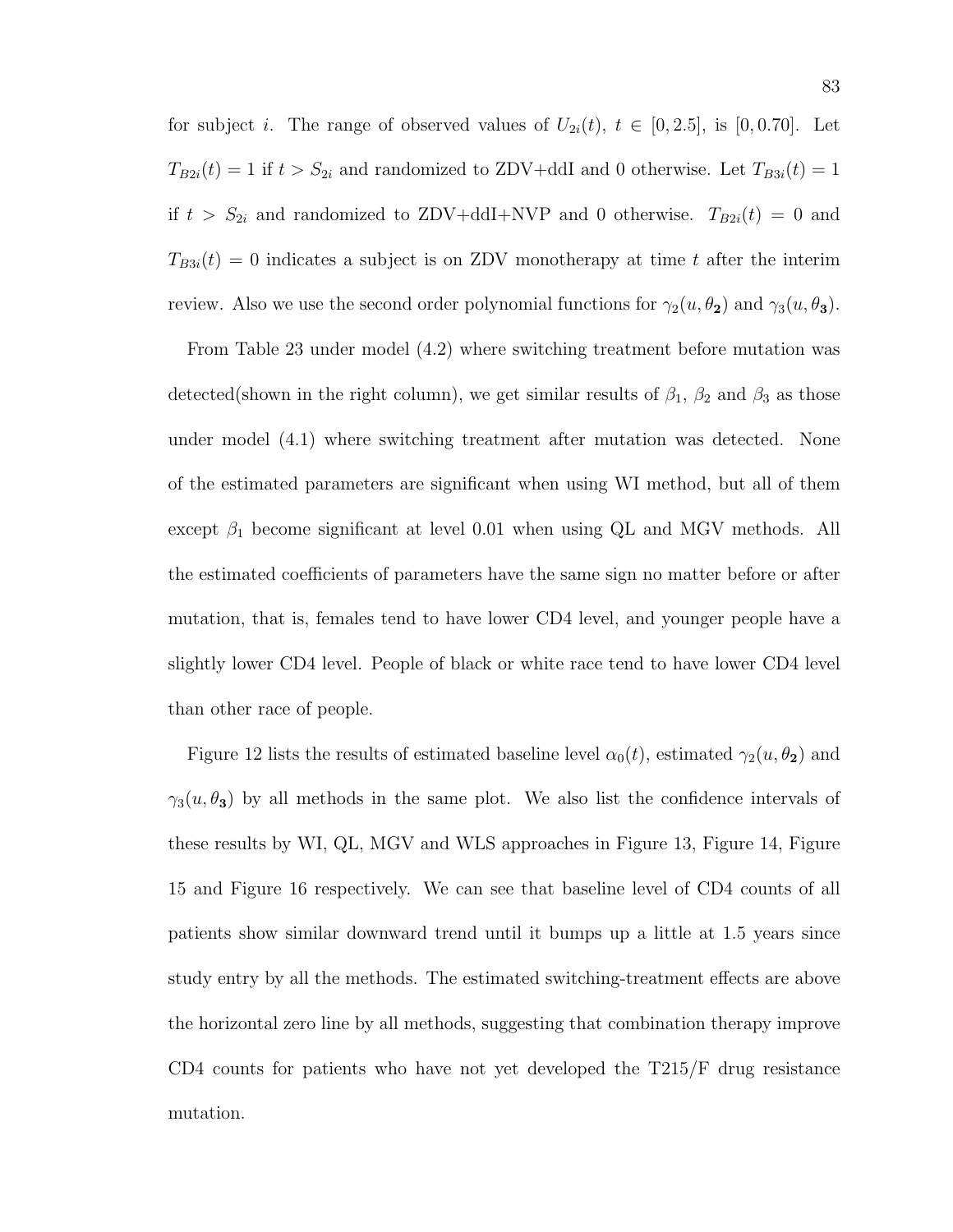for subject *i*. The range of observed values of  $U_{2i}(t)$ ,  $t \in [0, 2.5]$ , is  $[0, 0.70]$ . Let  $T_{B2i}(t) = 1$  if  $t > S_{2i}$  and randomized to ZDV+ddI and 0 otherwise. Let  $T_{B3i}(t) = 1$ if  $t > S_{2i}$  and randomized to ZDV+ddI+NVP and 0 otherwise.  $T_{B2i}(t) = 0$  and  $T_{B3i}(t) = 0$  indicates a subject is on ZDV monotherapy at time t after the interim review. Also we use the second order polynomial functions for  $\gamma_2(u, \theta_2)$  and  $\gamma_3(u, \theta_3)$ .

From Table 23 under model (4.2) where switching treatment before mutation was detected(shown in the right column), we get similar results of  $\beta_1$ ,  $\beta_2$  and  $\beta_3$  as those under model (4.1) where switching treatment after mutation was detected. None of the estimated parameters are significant when using WI method, but all of them except  $\beta_1$  become significant at level 0.01 when using QL and MGV methods. All the estimated coefficients of parameters have the same sign no matter before or after mutation, that is, females tend to have lower CD4 level, and younger people have a slightly lower CD4 level. People of black or white race tend to have lower CD4 level than other race of people.

Figure 12 lists the results of estimated baseline level  $\alpha_0(t)$ , estimated  $\gamma_2(u, \theta_2)$  and  $\gamma_3(u, \theta_3)$  by all methods in the same plot. We also list the confidence intervals of these results by WI, QL, MGV and WLS approaches in Figure 13, Figure 14, Figure 15 and Figure 16 respectively. We can see that baseline level of CD4 counts of all patients show similar downward trend until it bumps up a little at 1.5 years since study entry by all the methods. The estimated switching-treatment effects are above the horizontal zero line by all methods, suggesting that combination therapy improve CD4 counts for patients who have not yet developed the T215/F drug resistance mutation.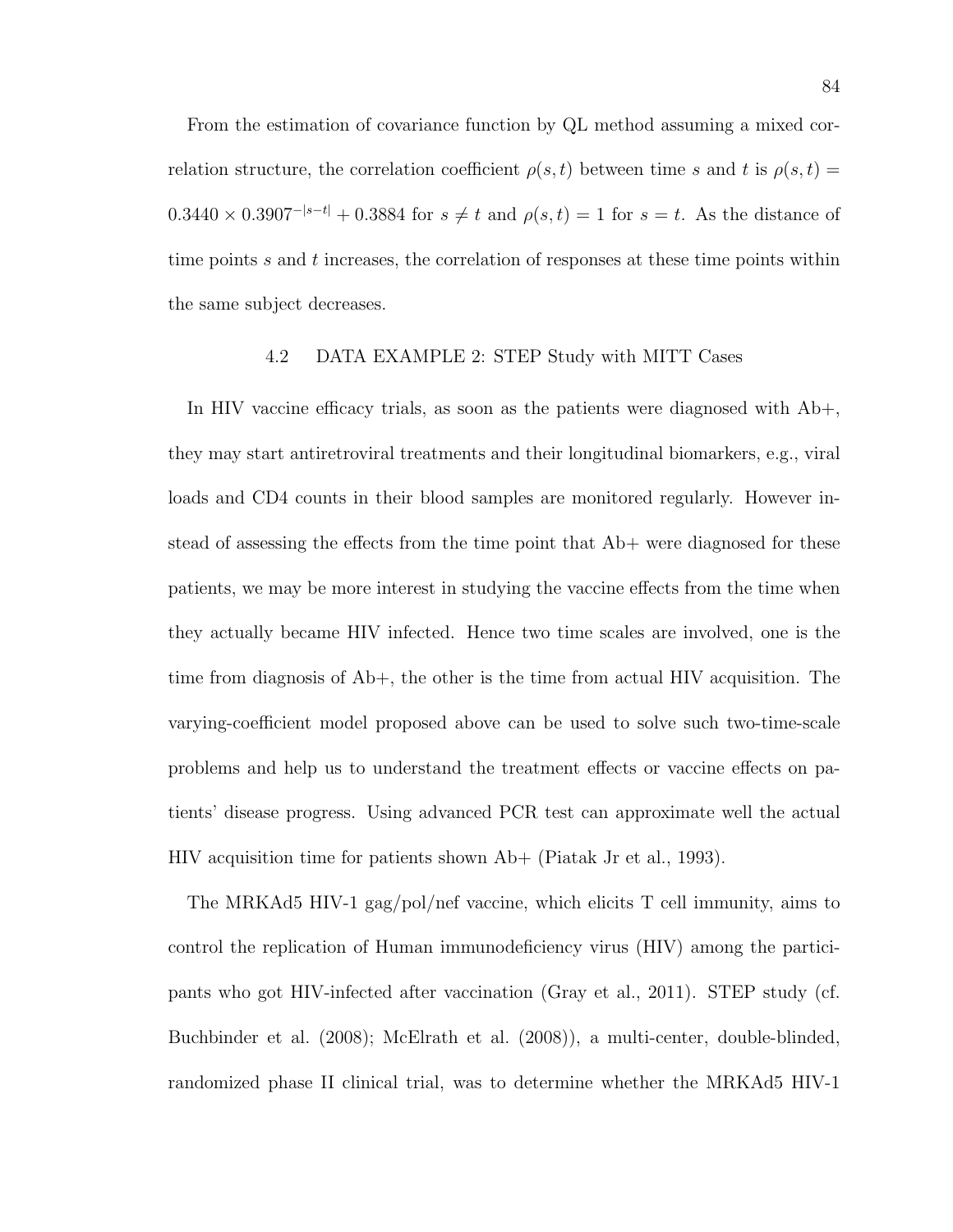From the estimation of covariance function by QL method assuming a mixed correlation structure, the correlation coefficient  $\rho(s,t)$  between time s and t is  $\rho(s,t)$  =  $0.3440 \times 0.3907^{-|s-t|} + 0.3884$  for  $s \neq t$  and  $\rho(s,t) = 1$  for  $s = t$ . As the distance of time points  $s$  and  $t$  increases, the correlation of responses at these time points within the same subject decreases.

#### 4.2 DATA EXAMPLE 2: STEP Study with MITT Cases

In HIV vaccine efficacy trials, as soon as the patients were diagnosed with Ab+, they may start antiretroviral treatments and their longitudinal biomarkers, e.g., viral loads and CD4 counts in their blood samples are monitored regularly. However instead of assessing the effects from the time point that Ab+ were diagnosed for these patients, we may be more interest in studying the vaccine effects from the time when they actually became HIV infected. Hence two time scales are involved, one is the time from diagnosis of Ab+, the other is the time from actual HIV acquisition. The varying-coefficient model proposed above can be used to solve such two-time-scale problems and help us to understand the treatment effects or vaccine effects on patients' disease progress. Using advanced PCR test can approximate well the actual HIV acquisition time for patients shown Ab+ (Piatak Jr et al., 1993).

The MRKAd5 HIV-1 gag/pol/nef vaccine, which elicits T cell immunity, aims to control the replication of Human immunodeficiency virus (HIV) among the participants who got HIV-infected after vaccination (Gray et al., 2011). STEP study (cf. Buchbinder et al. (2008); McElrath et al. (2008)), a multi-center, double-blinded, randomized phase II clinical trial, was to determine whether the MRKAd5 HIV-1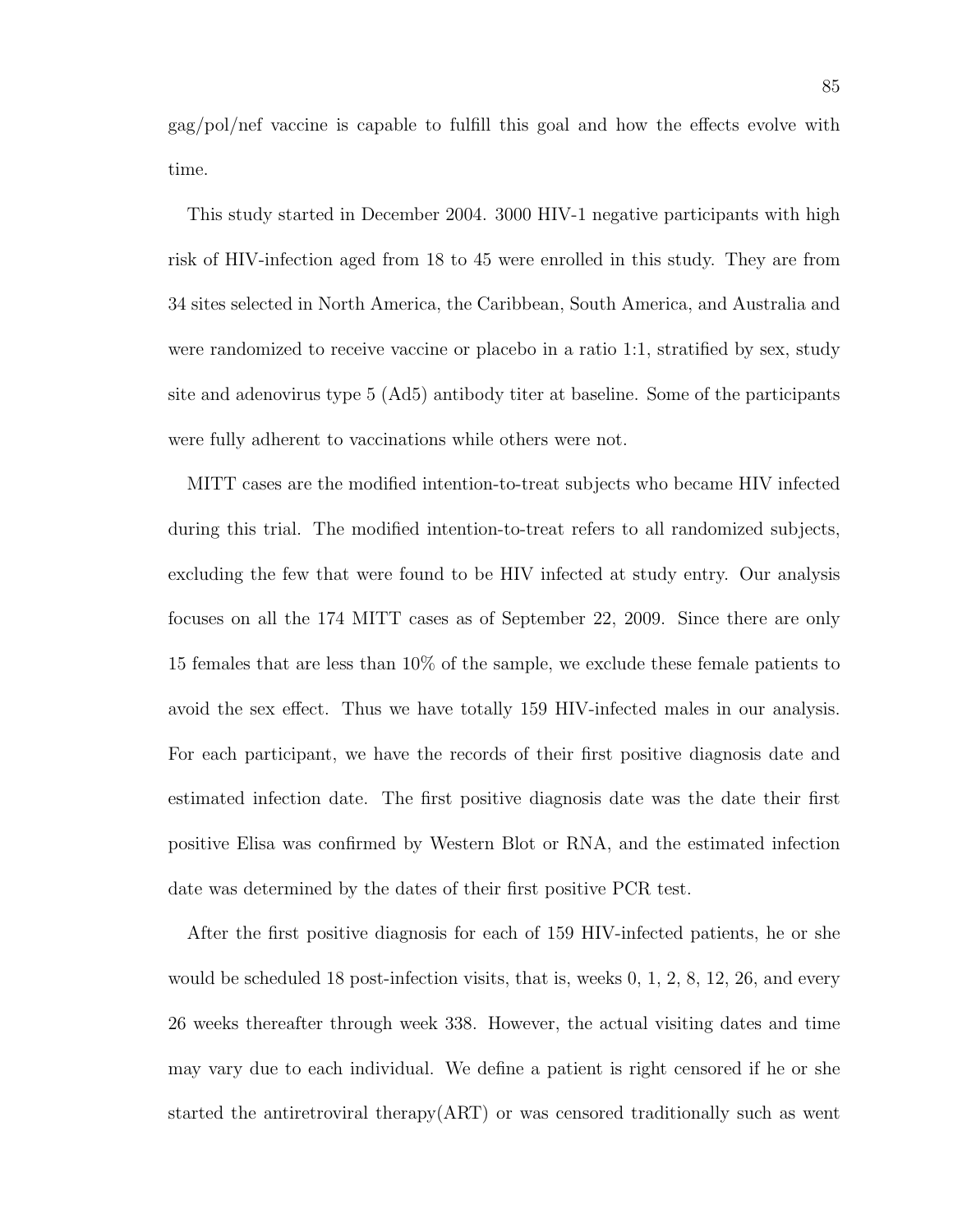gag/pol/nef vaccine is capable to fulfill this goal and how the effects evolve with time.

This study started in December 2004. 3000 HIV-1 negative participants with high risk of HIV-infection aged from 18 to 45 were enrolled in this study. They are from 34 sites selected in North America, the Caribbean, South America, and Australia and were randomized to receive vaccine or placebo in a ratio 1:1, stratified by sex, study site and adenovirus type 5 (Ad5) antibody titer at baseline. Some of the participants were fully adherent to vaccinations while others were not.

MITT cases are the modified intention-to-treat subjects who became HIV infected during this trial. The modified intention-to-treat refers to all randomized subjects, excluding the few that were found to be HIV infected at study entry. Our analysis focuses on all the 174 MITT cases as of September 22, 2009. Since there are only 15 females that are less than 10% of the sample, we exclude these female patients to avoid the sex effect. Thus we have totally 159 HIV-infected males in our analysis. For each participant, we have the records of their first positive diagnosis date and estimated infection date. The first positive diagnosis date was the date their first positive Elisa was confirmed by Western Blot or RNA, and the estimated infection date was determined by the dates of their first positive PCR test.

After the first positive diagnosis for each of 159 HIV-infected patients, he or she would be scheduled 18 post-infection visits, that is, weeks 0, 1, 2, 8, 12, 26, and every 26 weeks thereafter through week 338. However, the actual visiting dates and time may vary due to each individual. We define a patient is right censored if he or she started the antiretroviral therapy(ART) or was censored traditionally such as went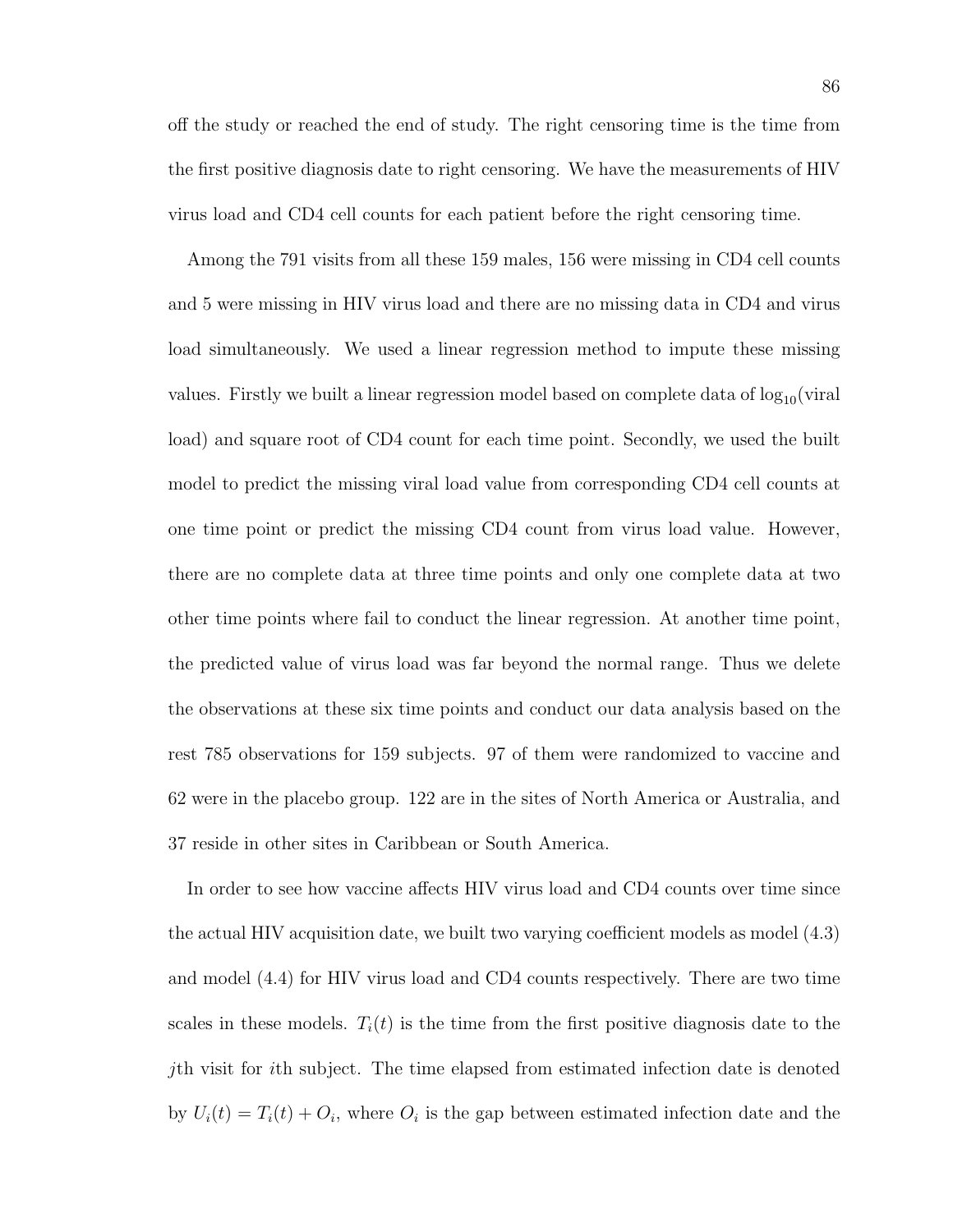off the study or reached the end of study. The right censoring time is the time from the first positive diagnosis date to right censoring. We have the measurements of HIV virus load and CD4 cell counts for each patient before the right censoring time.

Among the 791 visits from all these 159 males, 156 were missing in CD4 cell counts and 5 were missing in HIV virus load and there are no missing data in CD4 and virus load simultaneously. We used a linear regression method to impute these missing values. Firstly we built a linear regression model based on complete data of  $log_{10}(viral)$ load) and square root of CD4 count for each time point. Secondly, we used the built model to predict the missing viral load value from corresponding CD4 cell counts at one time point or predict the missing CD4 count from virus load value. However, there are no complete data at three time points and only one complete data at two other time points where fail to conduct the linear regression. At another time point, the predicted value of virus load was far beyond the normal range. Thus we delete the observations at these six time points and conduct our data analysis based on the rest 785 observations for 159 subjects. 97 of them were randomized to vaccine and 62 were in the placebo group. 122 are in the sites of North America or Australia, and 37 reside in other sites in Caribbean or South America.

In order to see how vaccine affects HIV virus load and CD4 counts over time since the actual HIV acquisition date, we built two varying coefficient models as model (4.3) and model (4.4) for HIV virus load and CD4 counts respectively. There are two time scales in these models.  $T_i(t)$  is the time from the first positive diagnosis date to the jth visit for ith subject. The time elapsed from estimated infection date is denoted by  $U_i(t) = T_i(t) + O_i$ , where  $O_i$  is the gap between estimated infection date and the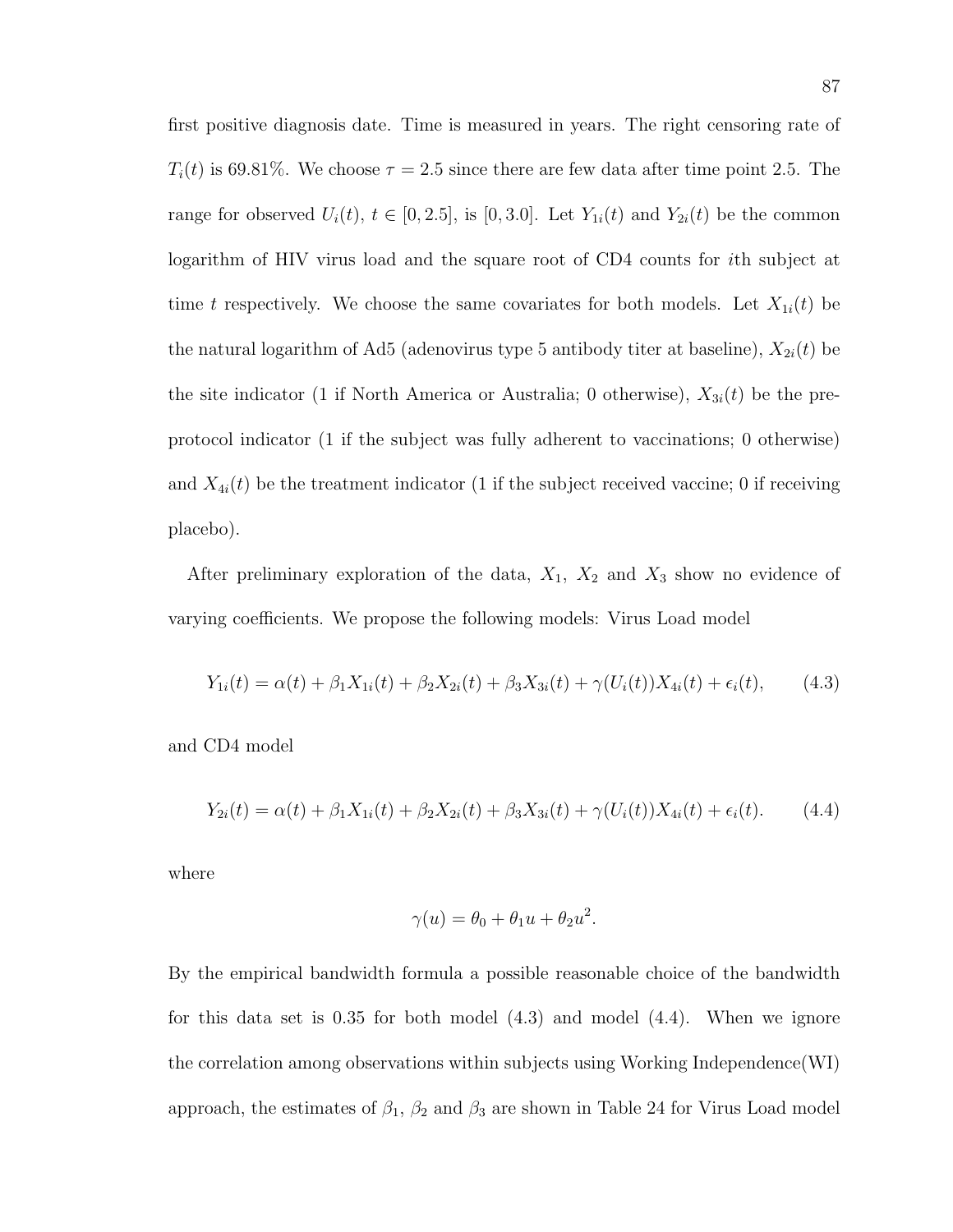first positive diagnosis date. Time is measured in years. The right censoring rate of  $T_i(t)$  is 69.81%. We choose  $\tau = 2.5$  since there are few data after time point 2.5. The range for observed  $U_i(t)$ ,  $t \in [0, 2.5]$ , is  $[0, 3.0]$ . Let  $Y_{1i}(t)$  and  $Y_{2i}(t)$  be the common logarithm of HIV virus load and the square root of CD4 counts for ith subject at time t respectively. We choose the same covariates for both models. Let  $X_{1i}(t)$  be the natural logarithm of Ad5 (adenovirus type 5 antibody titer at baseline),  $X_{2i}(t)$  be the site indicator (1 if North America or Australia; 0 otherwise),  $X_{3i}(t)$  be the preprotocol indicator (1 if the subject was fully adherent to vaccinations; 0 otherwise) and  $X_{4i}(t)$  be the treatment indicator (1 if the subject received vaccine; 0 if receiving placebo).

After preliminary exploration of the data,  $X_1$ ,  $X_2$  and  $X_3$  show no evidence of varying coefficients. We propose the following models: Virus Load model

$$
Y_{1i}(t) = \alpha(t) + \beta_1 X_{1i}(t) + \beta_2 X_{2i}(t) + \beta_3 X_{3i}(t) + \gamma (U_i(t)) X_{4i}(t) + \epsilon_i(t), \qquad (4.3)
$$

and CD4 model

$$
Y_{2i}(t) = \alpha(t) + \beta_1 X_{1i}(t) + \beta_2 X_{2i}(t) + \beta_3 X_{3i}(t) + \gamma (U_i(t)) X_{4i}(t) + \epsilon_i(t). \tag{4.4}
$$

where

$$
\gamma(u) = \theta_0 + \theta_1 u + \theta_2 u^2.
$$

By the empirical bandwidth formula a possible reasonable choice of the bandwidth for this data set is 0.35 for both model (4.3) and model (4.4). When we ignore the correlation among observations within subjects using Working Independence(WI) approach, the estimates of  $\beta_1$ ,  $\beta_2$  and  $\beta_3$  are shown in Table 24 for Virus Load model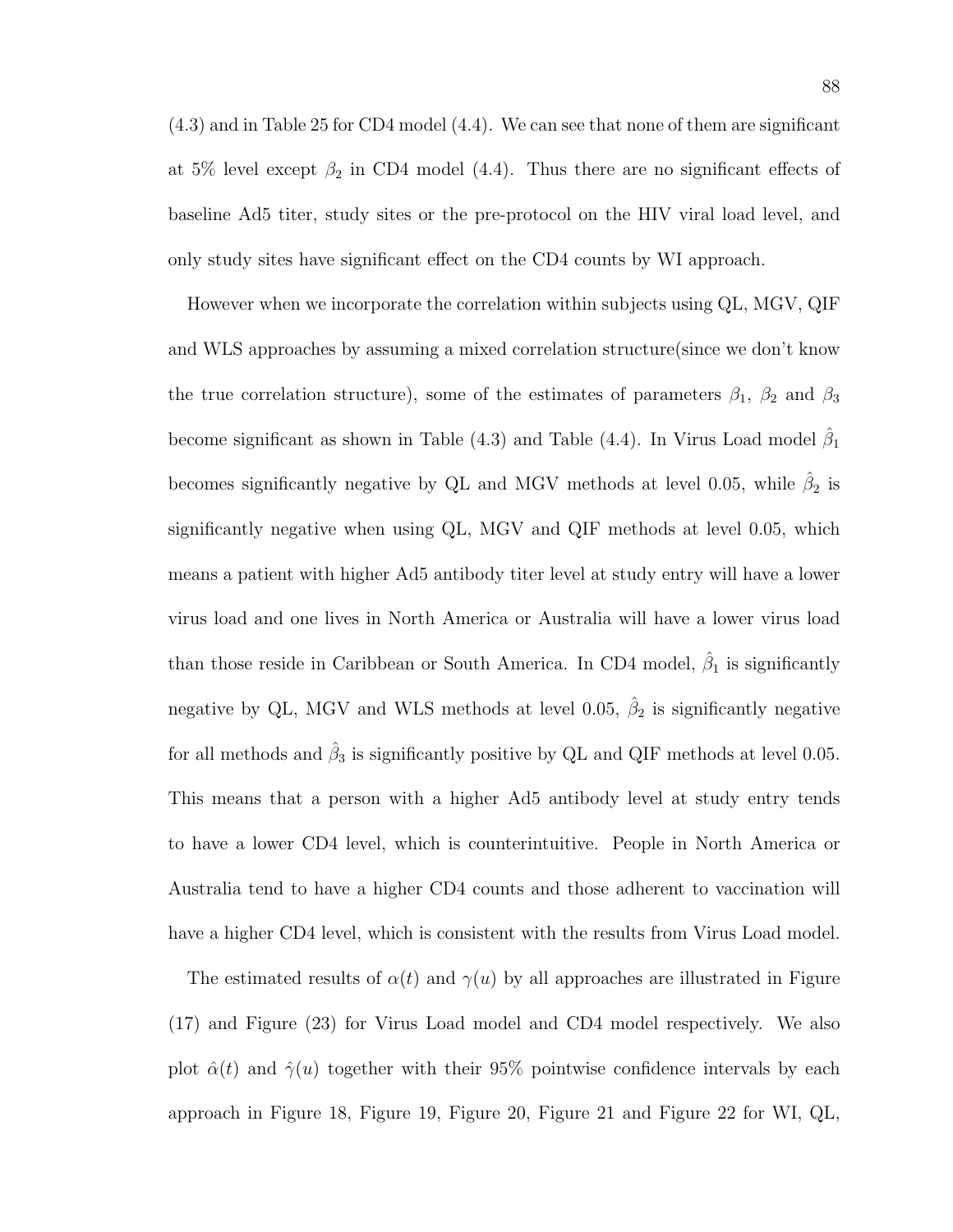(4.3) and in Table 25 for CD4 model (4.4). We can see that none of them are significant at 5% level except  $\beta_2$  in CD4 model (4.4). Thus there are no significant effects of baseline Ad5 titer, study sites or the pre-protocol on the HIV viral load level, and only study sites have significant effect on the CD4 counts by WI approach.

However when we incorporate the correlation within subjects using QL, MGV, QIF and WLS approaches by assuming a mixed correlation structure(since we don't know the true correlation structure), some of the estimates of parameters  $\beta_1$ ,  $\beta_2$  and  $\beta_3$ become significant as shown in Table (4.3) and Table (4.4). In Virus Load model  $\hat{\beta}_1$ becomes significantly negative by QL and MGV methods at level 0.05, while  $\hat{\beta}_2$  is significantly negative when using QL, MGV and QIF methods at level 0.05, which means a patient with higher Ad5 antibody titer level at study entry will have a lower virus load and one lives in North America or Australia will have a lower virus load than those reside in Caribbean or South America. In CD4 model,  $\hat{\beta}_1$  is significantly negative by QL, MGV and WLS methods at level 0.05,  $\hat{\beta}_2$  is significantly negative for all methods and  $\hat{\beta}_3$  is significantly positive by QL and QIF methods at level 0.05. This means that a person with a higher Ad5 antibody level at study entry tends to have a lower CD4 level, which is counterintuitive. People in North America or Australia tend to have a higher CD4 counts and those adherent to vaccination will have a higher CD4 level, which is consistent with the results from Virus Load model.

The estimated results of  $\alpha(t)$  and  $\gamma(u)$  by all approaches are illustrated in Figure (17) and Figure (23) for Virus Load model and CD4 model respectively. We also plot  $\hat{\alpha}(t)$  and  $\hat{\gamma}(u)$  together with their 95% pointwise confidence intervals by each approach in Figure 18, Figure 19, Figure 20, Figure 21 and Figure 22 for WI, QL,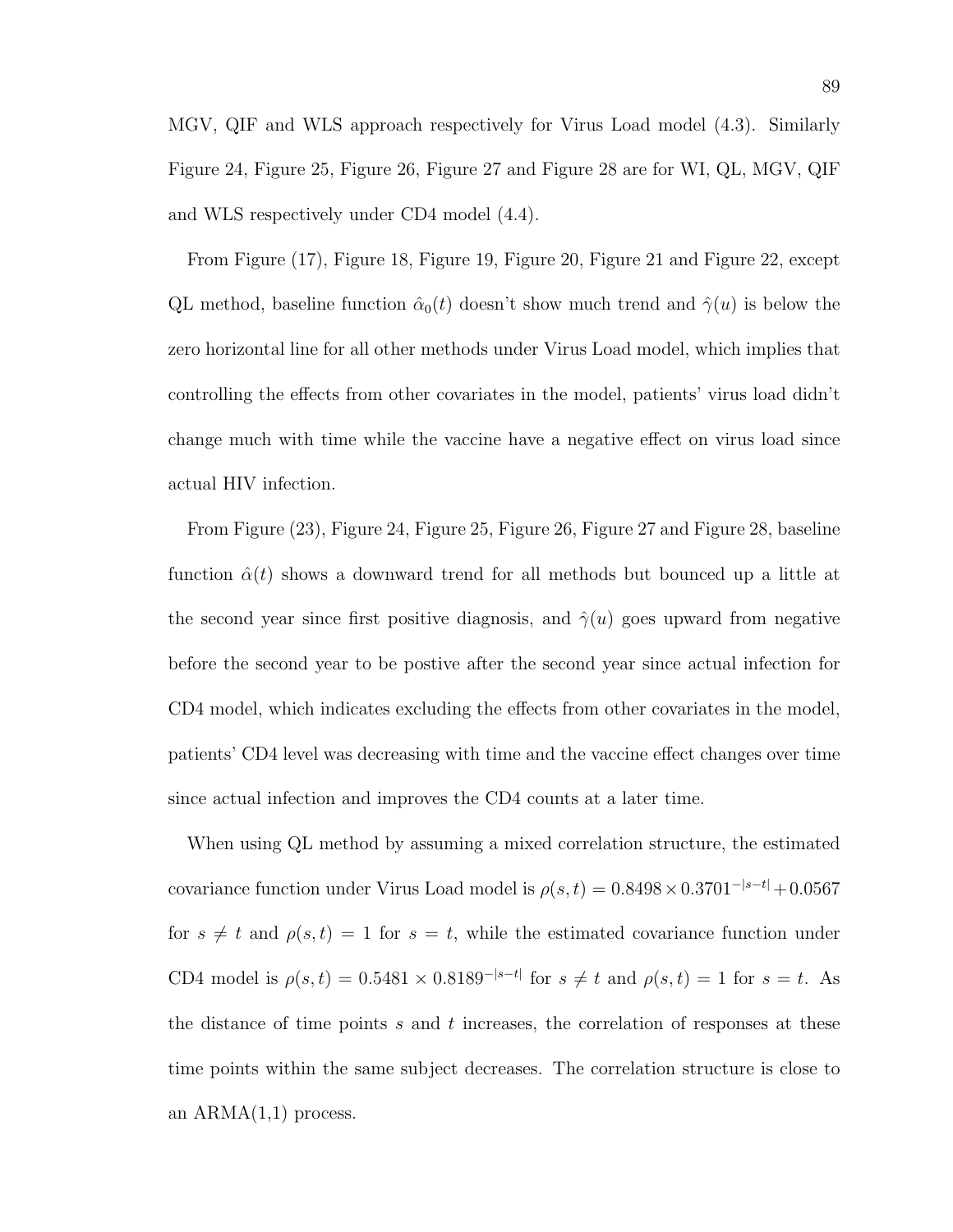MGV, QIF and WLS approach respectively for Virus Load model (4.3). Similarly Figure 24, Figure 25, Figure 26, Figure 27 and Figure 28 are for WI, QL, MGV, QIF and WLS respectively under CD4 model (4.4).

From Figure (17), Figure 18, Figure 19, Figure 20, Figure 21 and Figure 22, except QL method, baseline function  $\hat{\alpha}_0(t)$  doesn't show much trend and  $\hat{\gamma}(u)$  is below the zero horizontal line for all other methods under Virus Load model, which implies that controlling the effects from other covariates in the model, patients' virus load didn't change much with time while the vaccine have a negative effect on virus load since actual HIV infection.

From Figure (23), Figure 24, Figure 25, Figure 26, Figure 27 and Figure 28, baseline function  $\hat{\alpha}(t)$  shows a downward trend for all methods but bounced up a little at the second year since first positive diagnosis, and  $\hat{\gamma}(u)$  goes upward from negative before the second year to be postive after the second year since actual infection for CD4 model, which indicates excluding the effects from other covariates in the model, patients' CD4 level was decreasing with time and the vaccine effect changes over time since actual infection and improves the CD4 counts at a later time.

When using QL method by assuming a mixed correlation structure, the estimated covariance function under Virus Load model is  $\rho(s,t) = 0.8498 \times 0.3701^{-|s-t|} + 0.0567$ for  $s \neq t$  and  $\rho(s, t) = 1$  for  $s = t$ , while the estimated covariance function under CD4 model is  $\rho(s,t) = 0.5481 \times 0.8189^{-|s-t|}$  for  $s \neq t$  and  $\rho(s,t) = 1$  for  $s = t$ . As the distance of time points s and t increases, the correlation of responses at these time points within the same subject decreases. The correlation structure is close to an  $ARMA(1,1)$  process.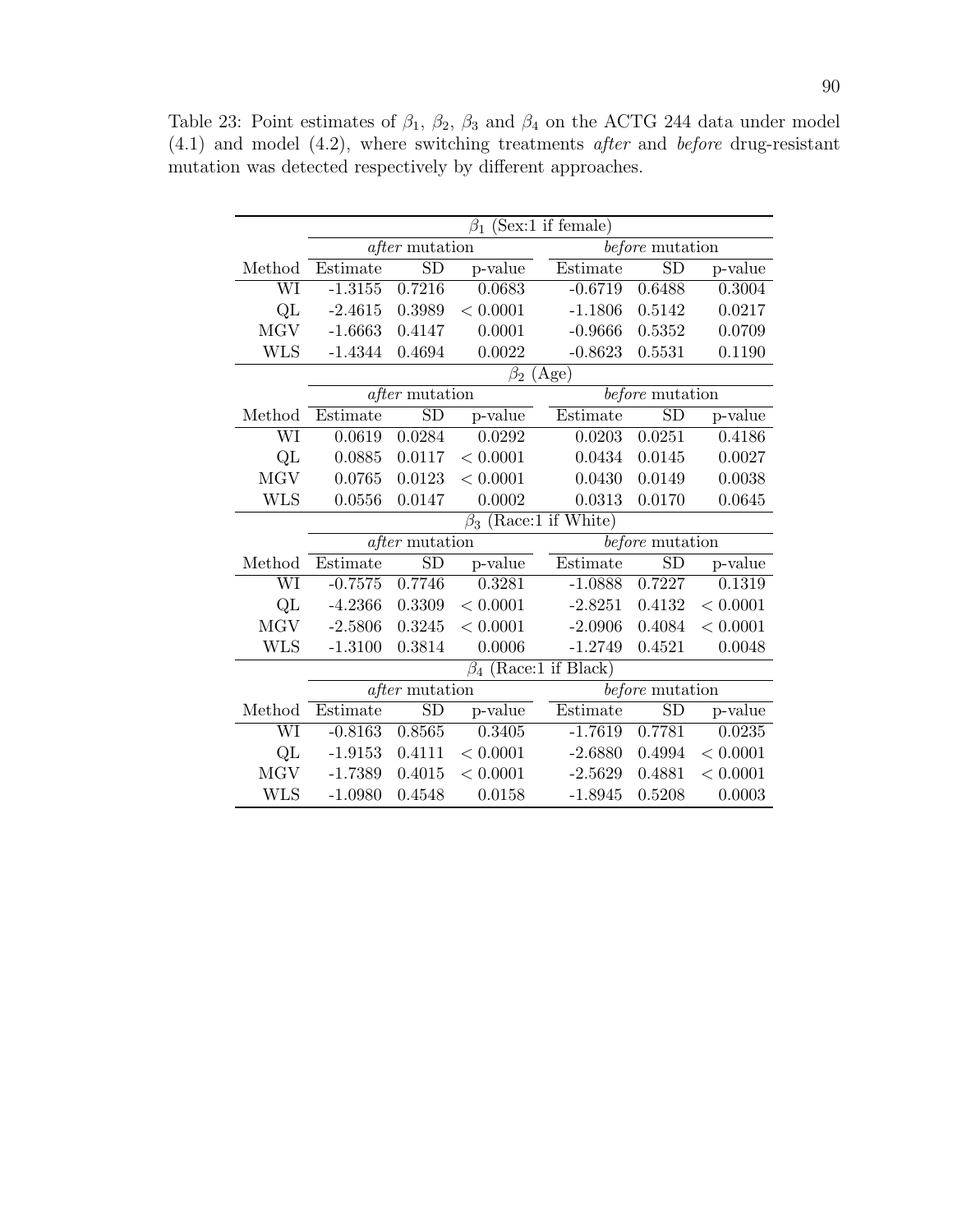|                        | (Sex:1 if female)<br>$\beta_1$ |                       |                      |                             |                 |          |  |  |  |  |  |
|------------------------|--------------------------------|-----------------------|----------------------|-----------------------------|-----------------|----------|--|--|--|--|--|
|                        |                                | $after$ mutation      |                      |                             | before mutation |          |  |  |  |  |  |
| Method                 | Estimate                       | SD                    | p-value              | Estimate                    | <b>SD</b>       | p-value  |  |  |  |  |  |
| WI                     | $-1.3155$                      | 0.7216                | 0.0683               | $-0.6719$                   | 0.6488          | 0.3004   |  |  |  |  |  |
| QL                     | $-2.4615$                      | 0.3989                | < 0.0001             | $-1.1806$                   | 0.5142          | 0.0217   |  |  |  |  |  |
| <b>MGV</b>             | $-1.6663$                      | 0.4147                | 0.0001               | $-0.9666$                   | 0.5352          | 0.0709   |  |  |  |  |  |
| <b>WLS</b>             | $-1.4344$                      | 0.4694                | 0.0022               | $-0.8623$                   | 0.5531          | 0.1190   |  |  |  |  |  |
|                        | $(\text{Age})$<br>$\beta_2$    |                       |                      |                             |                 |          |  |  |  |  |  |
|                        |                                | <i>after</i> mutation |                      |                             | before mutation |          |  |  |  |  |  |
| Method                 | Estimate                       | $\overline{SD}$       | p-value              | Estimate                    | <b>SD</b>       | p-value  |  |  |  |  |  |
| $\overline{\text{WI}}$ | 0.0619                         | 0.0284                | 0.0292               | 0.0203                      | 0.0251          | 0.4186   |  |  |  |  |  |
| Q <sub>L</sub>         | 0.0885                         | 0.0117                | < 0.0001             | 0.0434                      | 0.0145          | 0.0027   |  |  |  |  |  |
| <b>MGV</b>             | 0.0765                         | 0.0123                | < 0.0001             | 0.0430                      | 0.0149          | 0.0038   |  |  |  |  |  |
| <b>WLS</b>             | 0.0556                         | 0.0147                | 0.0002               | 0.0313                      | 0.0170          | 0.0645   |  |  |  |  |  |
|                        | $\beta_3$ (Race:1 if White)    |                       |                      |                             |                 |          |  |  |  |  |  |
|                        |                                | $after$ mutation      |                      |                             | before mutation |          |  |  |  |  |  |
| Method                 | Estimate                       | <b>SD</b>             | p-value              | Estimate                    | <b>SD</b>       | p-value  |  |  |  |  |  |
| WI                     | $-0.7575$                      | 0.7746                | 0.3281               | $-1.0888$                   | 0.7227          | 0.1319   |  |  |  |  |  |
| QL                     | $-4.2366$                      | 0.3309                | < 0.0001             | $-2.8251$                   | 0.4132          | < 0.0001 |  |  |  |  |  |
| <b>MGV</b>             | $-2.5806$                      | 0.3245                | < 0.0001             | $-2.0906$                   | 0.4084          | < 0.0001 |  |  |  |  |  |
| <b>WLS</b>             | $-1.3100$                      | 0.3814                | 0.0006               | $-1.2749$                   | 0.4521          | 0.0048   |  |  |  |  |  |
|                        |                                |                       | $\overline{\beta}_4$ | $(Race:1 \text{ if Black})$ |                 |          |  |  |  |  |  |
|                        |                                | <i>after</i> mutation |                      |                             | before mutation |          |  |  |  |  |  |
| Method                 | Estimate                       | <b>SD</b>             | p-value              | Estimate                    | <b>SD</b>       | p-value  |  |  |  |  |  |
| WI                     | $-0.8163$                      | 0.8565                | 0.3405               | $-1.7619$                   | 0.7781          | 0.0235   |  |  |  |  |  |
| Q <sub>L</sub>         | $-1.9153$                      | 0.4111                | < 0.0001             | $-2.6880$                   | 0.4994          | < 0.0001 |  |  |  |  |  |
| <b>MGV</b>             | $-1.7389$                      | 0.4015                | < 0.0001             | $-2.5629$                   | 0.4881          | < 0.0001 |  |  |  |  |  |
| <b>WLS</b>             | $-1.0980$                      | 0.4548                | 0.0158               | $-1.8945$                   | 0.5208          | 0.0003   |  |  |  |  |  |

Table 23: Point estimates of  $\beta_1$ ,  $\beta_2$ ,  $\beta_3$  and  $\beta_4$  on the ACTG 244 data under model (4.1) and model (4.2), where switching treatments after and before drug-resistant mutation was detected respectively by different approaches.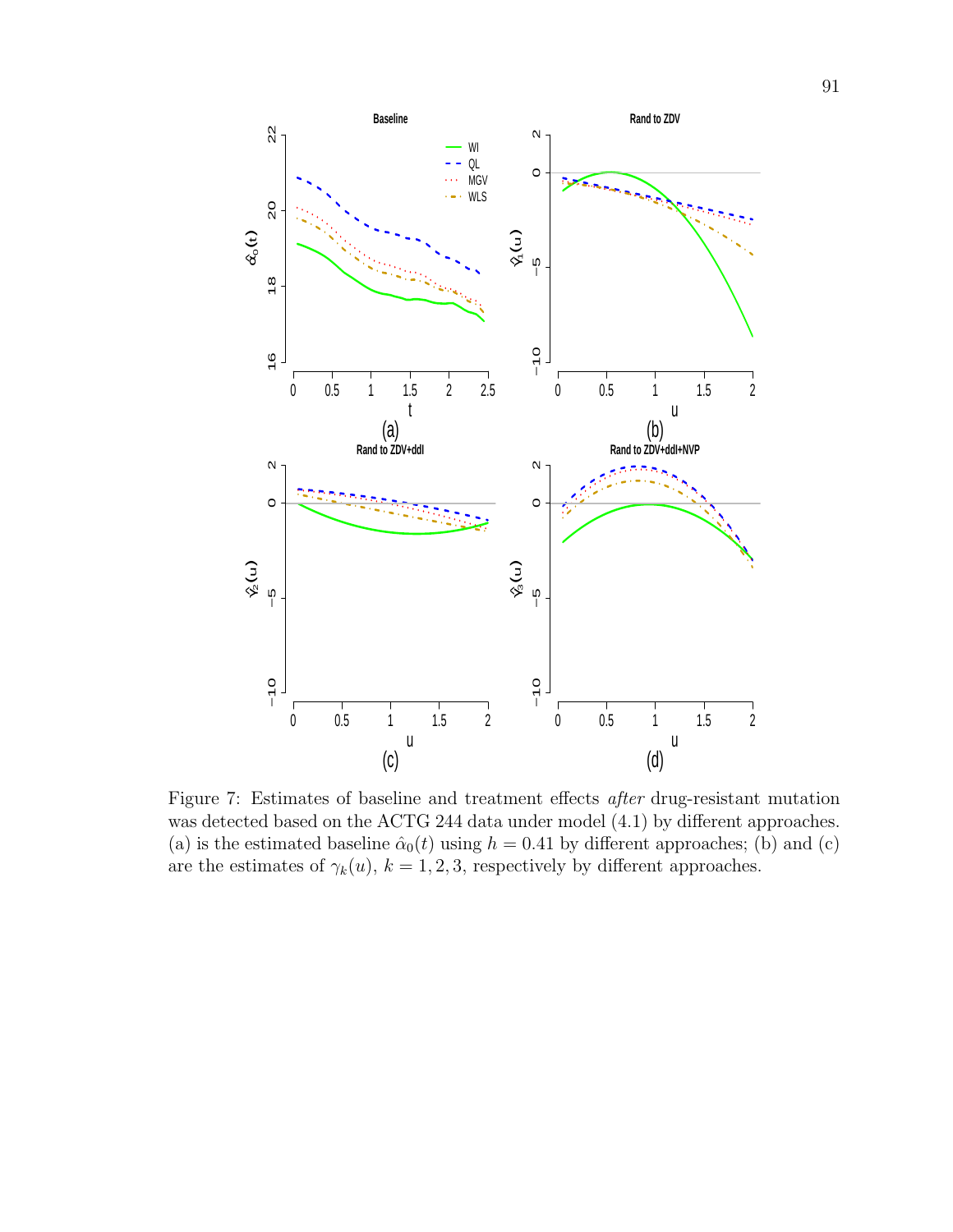

Figure 7: Estimates of baseline and treatment effects after drug-resistant mutation was detected based on the ACTG 244 data under model (4.1) by different approaches. (a) is the estimated baseline  $\hat{\alpha}_0(t)$  using  $h = 0.41$  by different approaches; (b) and (c) are the estimates of  $\gamma_k(u)$ ,  $k = 1, 2, 3$ , respectively by different approaches.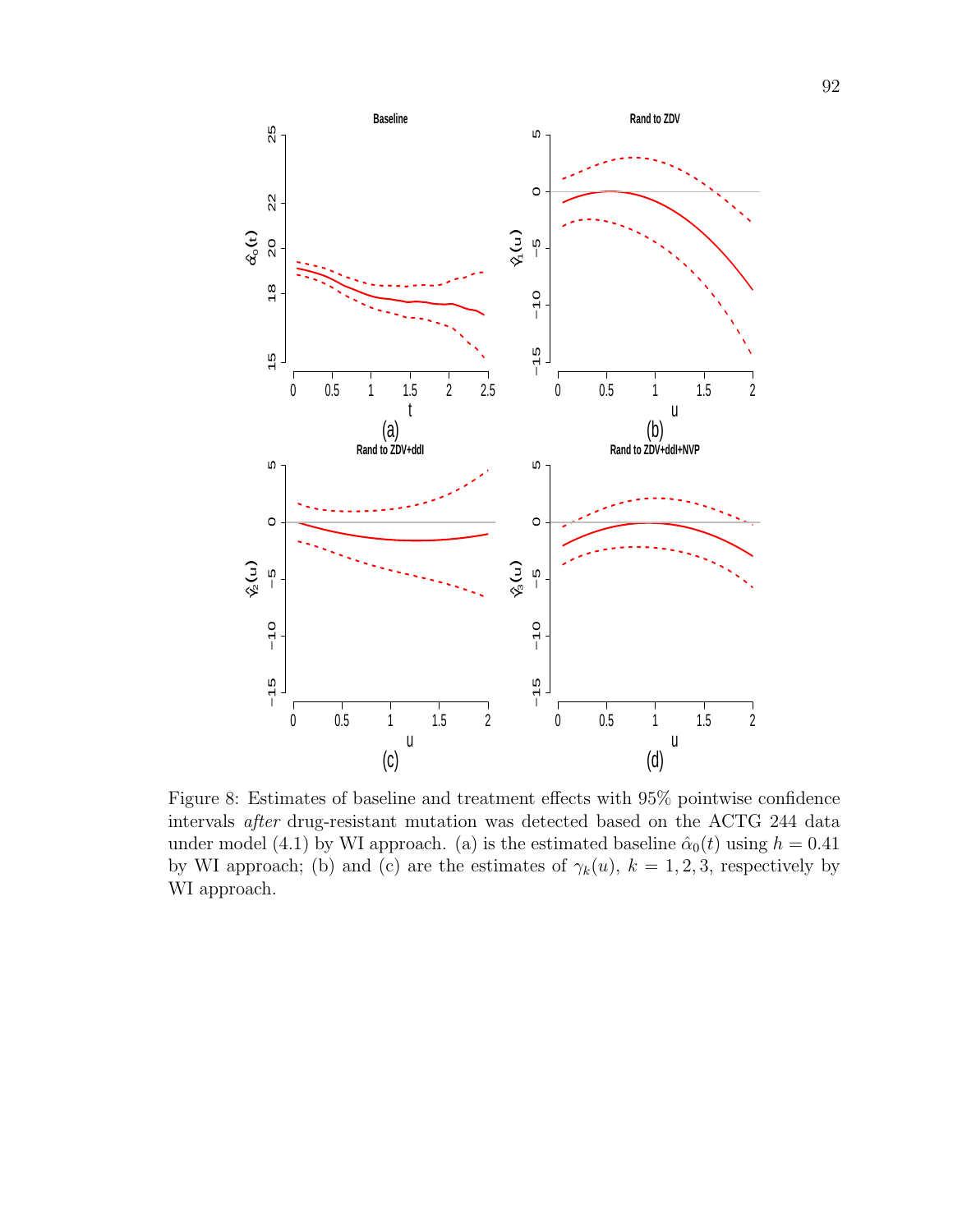

Figure 8: Estimates of baseline and treatment effects with 95% pointwise confidence intervals after drug-resistant mutation was detected based on the ACTG 244 data under model (4.1) by WI approach. (a) is the estimated baseline  $\hat{\alpha}_0(t)$  using  $h = 0.41$ by WI approach; (b) and (c) are the estimates of  $\gamma_k(u)$ ,  $k = 1, 2, 3$ , respectively by WI approach.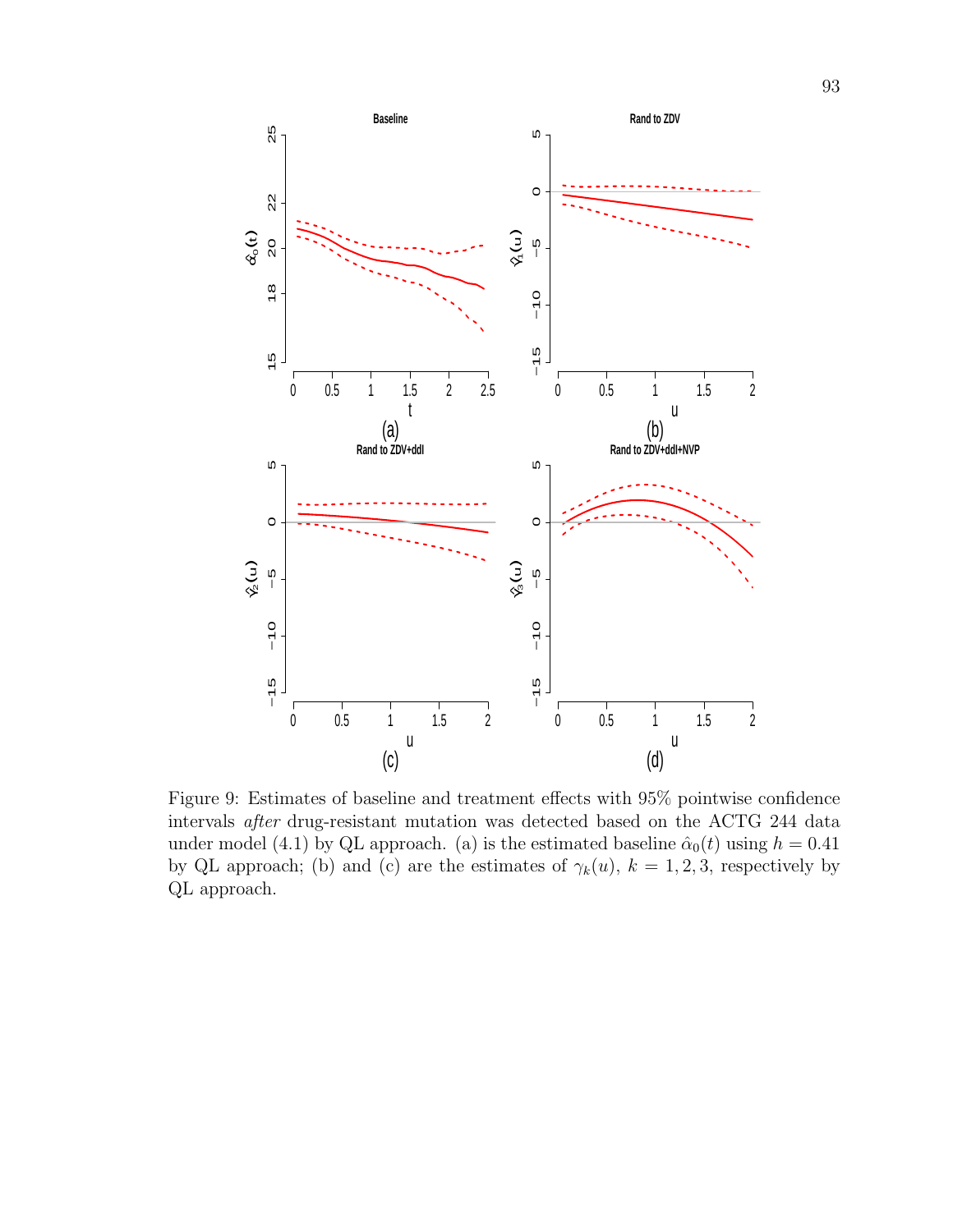

Figure 9: Estimates of baseline and treatment effects with 95% pointwise confidence intervals after drug-resistant mutation was detected based on the ACTG 244 data under model (4.1) by QL approach. (a) is the estimated baseline  $\hat{\alpha}_0(t)$  using  $h = 0.41$ by QL approach; (b) and (c) are the estimates of  $\gamma_k(u)$ ,  $k = 1, 2, 3$ , respectively by QL approach.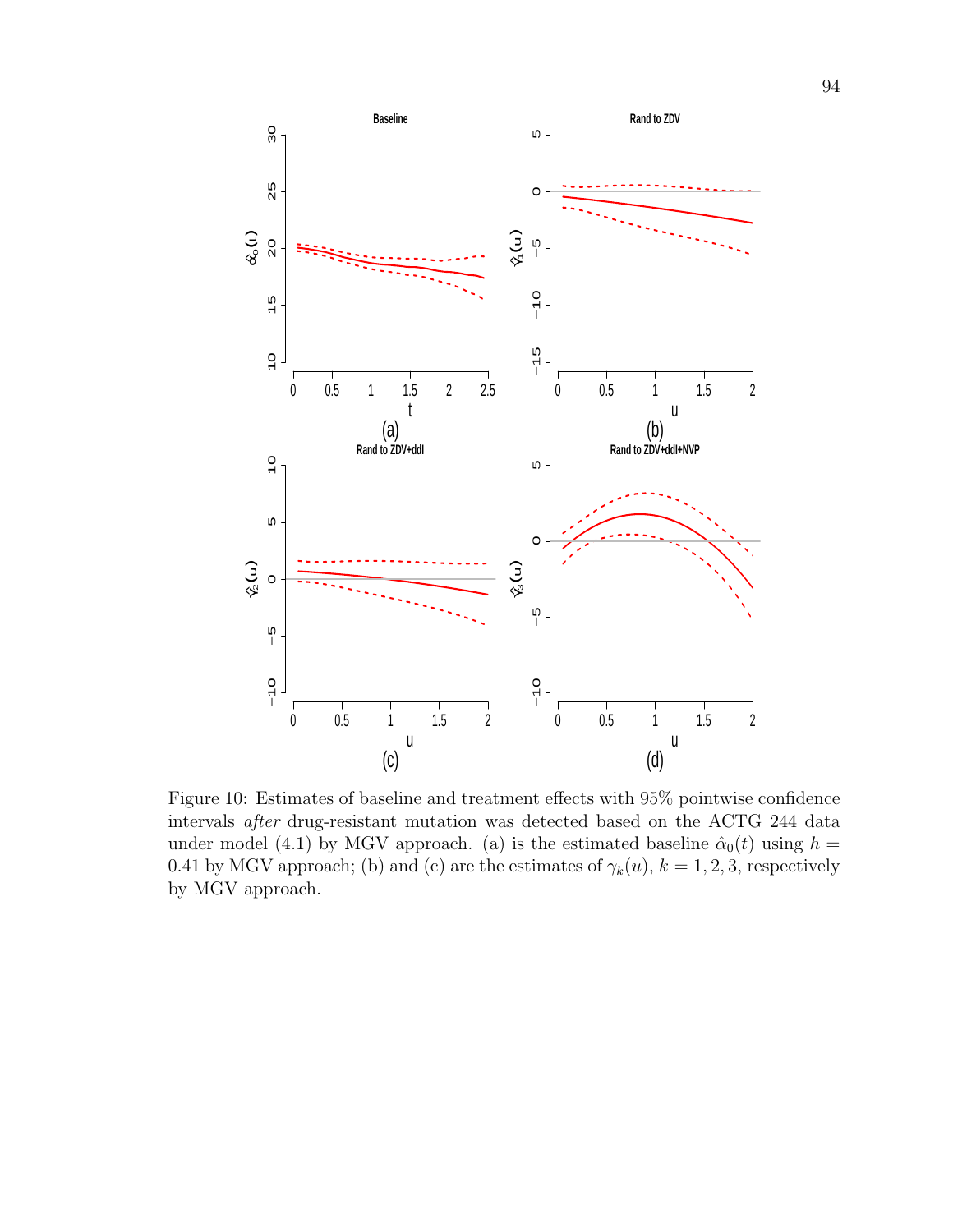

Figure 10: Estimates of baseline and treatment effects with 95% pointwise confidence intervals after drug-resistant mutation was detected based on the ACTG 244 data under model (4.1) by MGV approach. (a) is the estimated baseline  $\hat{\alpha}_0(t)$  using  $h =$ 0.41 by MGV approach; (b) and (c) are the estimates of  $\gamma_k(u)$ ,  $k = 1, 2, 3$ , respectively by MGV approach.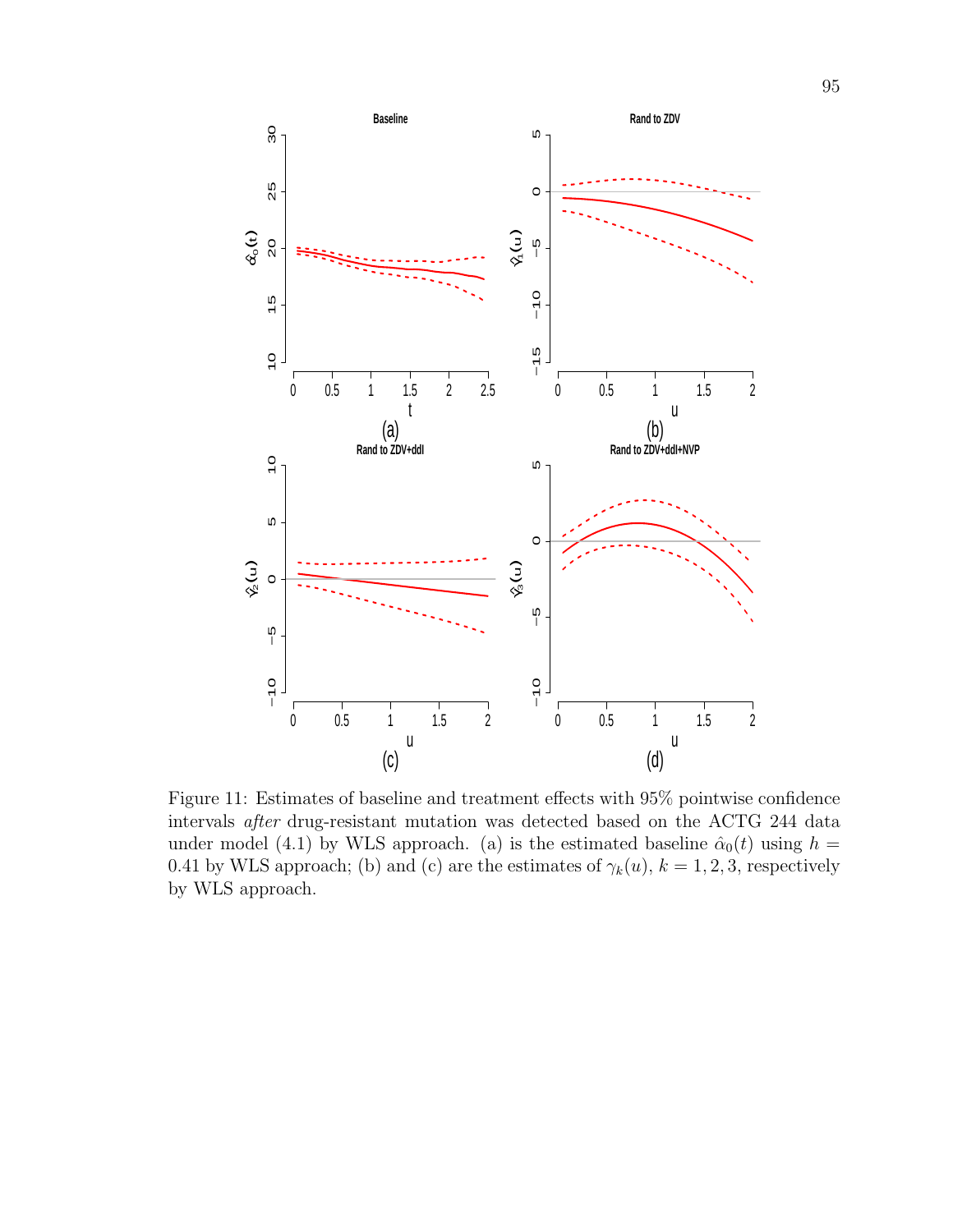

Figure 11: Estimates of baseline and treatment effects with 95% pointwise confidence intervals after drug-resistant mutation was detected based on the ACTG 244 data under model (4.1) by WLS approach. (a) is the estimated baseline  $\hat{\alpha}_0(t)$  using  $h =$ 0.41 by WLS approach; (b) and (c) are the estimates of  $\gamma_k(u)$ ,  $k = 1, 2, 3$ , respectively by WLS approach.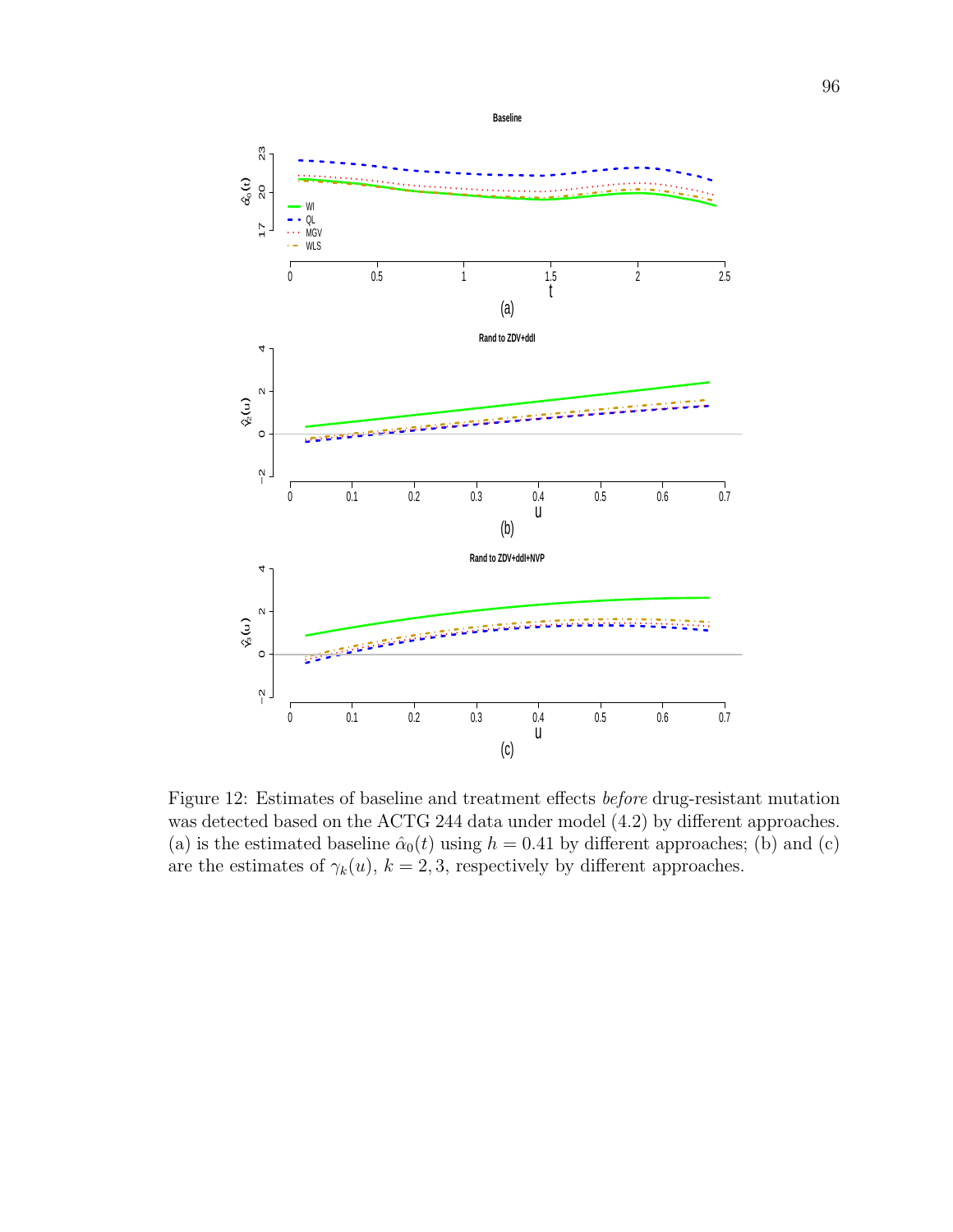

Figure 12: Estimates of baseline and treatment effects before drug-resistant mutation was detected based on the ACTG 244 data under model (4.2) by different approaches. (a) is the estimated baseline  $\hat{\alpha}_0(t)$  using  $h = 0.41$  by different approaches; (b) and (c) are the estimates of  $\gamma_k(u)$ ,  $k = 2, 3$ , respectively by different approaches.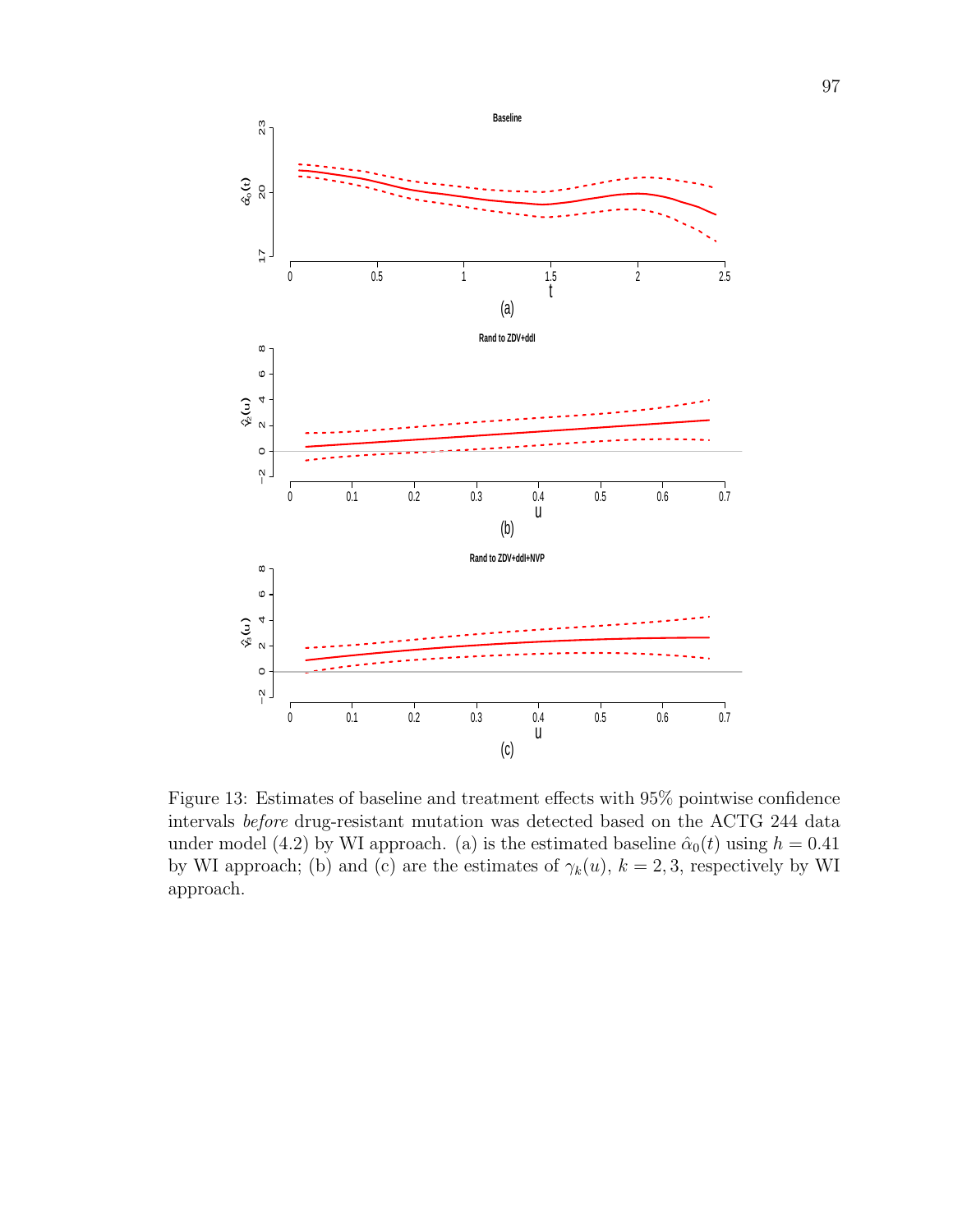

Figure 13: Estimates of baseline and treatment effects with 95% pointwise confidence intervals before drug-resistant mutation was detected based on the ACTG 244 data under model (4.2) by WI approach. (a) is the estimated baseline  $\hat{\alpha}_0(t)$  using  $h = 0.41$ by WI approach; (b) and (c) are the estimates of  $\gamma_k(u)$ ,  $k = 2, 3$ , respectively by WI approach.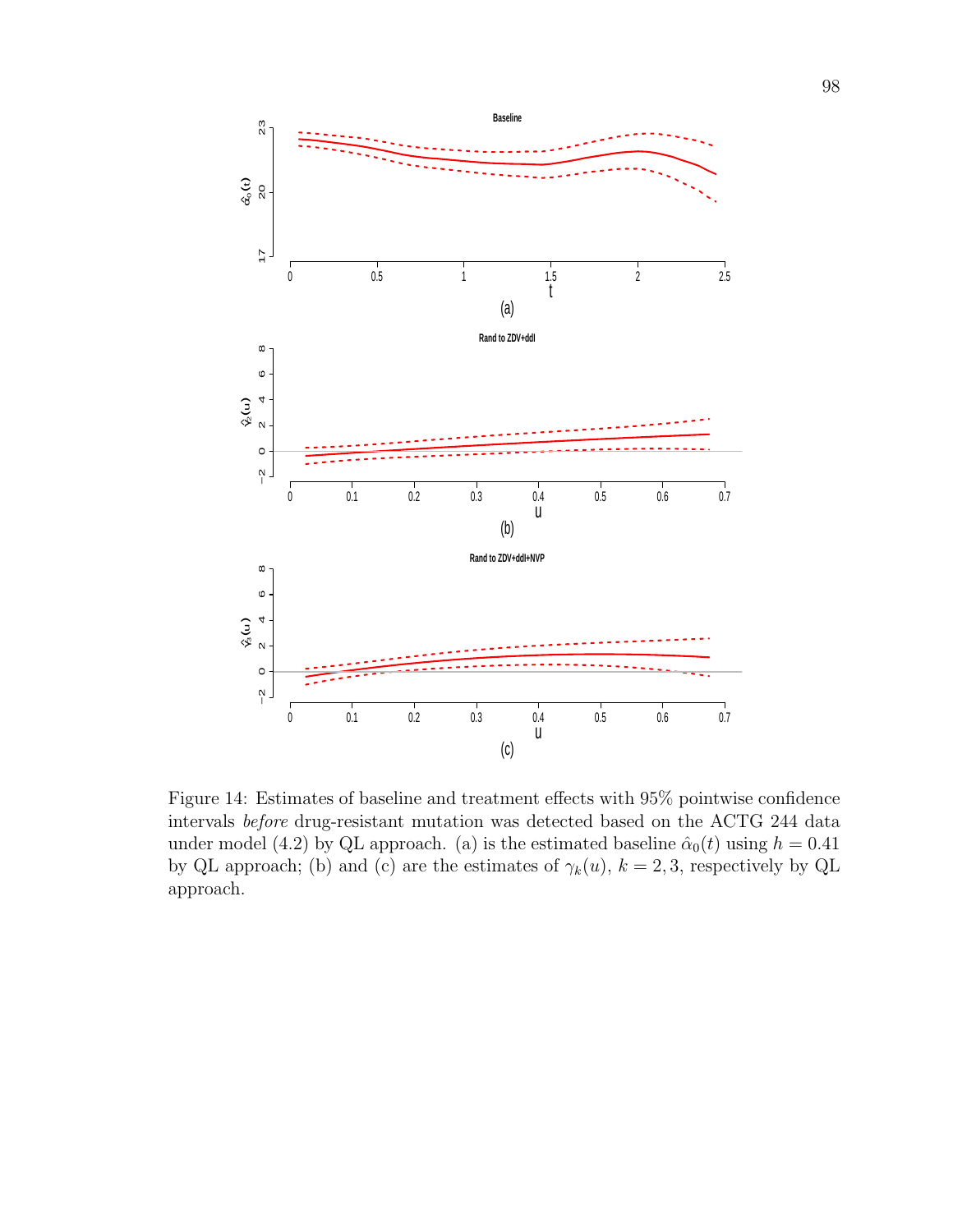

Figure 14: Estimates of baseline and treatment effects with 95% pointwise confidence intervals before drug-resistant mutation was detected based on the ACTG 244 data under model (4.2) by QL approach. (a) is the estimated baseline  $\hat{\alpha}_0(t)$  using  $h = 0.41$ by QL approach; (b) and (c) are the estimates of  $\gamma_k(u)$ ,  $k = 2, 3$ , respectively by QL approach.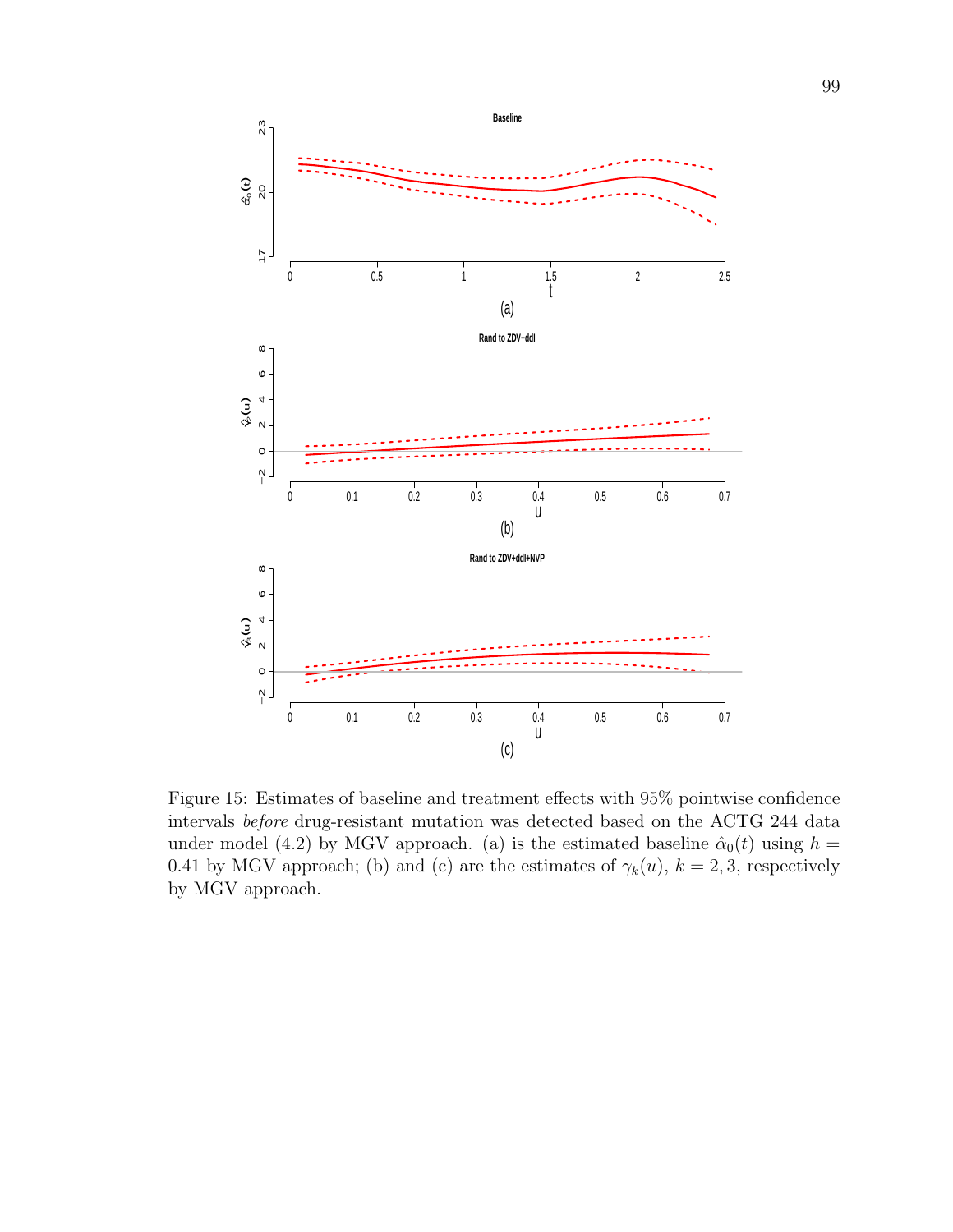

Figure 15: Estimates of baseline and treatment effects with 95% pointwise confidence intervals before drug-resistant mutation was detected based on the ACTG 244 data under model (4.2) by MGV approach. (a) is the estimated baseline  $\hat{\alpha}_0(t)$  using  $h =$ 0.41 by MGV approach; (b) and (c) are the estimates of  $\gamma_k(u)$ ,  $k = 2, 3$ , respectively by MGV approach.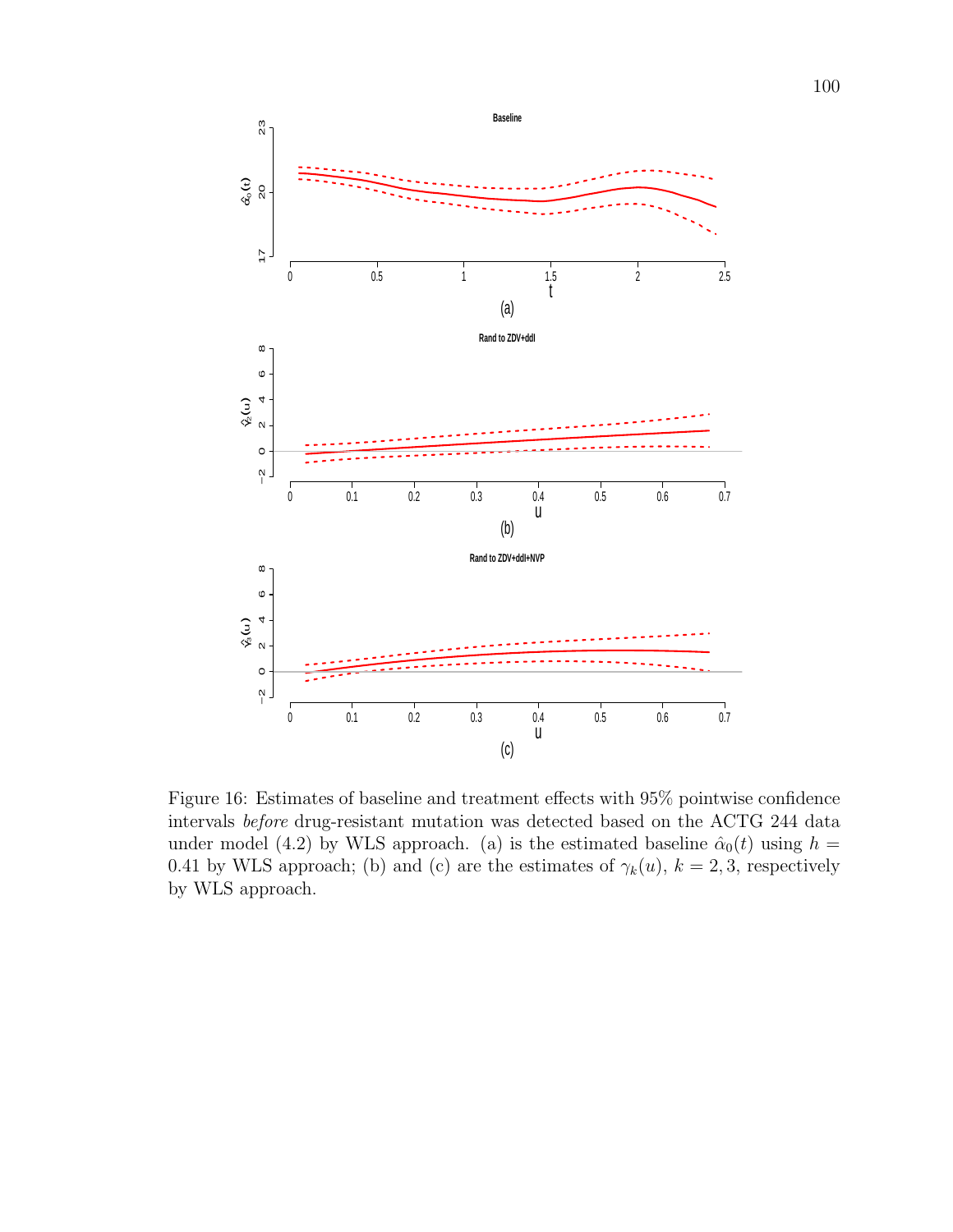

Figure 16: Estimates of baseline and treatment effects with 95% pointwise confidence intervals before drug-resistant mutation was detected based on the ACTG 244 data under model (4.2) by WLS approach. (a) is the estimated baseline  $\hat{\alpha}_0(t)$  using  $h =$ 0.41 by WLS approach; (b) and (c) are the estimates of  $\gamma_k(u)$ ,  $k = 2, 3$ , respectively by WLS approach.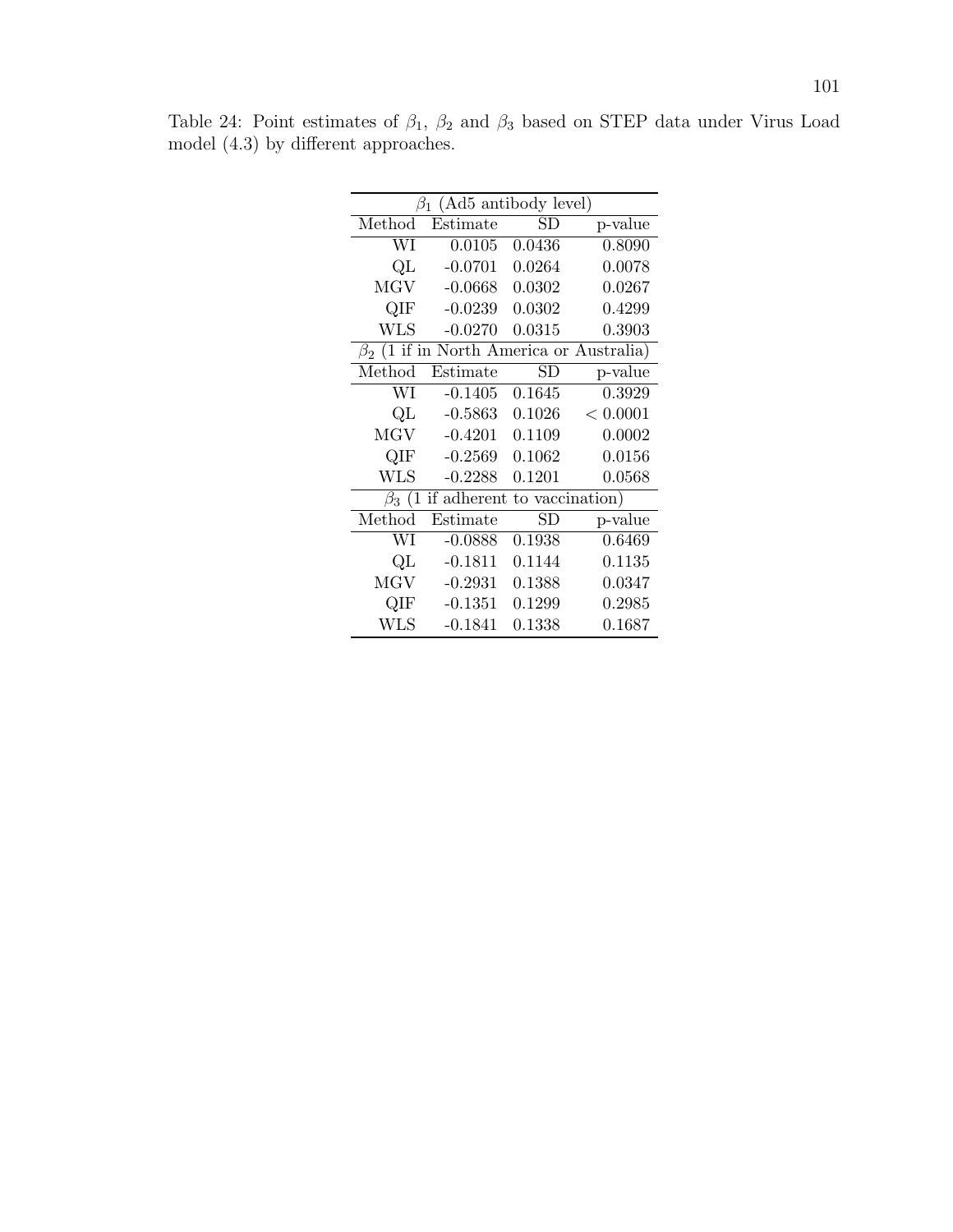| $\beta_1$ (Ad5 antibody level)                 |           |             |          |  |
|------------------------------------------------|-----------|-------------|----------|--|
| Method                                         | Estimate  | $_{\rm SD}$ | p-value  |  |
| WI                                             | 0.0105    | 0.0436      | 0.8090   |  |
| QL                                             | $-0.0701$ | 0.0264      | 0.0078   |  |
| <b>MGV</b>                                     | $-0.0668$ | 0.0302      | 0.0267   |  |
| QIF                                            | $-0.0239$ | 0.0302      | 0.4299   |  |
| <b>WLS</b>                                     | $-0.0270$ | 0.0315      | 0.3903   |  |
| $\beta_2$ (1 if in North America or Australia) |           |             |          |  |
| Method                                         | Estimate  | $_{\rm SD}$ | p-value  |  |
| WI                                             | $-0.1405$ | 0.1645      | 0.3929   |  |
| QL                                             | $-0.5863$ | 0.1026      | < 0.0001 |  |
| <b>MGV</b>                                     | $-0.4201$ | 0.1109      | 0.0002   |  |
| QIF                                            | $-0.2569$ | 0.1062      | 0.0156   |  |
| <b>WLS</b>                                     | $-0.2288$ | 0.1201      | 0.0568   |  |
| if adherent to vaccination)<br>$\beta_3$ (1    |           |             |          |  |
| Method                                         | Estimate  | $_{\rm SD}$ | p-value  |  |
| WI                                             | $-0.0888$ | 0.1938      | 0.6469   |  |
| QL                                             | $-0.1811$ | 0.1144      | 0.1135   |  |
| MGV                                            | $-0.2931$ | 0.1388      | 0.0347   |  |
| QIF                                            | $-0.1351$ | 0.1299      | 0.2985   |  |
| WLS                                            | $-0.1841$ | 0.1338      | 0.1687   |  |

Table 24: Point estimates of  $\beta_1$ ,  $\beta_2$  and  $\beta_3$  based on STEP data under Virus Load model (4.3) by different approaches.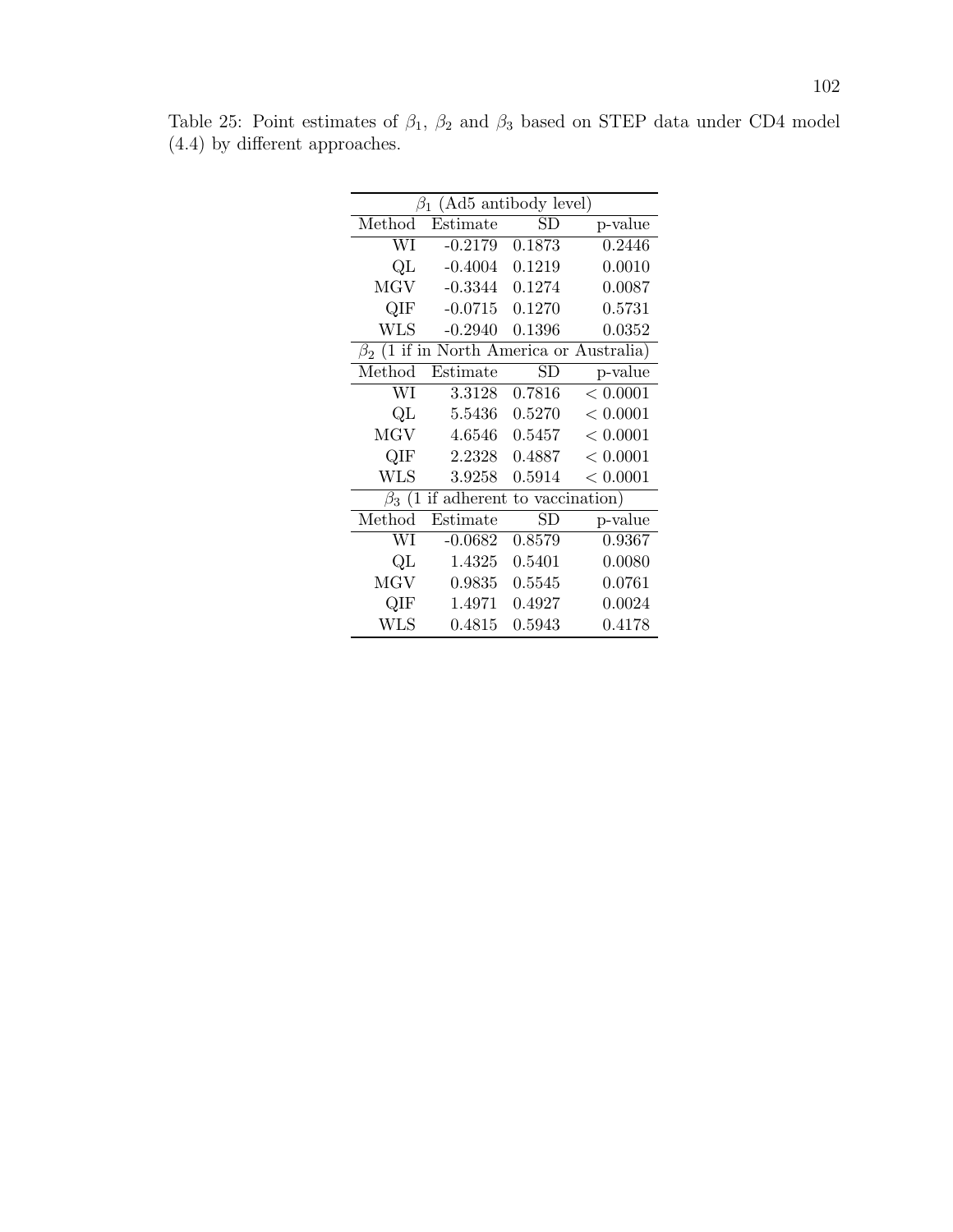| $\beta_1$ (Ad5 antibody level)                 |           |             |          |  |
|------------------------------------------------|-----------|-------------|----------|--|
| Method                                         | Estimate  | $_{\rm SD}$ | p-value  |  |
| WI                                             | $-0.2179$ | 0.1873      | 0.2446   |  |
| QL                                             | $-0.4004$ | 0.1219      | 0.0010   |  |
| MGV                                            | $-0.3344$ | 0.1274      | 0.0087   |  |
| QIF                                            | $-0.0715$ | 0.1270      | 0.5731   |  |
| WLS                                            | $-0.2940$ | 0.1396      | 0.0352   |  |
| $\beta_2$ (1 if in North America or Australia) |           |             |          |  |
| Method                                         | Estimate  | $_{\rm SD}$ | p-value  |  |
| WI                                             | 3.3128    | 0.7816      | < 0.0001 |  |
| QL                                             | 5.5436    | 0.5270      | < 0.0001 |  |
| MGV                                            | 4.6546    | 0.5457      | < 0.0001 |  |
| QIF                                            | 2.2328    | 0.4887      | < 0.0001 |  |
| <b>WLS</b>                                     | 3.9258    | 0.5914      | < 0.0001 |  |
| $\beta_3$ (1 if adherent to vaccination)       |           |             |          |  |
| Method                                         | Estimate  | $_{\rm SD}$ | p-value  |  |
| WI                                             | $-0.0682$ | 0.8579      | 0.9367   |  |
| QL                                             | 1.4325    | 0.5401      | 0.0080   |  |
| <b>MGV</b>                                     | 0.9835    | 0.5545      | 0.0761   |  |
| QIF                                            | 1.4971    | 0.4927      | 0.0024   |  |
| <b>WLS</b>                                     | 0.4815    | 0.5943      | 0.4178   |  |

Table 25: Point estimates of  $\beta_1$ ,  $\beta_2$  and  $\beta_3$  based on STEP data under CD4 model (4.4) by different approaches.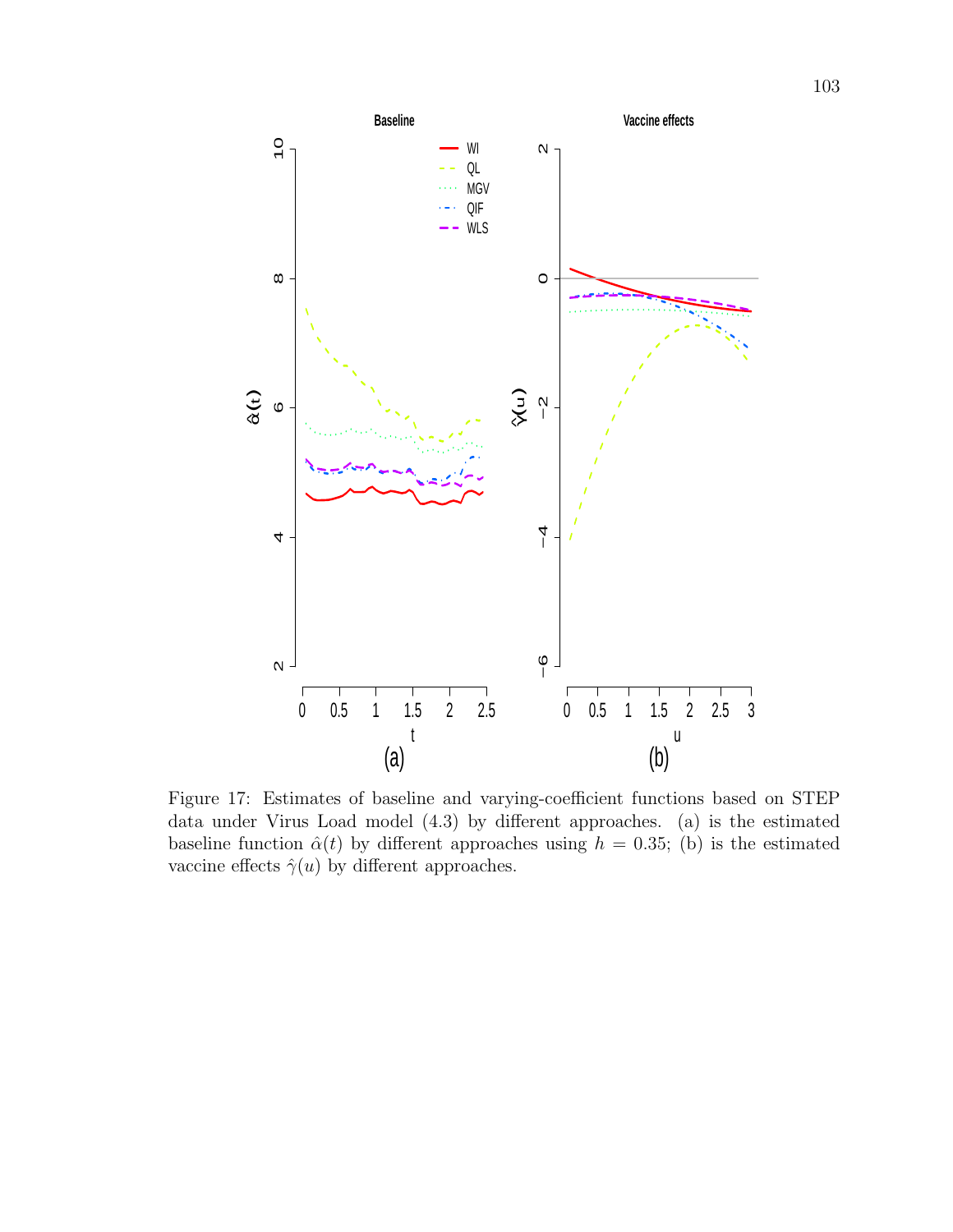

Figure 17: Estimates of baseline and varying-coefficient functions based on STEP data under Virus Load model (4.3) by different approaches. (a) is the estimated baseline function  $\hat{\alpha}(t)$  by different approaches using  $h = 0.35$ ; (b) is the estimated vaccine effects  $\hat{\gamma}(u)$  by different approaches.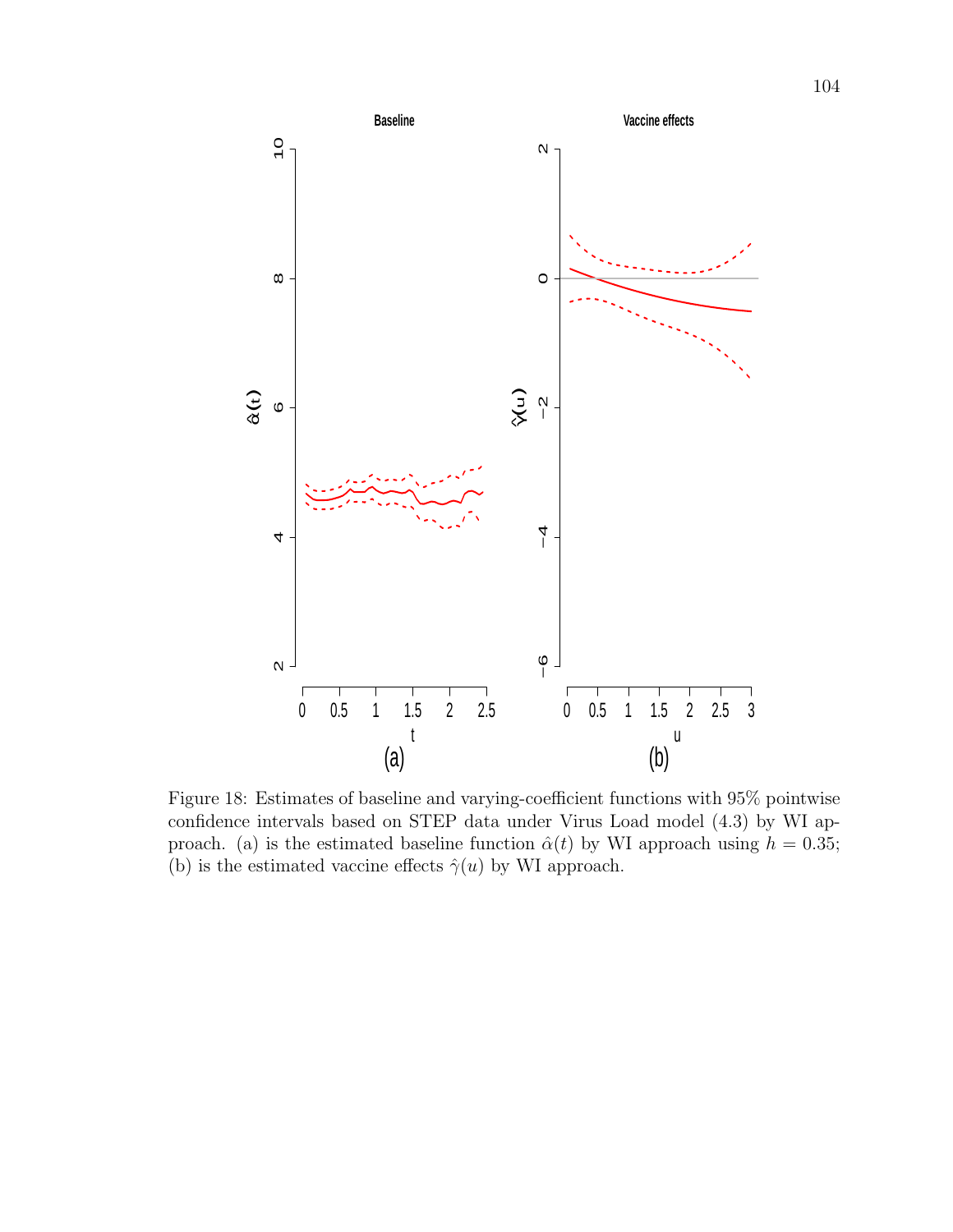

Figure 18: Estimates of baseline and varying-coefficient functions with 95% pointwise confidence intervals based on STEP data under Virus Load model (4.3) by WI approach. (a) is the estimated baseline function  $\hat{\alpha}(t)$  by WI approach using  $h = 0.35$ ; (b) is the estimated vaccine effects  $\hat{\gamma}(u)$  by WI approach.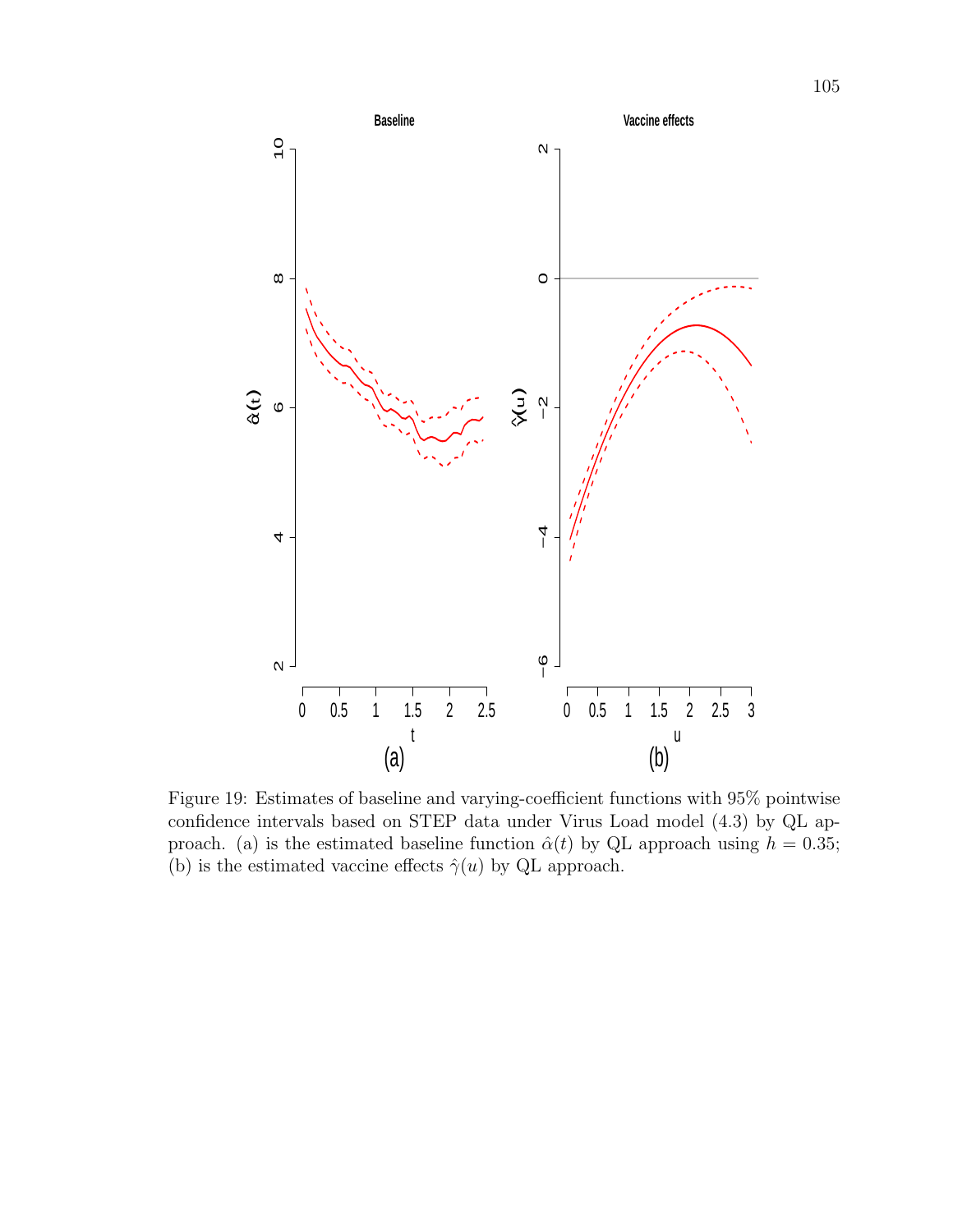

Figure 19: Estimates of baseline and varying-coefficient functions with 95% pointwise confidence intervals based on STEP data under Virus Load model (4.3) by QL approach. (a) is the estimated baseline function  $\hat{\alpha}(t)$  by QL approach using  $h = 0.35$ ; (b) is the estimated vaccine effects  $\hat{\gamma}(u)$  by QL approach.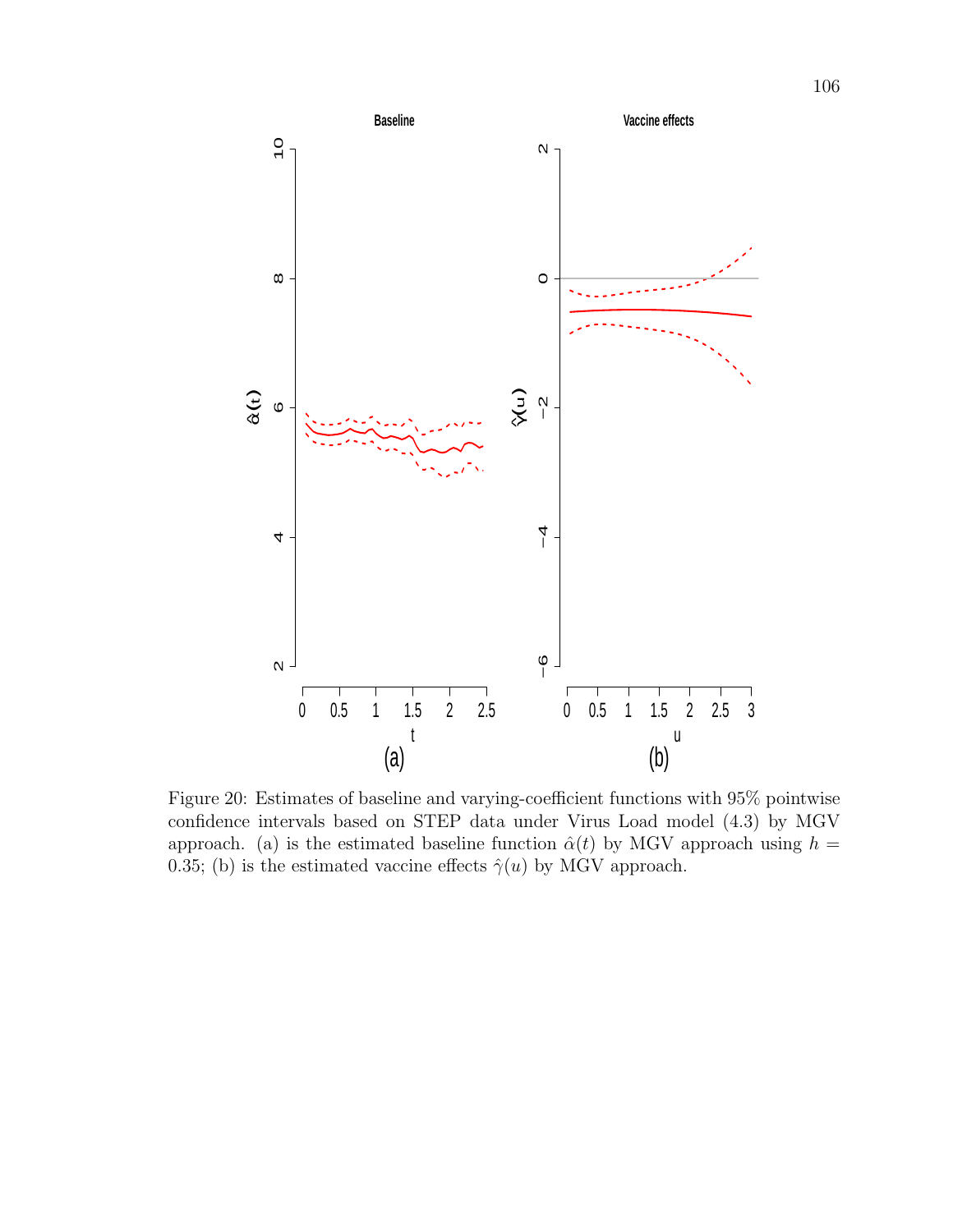

Figure 20: Estimates of baseline and varying-coefficient functions with 95% pointwise confidence intervals based on STEP data under Virus Load model (4.3) by MGV approach. (a) is the estimated baseline function  $\hat{\alpha}(t)$  by MGV approach using  $h =$ 0.35; (b) is the estimated vaccine effects  $\hat{\gamma}(u)$  by MGV approach.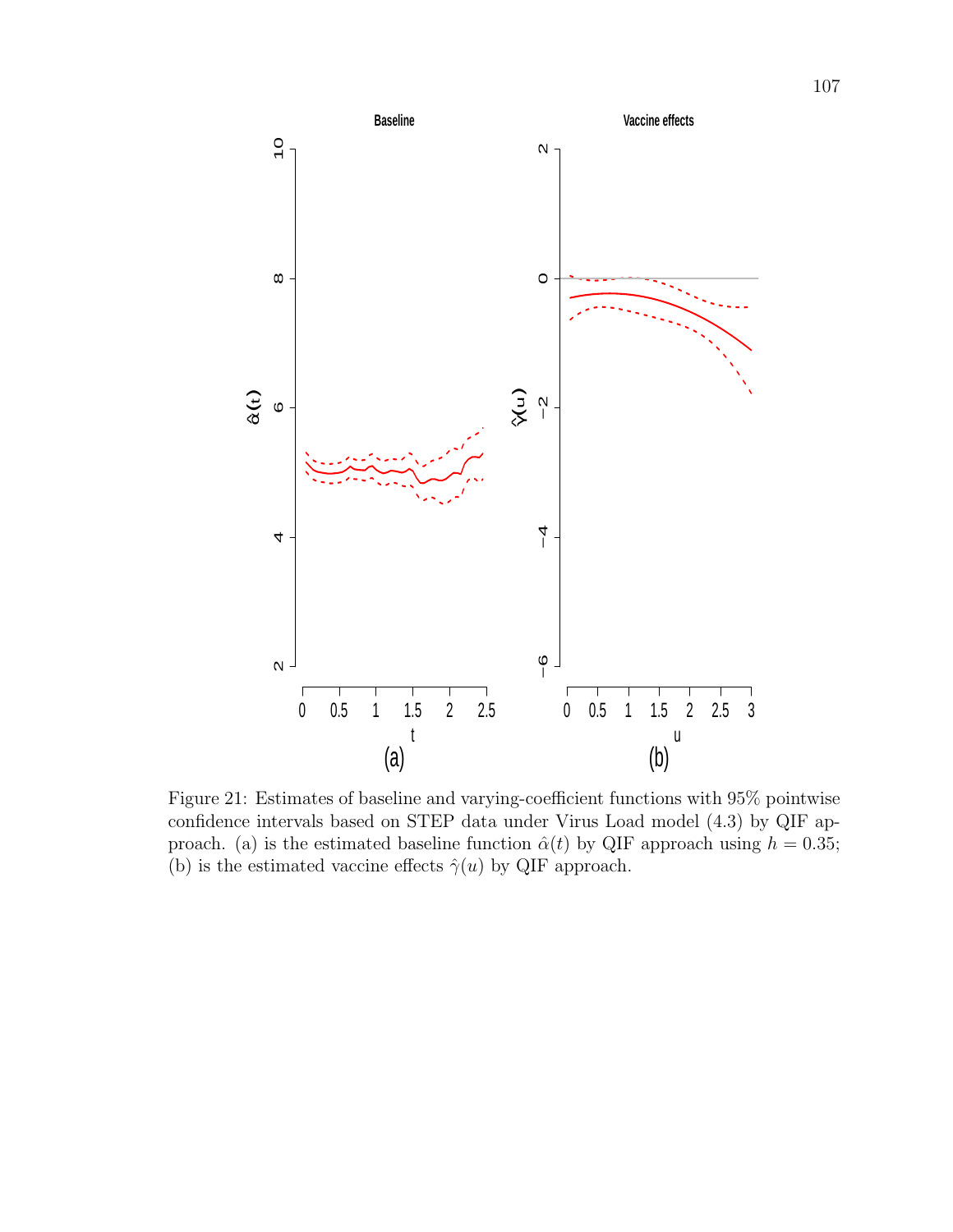

Figure 21: Estimates of baseline and varying-coefficient functions with 95% pointwise confidence intervals based on STEP data under Virus Load model (4.3) by QIF approach. (a) is the estimated baseline function  $\hat{\alpha}(t)$  by QIF approach using  $h = 0.35$ ; (b) is the estimated vaccine effects  $\hat{\gamma}(u)$  by QIF approach.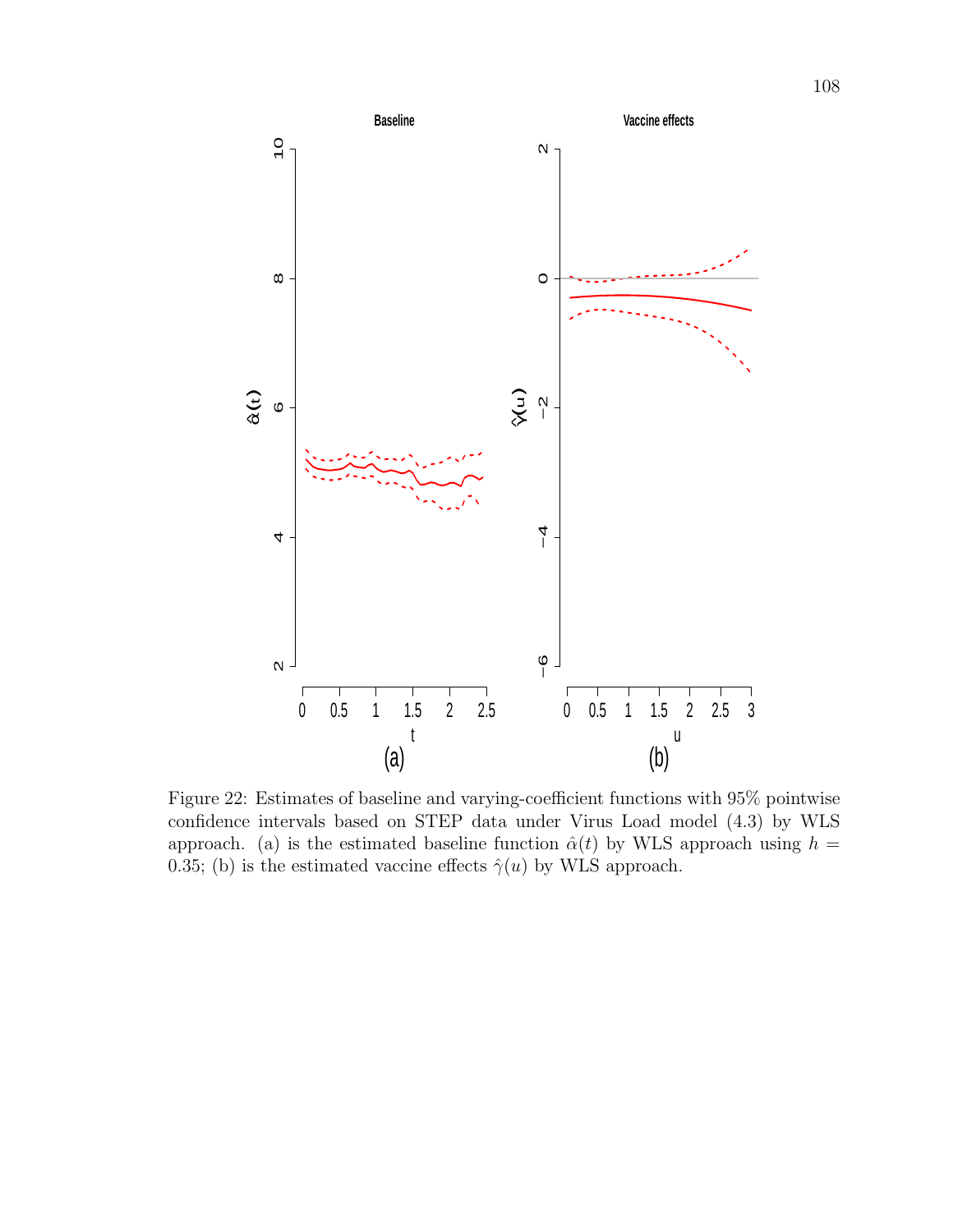

Figure 22: Estimates of baseline and varying-coefficient functions with 95% pointwise confidence intervals based on STEP data under Virus Load model (4.3) by WLS approach. (a) is the estimated baseline function  $\hat{\alpha}(t)$  by WLS approach using  $h =$ 0.35; (b) is the estimated vaccine effects  $\hat{\gamma}(u)$  by WLS approach.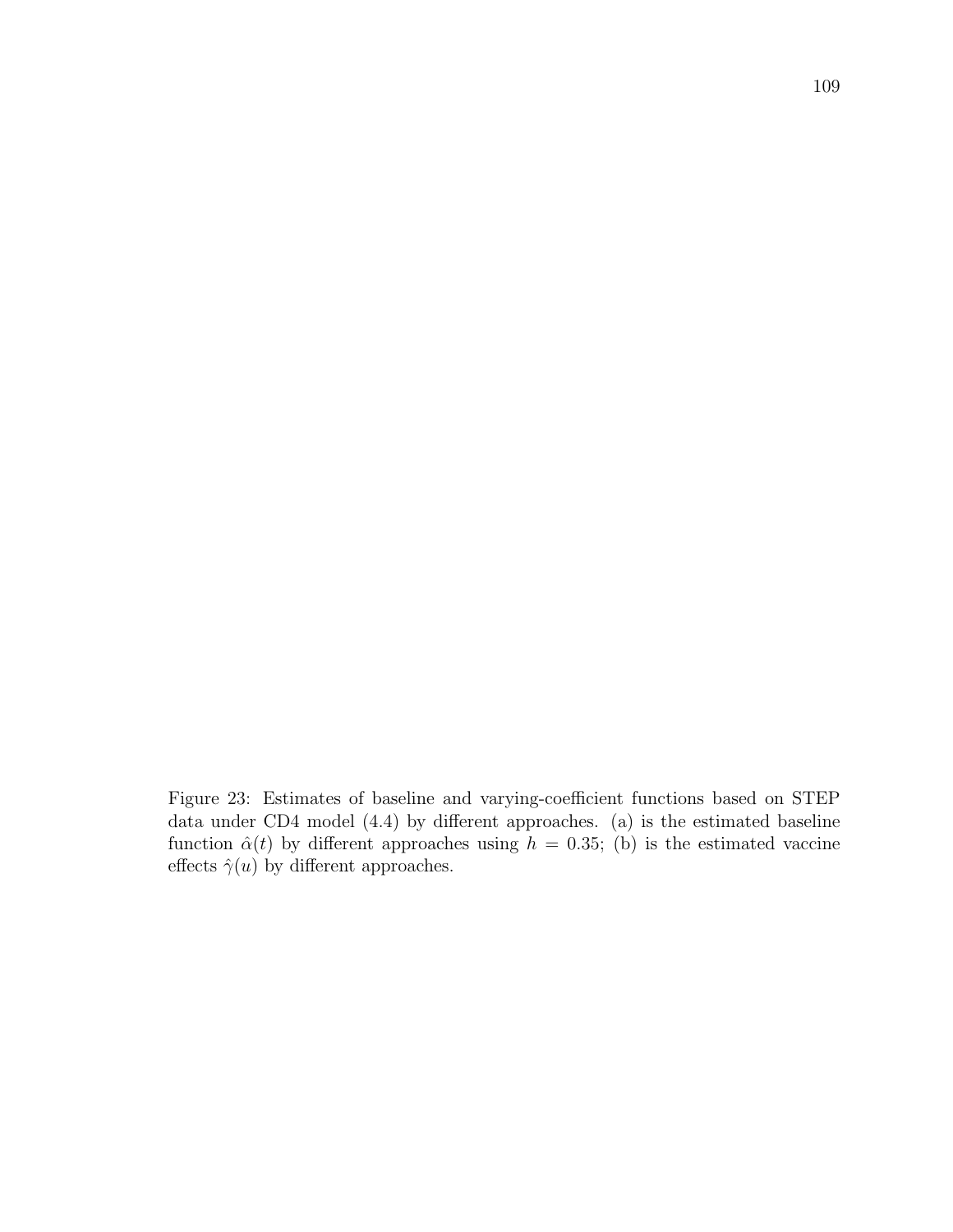Figure 23: Estimates of baseline and varying-coefficient functions based on STEP data under CD4 model (4.4) by different approaches. (a) is the estimated baseline function  $\hat{\alpha}(t)$  by different approaches using  $h = 0.35$ ; (b) is the estimated vaccine effects  $\hat{\gamma}(u)$  by different approaches.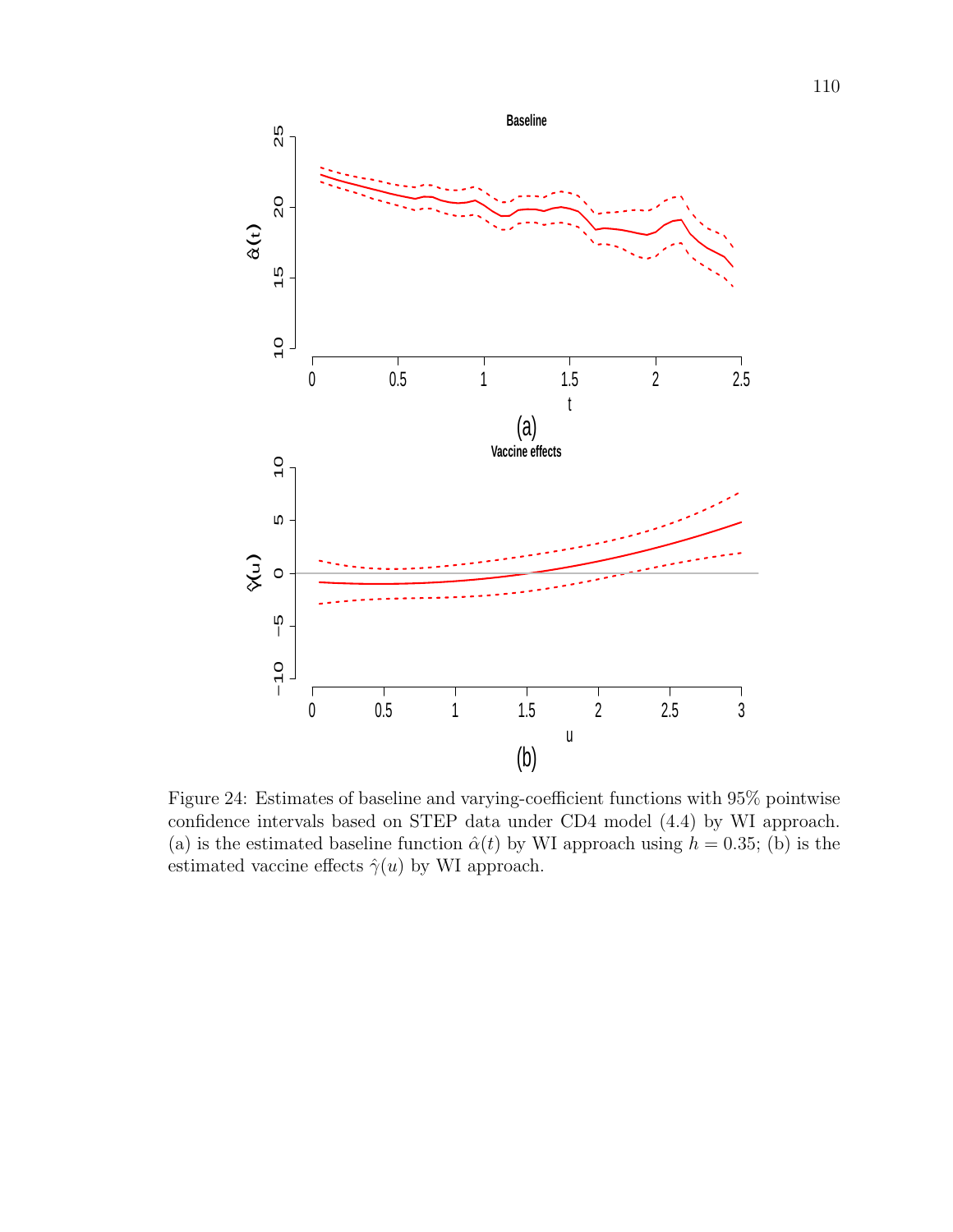

Figure 24: Estimates of baseline and varying-coefficient functions with  $95\%$  pointwise confidence intervals based on STEP data under CD4 model (4.4) by WI approach. (a) is the estimated baseline function  $\hat{\alpha}(t)$  by WI approach using  $h = 0.35$ ; (b) is the estimated vaccine effects  $\hat{\gamma}(u)$  by WI approach.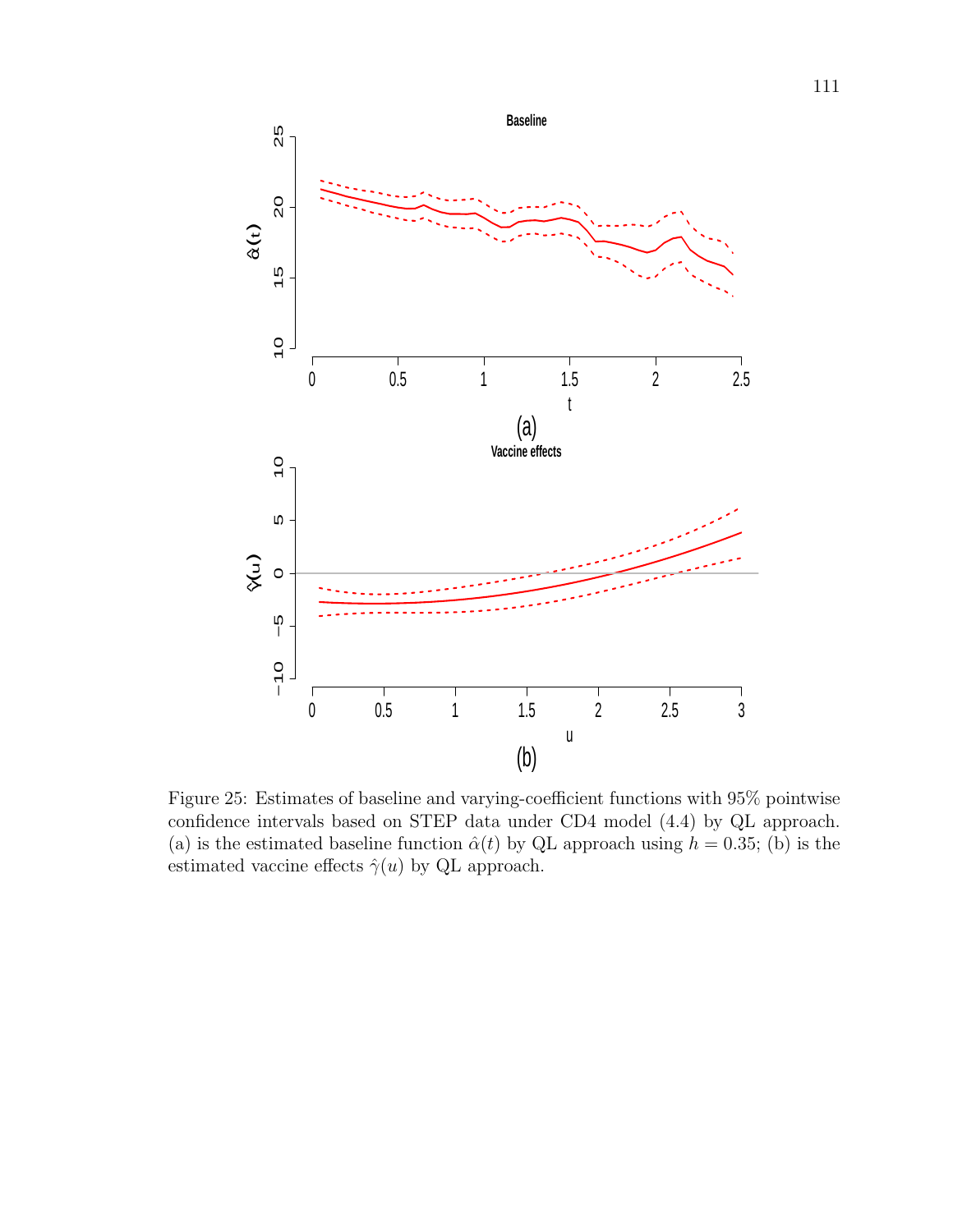

Figure 25: Estimates of baseline and varying-coefficient functions with 95% pointwise confidence intervals based on STEP data under CD4 model (4.4) by QL approach. (a) is the estimated baseline function  $\hat{\alpha}(t)$  by QL approach using  $h = 0.35$ ; (b) is the estimated vaccine effects  $\hat{\gamma}(u)$  by QL approach.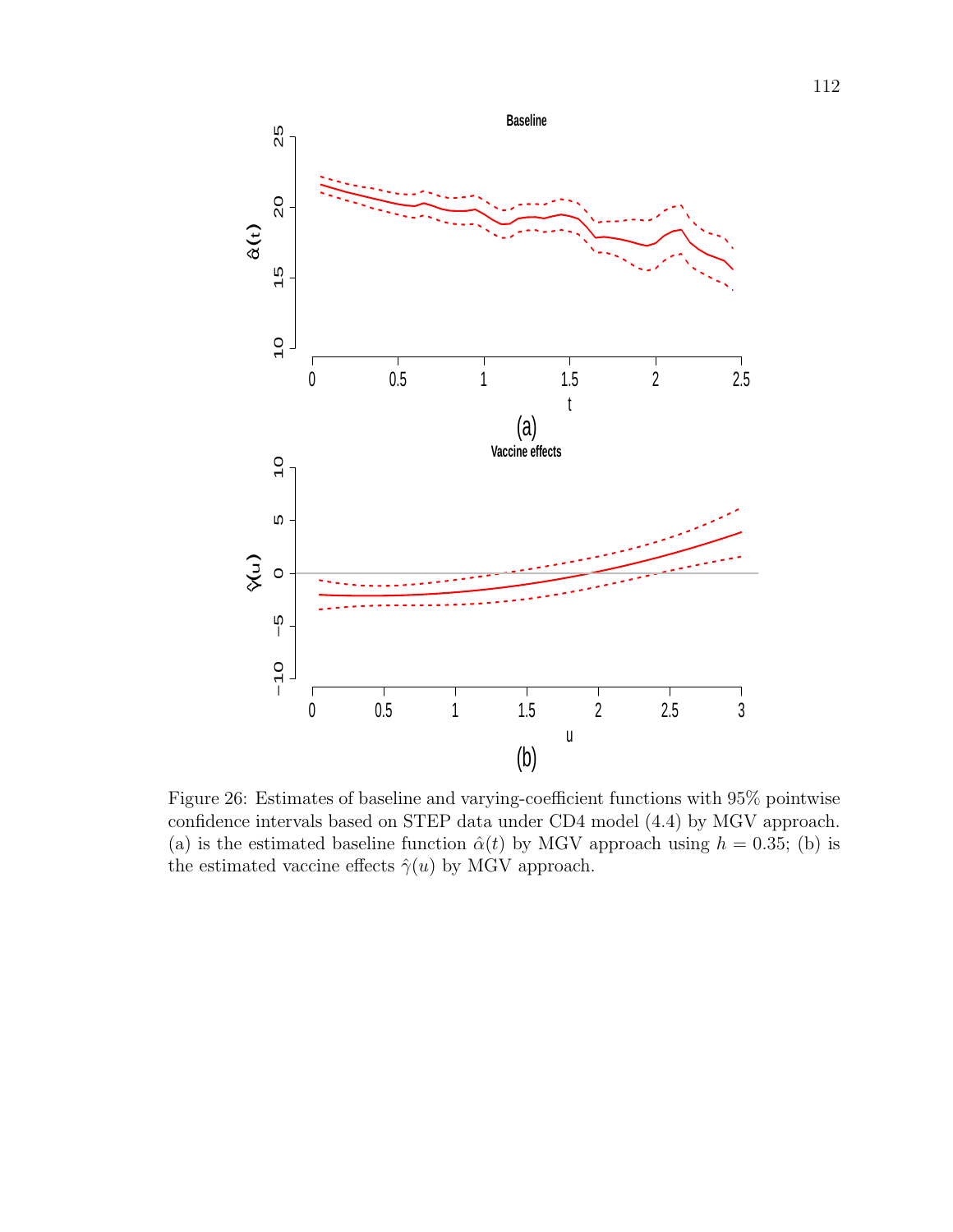

Figure 26: Estimates of baseline and varying-coefficient functions with 95% pointwise confidence intervals based on STEP data under CD4 model (4.4) by MGV approach. (a) is the estimated baseline function  $\hat{\alpha}(t)$  by MGV approach using  $h = 0.35$ ; (b) is the estimated vaccine effects  $\hat{\gamma}(u)$  by MGV approach.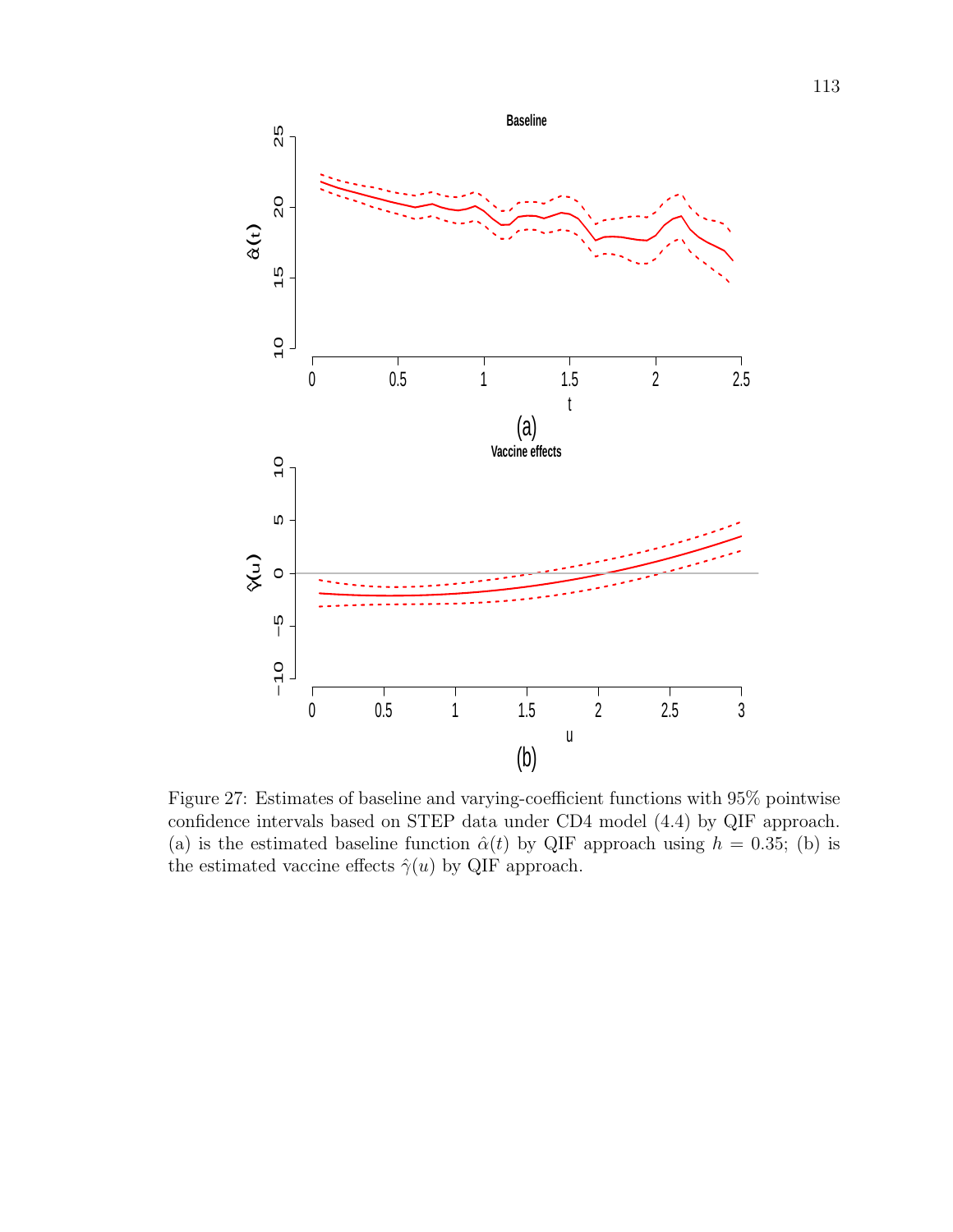

Figure 27: Estimates of baseline and varying-coefficient functions with 95% pointwise confidence intervals based on STEP data under CD4 model (4.4) by QIF approach. (a) is the estimated baseline function  $\hat{\alpha}(t)$  by QIF approach using  $h = 0.35$ ; (b) is the estimated vaccine effects  $\hat{\gamma}(u)$  by QIF approach.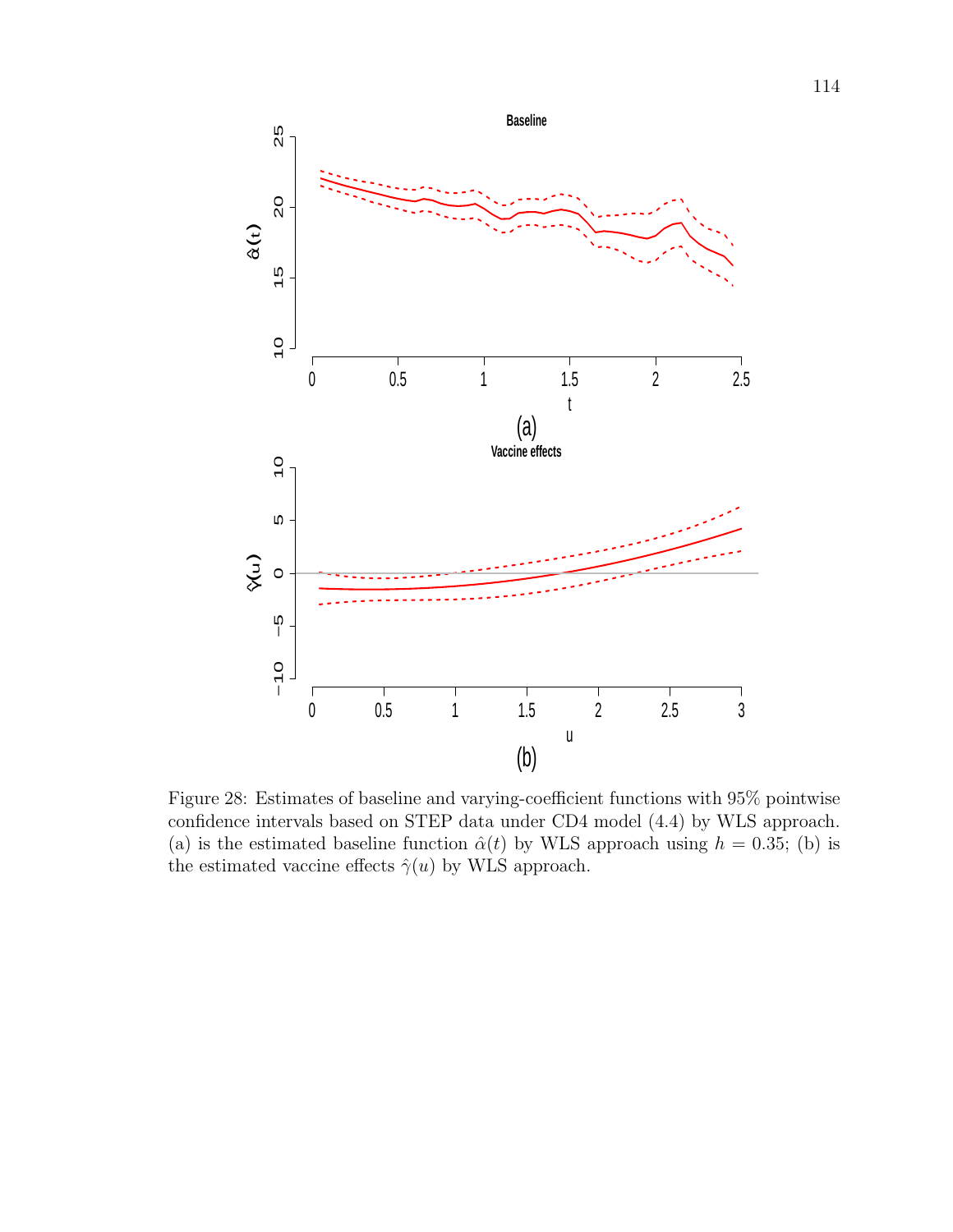

Figure 28: Estimates of baseline and varying-coefficient functions with 95% pointwise confidence intervals based on STEP data under CD4 model (4.4) by WLS approach. (a) is the estimated baseline function  $\hat{\alpha}(t)$  by WLS approach using  $h = 0.35$ ; (b) is the estimated vaccine effects  $\hat{\gamma}(u)$  by WLS approach.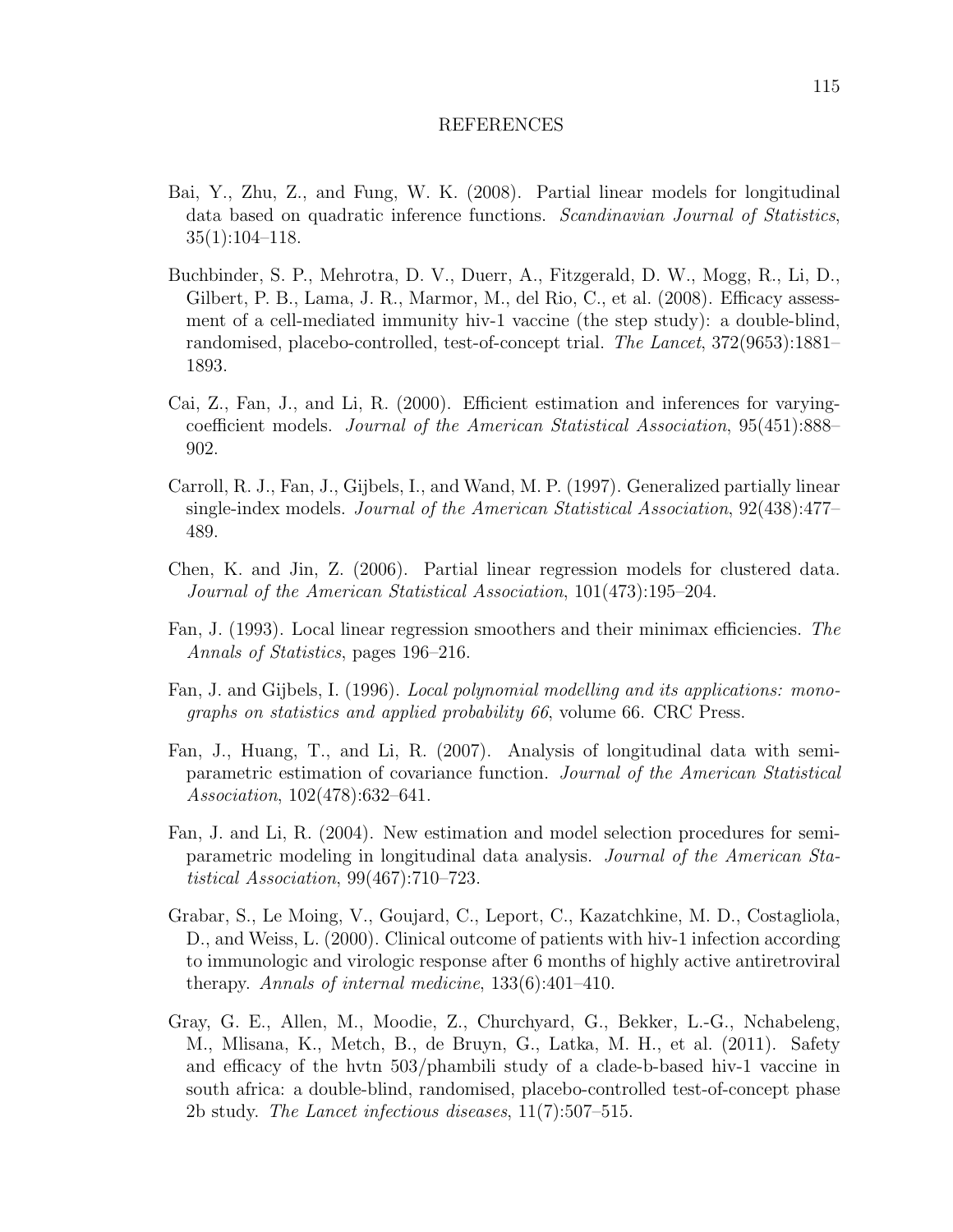#### REFERENCES

- Bai, Y., Zhu, Z., and Fung, W. K. (2008). Partial linear models for longitudinal data based on quadratic inference functions. Scandinavian Journal of Statistics,  $35(1):104-118.$
- Buchbinder, S. P., Mehrotra, D. V., Duerr, A., Fitzgerald, D. W., Mogg, R., Li, D., Gilbert, P. B., Lama, J. R., Marmor, M., del Rio, C., et al. (2008). Efficacy assessment of a cell-mediated immunity hiv-1 vaccine (the step study): a double-blind, randomised, placebo-controlled, test-of-concept trial. The Lancet, 372(9653):1881– 1893.
- Cai, Z., Fan, J., and Li, R. (2000). Efficient estimation and inferences for varyingcoefficient models. Journal of the American Statistical Association, 95(451):888– 902.
- Carroll, R. J., Fan, J., Gijbels, I., and Wand, M. P. (1997). Generalized partially linear single-index models. Journal of the American Statistical Association, 92(438):477– 489.
- Chen, K. and Jin, Z. (2006). Partial linear regression models for clustered data. Journal of the American Statistical Association, 101(473):195–204.
- Fan, J. (1993). Local linear regression smoothers and their minimax efficiencies. The Annals of Statistics, pages 196–216.
- Fan, J. and Gijbels, I. (1996). Local polynomial modelling and its applications: monographs on statistics and applied probability 66, volume 66. CRC Press.
- Fan, J., Huang, T., and Li, R. (2007). Analysis of longitudinal data with semiparametric estimation of covariance function. Journal of the American Statistical Association, 102(478):632–641.
- Fan, J. and Li, R. (2004). New estimation and model selection procedures for semiparametric modeling in longitudinal data analysis. Journal of the American Statistical Association, 99(467):710–723.
- Grabar, S., Le Moing, V., Goujard, C., Leport, C., Kazatchkine, M. D., Costagliola, D., and Weiss, L. (2000). Clinical outcome of patients with hiv-1 infection according to immunologic and virologic response after 6 months of highly active antiretroviral therapy. Annals of internal medicine, 133(6):401–410.
- Gray, G. E., Allen, M., Moodie, Z., Churchyard, G., Bekker, L.-G., Nchabeleng, M., Mlisana, K., Metch, B., de Bruyn, G., Latka, M. H., et al. (2011). Safety and efficacy of the hvtn 503/phambili study of a clade-b-based hiv-1 vaccine in south africa: a double-blind, randomised, placebo-controlled test-of-concept phase 2b study. The Lancet infectious diseases, 11(7):507–515.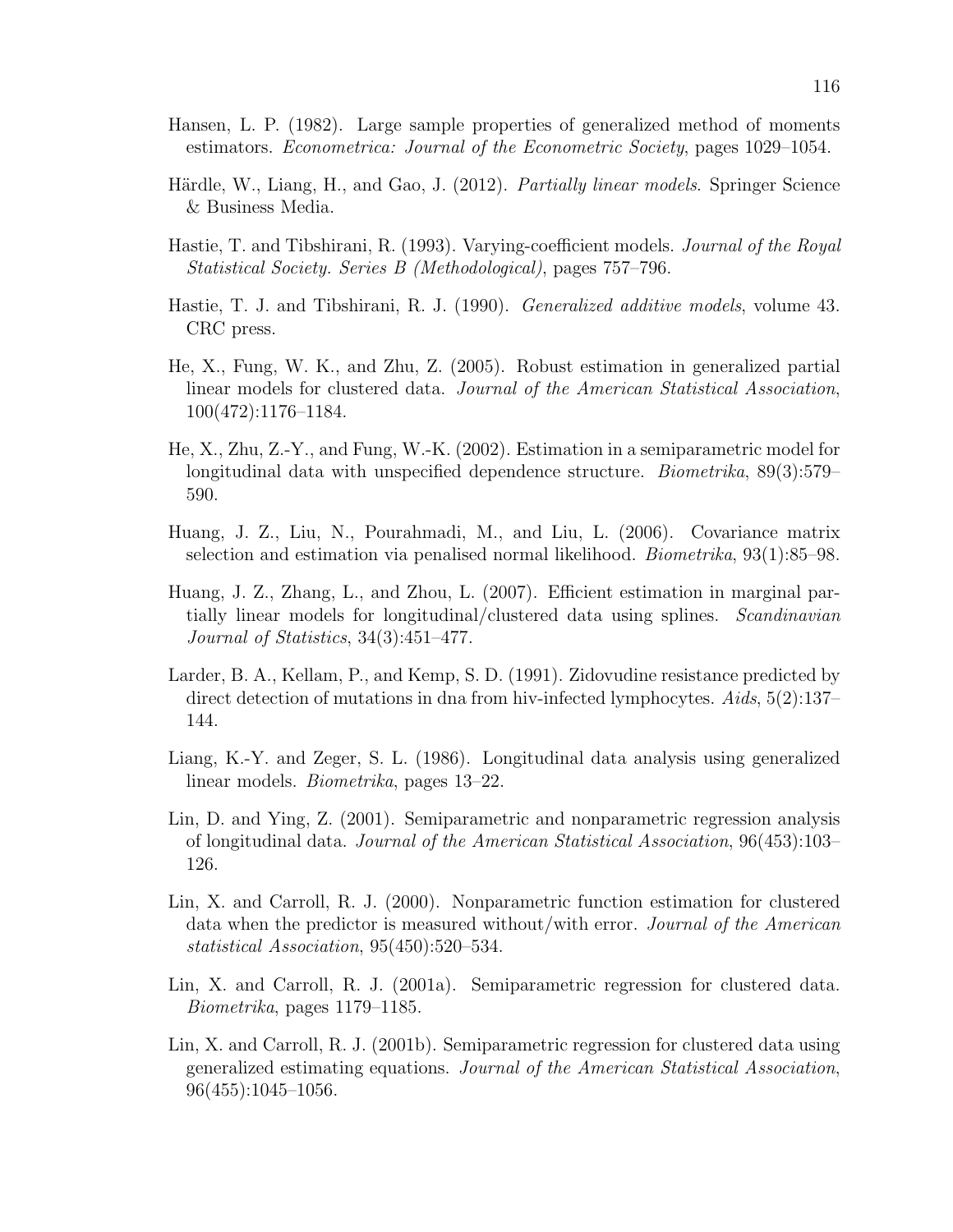- Hansen, L. P. (1982). Large sample properties of generalized method of moments estimators. Econometrica: Journal of the Econometric Society, pages 1029–1054.
- Härdle, W., Liang, H., and Gao, J. (2012). *Partially linear models*. Springer Science & Business Media.
- Hastie, T. and Tibshirani, R. (1993). Varying-coefficient models. *Journal of the Royal* Statistical Society. Series B (Methodological), pages 757–796.
- Hastie, T. J. and Tibshirani, R. J. (1990). Generalized additive models, volume 43. CRC press.
- He, X., Fung, W. K., and Zhu, Z. (2005). Robust estimation in generalized partial linear models for clustered data. Journal of the American Statistical Association, 100(472):1176–1184.
- He, X., Zhu, Z.-Y., and Fung, W.-K. (2002). Estimation in a semiparametric model for longitudinal data with unspecified dependence structure. Biometrika, 89(3):579– 590.
- Huang, J. Z., Liu, N., Pourahmadi, M., and Liu, L. (2006). Covariance matrix selection and estimation via penalised normal likelihood. Biometrika, 93(1):85–98.
- Huang, J. Z., Zhang, L., and Zhou, L. (2007). Efficient estimation in marginal partially linear models for longitudinal/clustered data using splines. Scandinavian Journal of Statistics, 34(3):451–477.
- Larder, B. A., Kellam, P., and Kemp, S. D. (1991). Zidovudine resistance predicted by direct detection of mutations in dna from hiv-infected lymphocytes. Aids, 5(2):137– 144.
- Liang, K.-Y. and Zeger, S. L. (1986). Longitudinal data analysis using generalized linear models. Biometrika, pages 13–22.
- Lin, D. and Ying, Z. (2001). Semiparametric and nonparametric regression analysis of longitudinal data. Journal of the American Statistical Association, 96(453):103– 126.
- Lin, X. and Carroll, R. J. (2000). Nonparametric function estimation for clustered data when the predictor is measured without/with error. Journal of the American statistical Association, 95(450):520–534.
- Lin, X. and Carroll, R. J. (2001a). Semiparametric regression for clustered data. Biometrika, pages 1179–1185.
- Lin, X. and Carroll, R. J. (2001b). Semiparametric regression for clustered data using generalized estimating equations. Journal of the American Statistical Association, 96(455):1045–1056.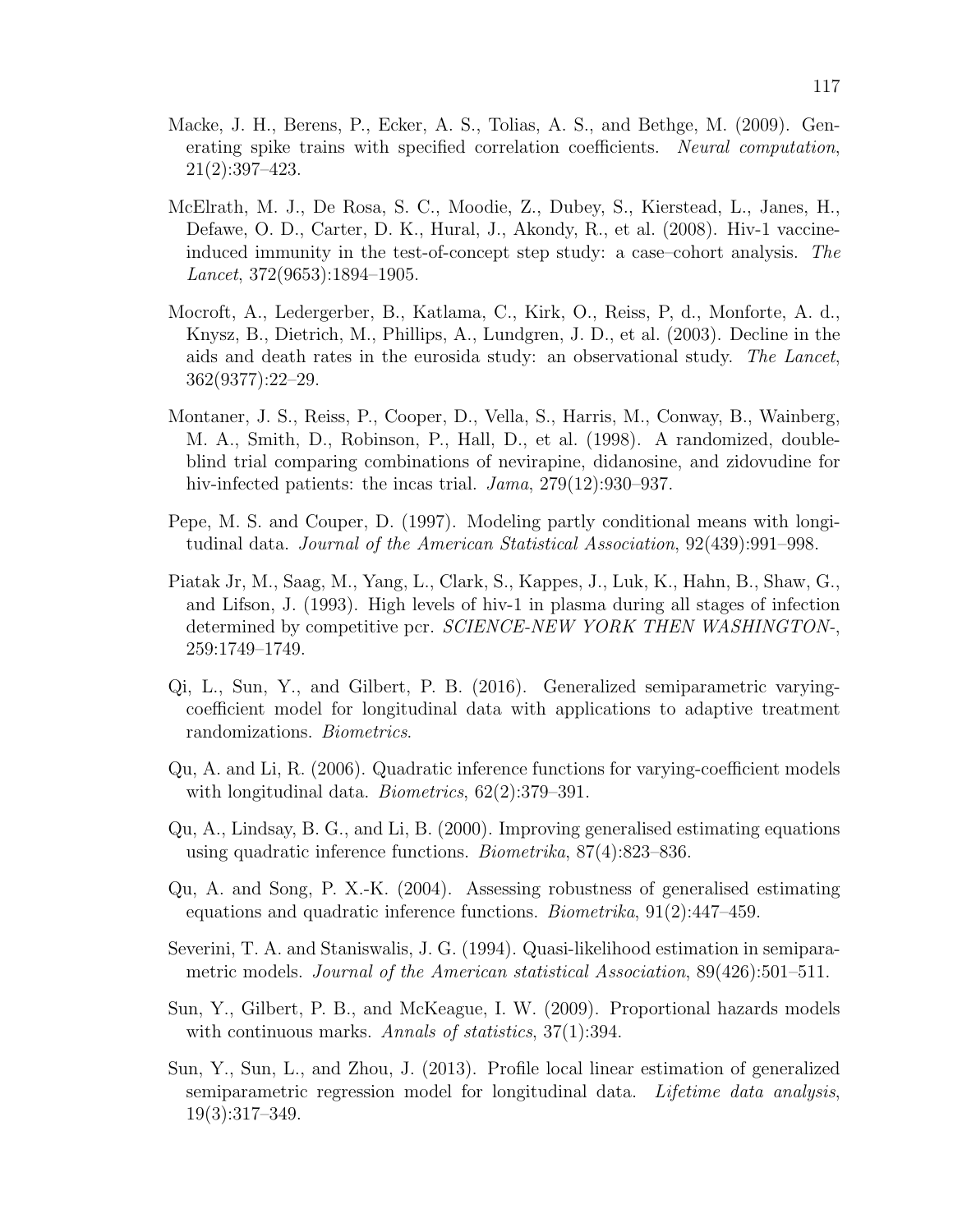- Macke, J. H., Berens, P., Ecker, A. S., Tolias, A. S., and Bethge, M. (2009). Generating spike trains with specified correlation coefficients. Neural computation, 21(2):397–423.
- McElrath, M. J., De Rosa, S. C., Moodie, Z., Dubey, S., Kierstead, L., Janes, H., Defawe, O. D., Carter, D. K., Hural, J., Akondy, R., et al. (2008). Hiv-1 vaccineinduced immunity in the test-of-concept step study: a case–cohort analysis. The Lancet, 372(9653):1894–1905.
- Mocroft, A., Ledergerber, B., Katlama, C., Kirk, O., Reiss, P, d., Monforte, A. d., Knysz, B., Dietrich, M., Phillips, A., Lundgren, J. D., et al. (2003). Decline in the aids and death rates in the eurosida study: an observational study. The Lancet, 362(9377):22–29.
- Montaner, J. S., Reiss, P., Cooper, D., Vella, S., Harris, M., Conway, B., Wainberg, M. A., Smith, D., Robinson, P., Hall, D., et al. (1998). A randomized, doubleblind trial comparing combinations of nevirapine, didanosine, and zidovudine for hiv-infected patients: the incas trial.  $Jama$ , 279(12):930–937.
- Pepe, M. S. and Couper, D. (1997). Modeling partly conditional means with longitudinal data. Journal of the American Statistical Association, 92(439):991–998.
- Piatak Jr, M., Saag, M., Yang, L., Clark, S., Kappes, J., Luk, K., Hahn, B., Shaw, G., and Lifson, J. (1993). High levels of hiv-1 in plasma during all stages of infection determined by competitive pcr. SCIENCE-NEW YORK THEN WASHINGTON-, 259:1749–1749.
- Qi, L., Sun, Y., and Gilbert, P. B. (2016). Generalized semiparametric varyingcoefficient model for longitudinal data with applications to adaptive treatment randomizations. Biometrics.
- Qu, A. and Li, R. (2006). Quadratic inference functions for varying-coefficient models with longitudinal data. *Biometrics*, 62(2):379–391.
- Qu, A., Lindsay, B. G., and Li, B. (2000). Improving generalised estimating equations using quadratic inference functions. Biometrika, 87(4):823–836.
- Qu, A. and Song, P. X.-K. (2004). Assessing robustness of generalised estimating equations and quadratic inference functions. Biometrika, 91(2):447–459.
- Severini, T. A. and Staniswalis, J. G. (1994). Quasi-likelihood estimation in semiparametric models. Journal of the American statistical Association, 89(426):501–511.
- Sun, Y., Gilbert, P. B., and McKeague, I. W. (2009). Proportional hazards models with continuous marks. Annals of statistics,  $37(1)$ :394.
- Sun, Y., Sun, L., and Zhou, J. (2013). Profile local linear estimation of generalized semiparametric regression model for longitudinal data. Lifetime data analysis, 19(3):317–349.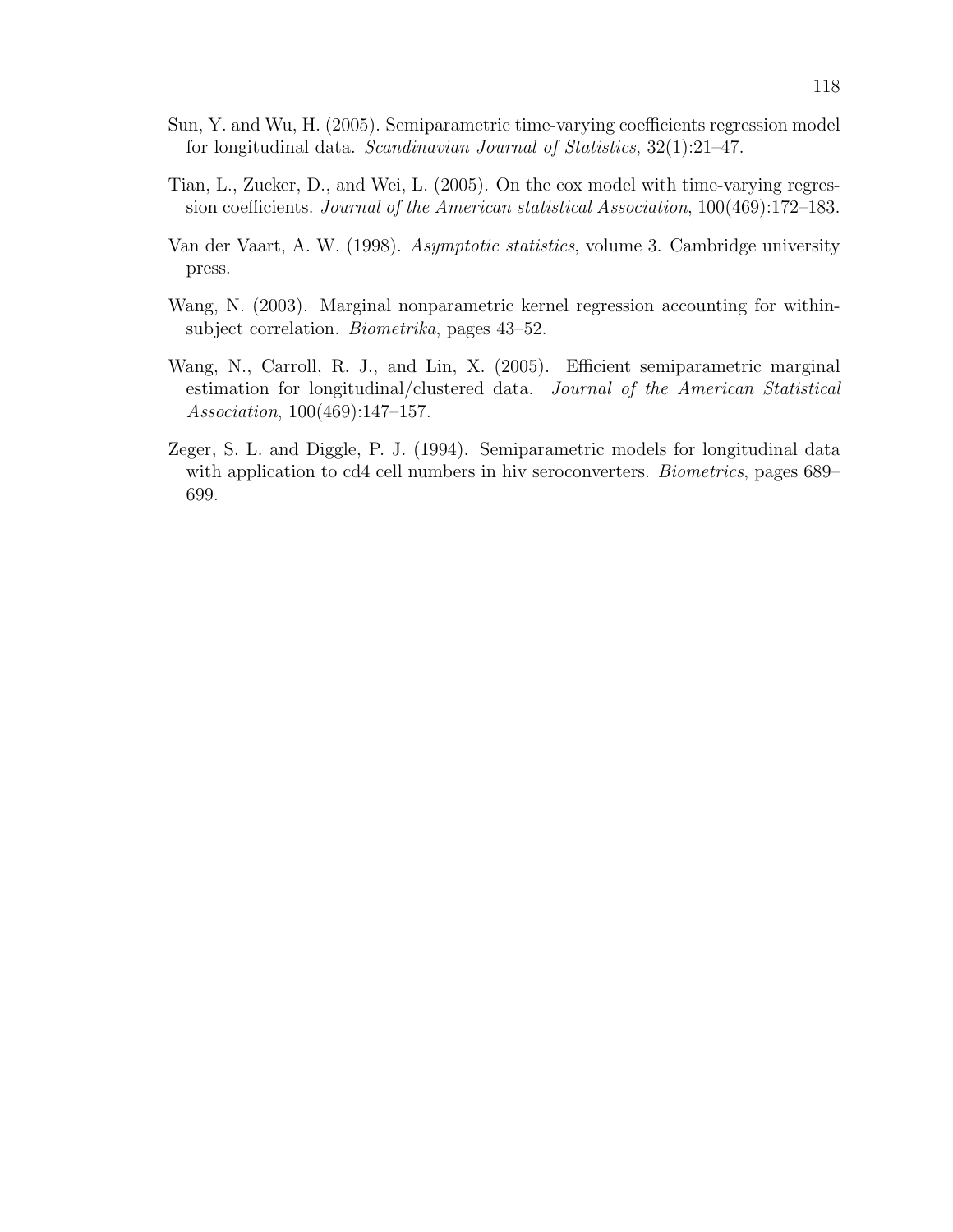- Sun, Y. and Wu, H. (2005). Semiparametric time-varying coefficients regression model for longitudinal data. Scandinavian Journal of Statistics, 32(1):21–47.
- Tian, L., Zucker, D., and Wei, L. (2005). On the cox model with time-varying regression coefficients. Journal of the American statistical Association, 100(469):172–183.
- Van der Vaart, A. W. (1998). Asymptotic statistics, volume 3. Cambridge university press.
- Wang, N. (2003). Marginal nonparametric kernel regression accounting for withinsubject correlation. Biometrika, pages 43–52.
- Wang, N., Carroll, R. J., and Lin, X. (2005). Efficient semiparametric marginal estimation for longitudinal/clustered data. Journal of the American Statistical Association, 100(469):147–157.
- Zeger, S. L. and Diggle, P. J. (1994). Semiparametric models for longitudinal data with application to cd4 cell numbers in hiv seroconverters. *Biometrics*, pages 689– 699.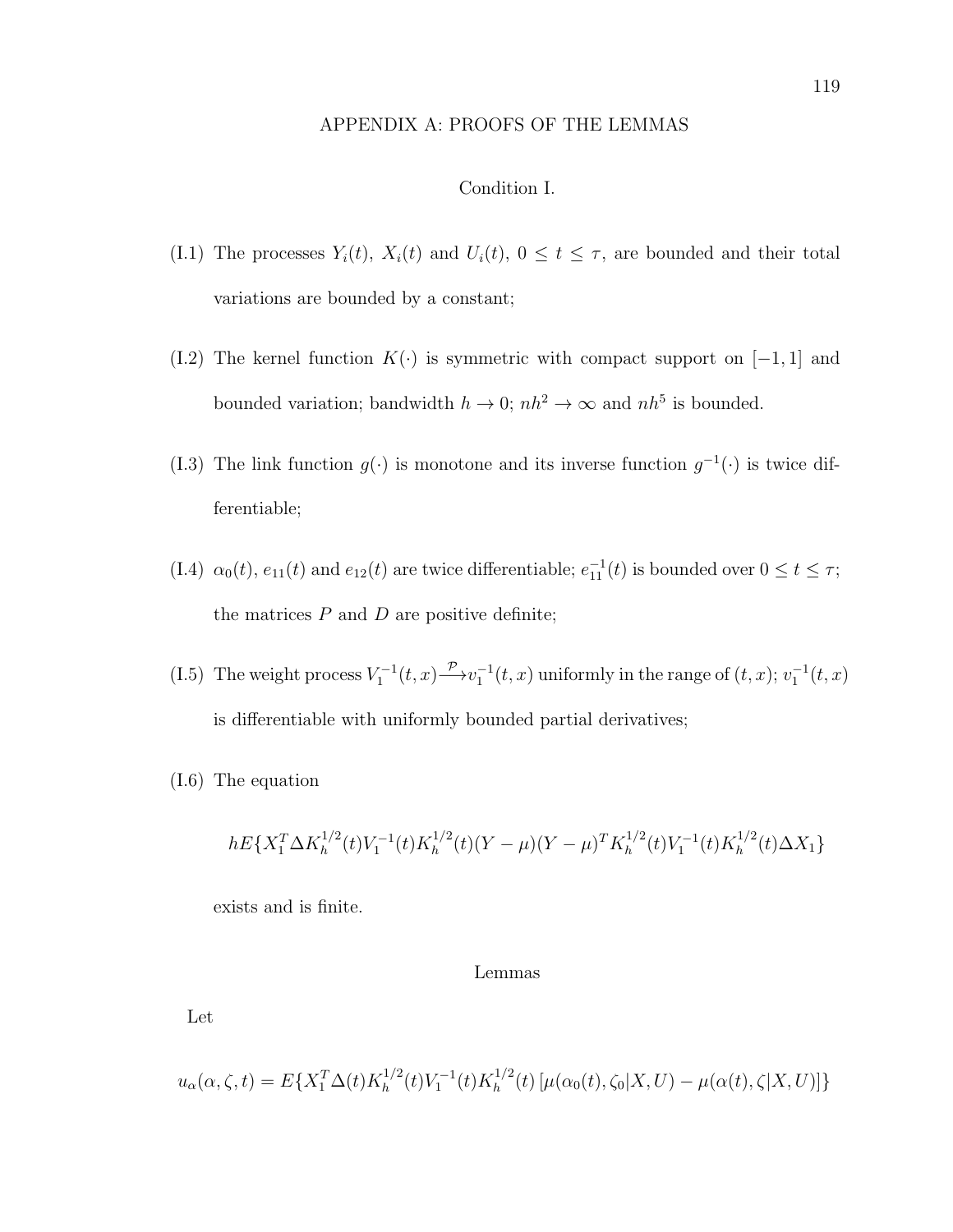### APPENDIX A: PROOFS OF THE LEMMAS

# Condition I.

- (I.1) The processes  $Y_i(t)$ ,  $X_i(t)$  and  $U_i(t)$ ,  $0 \le t \le \tau$ , are bounded and their total variations are bounded by a constant;
- (I.2) The kernel function  $K(\cdot)$  is symmetric with compact support on [−1, 1] and bounded variation; bandwidth  $h \to 0$ ;  $nh^2 \to \infty$  and  $nh^5$  is bounded.
- (I.3) The link function  $g(\cdot)$  is monotone and its inverse function  $g^{-1}(\cdot)$  is twice differentiable;
- (I.4)  $\alpha_0(t)$ ,  $e_{11}(t)$  and  $e_{12}(t)$  are twice differentiable;  $e_{11}^{-1}(t)$  is bounded over  $0 \le t \le \tau$ ; the matrices  $P$  and  $D$  are positive definite;
- (I.5) The weight process  $V_1^{-1}(t, x) \xrightarrow{\mathcal{P}} v_1^{-1}(t, x)$  uniformly in the range of  $(t, x)$ ;  $v_1^{-1}(t, x)$ is differentiable with uniformly bounded partial derivatives;
- (I.6) The equation

$$
hE\{X_1^T\Delta K_h^{1/2}(t)V_1^{-1}(t)K_h^{1/2}(t)(Y-\mu)(Y-\mu)^TK_h^{1/2}(t)V_1^{-1}(t)K_h^{1/2}(t)\Delta X_1\}
$$

exists and is finite.

#### Lemmas

Let

$$
u_{\alpha}(\alpha,\zeta,t) = E\{X_1^T \Delta(t) K_h^{1/2}(t) V_1^{-1}(t) K_h^{1/2}(t) \left[\mu(\alpha_0(t),\zeta_0|X,U) - \mu(\alpha(t),\zeta|X,U)\right]\}
$$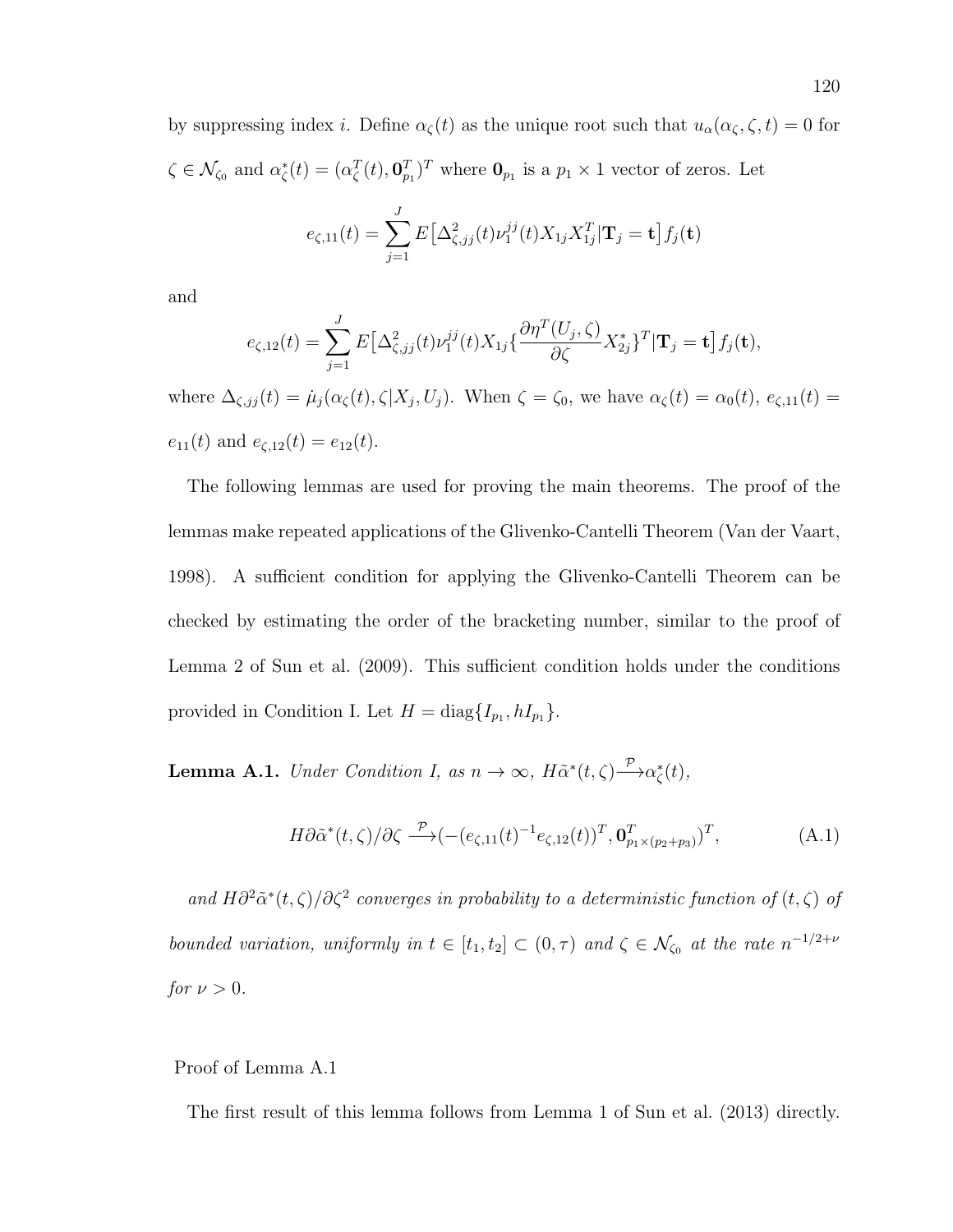by suppressing index *i*. Define  $\alpha_{\zeta}(t)$  as the unique root such that  $u_{\alpha}(\alpha_{\zeta}, \zeta, t) = 0$  for  $\zeta \in \mathcal{N}_{\zeta_0}$  and  $\alpha_{\zeta}^*(t) = (\alpha_{\zeta}^T(t), \mathbf{0}_{p_1}^T)^T$  where  $\mathbf{0}_{p_1}$  is a  $p_1 \times 1$  vector of zeros. Let

$$
e_{\zeta,11}(t) = \sum_{j=1}^{J} E\big[\Delta_{\zeta,jj}^{2}(t)\nu_{1}^{jj}(t)X_{1j}X_{1j}^{T}|\mathbf{T}_{j} = \mathbf{t}\big]f_{j}(\mathbf{t})
$$

and

$$
e_{\zeta,12}(t) = \sum_{j=1}^{J} E\big[\Delta_{\zeta,jj}^{2}(t)\nu_{1}^{jj}(t)X_{1j}\big\{\frac{\partial\eta^{T}(U_{j},\zeta)}{\partial\zeta}X_{2j}^{*}\big\}^{T}|\mathbf{T}_{j}=\mathbf{t}\big]f_{j}(\mathbf{t}),
$$

where  $\Delta_{\zeta, jj}(t) = \mu_j(\alpha_{\zeta}(t), \zeta | X_j, U_j)$ . When  $\zeta = \zeta_0$ , we have  $\alpha_{\zeta}(t) = \alpha_0(t), e_{\zeta,11}(t) =$  $e_{11}(t)$  and  $e_{\zeta,12}(t) = e_{12}(t)$ .

The following lemmas are used for proving the main theorems. The proof of the lemmas make repeated applications of the Glivenko-Cantelli Theorem (Van der Vaart, 1998). A sufficient condition for applying the Glivenko-Cantelli Theorem can be checked by estimating the order of the bracketing number, similar to the proof of Lemma 2 of Sun et al. (2009). This sufficient condition holds under the conditions provided in Condition I. Let  $H = diag{I_{p_1}, hI_{p_1}}$ .

**Lemma A.1.** Under Condition I, as  $n \to \infty$ ,  $H\tilde{\alpha}^*(t,\zeta) \stackrel{\mathcal{P}}{\longrightarrow} \alpha_{\zeta}^*(t)$ ,

$$
H\partial\tilde{\alpha}^*(t,\zeta)/\partial\zeta \xrightarrow{\mathcal{P}} (- (e_{\zeta,11}(t)^{-1}e_{\zeta,12}(t))^T, \mathbf{0}_{p_1\times(p_2+p_3)}^T)^T, \tag{A.1}
$$

and  $H\partial^2 \tilde{\alpha}^*(t,\zeta)/\partial \zeta^2$  converges in probability to a deterministic function of  $(t,\zeta)$  of bounded variation, uniformly in  $t \in [t_1, t_2] \subset (0, \tau)$  and  $\zeta \in \mathcal{N}_{\zeta_0}$  at the rate  $n^{-1/2+\nu}$ for  $\nu > 0$ .

### Proof of Lemma A.1

The first result of this lemma follows from Lemma 1 of Sun et al. (2013) directly.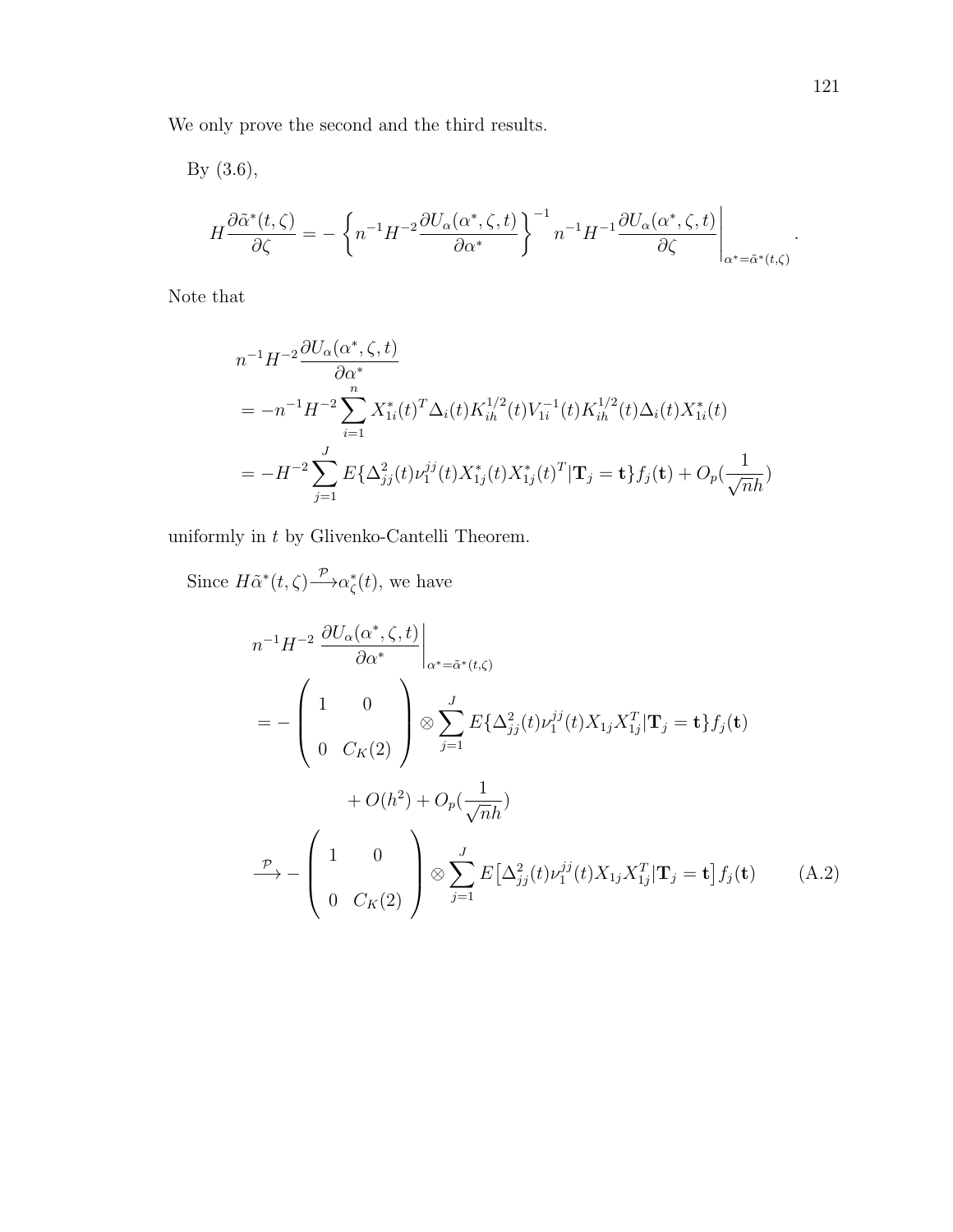We only prove the second and the third results.

By (3.6), H  $\frac{\partial \tilde{\alpha}^*(t,\zeta)}{\partial \zeta} = \int$  $n^{-1}H^{-2}\frac{\partial U_{\alpha}(\alpha^*,\zeta,t)}{\partial x}$ ∂α<sup>∗</sup>  $\bigcap$ <sup>-1</sup>  $n^{-1}H^{-1}\frac{\partial U_{\alpha}(\alpha^*,\zeta,t)}{\partial \zeta}$ ∂ζ  $\Bigg|_{\alpha^*=\tilde{\alpha}^*(t,\zeta)}$ .

Note that

$$
n^{-1}H^{-2}\frac{\partial U_{\alpha}(\alpha^*,\zeta,t)}{\partial \alpha^*}
$$
  
=  $-n^{-1}H^{-2}\sum_{i=1}^n X_{1i}^*(t)^T \Delta_i(t) K_{ih}^{1/2}(t) V_{1i}^{-1}(t) K_{ih}^{1/2}(t) \Delta_i(t) X_{1i}^*(t)$   
=  $-H^{-2}\sum_{j=1}^J E\{\Delta_{jj}^2(t) \nu_1^{jj}(t) X_{1j}^*(t) X_{1j}^*(t)^T | \mathbf{T}_j = \mathbf{t}\} f_j(\mathbf{t}) + O_p(\frac{1}{\sqrt{n}h})$ 

uniformly in  $t$  by Glivenko-Cantelli Theorem.

Since  $H\tilde{\alpha}^*(t,\zeta) \longrightarrow \alpha_{\zeta}^*(t)$ , we have

$$
n^{-1}H^{-2} \frac{\partial U_{\alpha}(\alpha^*, \zeta, t)}{\partial \alpha^*} \Big|_{\alpha^* = \tilde{\alpha}^*(t, \zeta)}
$$
  
= 
$$
- \begin{pmatrix} 1 & 0 \\ 0 & C_K(2) \end{pmatrix} \otimes \sum_{j=1}^J E\{\Delta_{jj}^2(t)\nu_j^{jj}(t)X_{1j}X_{1j}^T|\mathbf{T}_j = \mathbf{t}\}f_j(\mathbf{t})
$$
  
+ 
$$
O(h^2) + O_p(\frac{1}{\sqrt{n}h})
$$
  

$$
\xrightarrow{\mathcal{P}} - \begin{pmatrix} 1 & 0 \\ 0 & C_K(2) \end{pmatrix} \otimes \sum_{j=1}^J E[\Delta_{jj}^2(t)\nu_j^{jj}(t)X_{1j}X_{1j}^T|\mathbf{T}_j = \mathbf{t}]f_j(\mathbf{t}) \qquad (A.2)
$$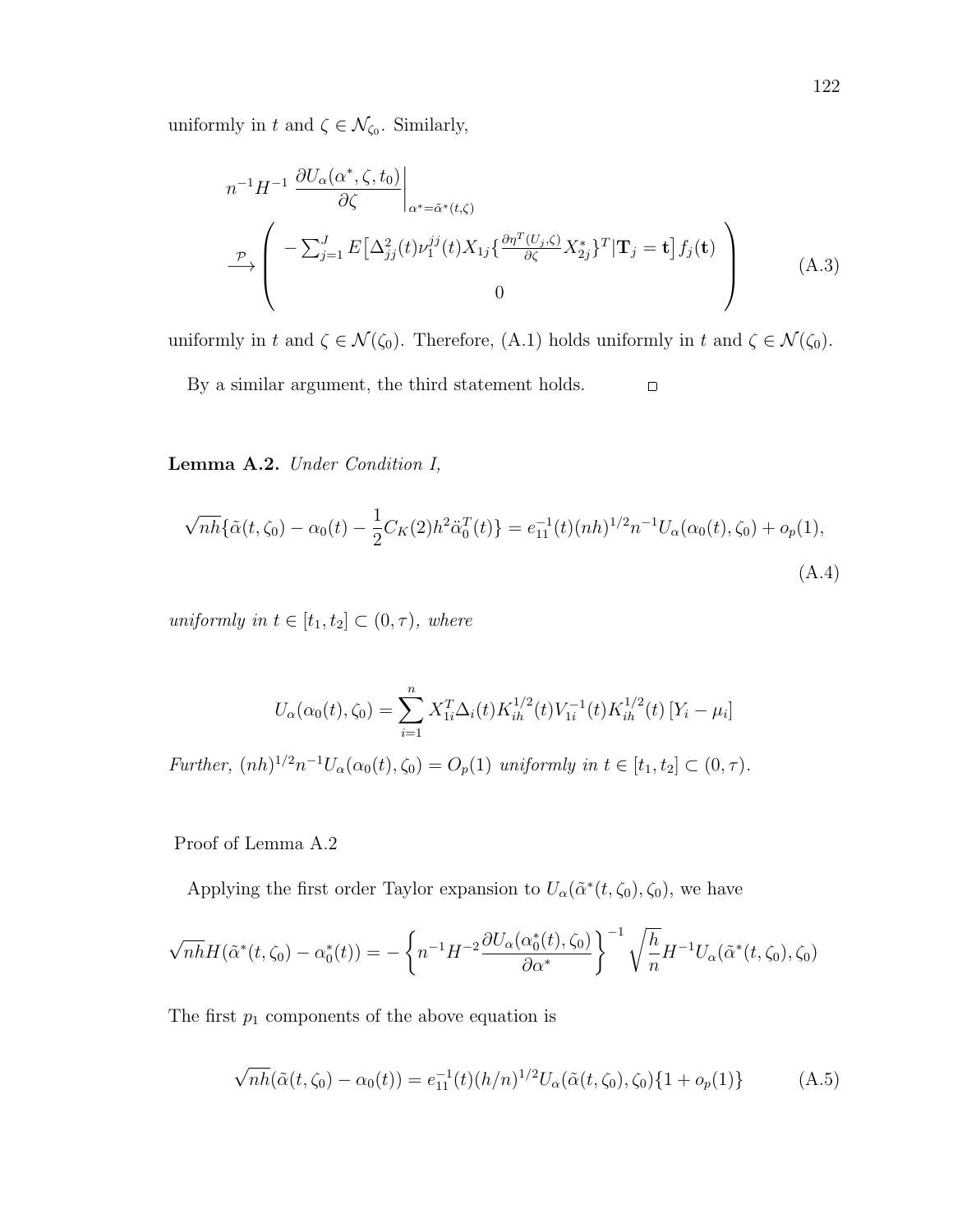uniformly in t and  $\zeta \in \mathcal{N}_{\zeta_0}$ . Similarly,

$$
n^{-1}H^{-1} \frac{\partial U_{\alpha}(\alpha^*, \zeta, t_0)}{\partial \zeta} \Big|_{\alpha^* = \tilde{\alpha}^*(t, \zeta)}
$$
  
\n
$$
\xrightarrow{\mathcal{P}} \left( -\sum_{j=1}^J E\left[\Delta_{jj}^2(t)\nu_1^{jj}(t)X_{1j}\left\{\frac{\partial \eta^T(U_j, \zeta)}{\partial \zeta} X_{2j}^*\right\}^T | \mathbf{T}_j = \mathbf{t} \right] f_j(\mathbf{t}) \right)
$$
  
\n0 (A.3)

uniformly in t and  $\zeta \in \mathcal{N}(\zeta_0)$ . Therefore,  $(A.1)$  holds uniformly in t and  $\zeta \in \mathcal{N}(\zeta_0)$ .

By a similar argument, the third statement holds.  $\Box$ 

Lemma A.2. Under Condition I,

$$
\sqrt{nh}\{\tilde{\alpha}(t,\zeta_0) - \alpha_0(t) - \frac{1}{2}C_K(2)h^2\ddot{\alpha}_0^T(t)\} = e_{11}^{-1}(t)(nh)^{1/2}n^{-1}U_\alpha(\alpha_0(t),\zeta_0) + o_p(1),
$$
\n(A.4)

uniformly in  $t \in [t_1, t_2] \subset (0, \tau)$ , where

$$
U_{\alpha}(\alpha_0(t), \zeta_0) = \sum_{i=1}^n X_{1i}^T \Delta_i(t) K_{ih}^{1/2}(t) V_{1i}^{-1}(t) K_{ih}^{1/2}(t) [Y_i - \mu_i]
$$

Further,  $(nh)^{1/2}n^{-1}U_{\alpha}(\alpha_0(t), \zeta_0) = O_p(1)$  uniformly in  $t \in [t_1, t_2] \subset (0, \tau)$ .

Proof of Lemma A.2

Applying the first order Taylor expansion to  $U_{\alpha}(\tilde{\alpha}^*(t,\zeta_0),\zeta_0)$ , we have

$$
\sqrt{nh}H(\tilde{\alpha}^*(t,\zeta_0)-\alpha_0^*(t))=-\left\{n^{-1}H^{-2}\frac{\partial U_{\alpha}(\alpha_0^*(t),\zeta_0)}{\partial \alpha^*}\right\}^{-1}\sqrt{\frac{h}{n}}H^{-1}U_{\alpha}(\tilde{\alpha}^*(t,\zeta_0),\zeta_0)
$$

The first  $p_1$  components of the above equation is

$$
\sqrt{nh}(\tilde{\alpha}(t,\zeta_0) - \alpha_0(t)) = e_{11}^{-1}(t)(h/n)^{1/2}U_{\alpha}(\tilde{\alpha}(t,\zeta_0),\zeta_0)\{1 + o_p(1)\}
$$
 (A.5)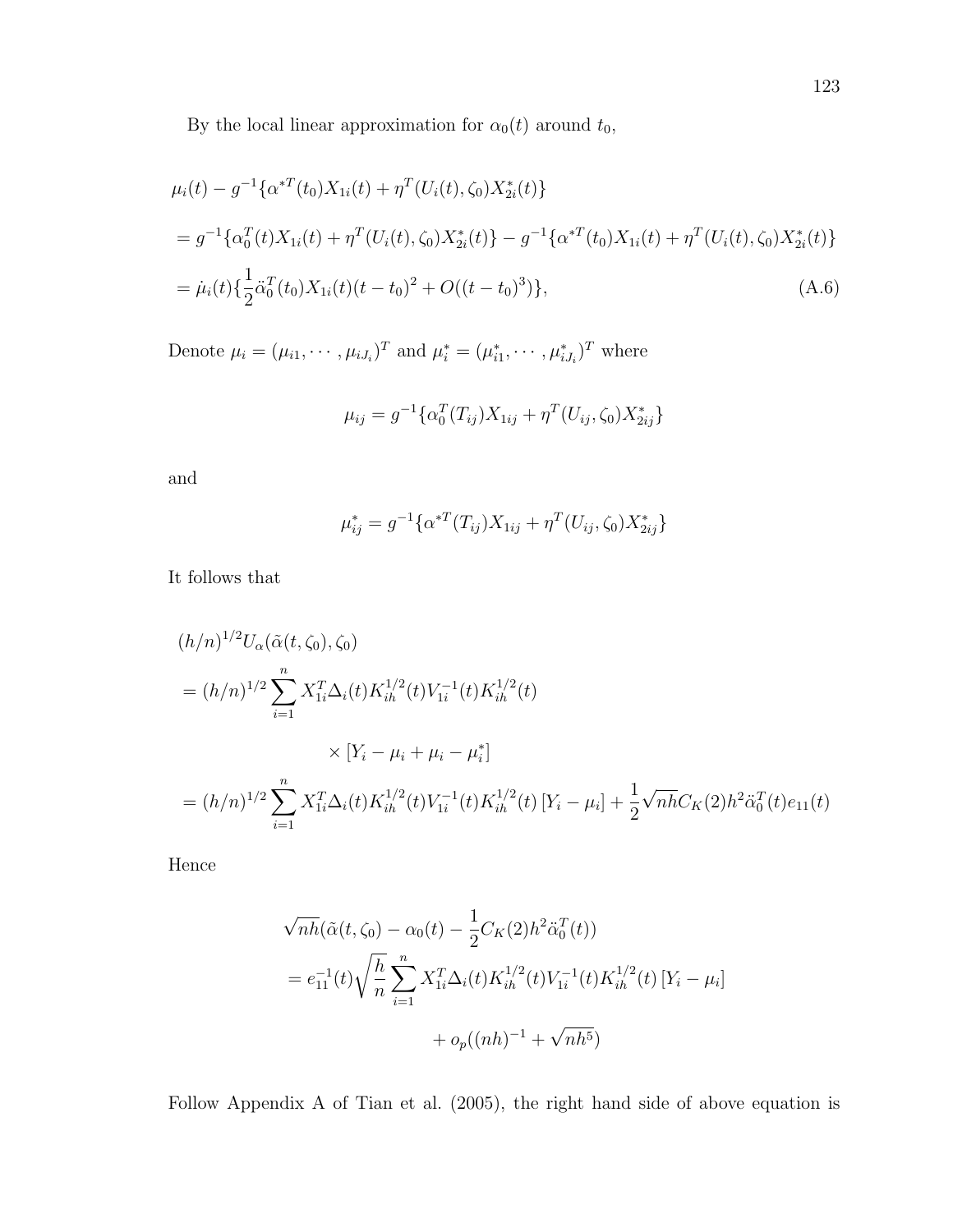By the local linear approximation for  $\alpha_0(t)$  around  $t_0$ ,

$$
\mu_i(t) - g^{-1} \{ \alpha^{*T}(t_0) X_{1i}(t) + \eta^T(U_i(t), \zeta_0) X_{2i}^*(t) \}
$$
  
\n
$$
= g^{-1} \{ \alpha_0^T(t) X_{1i}(t) + \eta^T(U_i(t), \zeta_0) X_{2i}^*(t) \} - g^{-1} \{ \alpha^{*T}(t_0) X_{1i}(t) + \eta^T(U_i(t), \zeta_0) X_{2i}^*(t) \}
$$
  
\n
$$
= \mu_i(t) \{ \frac{1}{2} \ddot{\alpha}_0^T(t_0) X_{1i}(t) (t - t_0)^2 + O((t - t_0)^3) \},
$$
\n(A.6)

Denote  $\mu_i = (\mu_{i1}, \cdots, \mu_{iJ_i})^T$  and  $\mu_i^* = (\mu_{i1}^*, \cdots, \mu_{iJ_i}^*)^T$  where

$$
\mu_{ij} = g^{-1} \{ \alpha_0^T(T_{ij}) X_{1ij} + \eta^T(U_{ij}, \zeta_0) X_{2ij}^* \}
$$

and

$$
\mu_{ij}^* = g^{-1} \{ \alpha^{*T}(T_{ij}) X_{1ij} + \eta^T(U_{ij}, \zeta_0) X_{2ij}^* \}
$$

It follows that

$$
(h/n)^{1/2} U_{\alpha}(\tilde{\alpha}(t,\zeta_{0}),\zeta_{0})
$$
  
=  $(h/n)^{1/2} \sum_{i=1}^{n} X_{1i}^{T} \Delta_{i}(t) K_{ih}^{1/2}(t) V_{1i}^{-1}(t) K_{ih}^{1/2}(t)$   

$$
\times [Y_{i} - \mu_{i} + \mu_{i} - \mu_{i}^{*}]
$$
  
=  $(h/n)^{1/2} \sum_{i=1}^{n} X_{1i}^{T} \Delta_{i}(t) K_{ih}^{1/2}(t) V_{1i}^{-1}(t) K_{ih}^{1/2}(t) [Y_{i} - \mu_{i}] + \frac{1}{2} \sqrt{n} \overline{h} C_{K}(2) h^{2} \ddot{\alpha}_{0}^{T}(t) e_{11}(t)$ 

Hence

$$
\sqrt{nh}(\tilde{\alpha}(t,\zeta_0) - \alpha_0(t) - \frac{1}{2}C_K(2)h^2\ddot{\alpha}_0^T(t))
$$
  
=  $e_{11}^{-1}(t)\sqrt{\frac{h}{n}}\sum_{i=1}^n X_{1i}^T\Delta_i(t)K_{ih}^{1/2}(t)V_{1i}^{-1}(t)K_{ih}^{1/2}(t)[Y_i - \mu_i]$   
+  $o_p((nh)^{-1} + \sqrt{nh^5})$ 

Follow Appendix A of Tian et al. (2005), the right hand side of above equation is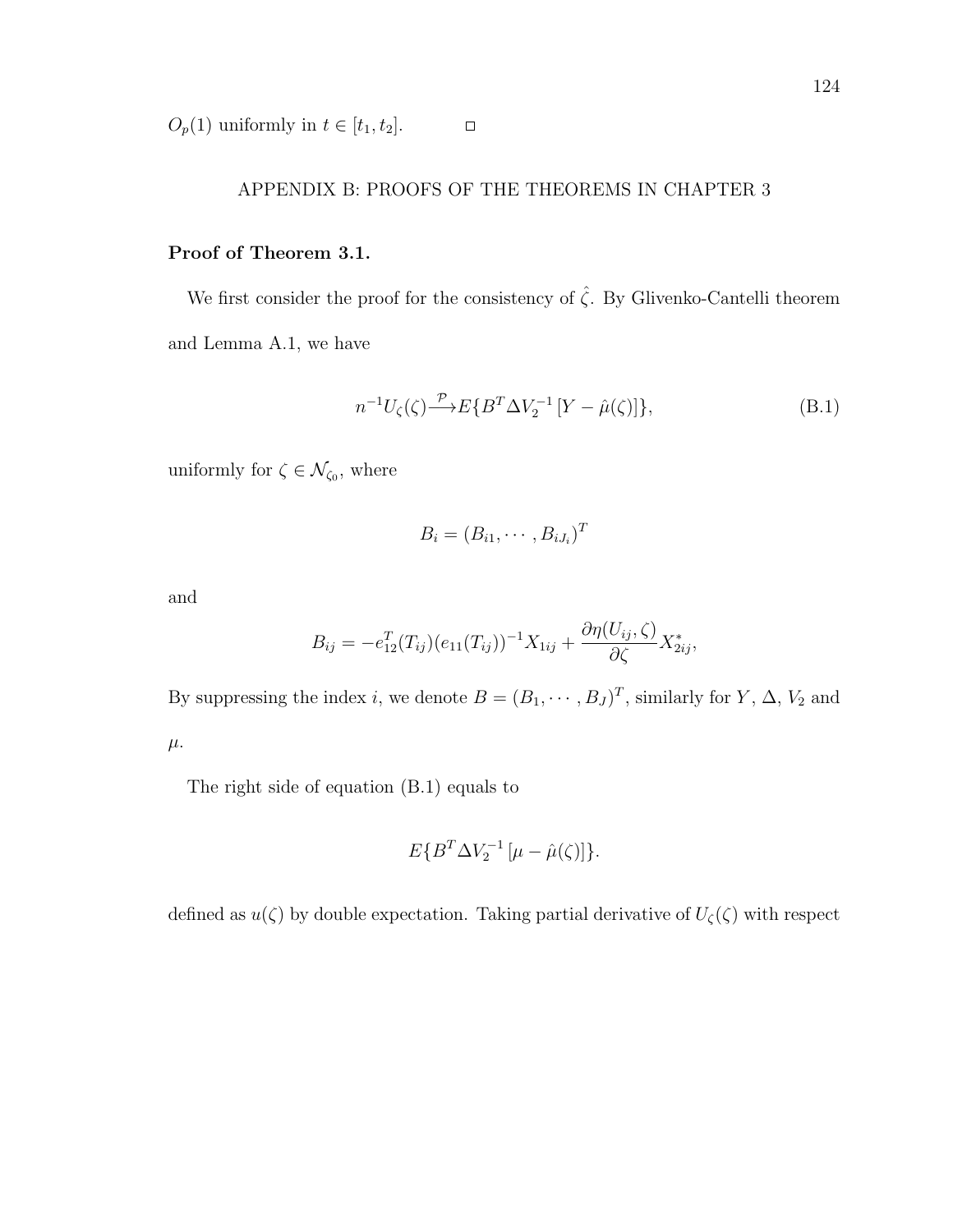$O_p(1)$  uniformly in  $t \in [t_1, t_2]$ .

# APPENDIX B: PROOFS OF THE THEOREMS IN CHAPTER 3

 $\Box$ 

# Proof of Theorem 3.1.

We first consider the proof for the consistency of<br>  $\hat{\zeta}.$  By Glivenko-Cantelli theorem and Lemma A.1, we have

$$
n^{-1}U_{\zeta}(\zeta) \xrightarrow{\mathcal{P}} E\{B^T \Delta V_2^{-1} \left[ Y - \hat{\mu}(\zeta) \right] \},\tag{B.1}
$$

uniformly for  $\zeta \in \mathcal{N}_{\zeta_0}$ , where

$$
B_i=(B_{i1},\cdots,B_{iJ_i})^T
$$

and

$$
B_{ij} = -e_{12}^T(T_{ij})(e_{11}(T_{ij}))^{-1}X_{1ij} + \frac{\partial \eta(U_{ij}, \zeta)}{\partial \zeta} X_{2ij}^*,
$$

By suppressing the index *i*, we denote  $B = (B_1, \dots, B_J)^T$ , similarly for *Y*,  $\Delta$ , *V*<sub>2</sub> and  $\mu$ .

The right side of equation (B.1) equals to

$$
E\{B^T \Delta V_2^{-1} \left[\mu - \hat{\mu}(\zeta)\right]\}.
$$

defined as  $u(\zeta)$  by double expectation. Taking partial derivative of  $U_{\zeta}(\zeta)$  with respect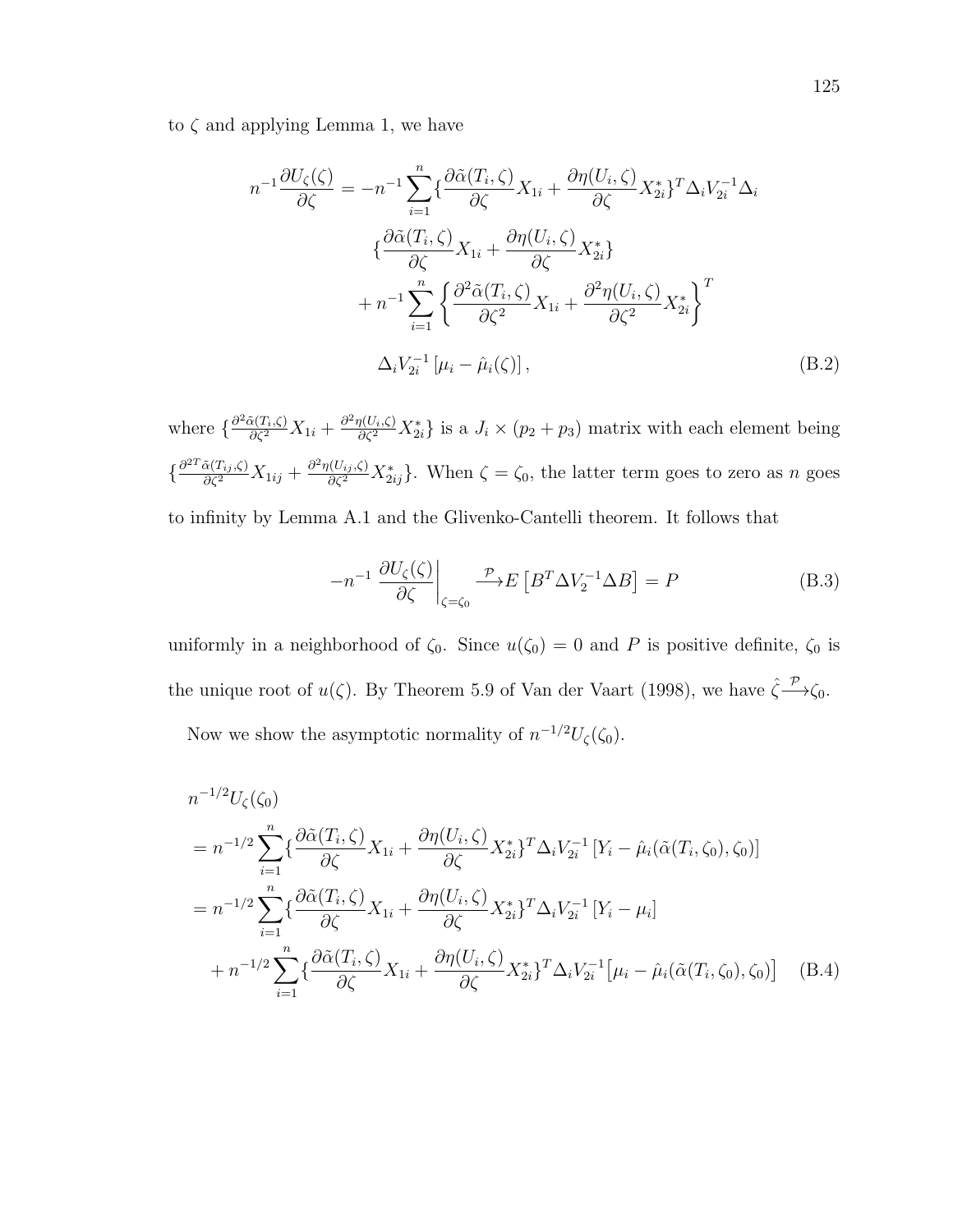to  $\zeta$  and applying Lemma 1, we have

$$
n^{-1} \frac{\partial U_{\zeta}(\zeta)}{\partial \zeta} = -n^{-1} \sum_{i=1}^{n} \left\{ \frac{\partial \tilde{\alpha}(T_i, \zeta)}{\partial \zeta} X_{1i} + \frac{\partial \eta(U_i, \zeta)}{\partial \zeta} X_{2i}^* \right\}^T \Delta_i V_{2i}^{-1} \Delta_i
$$

$$
\left\{ \frac{\partial \tilde{\alpha}(T_i, \zeta)}{\partial \zeta} X_{1i} + \frac{\partial \eta(U_i, \zeta)}{\partial \zeta} X_{2i}^* \right\}
$$

$$
+ n^{-1} \sum_{i=1}^{n} \left\{ \frac{\partial^2 \tilde{\alpha}(T_i, \zeta)}{\partial \zeta^2} X_{1i} + \frac{\partial^2 \eta(U_i, \zeta)}{\partial \zeta^2} X_{2i}^* \right\}^T
$$

$$
\Delta_i V_{2i}^{-1} \left[ \mu_i - \hat{\mu}_i(\zeta) \right], \tag{B.2}
$$

where  $\{\frac{\partial^2 \tilde{\alpha}(T_i,\zeta)}{\partial \zeta^2}X_{1i} + \frac{\partial^2 \eta(U_i,\zeta)}{\partial \zeta^2}X_{2i}^*\}$  is a  $J_i \times (p_2 + p_3)$  matrix with each element being  $\{\frac{\partial^{2} \tilde{\alpha}(T_{ij},\zeta)}{\partial \zeta^2}X_{1ij}+\frac{\partial^2 \eta(U_{ij},\zeta)}{\partial \zeta^2}X_{2ij}^*\}$ . When  $\zeta=\zeta_0$ , the latter term goes to zero as n goes to infinity by Lemma A.1 and the Glivenko-Cantelli theorem. It follows that

$$
-n^{-1} \left. \frac{\partial U_{\zeta}(\zeta)}{\partial \zeta} \right|_{\zeta=\zeta_0} \xrightarrow{\mathcal{P}} E\left[B^T \Delta V_2^{-1} \Delta B\right] = P \tag{B.3}
$$

uniformly in a neighborhood of  $\zeta_0$ . Since  $u(\zeta_0) = 0$  and P is positive definite,  $\zeta_0$  is the unique root of  $u(\zeta)$ . By Theorem 5.9 of Van der Vaart (1998), we have  $\hat{\zeta} \stackrel{\mathcal{P}}{\longrightarrow} \zeta_0$ . Now we show the asymptotic normality of  $n^{-1/2}U_{\zeta}(\zeta_0)$ .

$$
n^{-1/2}U_{\zeta}(\zeta_{0})
$$
  
=  $n^{-1/2} \sum_{i=1}^{n} \left\{ \frac{\partial \tilde{\alpha}(T_{i}, \zeta)}{\partial \zeta} X_{1i} + \frac{\partial \eta(U_{i}, \zeta)}{\partial \zeta} X_{2i} \right\}^{T} \Delta_{i} V_{2i}^{-1} \left[ Y_{i} - \hat{\mu}_{i}(\tilde{\alpha}(T_{i}, \zeta_{0}), \zeta_{0}) \right]$   
=  $n^{-1/2} \sum_{i=1}^{n} \left\{ \frac{\partial \tilde{\alpha}(T_{i}, \zeta)}{\partial \zeta} X_{1i} + \frac{\partial \eta(U_{i}, \zeta)}{\partial \zeta} X_{2i}^{*} \right\}^{T} \Delta_{i} V_{2i}^{-1} \left[ Y_{i} - \mu_{i} \right]$   
+  $n^{-1/2} \sum_{i=1}^{n} \left\{ \frac{\partial \tilde{\alpha}(T_{i}, \zeta)}{\partial \zeta} X_{1i} + \frac{\partial \eta(U_{i}, \zeta)}{\partial \zeta} X_{2i}^{*} \right\}^{T} \Delta_{i} V_{2i}^{-1} \left[ \mu_{i} - \hat{\mu}_{i}(\tilde{\alpha}(T_{i}, \zeta_{0}), \zeta_{0}) \right] \quad (B.4)$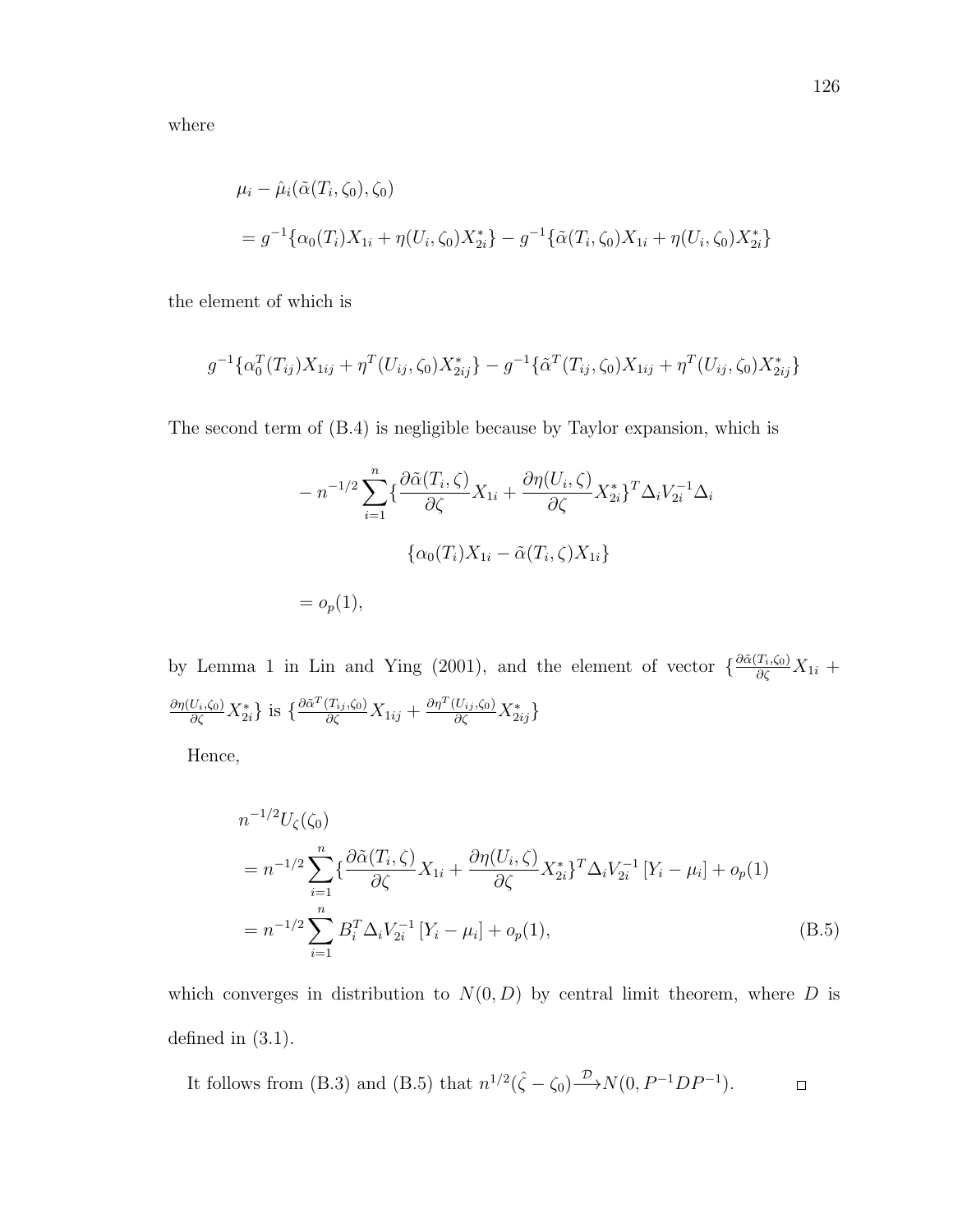where

$$
\mu_i - \hat{\mu}_i(\tilde{\alpha}(T_i, \zeta_0), \zeta_0)
$$
  
=  $g^{-1}\{\alpha_0(T_i)X_{1i} + \eta(U_i, \zeta_0)X_{2i}^*\} - g^{-1}\{\tilde{\alpha}(T_i, \zeta_0)X_{1i} + \eta(U_i, \zeta_0)X_{2i}^*\}$ 

the element of which is

$$
g^{-1}\{\alpha_0^T(T_{ij})X_{1ij} + \eta^T(U_{ij}, \zeta_0)X_{2ij}^*\} - g^{-1}\{\tilde{\alpha}^T(T_{ij}, \zeta_0)X_{1ij} + \eta^T(U_{ij}, \zeta_0)X_{2ij}^*\}
$$

The second term of (B.4) is negligible because by Taylor expansion, which is

$$
-n^{-1/2} \sum_{i=1}^{n} \left\{ \frac{\partial \tilde{\alpha}(T_i, \zeta)}{\partial \zeta} X_{1i} + \frac{\partial \eta(U_i, \zeta)}{\partial \zeta} X_{2i}^* \right\}^T \Delta_i V_{2i}^{-1} \Delta_i
$$

$$
\left\{ \alpha_0(T_i) X_{1i} - \tilde{\alpha}(T_i, \zeta) X_{1i} \right\}
$$

$$
= o_p(1),
$$

by Lemma 1 in Lin and Ying (2001), and the element of vector  $\{\frac{\partial \tilde{\alpha}(T_i,\zeta_0)}{\partial \zeta}X_{1i} +$  $\frac{\partial \eta(U_i,\zeta_0)}{\partial \zeta} X_{2i}^* \}$  is  $\{\frac{\partial \tilde{\alpha}^T(T_{ij},\zeta_0)}{\partial \zeta} X_{1ij} + \frac{\partial \eta^T(U_{ij},\zeta_0)}{\partial \zeta} X_{2ij}^*\}$ 

Hence,

$$
n^{-1/2}U_{\zeta}(\zeta_{0})
$$
  
=  $n^{-1/2}\sum_{i=1}^{n} \left\{ \frac{\partial \tilde{\alpha}(T_{i}, \zeta)}{\partial \zeta} X_{1i} + \frac{\partial \eta(U_{i}, \zeta)}{\partial \zeta} X_{2i}^{*} \right\}^{T} \Delta_{i} V_{2i}^{-1} \left[ Y_{i} - \mu_{i} \right] + o_{p}(1)$   
=  $n^{-1/2}\sum_{i=1}^{n} B_{i}^{T} \Delta_{i} V_{2i}^{-1} \left[ Y_{i} - \mu_{i} \right] + o_{p}(1),$  (B.5)

which converges in distribution to  $N(0, D)$  by central limit theorem, where D is defined in (3.1).

It follows from (B.3) and (B.5) that  $n^{1/2}(\hat{\zeta} - \zeta_0) \xrightarrow{\mathcal{D}} N(0, P^{-1}DP^{-1})$ .  $\hfill \square$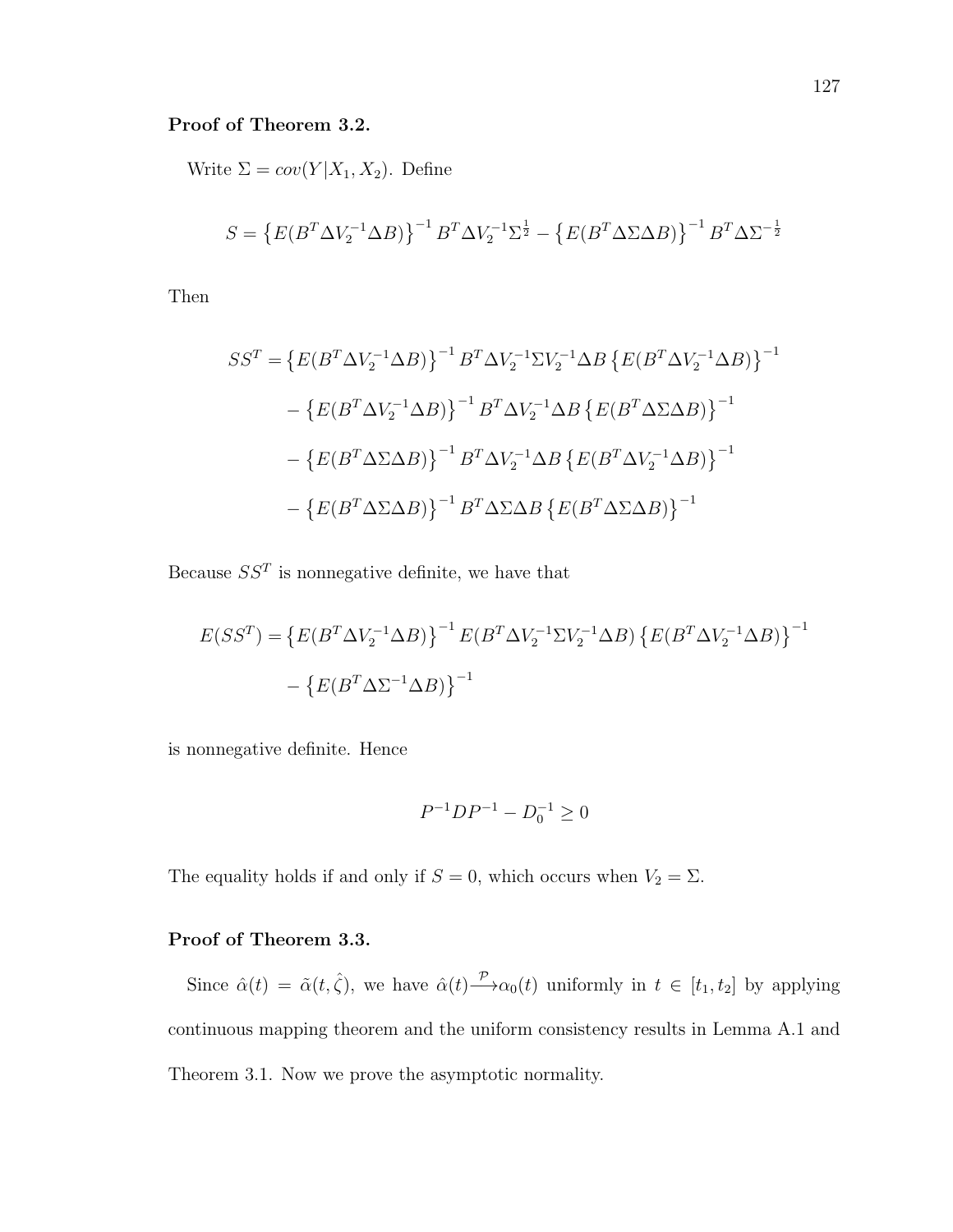## Proof of Theorem 3.2.

Write  $\Sigma = cov(Y|X_1, X_2)$ . Define

$$
S = \left\{ E(B^T \Delta V_2^{-1} \Delta B) \right\}^{-1} B^T \Delta V_2^{-1} \Sigma^{\frac{1}{2}} - \left\{ E(B^T \Delta \Sigma \Delta B) \right\}^{-1} B^T \Delta \Sigma^{-\frac{1}{2}}
$$

Then

$$
SS^{T} = \left\{ E(B^{T} \Delta V_{2}^{-1} \Delta B) \right\}^{-1} B^{T} \Delta V_{2}^{-1} \Sigma V_{2}^{-1} \Delta B \left\{ E(B^{T} \Delta V_{2}^{-1} \Delta B) \right\}^{-1}
$$

$$
- \left\{ E(B^{T} \Delta V_{2}^{-1} \Delta B) \right\}^{-1} B^{T} \Delta V_{2}^{-1} \Delta B \left\{ E(B^{T} \Delta \Sigma \Delta B) \right\}^{-1}
$$

$$
- \left\{ E(B^{T} \Delta \Sigma \Delta B) \right\}^{-1} B^{T} \Delta V_{2}^{-1} \Delta B \left\{ E(B^{T} \Delta V_{2}^{-1} \Delta B) \right\}^{-1}
$$

$$
- \left\{ E(B^{T} \Delta \Sigma \Delta B) \right\}^{-1} B^{T} \Delta \Sigma \Delta B \left\{ E(B^{T} \Delta \Sigma \Delta B) \right\}^{-1}
$$

Because  $SS<sup>T</sup>$  is nonnegative definite, we have that

$$
E(SS^{T}) = \{ E(B^{T} \Delta V_{2}^{-1} \Delta B) \}^{-1} E(B^{T} \Delta V_{2}^{-1} \Sigma V_{2}^{-1} \Delta B) \{ E(B^{T} \Delta V_{2}^{-1} \Delta B) \}^{-1}
$$

$$
- \{ E(B^{T} \Delta \Sigma^{-1} \Delta B) \}^{-1}
$$

is nonnegative definite. Hence

$$
P^{-1}DP^{-1} - D_0^{-1} \ge 0
$$

The equality holds if and only if  $S = 0$ , which occurs when  $V_2 = \Sigma$ .

# Proof of Theorem 3.3.

Since  $\hat{\alpha}(t) = \tilde{\alpha}(t, \hat{\zeta})$ , we have  $\hat{\alpha}(t) \stackrel{\mathcal{P}}{\longrightarrow} \alpha_0(t)$  uniformly in  $t \in [t_1, t_2]$  by applying continuous mapping theorem and the uniform consistency results in Lemma A.1 and Theorem 3.1. Now we prove the asymptotic normality.